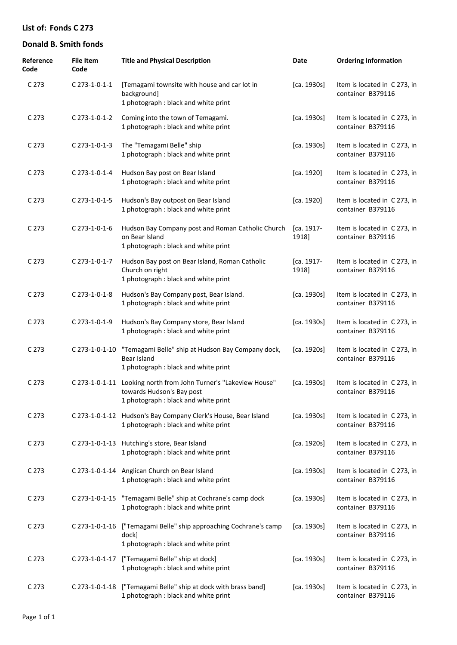| Reference<br>Code | <b>File Item</b><br>Code | <b>Title and Physical Description</b>                                                                                                | Date                | <b>Ordering Information</b>                       |
|-------------------|--------------------------|--------------------------------------------------------------------------------------------------------------------------------------|---------------------|---------------------------------------------------|
| C <sub>273</sub>  | C 273-1-0-1-1            | [Temagami townsite with house and car lot in<br>background]<br>1 photograph : black and white print                                  | [ca. 1930s]         | Item is located in C 273, in<br>container B379116 |
| C <sub>273</sub>  | C 273-1-0-1-2            | Coming into the town of Temagami.<br>1 photograph : black and white print                                                            | [ca. 1930s]         | Item is located in C273, in<br>container B379116  |
| C 273             | C 273-1-0-1-3            | The "Temagami Belle" ship<br>1 photograph : black and white print                                                                    | [ca. 1930s]         | Item is located in C273, in<br>container B379116  |
| C 273             | C 273-1-0-1-4            | Hudson Bay post on Bear Island<br>1 photograph : black and white print                                                               | [ca. 1920]          | Item is located in C273, in<br>container B379116  |
| C 273             | $C$ 273-1-0-1-5          | Hudson's Bay outpost on Bear Island<br>1 photograph : black and white print                                                          | [ca. 1920]          | Item is located in C273, in<br>container B379116  |
| C 273             | $C$ 273-1-0-1-6          | Hudson Bay Company post and Roman Catholic Church<br>on Bear Island<br>1 photograph : black and white print                          | [ca. 1917-<br>1918] | Item is located in C273, in<br>container B379116  |
| C 273             | C 273-1-0-1-7            | Hudson Bay post on Bear Island, Roman Catholic<br>Church on right<br>1 photograph : black and white print                            | [ca. 1917-<br>1918] | Item is located in C273, in<br>container B379116  |
| C 273             | C 273-1-0-1-8            | Hudson's Bay Company post, Bear Island.<br>1 photograph : black and white print                                                      | [ca. 1930s]         | Item is located in C 273, in<br>container B379116 |
| C 273             | C 273-1-0-1-9            | Hudson's Bay Company store, Bear Island<br>1 photograph : black and white print                                                      | [ca. 1930s]         | Item is located in C 273, in<br>container B379116 |
| C 273             | C 273-1-0-1-10           | "Temagami Belle" ship at Hudson Bay Company dock,<br>Bear Island<br>1 photograph : black and white print                             | [ca. 1920s]         | Item is located in C 273, in<br>container B379116 |
| C 273             |                          | C 273-1-0-1-11 Looking north from John Turner's "Lakeview House"<br>towards Hudson's Bay post<br>1 photograph: black and white print | [ca. 1930s]         | Item is located in C273, in<br>container B379116  |
| C <sub>273</sub>  |                          | C 273-1-0-1-12 Hudson's Bay Company Clerk's House, Bear Island<br>1 photograph : black and white print                               | [ca. 1930s]         | Item is located in C 273, in<br>container B379116 |
| C <sub>273</sub>  |                          | C 273-1-0-1-13 Hutching's store, Bear Island<br>1 photograph : black and white print                                                 | [ca. 1920s]         | Item is located in C273, in<br>container B379116  |
| C <sub>273</sub>  |                          | C 273-1-0-1-14 Anglican Church on Bear Island<br>1 photograph : black and white print                                                | [ca. 1930s]         | Item is located in C273, in<br>container B379116  |
| C <sub>273</sub>  | C 273-1-0-1-15           | "Temagami Belle" ship at Cochrane's camp dock<br>1 photograph : black and white print                                                | [ca. 1930s]         | Item is located in C273, in<br>container B379116  |
| C <sub>273</sub>  | C 273-1-0-1-16           | ["Temagami Belle" ship approaching Cochrane's camp<br>dock]<br>1 photograph : black and white print                                  | [ca. 1930s]         | Item is located in C273, in<br>container B379116  |
| C <sub>273</sub>  |                          | C 273-1-0-1-17 ["Temagami Belle" ship at dock]<br>1 photograph : black and white print                                               | [ca. 1930s]         | Item is located in C 273, in<br>container B379116 |
| C <sub>273</sub>  |                          | C 273-1-0-1-18 ["Temagami Belle" ship at dock with brass band]<br>1 photograph : black and white print                               | [ca. 1930s]         | Item is located in C273, in<br>container B379116  |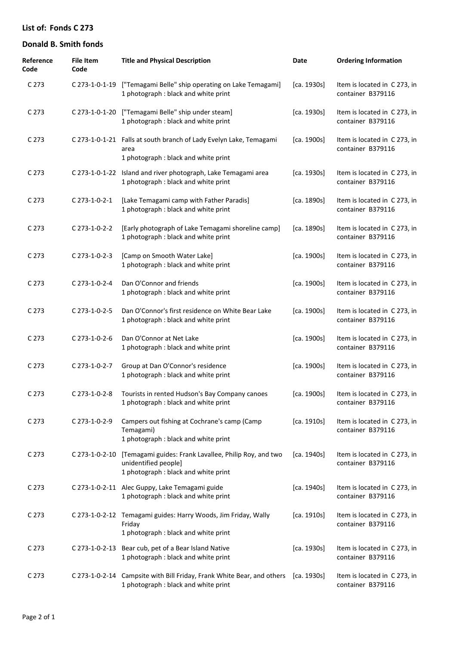| Reference<br>Code | <b>File Item</b><br>Code | <b>Title and Physical Description</b>                                                                                 | Date        | <b>Ordering Information</b>                       |
|-------------------|--------------------------|-----------------------------------------------------------------------------------------------------------------------|-------------|---------------------------------------------------|
| C 273             | C 273-1-0-1-19           | ["Temagami Belle" ship operating on Lake Temagami]<br>1 photograph : black and white print                            | [ca. 1930s] | Item is located in C 273, in<br>container B379116 |
| C 273             | C 273-1-0-1-20           | ["Temagami Belle" ship under steam]<br>1 photograph : black and white print                                           | [ca. 1930s] | Item is located in C 273, in<br>container B379116 |
| C 273             |                          | C 273-1-0-1-21 Falls at south branch of Lady Evelyn Lake, Temagami<br>area<br>1 photograph : black and white print    | [ca. 1900s] | Item is located in C 273, in<br>container B379116 |
| C 273             | C 273-1-0-1-22           | Island and river photograph, Lake Temagami area<br>1 photograph : black and white print                               | [ca. 1930s] | Item is located in C 273, in<br>container B379116 |
| C 273             | C 273-1-0-2-1            | [Lake Temagami camp with Father Paradis]<br>1 photograph : black and white print                                      | [ca. 1890s] | Item is located in C 273, in<br>container B379116 |
| C 273             | C 273-1-0-2-2            | [Early photograph of Lake Temagami shoreline camp]<br>1 photograph : black and white print                            | [ca. 1890s] | Item is located in C 273, in<br>container B379116 |
| C 273             | C 273-1-0-2-3            | [Camp on Smooth Water Lake]<br>1 photograph : black and white print                                                   | [ca. 1900s] | Item is located in C 273, in<br>container B379116 |
| C 273             | C 273-1-0-2-4            | Dan O'Connor and friends<br>1 photograph : black and white print                                                      | [ca. 1900s] | Item is located in C 273, in<br>container B379116 |
| C 273             | C 273-1-0-2-5            | Dan O'Connor's first residence on White Bear Lake<br>1 photograph : black and white print                             | [ca. 1900s] | Item is located in C 273, in<br>container B379116 |
| C 273             | C 273-1-0-2-6            | Dan O'Connor at Net Lake<br>1 photograph : black and white print                                                      | [ca. 1900s] | Item is located in C 273, in<br>container B379116 |
| C 273             | C 273-1-0-2-7            | Group at Dan O'Connor's residence<br>1 photograph : black and white print                                             | [ca. 1900s] | Item is located in C 273, in<br>container B379116 |
| C <sub>273</sub>  | C 273-1-0-2-8            | Tourists in rented Hudson's Bay Company canoes<br>1 photograph : black and white print                                | [ca. 1900s] | Item is located in C 273, in<br>container B379116 |
| C 273             | C 273-1-0-2-9            | Campers out fishing at Cochrane's camp (Camp<br>Temagami)<br>1 photograph : black and white print                     | [ca. 1910s] | Item is located in C 273, in<br>container B379116 |
| C 273             | C 273-1-0-2-10           | [Temagami guides: Frank Lavallee, Philip Roy, and two<br>unidentified people]<br>1 photograph : black and white print | [ca. 1940s] | Item is located in C273, in<br>container B379116  |
| C 273             |                          | C 273-1-0-2-11 Alec Guppy, Lake Temagami guide<br>1 photograph : black and white print                                | [ca. 1940s] | Item is located in C 273, in<br>container B379116 |
| C 273             |                          | C 273-1-0-2-12 Temagami guides: Harry Woods, Jim Friday, Wally<br>Friday<br>1 photograph : black and white print      | [ca. 1910s] | Item is located in C 273, in<br>container B379116 |
| C 273             |                          | C 273-1-0-2-13 Bear cub, pet of a Bear Island Native<br>1 photograph : black and white print                          | [ca. 1930s] | Item is located in C 273, in<br>container B379116 |
| C 273             |                          | C 273-1-0-2-14 Campsite with Bill Friday, Frank White Bear, and others<br>1 photograph : black and white print        | [ca. 1930s] | Item is located in C 273, in<br>container B379116 |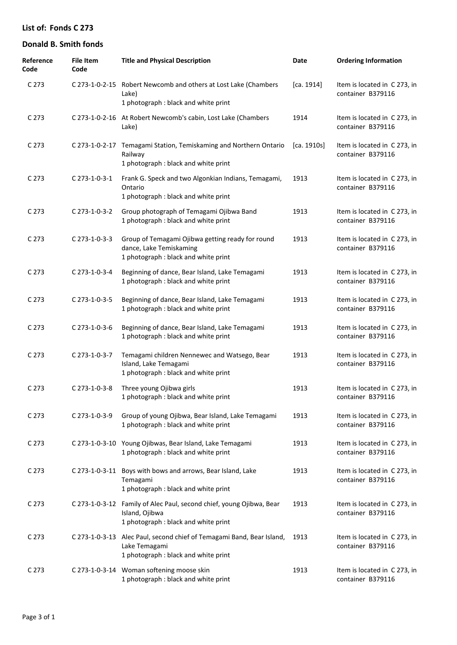| Reference<br>Code | <b>File Item</b><br>Code | <b>Title and Physical Description</b>                                                                                          | Date        | <b>Ordering Information</b>                       |
|-------------------|--------------------------|--------------------------------------------------------------------------------------------------------------------------------|-------------|---------------------------------------------------|
| C <sub>273</sub>  |                          | C 273-1-0-2-15 Robert Newcomb and others at Lost Lake (Chambers<br>Lake)<br>1 photograph : black and white print               | [ca. 1914]  | Item is located in C 273, in<br>container B379116 |
| C <sub>273</sub>  |                          | C 273-1-0-2-16 At Robert Newcomb's cabin, Lost Lake (Chambers<br>Lake)                                                         | 1914        | Item is located in C 273, in<br>container B379116 |
| C <sub>273</sub>  | C 273-1-0-2-17           | Temagami Station, Temiskaming and Northern Ontario<br>Railway<br>1 photograph : black and white print                          | [ca. 1910s] | Item is located in C 273, in<br>container B379116 |
| C 273             | C 273-1-0-3-1            | Frank G. Speck and two Algonkian Indians, Temagami,<br>Ontario<br>1 photograph: black and white print                          | 1913        | Item is located in C 273, in<br>container B379116 |
| C 273             | C 273-1-0-3-2            | Group photograph of Temagami Ojibwa Band<br>1 photograph : black and white print                                               | 1913        | Item is located in C 273, in<br>container B379116 |
| C 273             | C 273-1-0-3-3            | Group of Temagami Ojibwa getting ready for round<br>dance, Lake Temiskaming<br>1 photograph : black and white print            | 1913        | Item is located in C 273, in<br>container B379116 |
| C 273             | C 273-1-0-3-4            | Beginning of dance, Bear Island, Lake Temagami<br>1 photograph : black and white print                                         | 1913        | Item is located in C 273, in<br>container B379116 |
| C 273             | C 273-1-0-3-5            | Beginning of dance, Bear Island, Lake Temagami<br>1 photograph : black and white print                                         | 1913        | Item is located in C 273, in<br>container B379116 |
| C 273             | C 273-1-0-3-6            | Beginning of dance, Bear Island, Lake Temagami<br>1 photograph : black and white print                                         | 1913        | Item is located in C 273, in<br>container B379116 |
| C 273             | C 273-1-0-3-7            | Temagami children Nennewec and Watsego, Bear<br>Island, Lake Temagami<br>1 photograph : black and white print                  | 1913        | Item is located in C 273, in<br>container B379116 |
| C 273             | C 273-1-0-3-8            | Three young Ojibwa girls<br>1 photograph : black and white print                                                               | 1913        | Item is located in C 273, in<br>container B379116 |
| C 273             | C 273-1-0-3-9            | Group of young Ojibwa, Bear Island, Lake Temagami<br>1 photograph : black and white print                                      | 1913        | Item is located in C 273, in<br>container B379116 |
| C 273             |                          | C 273-1-0-3-10 Young Ojibwas, Bear Island, Lake Temagami<br>1 photograph : black and white print                               | 1913        | Item is located in C 273, in<br>container B379116 |
| C <sub>273</sub>  |                          | C 273-1-0-3-11 Boys with bows and arrows, Bear Island, Lake<br>Temagami<br>1 photograph : black and white print                | 1913        | Item is located in C 273, in<br>container B379116 |
| C 273             |                          | C 273-1-0-3-12 Family of Alec Paul, second chief, young Ojibwa, Bear<br>Island, Ojibwa<br>1 photograph : black and white print | 1913        | Item is located in C 273, in<br>container B379116 |
| C <sub>273</sub>  |                          | C 273-1-0-3-13 Alec Paul, second chief of Temagami Band, Bear Island,<br>Lake Temagami<br>1 photograph : black and white print | 1913        | Item is located in C 273, in<br>container B379116 |
| C 273             |                          | C 273-1-0-3-14 Woman softening moose skin<br>1 photograph : black and white print                                              | 1913        | Item is located in C 273, in<br>container B379116 |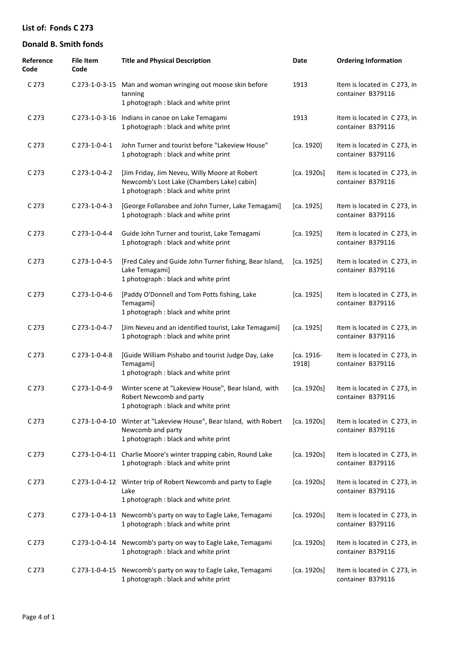| Reference<br>Code | <b>File Item</b><br>Code | <b>Title and Physical Description</b>                                                                                               | Date                | <b>Ordering Information</b>                       |
|-------------------|--------------------------|-------------------------------------------------------------------------------------------------------------------------------------|---------------------|---------------------------------------------------|
| C 273             |                          | C 273-1-0-3-15 Man and woman wringing out moose skin before<br>tanning<br>1 photograph : black and white print                      | 1913                | Item is located in C 273, in<br>container B379116 |
| C <sub>273</sub>  |                          | C 273-1-0-3-16 Indians in canoe on Lake Temagami<br>1 photograph : black and white print                                            | 1913                | Item is located in C273, in<br>container B379116  |
| C <sub>273</sub>  | C 273-1-0-4-1            | John Turner and tourist before "Lakeview House"<br>1 photograph : black and white print                                             | [ca. 1920]          | Item is located in C 273, in<br>container B379116 |
| C <sub>273</sub>  | C 273-1-0-4-2            | [Jim Friday, Jim Neveu, Willy Moore at Robert<br>Newcomb's Lost Lake (Chambers Lake) cabin]<br>1 photograph : black and white print | [ca. 1920s]         | Item is located in C273, in<br>container B379116  |
| C 273             | C 273-1-0-4-3            | [George Follansbee and John Turner, Lake Temagami]<br>1 photograph : black and white print                                          | [ca. 1925]          | Item is located in C273, in<br>container B379116  |
| C 273             | C 273-1-0-4-4            | Guide John Turner and tourist, Lake Temagami<br>1 photograph : black and white print                                                | [ca. 1925]          | Item is located in C 273, in<br>container B379116 |
| C 273             | C 273-1-0-4-5            | [Fred Caley and Guide John Turner fishing, Bear Island,<br>Lake Temagami]<br>1 photograph : black and white print                   | [ca. 1925]          | Item is located in C273, in<br>container B379116  |
| C 273             | C 273-1-0-4-6            | [Paddy O'Donnell and Tom Potts fishing, Lake<br>Temagami]<br>1 photograph : black and white print                                   | [ca. 1925]          | Item is located in C 273, in<br>container B379116 |
| C 273             | C 273-1-0-4-7            | [Jim Neveu and an identified tourist, Lake Temagami]<br>1 photograph : black and white print                                        | [ca. 1925]          | Item is located in C273, in<br>container B379116  |
| C <sub>273</sub>  | C 273-1-0-4-8            | [Guide William Pishabo and tourist Judge Day, Lake<br>Temagami]<br>1 photograph : black and white print                             | [ca. 1916-<br>1918] | Item is located in C273, in<br>container B379116  |
| C 273             | C 273-1-0-4-9            | Winter scene at "Lakeview House", Bear Island, with<br>Robert Newcomb and party<br>1 photograph : black and white print             | [ca. 1920s]         | Item is located in C273, in<br>container B379116  |
| C 273             |                          | C 273-1-0-4-10 Winter at "Lakeview House", Bear Island, with Robert<br>Newcomb and party<br>1 photograph : black and white print    | [ca. 1920s]         | Item is located in C 273, in<br>container B379116 |
| C <sub>273</sub>  |                          | C 273-1-0-4-11 Charlie Moore's winter trapping cabin, Round Lake<br>1 photograph : black and white print                            | [ca. 1920s]         | Item is located in C273, in<br>container B379116  |
| C <sub>273</sub>  |                          | C 273-1-0-4-12 Winter trip of Robert Newcomb and party to Eagle<br>Lake<br>1 photograph : black and white print                     | [ca. 1920s]         | Item is located in C 273, in<br>container B379116 |
| C 273             | C 273-1-0-4-13           | Newcomb's party on way to Eagle Lake, Temagami<br>1 photograph : black and white print                                              | [ca. 1920s]         | Item is located in C273, in<br>container B379116  |
| C 273             | C 273-1-0-4-14           | Newcomb's party on way to Eagle Lake, Temagami<br>1 photograph : black and white print                                              | [ca. 1920s]         | Item is located in C273, in<br>container B379116  |
| C 273             | C 273-1-0-4-15           | Newcomb's party on way to Eagle Lake, Temagami<br>1 photograph : black and white print                                              | [ca. 1920s]         | Item is located in C273, in<br>container B379116  |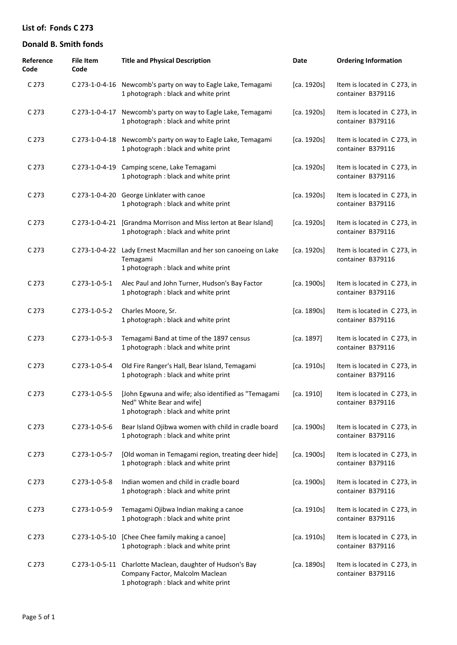| Reference<br>Code | <b>File Item</b><br>Code | <b>Title and Physical Description</b>                                                                                                 | Date        | <b>Ordering Information</b>                       |
|-------------------|--------------------------|---------------------------------------------------------------------------------------------------------------------------------------|-------------|---------------------------------------------------|
| C <sub>273</sub>  |                          | C 273-1-0-4-16 Newcomb's party on way to Eagle Lake, Temagami<br>1 photograph : black and white print                                 | [ca. 1920s] | Item is located in C 273, in<br>container B379116 |
| C <sub>273</sub>  |                          | C 273-1-0-4-17 Newcomb's party on way to Eagle Lake, Temagami<br>1 photograph : black and white print                                 | [ca. 1920s] | Item is located in C 273, in<br>container B379116 |
| C <sub>273</sub>  |                          | C 273-1-0-4-18 Newcomb's party on way to Eagle Lake, Temagami<br>1 photograph : black and white print                                 | [ca. 1920s] | Item is located in C 273, in<br>container B379116 |
| C <sub>273</sub>  |                          | C 273-1-0-4-19 Camping scene, Lake Temagami<br>1 photograph : black and white print                                                   | [ca. 1920s] | Item is located in C 273, in<br>container B379116 |
| C <sub>273</sub>  |                          | C 273-1-0-4-20 George Linklater with canoe<br>1 photograph : black and white print                                                    | [ca. 1920s] | Item is located in C 273, in<br>container B379116 |
| C <sub>273</sub>  |                          | C 273-1-0-4-21 [Grandma Morrison and Miss lerton at Bear Island]<br>1 photograph : black and white print                              | [ca. 1920s] | Item is located in C 273, in<br>container B379116 |
| C <sub>273</sub>  | C 273-1-0-4-22           | Lady Ernest Macmillan and her son canoeing on Lake<br>Temagami<br>1 photograph : black and white print                                | [ca. 1920s] | Item is located in C 273, in<br>container B379116 |
| C 273             | C 273-1-0-5-1            | Alec Paul and John Turner, Hudson's Bay Factor<br>1 photograph : black and white print                                                | [ca. 1900s] | Item is located in C 273, in<br>container B379116 |
| C 273             | C 273-1-0-5-2            | Charles Moore, Sr.<br>1 photograph : black and white print                                                                            | [ca. 1890s] | Item is located in C 273, in<br>container B379116 |
| C 273             | C 273-1-0-5-3            | Temagami Band at time of the 1897 census<br>1 photograph : black and white print                                                      | [ca. 1897]  | Item is located in C 273, in<br>container B379116 |
| C 273             | C 273-1-0-5-4            | Old Fire Ranger's Hall, Bear Island, Temagami<br>1 photograph : black and white print                                                 | [ca. 1910s] | Item is located in C 273, in<br>container B379116 |
| C <sub>273</sub>  | C 273-1-0-5-5            | [John Egwuna and wife; also identified as "Temagami<br>Ned" White Bear and wife]<br>1 photograph : black and white print              | [ca. 1910]  | Item is located in C 273, in<br>container B379116 |
| C <sub>273</sub>  | C 273-1-0-5-6            | Bear Island Ojibwa women with child in cradle board<br>1 photograph : black and white print                                           | [ca. 1900s] | Item is located in C 273, in<br>container B379116 |
| C <sub>273</sub>  | C 273-1-0-5-7            | [Old woman in Temagami region, treating deer hide]<br>1 photograph : black and white print                                            | [ca. 1900s] | Item is located in C 273, in<br>container B379116 |
| C 273             | C 273-1-0-5-8            | Indian women and child in cradle board<br>1 photograph : black and white print                                                        | [ca. 1900s] | Item is located in C 273, in<br>container B379116 |
| C <sub>273</sub>  | C 273-1-0-5-9            | Temagami Ojibwa Indian making a canoe<br>1 photograph : black and white print                                                         | [ca. 1910s] | Item is located in C 273, in<br>container B379116 |
| C <sub>273</sub>  | C 273-1-0-5-10           | [Chee Chee family making a canoe]<br>1 photograph : black and white print                                                             | [ca. 1910s] | Item is located in C 273, in<br>container B379116 |
| C 273             |                          | C 273-1-0-5-11 Charlotte Maclean, daughter of Hudson's Bay<br>Company Factor, Malcolm Maclean<br>1 photograph : black and white print | [ca. 1890s] | Item is located in C 273, in<br>container B379116 |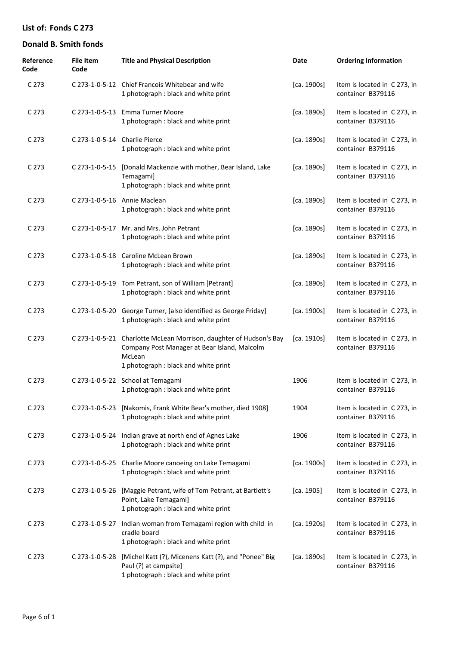| Reference<br>Code | <b>File Item</b><br>Code      | <b>Title and Physical Description</b>                                                                                                                                | Date        | <b>Ordering Information</b>                       |
|-------------------|-------------------------------|----------------------------------------------------------------------------------------------------------------------------------------------------------------------|-------------|---------------------------------------------------|
| C <sub>273</sub>  |                               | C 273-1-0-5-12 Chief Francois Whitebear and wife<br>1 photograph : black and white print                                                                             | [ca. 1900s] | Item is located in C273, in<br>container B379116  |
| C 273             |                               | C 273-1-0-5-13 Emma Turner Moore<br>1 photograph : black and white print                                                                                             | [ca. 1890s] | Item is located in C 273, in<br>container B379116 |
| C 273             | C 273-1-0-5-14 Charlie Pierce | 1 photograph : black and white print                                                                                                                                 | [ca. 1890s] | Item is located in C 273, in<br>container B379116 |
| C 273             | C 273-1-0-5-15                | [Donald Mackenzie with mother, Bear Island, Lake<br>Temagami]<br>1 photograph : black and white print                                                                | [ca. 1890s] | Item is located in C 273, in<br>container B379116 |
| C 273             |                               | C 273-1-0-5-16 Annie Maclean<br>1 photograph : black and white print                                                                                                 | [ca. 1890s] | Item is located in C 273, in<br>container B379116 |
| C 273             |                               | C 273-1-0-5-17 Mr. and Mrs. John Petrant<br>1 photograph : black and white print                                                                                     | [ca. 1890s] | Item is located in C 273, in<br>container B379116 |
| C 273             |                               | C 273-1-0-5-18 Caroline McLean Brown<br>1 photograph : black and white print                                                                                         | [ca. 1890s] | Item is located in C 273, in<br>container B379116 |
| C 273             |                               | C 273-1-0-5-19 Tom Petrant, son of William [Petrant]<br>1 photograph : black and white print                                                                         | [ca. 1890s] | Item is located in C 273, in<br>container B379116 |
| C 273             |                               | C 273-1-0-5-20 George Turner, [also identified as George Friday]<br>1 photograph : black and white print                                                             | [ca. 1900s] | Item is located in C 273, in<br>container B379116 |
| C 273             |                               | C 273-1-0-5-21 Charlotte McLean Morrison, daughter of Hudson's Bay<br>Company Post Manager at Bear Island, Malcolm<br>McLean<br>1 photograph : black and white print | [ca. 1910s] | Item is located in C 273, in<br>container B379116 |
| C 273             |                               | C 273-1-0-5-22 School at Temagami<br>1 photograph : black and white print                                                                                            | 1906        | Item is located in C 273, in<br>container B379116 |
| C 273             |                               | C 273-1-0-5-23 [Nakomis, Frank White Bear's mother, died 1908]<br>1 photograph : black and white print                                                               | 1904        | Item is located in C 273, in<br>container B379116 |
| C 273             |                               | C 273-1-0-5-24 Indian grave at north end of Agnes Lake<br>1 photograph : black and white print                                                                       | 1906        | Item is located in C273, in<br>container B379116  |
| C 273             |                               | C 273-1-0-5-25 Charlie Moore canoeing on Lake Temagami<br>1 photograph : black and white print                                                                       | [ca. 1900s] | Item is located in C 273, in<br>container B379116 |
| C 273             |                               | C 273-1-0-5-26 [Maggie Petrant, wife of Tom Petrant, at Bartlett's<br>Point, Lake Temagami]<br>1 photograph : black and white print                                  | [ca. 1905]  | Item is located in C 273, in<br>container B379116 |
| C 273             | C 273-1-0-5-27                | Indian woman from Temagami region with child in<br>cradle board<br>1 photograph : black and white print                                                              | [ca. 1920s] | Item is located in C273, in<br>container B379116  |
| C 273             | C 273-1-0-5-28                | [Michel Katt (?), Micenens Katt (?), and "Ponee" Big<br>Paul (?) at campsite]<br>1 photograph : black and white print                                                | [ca. 1890s] | Item is located in C 273, in<br>container B379116 |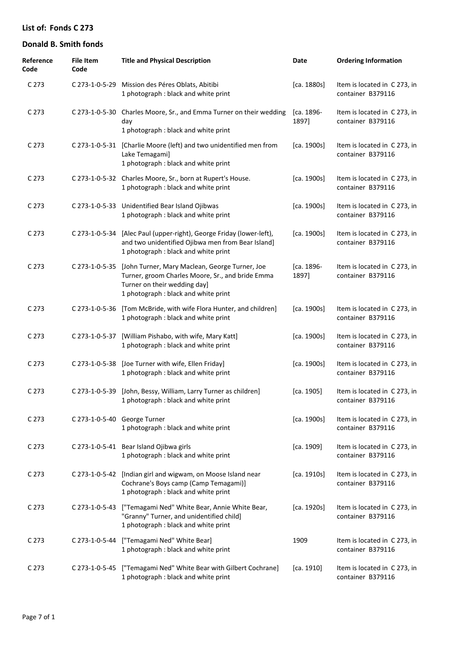| Reference<br>Code | <b>File Item</b><br>Code | <b>Title and Physical Description</b>                                                                                                                                      | Date                | <b>Ordering Information</b>                       |
|-------------------|--------------------------|----------------------------------------------------------------------------------------------------------------------------------------------------------------------------|---------------------|---------------------------------------------------|
| C 273             | C 273-1-0-5-29           | Mission des Péres Oblats, Abitibi<br>1 photograph : black and white print                                                                                                  | [ca. 1880s]         | Item is located in C273, in<br>container B379116  |
| C 273             | C 273-1-0-5-30           | Charles Moore, Sr., and Emma Turner on their wedding<br>day<br>1 photograph : black and white print                                                                        | [ca. 1896-<br>1897] | Item is located in C273, in<br>container B379116  |
| C 273             | C 273-1-0-5-31           | [Charlie Moore (left) and two unidentified men from<br>Lake Temagami]<br>1 photograph : black and white print                                                              | [ca. 1900s]         | Item is located in C273, in<br>container B379116  |
| C 273             |                          | C 273-1-0-5-32 Charles Moore, Sr., born at Rupert's House.<br>1 photograph : black and white print                                                                         | [ca. 1900s]         | Item is located in C273, in<br>container B379116  |
| C 273             |                          | C 273-1-0-5-33 Unidentified Bear Island Ojibwas<br>1 photograph : black and white print                                                                                    | [ca. 1900s]         | Item is located in C273, in<br>container B379116  |
| C <sub>273</sub>  | C 273-1-0-5-34           | [Alec Paul (upper-right), George Friday (lower-left),<br>and two unidentified Ojibwa men from Bear Island]<br>1 photograph : black and white print                         | [ca. 1900s]         | Item is located in C273, in<br>container B379116  |
| C 273             | C 273-1-0-5-35           | [John Turner, Mary Maclean, George Turner, Joe<br>Turner, groom Charles Moore, Sr., and bride Emma<br>Turner on their wedding day]<br>1 photograph : black and white print | [ca. 1896-<br>1897] | Item is located in C273, in<br>container B379116  |
| C 273             | C 273-1-0-5-36           | [Tom McBride, with wife Flora Hunter, and children]<br>1 photograph : black and white print                                                                                | [ca. 1900s]         | Item is located in C 273, in<br>container B379116 |
| C 273             | C 273-1-0-5-37           | [William Pishabo, with wife, Mary Katt]<br>1 photograph : black and white print                                                                                            | [ca. 1900s]         | Item is located in C 273, in<br>container B379116 |
| C 273             | C 273-1-0-5-38           | [Joe Turner with wife, Ellen Friday]<br>1 photograph : black and white print                                                                                               | [ca. 1900s]         | Item is located in C 273, in<br>container B379116 |
| C <sub>273</sub>  |                          | C 273-1-0-5-39 [John, Bessy, William, Larry Turner as children]<br>1 photograph : black and white print                                                                    | [ca. 1905]          | Item is located in C273, in<br>container B379116  |
| C 273             |                          | C 273-1-0-5-40 George Turner<br>1 photograph : black and white print                                                                                                       | [ca. 1900s]         | Item is located in C 273, in<br>container B379116 |
| C 273             |                          | C 273-1-0-5-41 Bear Island Ojibwa girls<br>1 photograph : black and white print                                                                                            | [ca. 1909]          | Item is located in C 273, in<br>container B379116 |
| C 273             | C 273-1-0-5-42           | [Indian girl and wigwam, on Moose Island near<br>Cochrane's Boys camp (Camp Temagami)]<br>1 photograph : black and white print                                             | [ca. 1910s]         | Item is located in C273, in<br>container B379116  |
| C <sub>273</sub>  | C 273-1-0-5-43           | ["Temagami Ned" White Bear, Annie White Bear,<br>"Granny" Turner, and unidentified child]<br>1 photograph : black and white print                                          | [ca. 1920s]         | Item is located in C273, in<br>container B379116  |
| C 273             | C 273-1-0-5-44           | ["Temagami Ned" White Bear]<br>1 photograph : black and white print                                                                                                        | 1909                | Item is located in C273, in<br>container B379116  |
| C 273             | C 273-1-0-5-45           | ["Temagami Ned" White Bear with Gilbert Cochrane]<br>1 photograph : black and white print                                                                                  | [ca. 1910]          | Item is located in C273, in<br>container B379116  |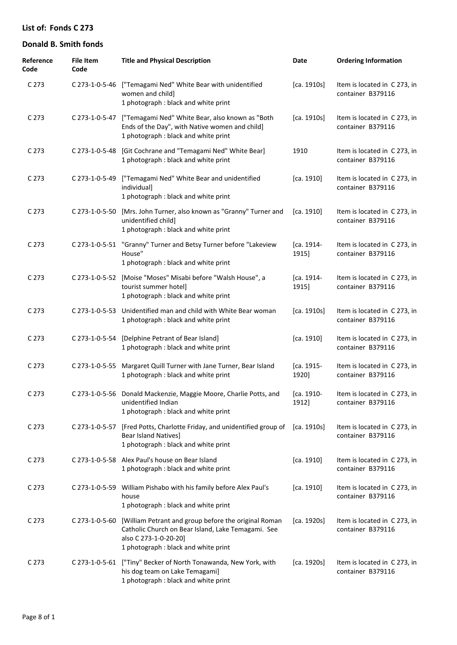| Reference<br>Code | <b>File Item</b><br>Code | <b>Title and Physical Description</b>                                                                                                                                       | Date                | <b>Ordering Information</b>                       |
|-------------------|--------------------------|-----------------------------------------------------------------------------------------------------------------------------------------------------------------------------|---------------------|---------------------------------------------------|
| C 273             |                          | C 273-1-0-5-46 ["Temagami Ned" White Bear with unidentified<br>women and child]<br>1 photograph : black and white print                                                     | [ca. 1910s]         | Item is located in C273, in<br>container B379116  |
| C 273             | C 273-1-0-5-47           | ["Temagami Ned" White Bear, also known as "Both<br>Ends of the Day", with Native women and child]<br>1 photograph : black and white print                                   | [ca. 1910s]         | Item is located in C273, in<br>container B379116  |
| C <sub>273</sub>  | C 273-1-0-5-48           | [Git Cochrane and "Temagami Ned" White Bear]<br>1 photograph : black and white print                                                                                        | 1910                | Item is located in C 273, in<br>container B379116 |
| C 273             | C 273-1-0-5-49           | ["Temagami Ned" White Bear and unidentified<br>individual]<br>1 photograph : black and white print                                                                          | [ca. 1910]          | Item is located in C273, in<br>container B379116  |
| C 273             | C 273-1-0-5-50           | [Mrs. John Turner, also known as "Granny" Turner and<br>unidentified child]<br>1 photograph : black and white print                                                         | [ca. 1910]          | Item is located in C273, in<br>container B379116  |
| C 273             | C 273-1-0-5-51           | "Granny" Turner and Betsy Turner before "Lakeview<br>House"<br>1 photograph : black and white print                                                                         | [ca. 1914-<br>1915] | Item is located in C273, in<br>container B379116  |
| C 273             |                          | C 273-1-0-5-52 [Moise "Moses" Misabi before "Walsh House", a<br>tourist summer hotel]<br>1 photograph : black and white print                                               | [ca. 1914-<br>1915] | Item is located in C 273, in<br>container B379116 |
| C 273             |                          | C 273-1-0-5-53 Unidentified man and child with White Bear woman<br>1 photograph : black and white print                                                                     | [ca. 1910s]         | Item is located in C273, in<br>container B379116  |
| C 273             |                          | C 273-1-0-5-54 [Delphine Petrant of Bear Island]<br>1 photograph : black and white print                                                                                    | [ca. 1910]          | Item is located in C273, in<br>container B379116  |
| C 273             | C 273-1-0-5-55           | Margaret Quill Turner with Jane Turner, Bear Island<br>1 photograph : black and white print                                                                                 | [ca. 1915-<br>1920] | Item is located in C273, in<br>container B379116  |
| C <sub>273</sub>  |                          | C 273-1-0-5-56 Donald Mackenzie, Maggie Moore, Charlie Potts, and<br>unidentified Indian<br>1 photograph : black and white print                                            | [ca. 1910-<br>1912] | Item is located in C 273, in<br>container B379116 |
| C 273             | C 273-1-0-5-57           | [Fred Potts, Charlotte Friday, and unidentified group of [ca. 1910s]<br><b>Bear Island Natives]</b><br>1 photograph : black and white print                                 |                     | Item is located in C 273, in<br>container B379116 |
| C 273             |                          | C 273-1-0-5-58 Alex Paul's house on Bear Island<br>1 photograph : black and white print                                                                                     | [ca. 1910]          | Item is located in C 273, in<br>container B379116 |
| C 273             | C 273-1-0-5-59           | William Pishabo with his family before Alex Paul's<br>house<br>1 photograph : black and white print                                                                         | [ca. 1910]          | Item is located in C 273, in<br>container B379116 |
| C 273             | C 273-1-0-5-60           | [William Petrant and group before the original Roman<br>Catholic Church on Bear Island, Lake Temagami. See<br>also C 273-1-0-20-20]<br>1 photograph : black and white print | [ca. 1920s]         | Item is located in C273, in<br>container B379116  |
| C 273             | C 273-1-0-5-61           | ["Tiny" Becker of North Tonawanda, New York, with<br>his dog team on Lake Temagami]<br>1 photograph : black and white print                                                 | [ca. 1920s]         | Item is located in C 273, in<br>container B379116 |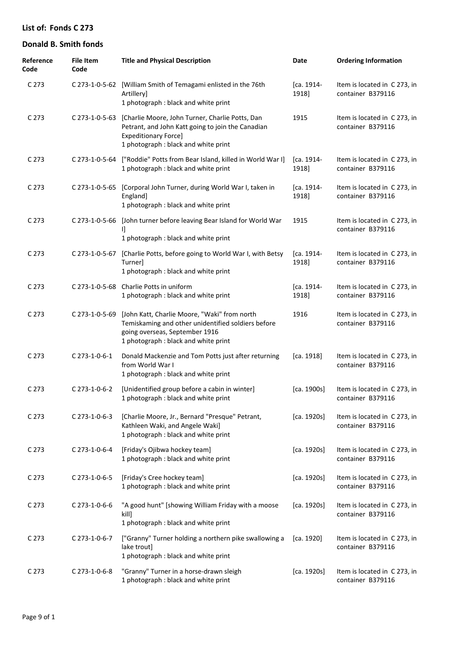| Reference<br>Code | <b>File Item</b><br>Code | <b>Title and Physical Description</b>                                                                                                                                        | Date                | <b>Ordering Information</b>                       |
|-------------------|--------------------------|------------------------------------------------------------------------------------------------------------------------------------------------------------------------------|---------------------|---------------------------------------------------|
| C 273             |                          | C 273-1-0-5-62 [William Smith of Temagami enlisted in the 76th<br>Artillery]<br>1 photograph : black and white print                                                         | [ca. 1914-<br>1918] | Item is located in C 273, in<br>container B379116 |
| C 273             | C 273-1-0-5-63           | [Charlie Moore, John Turner, Charlie Potts, Dan<br>Petrant, and John Katt going to join the Canadian<br><b>Expeditionary Force]</b><br>1 photograph : black and white print  | 1915                | Item is located in C273, in<br>container B379116  |
| C 273             | C 273-1-0-5-64           | ["Roddie" Potts from Bear Island, killed in World War I]<br>1 photograph : black and white print                                                                             | [ca. 1914-<br>1918] | Item is located in C273, in<br>container B379116  |
| C 273             | C 273-1-0-5-65           | [Corporal John Turner, during World War I, taken in<br>England]<br>1 photograph : black and white print                                                                      | [ca. 1914-<br>1918] | Item is located in C 273, in<br>container B379116 |
| C 273             | C 273-1-0-5-66           | [John turner before leaving Bear Island for World War<br>11.<br>1 photograph : black and white print                                                                         | 1915                | Item is located in C 273, in<br>container B379116 |
| C 273             | C 273-1-0-5-67           | [Charlie Potts, before going to World War I, with Betsy<br>Turner]<br>1 photograph : black and white print                                                                   | [ca. 1914-<br>1918] | Item is located in C273, in<br>container B379116  |
| C 273             |                          | C 273-1-0-5-68 Charlie Potts in uniform<br>1 photograph : black and white print                                                                                              | [ca. 1914-<br>1918] | Item is located in C 273, in<br>container B379116 |
| C <sub>273</sub>  | C 273-1-0-5-69           | [John Katt, Charlie Moore, "Waki" from north<br>Temiskaming and other unidentified soldiers before<br>going overseas, September 1916<br>1 photograph : black and white print | 1916                | Item is located in C 273, in<br>container B379116 |
| C 273             | C 273-1-0-6-1            | Donald Mackenzie and Tom Potts just after returning<br>from World War I<br>1 photograph : black and white print                                                              | [ca. 1918]          | Item is located in C273, in<br>container B379116  |
| C 273             | $C$ 273-1-0-6-2          | [Unidentified group before a cabin in winter]<br>1 photograph : black and white print                                                                                        | [ca. 1900s]         | Item is located in C273, in<br>container B379116  |
| C <sub>273</sub>  | C 273-1-0-6-3            | [Charlie Moore, Jr., Bernard "Presque" Petrant,<br>Kathleen Waki, and Angele Waki]<br>1 photograph : black and white print                                                   | [ca. 1920s]         | Item is located in C273, in<br>container B379116  |
| C <sub>273</sub>  | C 273-1-0-6-4            | [Friday's Ojibwa hockey team]<br>1 photograph : black and white print                                                                                                        | [ca. 1920s]         | Item is located in C273, in<br>container B379116  |
| C <sub>273</sub>  | C 273-1-0-6-5            | [Friday's Cree hockey team]<br>1 photograph : black and white print                                                                                                          | [ca. 1920s]         | Item is located in C273, in<br>container B379116  |
| C <sub>273</sub>  | C 273-1-0-6-6            | "A good hunt" [showing William Friday with a moose<br>kill]<br>1 photograph : black and white print                                                                          | [ca. 1920s]         | Item is located in C 273, in<br>container B379116 |
| C <sub>273</sub>  | C 273-1-0-6-7            | ["Granny" Turner holding a northern pike swallowing a<br>lake trout]<br>1 photograph : black and white print                                                                 | [ca. 1920]          | Item is located in C273, in<br>container B379116  |
| C <sub>273</sub>  | C 273-1-0-6-8            | "Granny" Turner in a horse-drawn sleigh<br>1 photograph : black and white print                                                                                              | [ca. 1920s]         | Item is located in C273, in<br>container B379116  |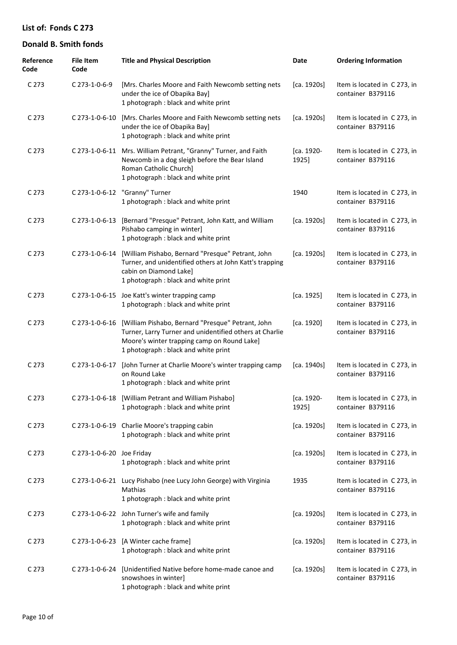| Reference<br>Code | <b>File Item</b><br>Code  | <b>Title and Physical Description</b>                                                                                                                                                               | Date                | <b>Ordering Information</b>                       |
|-------------------|---------------------------|-----------------------------------------------------------------------------------------------------------------------------------------------------------------------------------------------------|---------------------|---------------------------------------------------|
| C <sub>273</sub>  | C 273-1-0-6-9             | [Mrs. Charles Moore and Faith Newcomb setting nets<br>under the ice of Obapika Bay]<br>1 photograph : black and white print                                                                         | [ca. 1920s]         | Item is located in C273, in<br>container B379116  |
| C 273             | C 273-1-0-6-10            | [Mrs. Charles Moore and Faith Newcomb setting nets<br>under the ice of Obapika Bay]<br>1 photograph : black and white print                                                                         | [ca. 1920s]         | Item is located in C273, in<br>container B379116  |
| C <sub>273</sub>  | C 273-1-0-6-11            | Mrs. William Petrant, "Granny" Turner, and Faith<br>Newcomb in a dog sleigh before the Bear Island<br>Roman Catholic Church]<br>1 photograph : black and white print                                | [ca. 1920-<br>1925] | Item is located in C 273, in<br>container B379116 |
| C <sub>273</sub>  |                           | C 273-1-0-6-12 "Granny" Turner<br>1 photograph : black and white print                                                                                                                              | 1940                | Item is located in C 273, in<br>container B379116 |
| C 273             | C 273-1-0-6-13            | [Bernard "Presque" Petrant, John Katt, and William<br>Pishabo camping in winter]<br>1 photograph : black and white print                                                                            | [ca. 1920s]         | Item is located in C 273, in<br>container B379116 |
| C <sub>273</sub>  | C 273-1-0-6-14            | [William Pishabo, Bernard "Presque" Petrant, John<br>Turner, and unidentified others at John Katt's trapping<br>cabin on Diamond Lake]<br>1 photograph : black and white print                      | [ca. 1920s]         | Item is located in C 273, in<br>container B379116 |
| C <sub>273</sub>  |                           | C 273-1-0-6-15 Joe Katt's winter trapping camp<br>1 photograph : black and white print                                                                                                              | [ca. 1925]          | Item is located in C 273, in<br>container B379116 |
| C <sub>273</sub>  | C 273-1-0-6-16            | [William Pishabo, Bernard "Presque" Petrant, John<br>Turner, Larry Turner and unidentified others at Charlie<br>Moore's winter trapping camp on Round Lake]<br>1 photograph : black and white print | [ca. 1920]          | Item is located in C 273, in<br>container B379116 |
| C <sub>273</sub>  | C 273-1-0-6-17            | [John Turner at Charlie Moore's winter trapping camp<br>on Round Lake<br>1 photograph : black and white print                                                                                       | [ca. 1940s]         | Item is located in C 273, in<br>container B379116 |
| C 273             |                           | C 273-1-0-6-18 [William Petrant and William Pishabo]<br>1 photograph : black and white print                                                                                                        | [ca. 1920-<br>1925] | Item is located in C273, in<br>container B379116  |
| C <sub>273</sub>  |                           | C 273-1-0-6-19 Charlie Moore's trapping cabin<br>1 photograph : black and white print                                                                                                               | [ca. 1920s]         | Item is located in C273, in<br>container B379116  |
| C <sub>273</sub>  | C 273-1-0-6-20 Joe Friday | 1 photograph : black and white print                                                                                                                                                                | [ca. 1920s]         | Item is located in C273, in<br>container B379116  |
| C <sub>273</sub>  |                           | C 273-1-0-6-21 Lucy Pishabo (nee Lucy John George) with Virginia<br>Mathias<br>1 photograph : black and white print                                                                                 | 1935                | Item is located in C273, in<br>container B379116  |
| C <sub>273</sub>  |                           | C 273-1-0-6-22 John Turner's wife and family<br>1 photograph : black and white print                                                                                                                | [ca. 1920s]         | Item is located in C273, in<br>container B379116  |
| C <sub>273</sub>  | C 273-1-0-6-23            | [A Winter cache frame]<br>1 photograph : black and white print                                                                                                                                      | [ca. 1920s]         | Item is located in C 273, in<br>container B379116 |
| C <sub>273</sub>  | C 273-1-0-6-24            | [Unidentified Native before home-made canoe and<br>snowshoes in winter]<br>1 photograph : black and white print                                                                                     | [ca. 1920s]         | Item is located in C 273, in<br>container B379116 |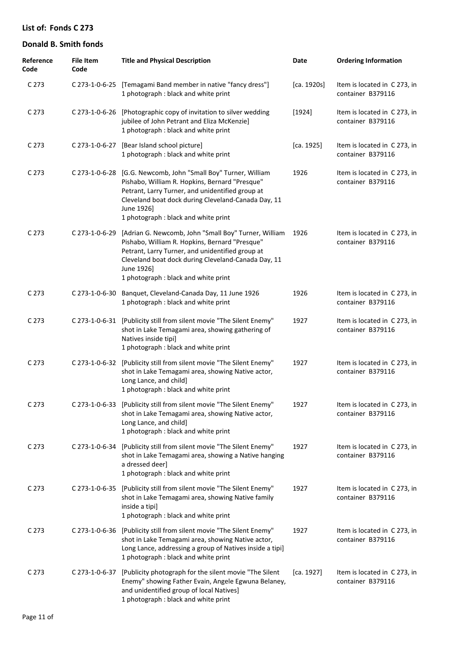| Reference<br>Code | <b>File Item</b><br>Code | <b>Title and Physical Description</b>                                                                                                                                                                                                                                             | Date        | <b>Ordering Information</b>                       |
|-------------------|--------------------------|-----------------------------------------------------------------------------------------------------------------------------------------------------------------------------------------------------------------------------------------------------------------------------------|-------------|---------------------------------------------------|
| C 273             |                          | C 273-1-0-6-25 [Temagami Band member in native "fancy dress"]<br>1 photograph : black and white print                                                                                                                                                                             | [ca. 1920s] | Item is located in C 273, in<br>container B379116 |
| C 273             |                          | C 273-1-0-6-26 [Photographic copy of invitation to silver wedding<br>jubilee of John Petrant and Eliza McKenzie]<br>1 photograph : black and white print                                                                                                                          | [1924]      | Item is located in C 273, in<br>container B379116 |
| C 273             | C 273-1-0-6-27           | [Bear Island school picture]<br>1 photograph : black and white print                                                                                                                                                                                                              | [ca. 1925]  | Item is located in C273, in<br>container B379116  |
| C 273             |                          | C 273-1-0-6-28 [G.G. Newcomb, John "Small Boy" Turner, William<br>Pishabo, William R. Hopkins, Bernard "Presque"<br>Petrant, Larry Turner, and unidentified group at<br>Cleveland boat dock during Cleveland-Canada Day, 11<br>June 1926]<br>1 photograph : black and white print | 1926        | Item is located in C273, in<br>container B379116  |
| C 273             | $C$ 273-1-0-6-29         | [Adrian G. Newcomb, John "Small Boy" Turner, William<br>Pishabo, William R. Hopkins, Bernard "Presque"<br>Petrant, Larry Turner, and unidentified group at<br>Cleveland boat dock during Cleveland-Canada Day, 11<br>June 1926]<br>1 photograph : black and white print           | 1926        | Item is located in C 273, in<br>container B379116 |
| C 273             | C 273-1-0-6-30           | Banquet, Cleveland-Canada Day, 11 June 1926<br>1 photograph : black and white print                                                                                                                                                                                               | 1926        | Item is located in C 273, in<br>container B379116 |
| C 273             |                          | C 273-1-0-6-31 [Publicity still from silent movie "The Silent Enemy"<br>shot in Lake Temagami area, showing gathering of<br>Natives inside tipi]<br>1 photograph : black and white print                                                                                          | 1927        | Item is located in C273, in<br>container B379116  |
| C 273             | C 273-1-0-6-32           | [Publicity still from silent movie "The Silent Enemy"<br>shot in Lake Temagami area, showing Native actor,<br>Long Lance, and child]<br>1 photograph : black and white print                                                                                                      | 1927        | Item is located in C 273, in<br>container B379116 |
| C 273             |                          | C 273-1-0-6-33 [Publicity still from silent movie "The Silent Enemy"<br>shot in Lake Temagami area, showing Native actor,<br>Long Lance, and child]<br>1 photograph : black and white print                                                                                       | 1927        | Item is located in C 273, in<br>container B379116 |
| C <sub>273</sub>  | C 273-1-0-6-34           | [Publicity still from silent movie "The Silent Enemy"<br>shot in Lake Temagami area, showing a Native hanging<br>a dressed deer]<br>1 photograph : black and white print                                                                                                          | 1927        | Item is located in C273, in<br>container B379116  |
| C <sub>273</sub>  | C 273-1-0-6-35           | [Publicity still from silent movie "The Silent Enemy"<br>shot in Lake Temagami area, showing Native family<br>inside a tipi]<br>1 photograph : black and white print                                                                                                              | 1927        | Item is located in C273, in<br>container B379116  |
| C 273             | C 273-1-0-6-36           | [Publicity still from silent movie "The Silent Enemy"<br>shot in Lake Temagami area, showing Native actor,<br>Long Lance, addressing a group of Natives inside a tipi]<br>1 photograph : black and white print                                                                    | 1927        | Item is located in C 273, in<br>container B379116 |
| C 273             | C 273-1-0-6-37           | [Publicity photograph for the silent movie "The Silent<br>Enemy" showing Father Evain, Angele Egwuna Belaney,<br>and unidentified group of local Natives]<br>1 photograph : black and white print                                                                                 | [ca. 1927]  | Item is located in C273, in<br>container B379116  |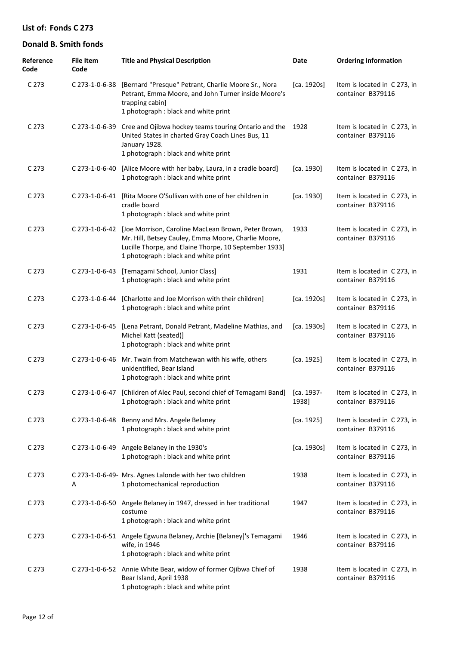| Reference<br>Code | <b>File Item</b><br>Code | <b>Title and Physical Description</b>                                                                                                                                                                                      | Date                | <b>Ordering Information</b>                       |
|-------------------|--------------------------|----------------------------------------------------------------------------------------------------------------------------------------------------------------------------------------------------------------------------|---------------------|---------------------------------------------------|
| C <sub>273</sub>  |                          | C 273-1-0-6-38 [Bernard "Presque" Petrant, Charlie Moore Sr., Nora<br>Petrant, Emma Moore, and John Turner inside Moore's<br>trapping cabin]<br>1 photograph : black and white print                                       | [ca. 1920s]         | Item is located in C273, in<br>container B379116  |
| C <sub>273</sub>  |                          | C 273-1-0-6-39 Cree and Ojibwa hockey teams touring Ontario and the<br>United States in charted Gray Coach Lines Bus, 11<br>January 1928.<br>1 photograph : black and white print                                          | 1928                | Item is located in C273, in<br>container B379116  |
| C <sub>273</sub>  | C 273-1-0-6-40           | [Alice Moore with her baby, Laura, in a cradle board]<br>1 photograph : black and white print                                                                                                                              | [ca. 1930]          | Item is located in C273, in<br>container B379116  |
| C 273             | C 273-1-0-6-41           | [Rita Moore O'Sullivan with one of her children in<br>cradle board<br>1 photograph : black and white print                                                                                                                 | [ca. 1930]          | Item is located in C273, in<br>container B379116  |
| C <sub>273</sub>  |                          | C 273-1-0-6-42 [Joe Morrison, Caroline MacLean Brown, Peter Brown,<br>Mr. Hill, Betsey Cauley, Emma Moore, Charlie Moore,<br>Lucille Thorpe, and Elaine Thorpe, 10 September 1933]<br>1 photograph : black and white print | 1933                | Item is located in C 273, in<br>container B379116 |
| C <sub>273</sub>  | C 273-1-0-6-43           | [Temagami School, Junior Class]<br>1 photograph : black and white print                                                                                                                                                    | 1931                | Item is located in C273, in<br>container B379116  |
| C 273             | C 273-1-0-6-44           | [Charlotte and Joe Morrison with their children]<br>1 photograph : black and white print                                                                                                                                   | [ca. 1920s]         | Item is located in C273, in<br>container B379116  |
| C <sub>273</sub>  | C 273-1-0-6-45           | [Lena Petrant, Donald Petrant, Madeline Mathias, and<br>Michel Katt (seated)]<br>1 photograph : black and white print                                                                                                      | [ca. 1930s]         | Item is located in C273, in<br>container B379116  |
| C <sub>273</sub>  | C 273-1-0-6-46           | Mr. Twain from Matchewan with his wife, others<br>unidentified, Bear Island<br>1 photograph : black and white print                                                                                                        | [ca. 1925]          | Item is located in C273, in<br>container B379116  |
| C <sub>273</sub>  |                          | C 273-1-0-6-47 [Children of Alec Paul, second chief of Temagami Band]<br>1 photograph : black and white print                                                                                                              | [ca. 1937-<br>1938] | Item is located in C273, in<br>container B379116  |
| C <sub>273</sub>  |                          | C 273-1-0-6-48 Benny and Mrs. Angele Belaney<br>1 photograph : black and white print                                                                                                                                       | [ca. 1925]          | Item is located in C273, in<br>container B379116  |
| C <sub>273</sub>  |                          | C 273-1-0-6-49 Angele Belaney in the 1930's<br>1 photograph : black and white print                                                                                                                                        | [ca. 1930s]         | Item is located in C273, in<br>container B379116  |
| C <sub>273</sub>  | Α                        | C 273-1-0-6-49- Mrs. Agnes Lalonde with her two children<br>1 photomechanical reproduction                                                                                                                                 | 1938                | Item is located in C 273, in<br>container B379116 |
| C <sub>273</sub>  |                          | C 273-1-0-6-50 Angele Belaney in 1947, dressed in her traditional<br>costume<br>1 photograph : black and white print                                                                                                       | 1947                | Item is located in C 273, in<br>container B379116 |
| C <sub>273</sub>  |                          | C 273-1-0-6-51 Angele Egwuna Belaney, Archie [Belaney]'s Temagami<br>wife, in 1946<br>1 photograph : black and white print                                                                                                 | 1946                | Item is located in C 273, in<br>container B379116 |
| C <sub>273</sub>  |                          | C 273-1-0-6-52 Annie White Bear, widow of former Ojibwa Chief of<br>Bear Island, April 1938<br>1 photograph : black and white print                                                                                        | 1938                | Item is located in C 273, in<br>container B379116 |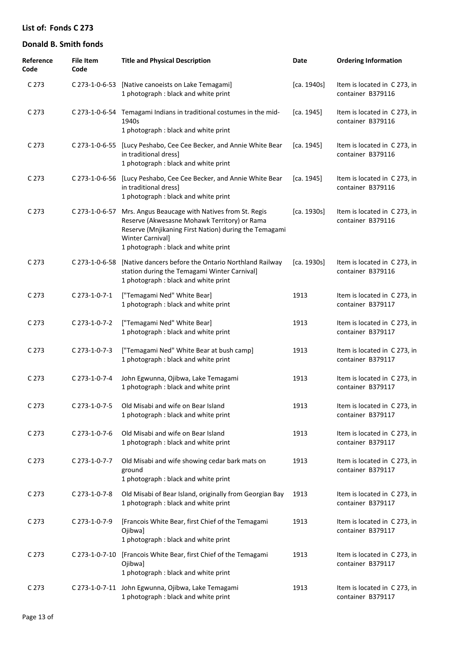| Reference<br>Code | File Item<br>Code | <b>Title and Physical Description</b>                                                                                                                                                                                       | Date        | <b>Ordering Information</b>                       |
|-------------------|-------------------|-----------------------------------------------------------------------------------------------------------------------------------------------------------------------------------------------------------------------------|-------------|---------------------------------------------------|
| C <sub>273</sub>  | C 273-1-0-6-53    | [Native canoeists on Lake Temagami]<br>1 photograph : black and white print                                                                                                                                                 | [ca. 1940s] | Item is located in C 273, in<br>container B379116 |
| C <sub>273</sub>  |                   | C 273-1-0-6-54 Temagami Indians in traditional costumes in the mid-<br>1940s<br>1 photograph : black and white print                                                                                                        | [ca. 1945]  | Item is located in C 273, in<br>container B379116 |
| C <sub>273</sub>  | C 273-1-0-6-55    | [Lucy Peshabo, Cee Cee Becker, and Annie White Bear<br>in traditional dress]<br>1 photograph : black and white print                                                                                                        | [ca. 1945]  | Item is located in C 273, in<br>container B379116 |
| C <sub>273</sub>  | C 273-1-0-6-56    | [Lucy Peshabo, Cee Cee Becker, and Annie White Bear<br>in traditional dress]<br>1 photograph : black and white print                                                                                                        | [ca. 1945]  | Item is located in C 273, in<br>container B379116 |
| C <sub>273</sub>  | C 273-1-0-6-57    | Mrs. Angus Beaucage with Natives from St. Regis<br>Reserve (Akwesasne Mohawk Territory) or Rama<br>Reserve (Mnjikaning First Nation) during the Temagami<br><b>Winter Carnival]</b><br>1 photograph : black and white print | [ca. 1930s] | Item is located in C 273, in<br>container B379116 |
| C <sub>273</sub>  | C 273-1-0-6-58    | [Native dancers before the Ontario Northland Railway<br>station during the Temagami Winter Carnival]<br>1 photograph : black and white print                                                                                | [ca. 1930s] | Item is located in C 273, in<br>container B379116 |
| C <sub>273</sub>  | C 273-1-0-7-1     | ["Temagami Ned" White Bear]<br>1 photograph : black and white print                                                                                                                                                         | 1913        | Item is located in C 273, in<br>container B379117 |
| C 273             | C 273-1-0-7-2     | ["Temagami Ned" White Bear]<br>1 photograph : black and white print                                                                                                                                                         | 1913        | Item is located in C 273, in<br>container B379117 |
| C <sub>273</sub>  | C 273-1-0-7-3     | ["Temagami Ned" White Bear at bush camp]<br>1 photograph : black and white print                                                                                                                                            | 1913        | Item is located in C 273, in<br>container B379117 |
| C 273             | C 273-1-0-7-4     | John Egwunna, Ojibwa, Lake Temagami<br>1 photograph : black and white print                                                                                                                                                 | 1913        | Item is located in C 273, in<br>container B379117 |
| C 273             | C 273-1-0-7-5     | Old Misabi and wife on Bear Island<br>1 photograph : black and white print                                                                                                                                                  | 1913        | Item is located in C 273, in<br>container B379117 |
| C <sub>273</sub>  | C 273-1-0-7-6     | Old Misabi and wife on Bear Island<br>1 photograph : black and white print                                                                                                                                                  | 1913        | Item is located in C 273, in<br>container B379117 |
| C <sub>273</sub>  | C 273-1-0-7-7     | Old Misabi and wife showing cedar bark mats on<br>ground<br>1 photograph : black and white print                                                                                                                            | 1913        | Item is located in C 273, in<br>container B379117 |
| C <sub>273</sub>  | C 273-1-0-7-8     | Old Misabi of Bear Island, originally from Georgian Bay<br>1 photograph : black and white print                                                                                                                             | 1913        | Item is located in C 273, in<br>container B379117 |
| C <sub>273</sub>  | C 273-1-0-7-9     | [Francois White Bear, first Chief of the Temagami<br>Ojibwa]<br>1 photograph : black and white print                                                                                                                        | 1913        | Item is located in C 273, in<br>container B379117 |
| C <sub>273</sub>  | C 273-1-0-7-10    | [Francois White Bear, first Chief of the Temagami<br>Ojibwa]<br>1 photograph : black and white print                                                                                                                        | 1913        | Item is located in C 273, in<br>container B379117 |
| C <sub>273</sub>  |                   | C 273-1-0-7-11 John Egwunna, Ojibwa, Lake Temagami<br>1 photograph : black and white print                                                                                                                                  | 1913        | Item is located in C 273, in<br>container B379117 |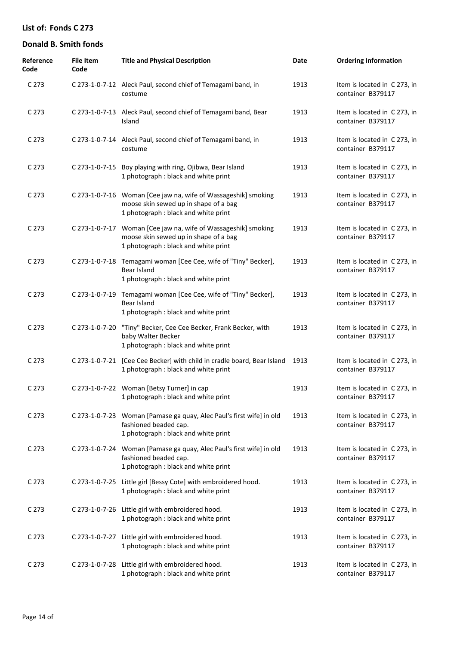| Reference<br>Code | <b>File Item</b><br>Code | <b>Title and Physical Description</b>                                                                                                           | Date | <b>Ordering Information</b>                       |
|-------------------|--------------------------|-------------------------------------------------------------------------------------------------------------------------------------------------|------|---------------------------------------------------|
| C <sub>273</sub>  |                          | C 273-1-0-7-12 Aleck Paul, second chief of Temagami band, in<br>costume                                                                         | 1913 | Item is located in C 273, in<br>container B379117 |
| C <sub>273</sub>  |                          | C 273-1-0-7-13 Aleck Paul, second chief of Temagami band, Bear<br>Island                                                                        | 1913 | Item is located in C 273, in<br>container B379117 |
| C <sub>273</sub>  |                          | C 273-1-0-7-14 Aleck Paul, second chief of Temagami band, in<br>costume                                                                         | 1913 | Item is located in C273, in<br>container B379117  |
| C <sub>273</sub>  | C 273-1-0-7-15           | Boy playing with ring, Ojibwa, Bear Island<br>1 photograph : black and white print                                                              | 1913 | Item is located in C 273, in<br>container B379117 |
| C <sub>273</sub>  |                          | C 273-1-0-7-16 Woman [Cee jaw na, wife of Wassageshik] smoking<br>moose skin sewed up in shape of a bag<br>1 photograph : black and white print | 1913 | Item is located in C 273, in<br>container B379117 |
| C <sub>273</sub>  | C 273-1-0-7-17           | Woman [Cee jaw na, wife of Wassageshik] smoking<br>moose skin sewed up in shape of a bag<br>1 photograph : black and white print                | 1913 | Item is located in C273, in<br>container B379117  |
| C <sub>273</sub>  |                          | C 273-1-0-7-18 Temagami woman [Cee Cee, wife of "Tiny" Becker],<br>Bear Island<br>1 photograph : black and white print                          | 1913 | Item is located in C273, in<br>container B379117  |
| C 273             | C 273-1-0-7-19           | Temagami woman [Cee Cee, wife of "Tiny" Becker],<br>Bear Island<br>1 photograph : black and white print                                         | 1913 | Item is located in C 273, in<br>container B379117 |
| C <sub>273</sub>  | C 273-1-0-7-20           | "Tiny" Becker, Cee Cee Becker, Frank Becker, with<br>baby Walter Becker<br>1 photograph : black and white print                                 | 1913 | Item is located in C 273, in<br>container B379117 |
| C 273             |                          | C 273-1-0-7-21 [Cee Cee Becker] with child in cradle board, Bear Island<br>1 photograph : black and white print                                 | 1913 | Item is located in C 273, in<br>container B379117 |
| C 273             |                          | C 273-1-0-7-22 Woman [Betsy Turner] in cap<br>1 photograph : black and white print                                                              | 1913 | Item is located in C273, in<br>container B379117  |
| C 273             |                          | C 273-1-0-7-23 Woman [Pamase ga quay, Alec Paul's first wife] in old<br>fashioned beaded cap.<br>1 photograph : black and white print           | 1913 | Item is located in C 273, in<br>container B379117 |
| C <sub>273</sub>  |                          | C 273-1-0-7-24 Woman [Pamase ga quay, Alec Paul's first wife] in old<br>fashioned beaded cap.<br>1 photograph : black and white print           | 1913 | Item is located in C273, in<br>container B379117  |
| C 273             |                          | C 273-1-0-7-25 Little girl [Bessy Cote] with embroidered hood.<br>1 photograph : black and white print                                          | 1913 | Item is located in C273, in<br>container B379117  |
| C <sub>273</sub>  |                          | C 273-1-0-7-26 Little girl with embroidered hood.<br>1 photograph : black and white print                                                       | 1913 | Item is located in C 273, in<br>container B379117 |
| C <sub>273</sub>  |                          | C 273-1-0-7-27 Little girl with embroidered hood.<br>1 photograph : black and white print                                                       | 1913 | Item is located in C 273, in<br>container B379117 |
| C 273             |                          | C 273-1-0-7-28 Little girl with embroidered hood.<br>1 photograph : black and white print                                                       | 1913 | Item is located in C 273, in<br>container B379117 |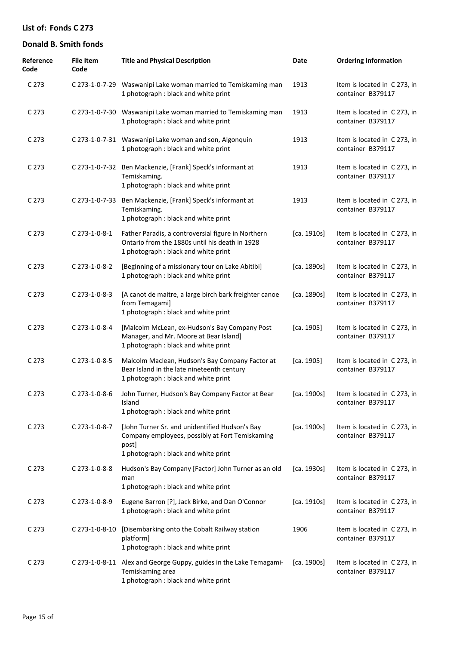| Reference<br>Code | <b>File Item</b><br>Code | <b>Title and Physical Description</b>                                                                                                              | Date        | <b>Ordering Information</b>                       |
|-------------------|--------------------------|----------------------------------------------------------------------------------------------------------------------------------------------------|-------------|---------------------------------------------------|
| C 273             |                          | C 273-1-0-7-29 Waswanipi Lake woman married to Temiskaming man<br>1 photograph : black and white print                                             | 1913        | Item is located in C 273, in<br>container B379117 |
| C 273             |                          | C 273-1-0-7-30 Waswanipi Lake woman married to Temiskaming man<br>1 photograph : black and white print                                             | 1913        | Item is located in C 273, in<br>container B379117 |
| C 273             |                          | C 273-1-0-7-31 Waswanipi Lake woman and son, Algonquin<br>1 photograph : black and white print                                                     | 1913        | Item is located in C 273, in<br>container B379117 |
| C 273             |                          | C 273-1-0-7-32 Ben Mackenzie, [Frank] Speck's informant at<br>Temiskaming.<br>1 photograph : black and white print                                 | 1913        | Item is located in C 273, in<br>container B379117 |
| C 273             | C 273-1-0-7-33           | Ben Mackenzie, [Frank] Speck's informant at<br>Temiskaming.<br>1 photograph : black and white print                                                | 1913        | Item is located in C 273, in<br>container B379117 |
| C 273             | C 273-1-0-8-1            | Father Paradis, a controversial figure in Northern<br>Ontario from the 1880s until his death in 1928<br>1 photograph : black and white print       | [ca. 1910s] | Item is located in C 273, in<br>container B379117 |
| C 273             | C 273-1-0-8-2            | [Beginning of a missionary tour on Lake Abitibi]<br>1 photograph : black and white print                                                           | [ca. 1890s] | Item is located in C 273, in<br>container B379117 |
| C 273             | C 273-1-0-8-3            | [A canot de maitre, a large birch bark freighter canoe<br>from Temagami]<br>1 photograph : black and white print                                   | [ca. 1890s] | Item is located in C 273, in<br>container B379117 |
| C 273             | C 273-1-0-8-4            | [Malcolm McLean, ex-Hudson's Bay Company Post<br>Manager, and Mr. Moore at Bear Island]<br>1 photograph : black and white print                    | [ca. 1905]  | Item is located in C 273, in<br>container B379117 |
| C 273             | C 273-1-0-8-5            | Malcolm Maclean, Hudson's Bay Company Factor at<br>Bear Island in the late nineteenth century<br>1 photograph : black and white print              | [ca. 1905]  | Item is located in C 273, in<br>container B379117 |
| C <sub>273</sub>  | C 273-1-0-8-6            | John Turner, Hudson's Bay Company Factor at Bear<br>Island<br>1 photograph: black and white print                                                  | [ca. 1900s] | Item is located in C 273, in<br>container B379117 |
| C <sub>273</sub>  | C 273-1-0-8-7            | [John Turner Sr. and unidentified Hudson's Bay<br>Company employees, possibly at Fort Temiskaming<br>post]<br>1 photograph : black and white print | [ca. 1900s] | Item is located in C 273, in<br>container B379117 |
| C 273             | C 273-1-0-8-8            | Hudson's Bay Company [Factor] John Turner as an old<br>man<br>1 photograph : black and white print                                                 | [ca. 1930s] | Item is located in C 273, in<br>container B379117 |
| C 273             | C 273-1-0-8-9            | Eugene Barron [?], Jack Birke, and Dan O'Connor<br>1 photograph : black and white print                                                            | [ca. 1910s] | Item is located in C 273, in<br>container B379117 |
| C 273             | C 273-1-0-8-10           | [Disembarking onto the Cobalt Railway station<br>platform]<br>1 photograph : black and white print                                                 | 1906        | Item is located in C 273, in<br>container B379117 |
| C <sub>273</sub>  |                          | C 273-1-0-8-11 Alex and George Guppy, guides in the Lake Temagami-<br>Temiskaming area<br>1 photograph : black and white print                     | [ca. 1900s] | Item is located in C273, in<br>container B379117  |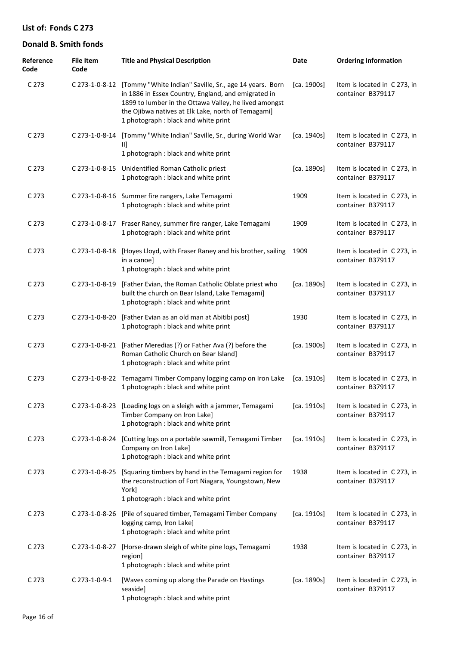| Reference<br>Code | <b>File Item</b><br>Code | <b>Title and Physical Description</b>                                                                                                                                                                                                                                               | Date        | <b>Ordering Information</b>                       |
|-------------------|--------------------------|-------------------------------------------------------------------------------------------------------------------------------------------------------------------------------------------------------------------------------------------------------------------------------------|-------------|---------------------------------------------------|
| C <sub>273</sub>  |                          | C 273-1-0-8-12 [Tommy "White Indian" Saville, Sr., age 14 years. Born<br>in 1886 in Essex Country, England, and emigrated in<br>1899 to lumber in the Ottawa Valley, he lived amongst<br>the Ojibwa natives at Elk Lake, north of Temagami]<br>1 photograph : black and white print | [ca. 1900s] | Item is located in C 273, in<br>container B379117 |
| C 273             | C 273-1-0-8-14           | [Tommy "White Indian" Saville, Sr., during World War<br>Ш<br>1 photograph : black and white print                                                                                                                                                                                   | [ca. 1940s] | Item is located in C 273, in<br>container B379117 |
| C 273             |                          | C 273-1-0-8-15 Unidentified Roman Catholic priest<br>1 photograph : black and white print                                                                                                                                                                                           | [ca. 1890s] | Item is located in C 273, in<br>container B379117 |
| C 273             |                          | C 273-1-0-8-16 Summer fire rangers, Lake Temagami<br>1 photograph : black and white print                                                                                                                                                                                           | 1909        | Item is located in C 273, in<br>container B379117 |
| C 273             |                          | C 273-1-0-8-17 Fraser Raney, summer fire ranger, Lake Temagami<br>1 photograph : black and white print                                                                                                                                                                              | 1909        | Item is located in C 273, in<br>container B379117 |
| C 273             | C 273-1-0-8-18           | [Hoyes Lloyd, with Fraser Raney and his brother, sailing<br>in a canoe]<br>1 photograph : black and white print                                                                                                                                                                     | 1909        | Item is located in C 273, in<br>container B379117 |
| C 273             | C 273-1-0-8-19           | [Father Evian, the Roman Catholic Oblate priest who<br>built the church on Bear Island, Lake Temagami]<br>1 photograph : black and white print                                                                                                                                      | [ca. 1890s] | Item is located in C 273, in<br>container B379117 |
| C 273             | C 273-1-0-8-20           | [Father Evian as an old man at Abitibi post]<br>1 photograph : black and white print                                                                                                                                                                                                | 1930        | Item is located in C 273, in<br>container B379117 |
| C 273             | C 273-1-0-8-21           | [Father Meredias (?) or Father Ava (?) before the<br>Roman Catholic Church on Bear Island]<br>1 photograph : black and white print                                                                                                                                                  | [ca. 1900s] | Item is located in C 273, in<br>container B379117 |
| C 273             |                          | C 273-1-0-8-22 Temagami Timber Company logging camp on Iron Lake<br>1 photograph : black and white print                                                                                                                                                                            | [ca. 1910s] | Item is located in C 273, in<br>container B379117 |
| C 273             |                          | C 273-1-0-8-23 [Loading logs on a sleigh with a jammer, Temagami<br>Timber Company on Iron Lake]<br>1 photograph : black and white print                                                                                                                                            | [ca. 1910s] | Item is located in C 273, in<br>container B379117 |
| C 273             |                          | C 273-1-0-8-24 [Cutting logs on a portable sawmill, Temagami Timber<br>Company on Iron Lake]<br>1 photograph : black and white print                                                                                                                                                | [ca. 1910s] | Item is located in C 273, in<br>container B379117 |
| C 273             | C 273-1-0-8-25           | [Squaring timbers by hand in the Temagami region for<br>the reconstruction of Fort Niagara, Youngstown, New<br>York]<br>1 photograph : black and white print                                                                                                                        | 1938        | Item is located in C 273, in<br>container B379117 |
| C <sub>273</sub>  | C 273-1-0-8-26           | [Pile of squared timber, Temagami Timber Company<br>logging camp, Iron Lake]<br>1 photograph : black and white print                                                                                                                                                                | [ca. 1910s] | Item is located in C 273, in<br>container B379117 |
| C 273             | C 273-1-0-8-27           | [Horse-drawn sleigh of white pine logs, Temagami<br>region]<br>1 photograph : black and white print                                                                                                                                                                                 | 1938        | Item is located in C 273, in<br>container B379117 |
| C 273             | C 273-1-0-9-1            | [Waves coming up along the Parade on Hastings<br>seaside]<br>1 photograph : black and white print                                                                                                                                                                                   | [ca. 1890s] | Item is located in C 273, in<br>container B379117 |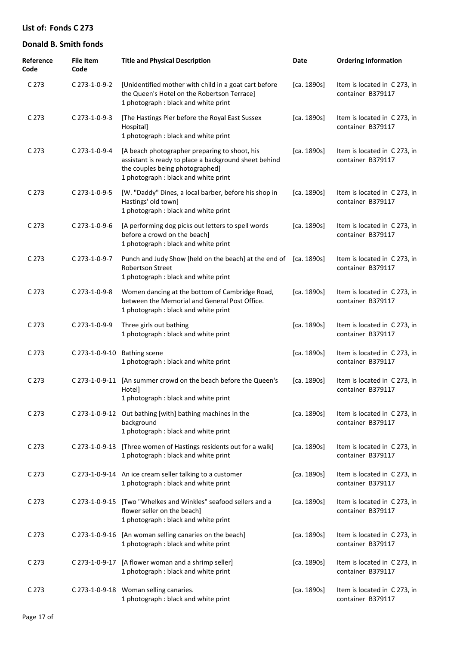| Reference<br>Code | <b>File Item</b><br>Code | <b>Title and Physical Description</b>                                                                                                                                             | Date        | <b>Ordering Information</b>                       |
|-------------------|--------------------------|-----------------------------------------------------------------------------------------------------------------------------------------------------------------------------------|-------------|---------------------------------------------------|
| C <sub>273</sub>  | C 273-1-0-9-2            | [Unidentified mother with child in a goat cart before<br>the Queen's Hotel on the Robertson Terrace]<br>1 photograph : black and white print                                      | [ca. 1890s] | Item is located in C273, in<br>container B379117  |
| C <sub>273</sub>  | C 273-1-0-9-3            | [The Hastings Pier before the Royal East Sussex<br>Hospital]<br>1 photograph : black and white print                                                                              | [ca. 1890s] | Item is located in C273, in<br>container B379117  |
| C <sub>273</sub>  | C 273-1-0-9-4            | [A beach photographer preparing to shoot, his<br>assistant is ready to place a background sheet behind<br>the couples being photographed]<br>1 photograph : black and white print | [ca. 1890s] | Item is located in C 273, in<br>container B379117 |
| C <sub>273</sub>  | C 273-1-0-9-5            | [W. "Daddy" Dines, a local barber, before his shop in<br>Hastings' old town]<br>1 photograph : black and white print                                                              | [ca. 1890s] | Item is located in C 273, in<br>container B379117 |
| C <sub>273</sub>  | C 273-1-0-9-6            | [A performing dog picks out letters to spell words<br>before a crowd on the beach]<br>1 photograph : black and white print                                                        | [ca. 1890s] | Item is located in C273, in<br>container B379117  |
| C <sub>273</sub>  | C 273-1-0-9-7            | Punch and Judy Show [held on the beach] at the end of<br><b>Robertson Street</b><br>1 photograph : black and white print                                                          | [ca. 1890s] | Item is located in C 273, in<br>container B379117 |
| C <sub>273</sub>  | C 273-1-0-9-8            | Women dancing at the bottom of Cambridge Road,<br>between the Memorial and General Post Office.<br>1 photograph : black and white print                                           | [ca. 1890s] | Item is located in C273, in<br>container B379117  |
| C <sub>273</sub>  | C 273-1-0-9-9            | Three girls out bathing<br>1 photograph : black and white print                                                                                                                   | [ca. 1890s] | Item is located in C273, in<br>container B379117  |
| C <sub>273</sub>  | C 273-1-0-9-10           | <b>Bathing scene</b><br>1 photograph : black and white print                                                                                                                      | [ca. 1890s] | Item is located in C273, in<br>container B379117  |
| C 273             | C 273-1-0-9-11           | [An summer crowd on the beach before the Queen's<br>Hotel]<br>1 photograph : black and white print                                                                                | [ca. 1890s] | Item is located in C273, in<br>container B379117  |
| C <sub>273</sub>  |                          | C 273-1-0-9-12 Out bathing [with] bathing machines in the<br>background<br>1 photograph : black and white print                                                                   | [ca. 1890s] | Item is located in C 273, in<br>container B379117 |
| C <sub>273</sub>  | C 273-1-0-9-13           | [Three women of Hastings residents out for a walk]<br>1 photograph : black and white print                                                                                        | [ca. 1890s] | Item is located in C 273, in<br>container B379117 |
| C <sub>273</sub>  |                          | C 273-1-0-9-14 An ice cream seller talking to a customer<br>1 photograph : black and white print                                                                                  | [ca. 1890s] | Item is located in C273, in<br>container B379117  |
| C <sub>273</sub>  | C 273-1-0-9-15           | [Two "Whelkes and Winkles" seafood sellers and a<br>flower seller on the beach]<br>1 photograph : black and white print                                                           | [ca. 1890s] | Item is located in C273, in<br>container B379117  |
| C 273             | C 273-1-0-9-16           | [An woman selling canaries on the beach]<br>1 photograph : black and white print                                                                                                  | [ca. 1890s] | Item is located in C 273, in<br>container B379117 |
| C 273             | C 273-1-0-9-17           | [A flower woman and a shrimp seller]<br>1 photograph : black and white print                                                                                                      | [ca. 1890s] | Item is located in C 273, in<br>container B379117 |
| C <sub>273</sub>  |                          | C 273-1-0-9-18 Woman selling canaries.<br>1 photograph : black and white print                                                                                                    | [ca. 1890s] | Item is located in C 273, in<br>container B379117 |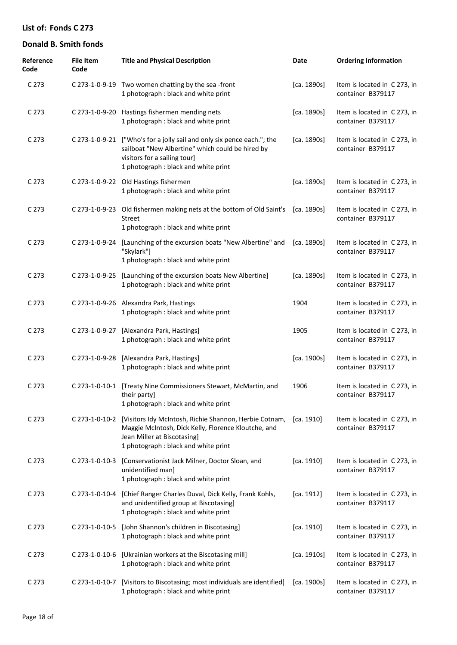| Reference<br>Code | <b>File Item</b><br>Code | <b>Title and Physical Description</b>                                                                                                                                                               | Date        | <b>Ordering Information</b>                       |
|-------------------|--------------------------|-----------------------------------------------------------------------------------------------------------------------------------------------------------------------------------------------------|-------------|---------------------------------------------------|
| C 273             |                          | C 273-1-0-9-19 Two women chatting by the sea-front<br>1 photograph : black and white print                                                                                                          | [ca. 1890s] | Item is located in C273, in<br>container B379117  |
| C 273             |                          | C 273-1-0-9-20 Hastings fishermen mending nets<br>1 photograph : black and white print                                                                                                              | [ca. 1890s] | Item is located in C273, in<br>container B379117  |
| C 273             | C 273-1-0-9-21           | ["Who's for a jolly sail and only six pence each."; the<br>sailboat "New Albertine" which could be hired by<br>visitors for a sailing tour]<br>1 photograph : black and white print                 | [ca. 1890s] | Item is located in C273, in<br>container B379117  |
| C 273             |                          | C 273-1-0-9-22 Old Hastings fishermen<br>1 photograph : black and white print                                                                                                                       | [ca. 1890s] | Item is located in C 273, in<br>container B379117 |
| C 273             |                          | C 273-1-0-9-23 Old fishermen making nets at the bottom of Old Saint's [ca. 1890s]<br>Street<br>1 photograph : black and white print                                                                 |             | Item is located in C273, in<br>container B379117  |
| C 273             | C 273-1-0-9-24           | [Launching of the excursion boats "New Albertine" and<br>"Skylark"]<br>1 photograph : black and white print                                                                                         | [ca. 1890s] | Item is located in C 273, in<br>container B379117 |
| C 273             | C 273-1-0-9-25           | [Launching of the excursion boats New Albertine]<br>1 photograph : black and white print                                                                                                            | [ca. 1890s] | Item is located in C 273, in<br>container B379117 |
| C 273             |                          | C 273-1-0-9-26 Alexandra Park, Hastings<br>1 photograph : black and white print                                                                                                                     | 1904        | Item is located in C 273, in<br>container B379117 |
| C 273             | C 273-1-0-9-27           | [Alexandra Park, Hastings]<br>1 photograph : black and white print                                                                                                                                  | 1905        | Item is located in C 273, in<br>container B379117 |
| C 273             | C 273-1-0-9-28           | [Alexandra Park, Hastings]<br>1 photograph : black and white print                                                                                                                                  | [ca. 1900s] | Item is located in C 273, in<br>container B379117 |
| C 273             | C 273-1-0-10-1           | [Treaty Nine Commissioners Stewart, McMartin, and<br>their party]<br>1 photograph : black and white print                                                                                           | 1906        | Item is located in C 273, in<br>container B379117 |
| C 273             |                          | C 273-1-0-10-2 [Visitors Idy McIntosh, Richie Shannon, Herbie Cotnam,<br>Maggie McIntosh, Dick Kelly, Florence Kloutche, and<br>Jean Miller at Biscotasing]<br>1 photograph : black and white print | [ca. 1910]  | Item is located in C273, in<br>container B379117  |
| C 273             | C 273-1-0-10-3           | [Conservationist Jack Milner, Doctor Sloan, and<br>unidentified man]<br>1 photograph : black and white print                                                                                        | [ca. 1910]  | Item is located in C 273, in<br>container B379117 |
| C 273             | C 273-1-0-10-4           | [Chief Ranger Charles Duval, Dick Kelly, Frank Kohls,<br>and unidentified group at Biscotasing]<br>1 photograph : black and white print                                                             | [ca. 1912]  | Item is located in C 273, in<br>container B379117 |
| C 273             | C 273-1-0-10-5           | [John Shannon's children in Biscotasing]<br>1 photograph : black and white print                                                                                                                    | [ca. 1910]  | Item is located in C 273, in<br>container B379117 |
| C 273             |                          | C 273-1-0-10-6 [Ukrainian workers at the Biscotasing mill]<br>1 photograph : black and white print                                                                                                  | [ca. 1910s] | Item is located in C273, in<br>container B379117  |
| C 273             | C 273-1-0-10-7           | [Visitors to Biscotasing; most individuals are identified]<br>1 photograph : black and white print                                                                                                  | [ca. 1900s] | Item is located in C273, in<br>container B379117  |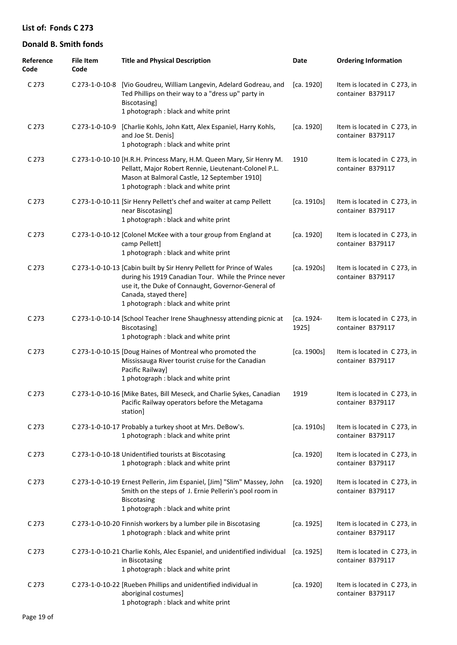| Reference<br>Code | <b>File Item</b><br>Code | <b>Title and Physical Description</b>                                                                                                                                                                                                                 | Date                | <b>Ordering Information</b>                       |
|-------------------|--------------------------|-------------------------------------------------------------------------------------------------------------------------------------------------------------------------------------------------------------------------------------------------------|---------------------|---------------------------------------------------|
| C <sub>273</sub>  |                          | C 273-1-0-10-8 [Vio Goudreu, William Langevin, Adelard Godreau, and<br>Ted Phillips on their way to a "dress up" party in<br>Biscotasing]<br>1 photograph : black and white print                                                                     | [ca. 1920]          | Item is located in C 273, in<br>container B379117 |
| C <sub>273</sub>  | C 273-1-0-10-9           | [Charlie Kohls, John Katt, Alex Espaniel, Harry Kohls,<br>and Joe St. Denis]<br>1 photograph : black and white print                                                                                                                                  | [ca. 1920]          | Item is located in C273, in<br>container B379117  |
| C <sub>273</sub>  |                          | C 273-1-0-10-10 [H.R.H. Princess Mary, H.M. Queen Mary, Sir Henry M.<br>Pellatt, Major Robert Rennie, Lieutenant-Colonel P.L.<br>Mason at Balmoral Castle, 12 September 1910]<br>1 photograph : black and white print                                 | 1910                | Item is located in C 273, in<br>container B379117 |
| C <sub>273</sub>  |                          | C 273-1-0-10-11 [Sir Henry Pellett's chef and waiter at camp Pellett<br>near Biscotasing]<br>1 photograph : black and white print                                                                                                                     | [ca. 1910s]         | Item is located in C 273, in<br>container B379117 |
| C 273             |                          | C 273-1-0-10-12 [Colonel McKee with a tour group from England at<br>camp Pellett]<br>1 photograph : black and white print                                                                                                                             | [ca. 1920]          | Item is located in C 273, in<br>container B379117 |
| C <sub>273</sub>  |                          | C 273-1-0-10-13 [Cabin built by Sir Henry Pellett for Prince of Wales<br>during his 1919 Canadian Tour. While the Prince never<br>use it, the Duke of Connaught, Governor-General of<br>Canada, stayed there]<br>1 photograph : black and white print | [ca. 1920s]         | Item is located in C 273, in<br>container B379117 |
| C <sub>273</sub>  |                          | C 273-1-0-10-14 [School Teacher Irene Shaughnessy attending picnic at<br>Biscotasing]<br>1 photograph : black and white print                                                                                                                         | [ca. 1924-<br>1925] | Item is located in C 273, in<br>container B379117 |
| C <sub>273</sub>  |                          | C 273-1-0-10-15 [Doug Haines of Montreal who promoted the<br>Mississauga River tourist cruise for the Canadian<br>Pacific Railway]<br>1 photograph : black and white print                                                                            | [ca. 1900s]         | Item is located in C 273, in<br>container B379117 |
| C <sub>273</sub>  |                          | C 273-1-0-10-16 [Mike Bates, Bill Meseck, and Charlie Sykes, Canadian<br>Pacific Railway operators before the Metagama<br>station]                                                                                                                    | 1919                | Item is located in C 273, in<br>container B379117 |
| C <sub>273</sub>  |                          | C 273-1-0-10-17 Probably a turkey shoot at Mrs. DeBow's.<br>1 photograph : black and white print                                                                                                                                                      | [ca. 1910s]         | Item is located in C 273, in<br>container B379117 |
| C <sub>273</sub>  |                          | C 273-1-0-10-18 Unidentified tourists at Biscotasing<br>1 photograph : black and white print                                                                                                                                                          | [ca. 1920]          | Item is located in C273, in<br>container B379117  |
| C <sub>273</sub>  |                          | C 273-1-0-10-19 Ernest Pellerin, Jim Espaniel, [Jim] "Slim" Massey, John<br>Smith on the steps of J. Ernie Pellerin's pool room in<br><b>Biscotasing</b><br>1 photograph : black and white print                                                      | [ca. 1920]          | Item is located in C273, in<br>container B379117  |
| C <sub>273</sub>  |                          | C 273-1-0-10-20 Finnish workers by a lumber pile in Biscotasing<br>1 photograph : black and white print                                                                                                                                               | [ca. 1925]          | Item is located in C 273, in<br>container B379117 |
| C <sub>273</sub>  |                          | C 273-1-0-10-21 Charlie Kohls, Alec Espaniel, and unidentified individual<br>in Biscotasing<br>1 photograph : black and white print                                                                                                                   | [ca. 1925]          | Item is located in C 273, in<br>container B379117 |
| C 273             |                          | C 273-1-0-10-22 [Rueben Phillips and unidentified individual in<br>aboriginal costumes]<br>1 photograph : black and white print                                                                                                                       | [ca. 1920]          | Item is located in C 273, in<br>container B379117 |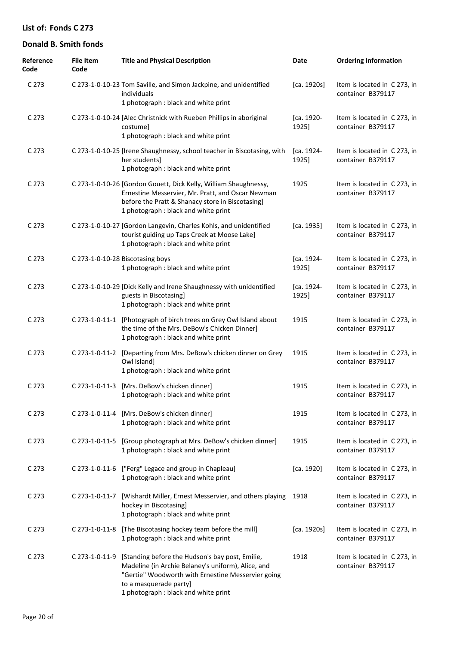| Reference<br>Code | <b>File Item</b><br>Code | <b>Title and Physical Description</b>                                                                                                                                                                                         | Date                | <b>Ordering Information</b>                       |
|-------------------|--------------------------|-------------------------------------------------------------------------------------------------------------------------------------------------------------------------------------------------------------------------------|---------------------|---------------------------------------------------|
| C 273             |                          | C 273-1-0-10-23 Tom Saville, and Simon Jackpine, and unidentified<br>individuals<br>1 photograph : black and white print                                                                                                      | [ca. 1920s]         | Item is located in C 273, in<br>container B379117 |
| C 273             |                          | C 273-1-0-10-24 [Alec Christnick with Rueben Phillips in aboriginal<br>costume]<br>1 photograph : black and white print                                                                                                       | [ca. 1920-<br>1925] | Item is located in C273, in<br>container B379117  |
| C <sub>273</sub>  |                          | C 273-1-0-10-25 [Irene Shaughnessy, school teacher in Biscotasing, with<br>her students]<br>1 photograph : black and white print                                                                                              | [ca. 1924-<br>1925] | Item is located in C 273, in<br>container B379117 |
| C 273             |                          | C 273-1-0-10-26 [Gordon Gouett, Dick Kelly, William Shaughnessy,<br>Ernestine Messervier, Mr. Pratt, and Oscar Newman<br>before the Pratt & Shanacy store in Biscotasing]<br>1 photograph : black and white print             | 1925                | Item is located in C273, in<br>container B379117  |
| C 273             |                          | C 273-1-0-10-27 [Gordon Langevin, Charles Kohls, and unidentified<br>tourist guiding up Taps Creek at Moose Lake]<br>1 photograph : black and white print                                                                     | [ca. 1935]          | Item is located in C 273, in<br>container B379117 |
| C 273             |                          | C 273-1-0-10-28 Biscotasing boys<br>1 photograph : black and white print                                                                                                                                                      | [ca. 1924-<br>1925] | Item is located in C 273, in<br>container B379117 |
| C 273             |                          | C 273-1-0-10-29 [Dick Kelly and Irene Shaughnessy with unidentified<br>guests in Biscotasing]<br>1 photograph : black and white print                                                                                         | [ca. 1924-<br>1925] | Item is located in C 273, in<br>container B379117 |
| C 273             |                          | C 273-1-0-11-1 [Photograph of birch trees on Grey Owl Island about<br>the time of the Mrs. DeBow's Chicken Dinner]<br>1 photograph : black and white print                                                                    | 1915                | Item is located in C273, in<br>container B379117  |
| C 273             | C 273-1-0-11-2           | [Departing from Mrs. DeBow's chicken dinner on Grey<br>Owl Island]<br>1 photograph : black and white print                                                                                                                    | 1915                | Item is located in C273, in<br>container B379117  |
| C 273             | C 273-1-0-11-3           | [Mrs. DeBow's chicken dinner]<br>1 photograph: black and white print                                                                                                                                                          | 1915                | Item is located in C273, in<br>container B379117  |
| C 273             |                          | C 273-1-0-11-4 [Mrs. DeBow's chicken dinner]<br>1 photograph : black and white print                                                                                                                                          | 1915                | Item is located in C 273, in<br>container B379117 |
| C 273             | C 273-1-0-11-5           | [Group photograph at Mrs. DeBow's chicken dinner]<br>1 photograph : black and white print                                                                                                                                     | 1915                | Item is located in C273, in<br>container B379117  |
| C 273             |                          | C 273-1-0-11-6 ["Ferg" Legace and group in Chapleau]<br>1 photograph : black and white print                                                                                                                                  | [ca. 1920]          | Item is located in C273, in<br>container B379117  |
| C 273             | C 273-1-0-11-7           | [Wishardt Miller, Ernest Messervier, and others playing<br>hockey in Biscotasing]<br>1 photograph : black and white print                                                                                                     | 1918                | Item is located in C273, in<br>container B379117  |
| C 273             |                          | C 273-1-0-11-8 [The Biscotasing hockey team before the mill]<br>1 photograph : black and white print                                                                                                                          | [ca. 1920s]         | Item is located in C 273, in<br>container B379117 |
| C 273             | C 273-1-0-11-9           | [Standing before the Hudson's bay post, Emilie,<br>Madeline (in Archie Belaney's uniform), Alice, and<br>"Gertie" Woodworth with Ernestine Messervier going<br>to a masquerade party]<br>1 photograph : black and white print | 1918                | Item is located in C273, in<br>container B379117  |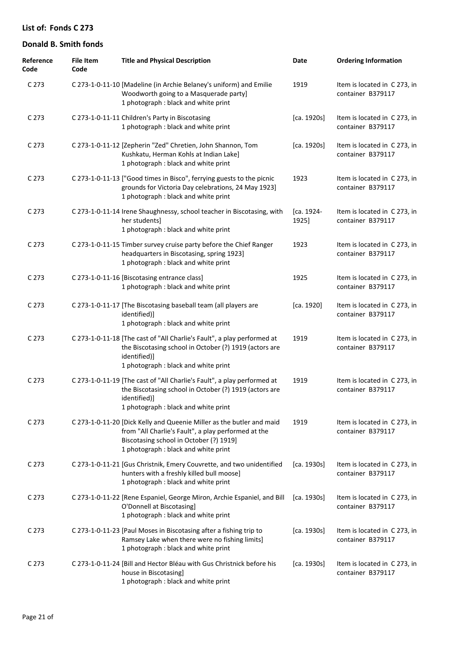| Reference<br>Code | <b>File Item</b><br>Code | <b>Title and Physical Description</b>                                                                                                                                                                           | Date                | <b>Ordering Information</b>                       |
|-------------------|--------------------------|-----------------------------------------------------------------------------------------------------------------------------------------------------------------------------------------------------------------|---------------------|---------------------------------------------------|
| C 273             |                          | C 273-1-0-11-10 [Madeline (in Archie Belaney's uniform) and Emilie<br>Woodworth going to a Masquerade party]<br>1 photograph : black and white print                                                            | 1919                | Item is located in C 273, in<br>container B379117 |
| C <sub>273</sub>  |                          | C 273-1-0-11-11 Children's Party in Biscotasing<br>1 photograph : black and white print                                                                                                                         | [ca. 1920s]         | Item is located in C273, in<br>container B379117  |
| C <sub>273</sub>  |                          | C 273-1-0-11-12 [Zepherin "Zed" Chretien, John Shannon, Tom<br>Kushkatu, Herman Kohls at Indian Lake]<br>1 photograph : black and white print                                                                   | [ca. 1920s]         | Item is located in C273, in<br>container B379117  |
| C <sub>273</sub>  |                          | C 273-1-0-11-13 ["Good times in Bisco", ferrying guests to the picnic<br>grounds for Victoria Day celebrations, 24 May 1923]<br>1 photograph : black and white print                                            | 1923                | Item is located in C273, in<br>container B379117  |
| C <sub>273</sub>  |                          | C 273-1-0-11-14 Irene Shaughnessy, school teacher in Biscotasing, with<br>her students]<br>1 photograph : black and white print                                                                                 | [ca. 1924-<br>1925] | Item is located in C 273, in<br>container B379117 |
| C <sub>273</sub>  |                          | C 273-1-0-11-15 Timber survey cruise party before the Chief Ranger<br>headquarters in Biscotasing, spring 1923]<br>1 photograph : black and white print                                                         | 1923                | Item is located in C273, in<br>container B379117  |
| C <sub>273</sub>  |                          | C 273-1-0-11-16 [Biscotasing entrance class]<br>1 photograph : black and white print                                                                                                                            | 1925                | Item is located in C 273, in<br>container B379117 |
| C <sub>273</sub>  |                          | C 273-1-0-11-17 [The Biscotasing baseball team (all players are<br>identified)]<br>1 photograph : black and white print                                                                                         | [ca. 1920]          | Item is located in C 273, in<br>container B379117 |
| C <sub>273</sub>  |                          | C 273-1-0-11-18 [The cast of "All Charlie's Fault", a play performed at<br>the Biscotasing school in October (?) 1919 (actors are<br>identified)]<br>1 photograph : black and white print                       | 1919                | Item is located in C273, in<br>container B379117  |
| C 273             |                          | C 273-1-0-11-19 [The cast of "All Charlie's Fault", a play performed at<br>the Biscotasing school in October (?) 1919 (actors are<br>identified)]<br>1 photograph: black and white print                        | 1919                | Item is located in C 273, in<br>container B379117 |
| C <sub>273</sub>  |                          | C 273-1-0-11-20 [Dick Kelly and Queenie Miller as the butler and maid<br>from "All Charlie's Fault", a play performed at the<br>Biscotasing school in October (?) 1919]<br>1 photograph : black and white print | 1919                | Item is located in C273, in<br>container B379117  |
| C <sub>273</sub>  |                          | C 273-1-0-11-21 [Gus Christnik, Emery Couvrette, and two unidentified<br>hunters with a freshly killed bull moose]<br>1 photograph : black and white print                                                      | [ca. 1930s]         | Item is located in C 273, in<br>container B379117 |
| C <sub>273</sub>  |                          | C 273-1-0-11-22 [Rene Espaniel, George Miron, Archie Espaniel, and Bill<br>O'Donnell at Biscotasing]<br>1 photograph : black and white print                                                                    | [ca. 1930s]         | Item is located in C 273, in<br>container B379117 |
| C <sub>273</sub>  |                          | C 273-1-0-11-23 [Paul Moses in Biscotasing after a fishing trip to<br>Ramsey Lake when there were no fishing limits]<br>1 photograph : black and white print                                                    | [ca. 1930s]         | Item is located in C 273, in<br>container B379117 |
| C <sub>273</sub>  |                          | C 273-1-0-11-24 [Bill and Hector Bléau with Gus Christnick before his<br>house in Biscotasing]<br>1 photograph : black and white print                                                                          | [ca. 1930s]         | Item is located in C 273, in<br>container B379117 |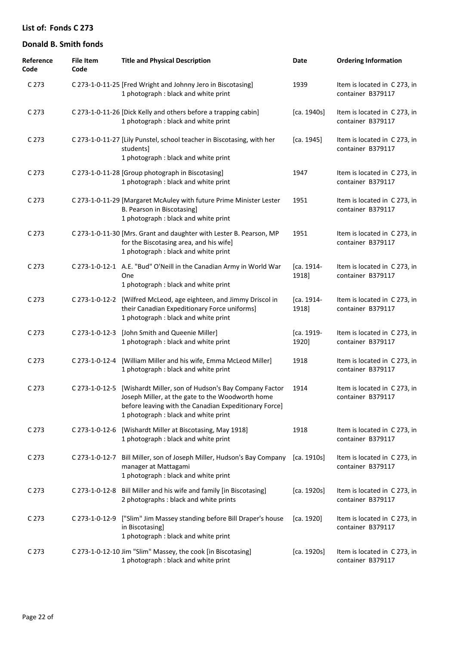| Reference<br>Code | <b>File Item</b><br>Code | <b>Title and Physical Description</b>                                                                                                                                                                     | Date                | <b>Ordering Information</b>                       |
|-------------------|--------------------------|-----------------------------------------------------------------------------------------------------------------------------------------------------------------------------------------------------------|---------------------|---------------------------------------------------|
| C 273             |                          | C 273-1-0-11-25 [Fred Wright and Johnny Jero in Biscotasing]<br>1 photograph : black and white print                                                                                                      | 1939                | Item is located in C 273, in<br>container B379117 |
| C <sub>273</sub>  |                          | C 273-1-0-11-26 [Dick Kelly and others before a trapping cabin]<br>1 photograph : black and white print                                                                                                   | [ca. 1940s]         | Item is located in C 273, in<br>container B379117 |
| C <sub>273</sub>  |                          | C 273-1-0-11-27 [Lily Punstel, school teacher in Biscotasing, with her<br>studentsl<br>1 photograph : black and white print                                                                               | [ca. 1945]          | Item is located in C273, in<br>container B379117  |
| C <sub>273</sub>  |                          | C 273-1-0-11-28 [Group photograph in Biscotasing]<br>1 photograph : black and white print                                                                                                                 | 1947                | Item is located in C 273, in<br>container B379117 |
| C <sub>273</sub>  |                          | C 273-1-0-11-29 [Margaret McAuley with future Prime Minister Lester<br>B. Pearson in Biscotasing]<br>1 photograph : black and white print                                                                 | 1951                | Item is located in C 273, in<br>container B379117 |
| C <sub>273</sub>  |                          | C 273-1-0-11-30 [Mrs. Grant and daughter with Lester B. Pearson, MP<br>for the Biscotasing area, and his wife]<br>1 photograph : black and white print                                                    | 1951                | Item is located in C 273, in<br>container B379117 |
| C <sub>273</sub>  |                          | C 273-1-0-12-1 A.E. "Bud" O'Neill in the Canadian Army in World War<br>One<br>1 photograph : black and white print                                                                                        | [ca. 1914-<br>1918] | Item is located in C 273, in<br>container B379117 |
| C <sub>273</sub>  | C 273-1-0-12-2           | [Wilfred McLeod, age eighteen, and Jimmy Driscol in<br>their Canadian Expeditionary Force uniforms]<br>1 photograph : black and white print                                                               | [ca. 1914-<br>1918] | Item is located in C 273, in<br>container B379117 |
| C <sub>273</sub>  | C 273-1-0-12-3           | [John Smith and Queenie Miller]<br>1 photograph : black and white print                                                                                                                                   | [ca. 1919-<br>1920] | Item is located in C 273, in<br>container B379117 |
| C <sub>273</sub>  | C 273-1-0-12-4           | [William Miller and his wife, Emma McLeod Miller]<br>1 photograph : black and white print                                                                                                                 | 1918                | Item is located in C 273, in<br>container B379117 |
| C <sub>273</sub>  | C 273-1-0-12-5           | [Wishardt Miller, son of Hudson's Bay Company Factor<br>Joseph Miller, at the gate to the Woodworth home<br>before leaving with the Canadian Expeditionary Force]<br>1 photograph : black and white print | 1914                | Item is located in C 273, in<br>container B379117 |
| C <sub>273</sub>  |                          | C 273-1-0-12-6 [Wishardt Miller at Biscotasing, May 1918]<br>1 photograph : black and white print                                                                                                         | 1918                | Item is located in C 273, in<br>container B379117 |
| C <sub>273</sub>  |                          | C 273-1-0-12-7 Bill Miller, son of Joseph Miller, Hudson's Bay Company<br>manager at Mattagami<br>1 photograph : black and white print                                                                    | [ca. 1910s]         | Item is located in C273, in<br>container B379117  |
| C <sub>273</sub>  |                          | C 273-1-0-12-8 Bill Miller and his wife and family [in Biscotasing]<br>2 photographs : black and white prints                                                                                             | [ca. 1920s]         | Item is located in C273, in<br>container B379117  |
| C <sub>273</sub>  |                          | C 273-1-0-12-9 ["Slim" Jim Massey standing before Bill Draper's house<br>in Biscotasing]<br>1 photograph : black and white print                                                                          | [ca. 1920]          | Item is located in C273, in<br>container B379117  |
| C <sub>273</sub>  |                          | C 273-1-0-12-10 Jim "Slim" Massey, the cook [in Biscotasing]<br>1 photograph : black and white print                                                                                                      | [ca. 1920s]         | Item is located in C273, in<br>container B379117  |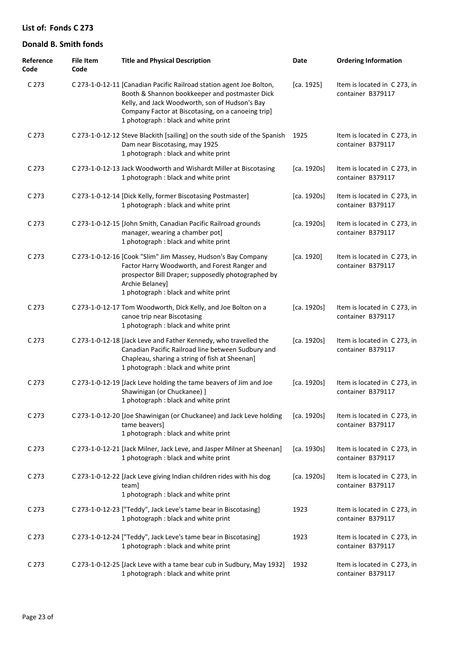| Reference<br>Code | <b>File Item</b><br>Code | <b>Title and Physical Description</b>                                                                                                                                                                                                                                  | Date        | <b>Ordering Information</b>                       |
|-------------------|--------------------------|------------------------------------------------------------------------------------------------------------------------------------------------------------------------------------------------------------------------------------------------------------------------|-------------|---------------------------------------------------|
| C 273             |                          | C 273-1-0-12-11 [Canadian Pacific Railroad station agent Joe Bolton,<br>Booth & Shannon bookkeeper and postmaster Dick<br>Kelly, and Jack Woodworth, son of Hudson's Bay<br>Company Factor at Biscotasing, on a canoeing trip]<br>1 photograph : black and white print | [ca. 1925]  | Item is located in C 273, in<br>container B379117 |
| C 273             |                          | C 273-1-0-12-12 Steve Blackith [sailing] on the south side of the Spanish<br>Dam near Biscotasing, may 1925<br>1 photograph : black and white print                                                                                                                    | 1925        | Item is located in C 273, in<br>container B379117 |
| C 273             |                          | C 273-1-0-12-13 Jack Woodworth and Wishardt Miller at Biscotasing<br>1 photograph : black and white print                                                                                                                                                              | [ca. 1920s] | Item is located in C 273, in<br>container B379117 |
| C 273             |                          | C 273-1-0-12-14 [Dick Kelly, former Biscotasing Postmaster]<br>1 photograph : black and white print                                                                                                                                                                    | [ca. 1920s] | Item is located in C 273, in<br>container B379117 |
| C 273             |                          | C 273-1-0-12-15 [John Smith, Canadian Pacific Railroad grounds<br>manager, wearing a chamber pot]<br>1 photograph : black and white print                                                                                                                              | [ca. 1920s] | Item is located in C 273, in<br>container B379117 |
| C 273             |                          | C 273-1-0-12-16 [Cook "Slim" Jim Massey, Hudson's Bay Company<br>Factor Harry Woodworth, and Forest Ranger and<br>prospector Bill Draper; supposedly photographed by<br>Archie Belaney]<br>1 photograph : black and white print                                        | [ca. 1920]  | Item is located in C 273, in<br>container B379117 |
| C 273             |                          | C 273-1-0-12-17 Tom Woodworth, Dick Kelly, and Joe Bolton on a<br>canoe trip near Biscotasing<br>1 photograph : black and white print                                                                                                                                  | [ca. 1920s] | Item is located in C 273, in<br>container B379117 |
| C 273             |                          | C 273-1-0-12-18 [Jack Leve and Father Kennedy, who travelled the<br>Canadian Pacific Railroad line between Sudbury and<br>Chapleau, sharing a string of fish at Sheenan]<br>1 photograph : black and white print                                                       | [ca. 1920s] | Item is located in C 273, in<br>container B379117 |
| C 273             |                          | C 273-1-0-12-19 [Jack Leve holding the tame beavers of Jim and Joe<br>Shawinigan (or Chuckanee) ]<br>1 photograph : black and white print                                                                                                                              | [ca. 1920s] | Item is located in C 273, in<br>container B379117 |
| C 273             |                          | C 273-1-0-12-20 [Joe Shawinigan (or Chuckanee) and Jack Leve holding<br>tame beavers]<br>1 photograph : black and white print                                                                                                                                          | [ca. 1920s] | Item is located in C 273, in<br>container B379117 |
| C 273             |                          | C 273-1-0-12-21 [Jack Milner, Jack Leve, and Jasper Milner at Sheenan]<br>1 photograph : black and white print                                                                                                                                                         | [ca. 1930s] | Item is located in C 273, in<br>container B379117 |
| C 273             |                          | C 273-1-0-12-22 [Jack Leve giving Indian children rides with his dog<br>team]<br>1 photograph : black and white print                                                                                                                                                  | [ca. 1920s] | Item is located in C273, in<br>container B379117  |
| C 273             |                          | C 273-1-0-12-23 ["Teddy", Jack Leve's tame bear in Biscotasing]<br>1 photograph : black and white print                                                                                                                                                                | 1923        | Item is located in C 273, in<br>container B379117 |
| C 273             |                          | C 273-1-0-12-24 ["Teddy", Jack Leve's tame bear in Biscotasing]<br>1 photograph : black and white print                                                                                                                                                                | 1923        | Item is located in C 273, in<br>container B379117 |
| C 273             |                          | C 273-1-0-12-25 [Jack Leve with a tame bear cub in Sudbury, May 1932]<br>1 photograph : black and white print                                                                                                                                                          | 1932        | Item is located in C 273, in<br>container B379117 |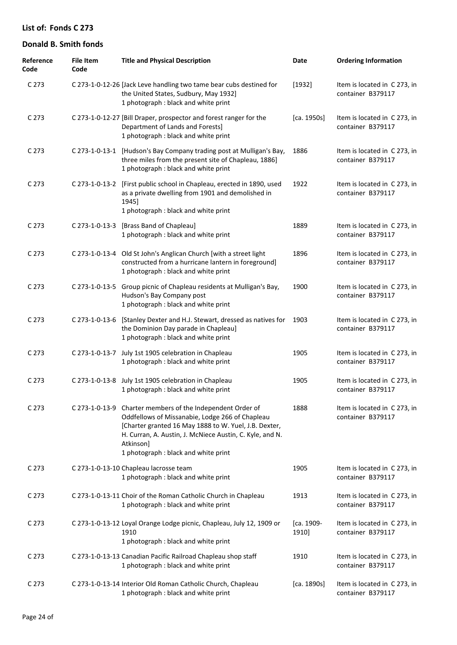| Reference<br>Code | <b>File Item</b><br>Code | <b>Title and Physical Description</b>                                                                                                                                                                                                                                                   | Date                | <b>Ordering Information</b>                       |
|-------------------|--------------------------|-----------------------------------------------------------------------------------------------------------------------------------------------------------------------------------------------------------------------------------------------------------------------------------------|---------------------|---------------------------------------------------|
| C 273             |                          | C 273-1-0-12-26 [Jack Leve handling two tame bear cubs destined for<br>the United States, Sudbury, May 1932]<br>1 photograph : black and white print                                                                                                                                    | [1932]              | Item is located in C 273, in<br>container B379117 |
| C <sub>273</sub>  |                          | C 273-1-0-12-27 [Bill Draper, prospector and forest ranger for the<br>Department of Lands and Forests]<br>1 photograph : black and white print                                                                                                                                          | [ca. 1950s]         | Item is located in C 273, in<br>container B379117 |
| C <sub>273</sub>  |                          | C 273-1-0-13-1 [Hudson's Bay Company trading post at Mulligan's Bay,<br>three miles from the present site of Chapleau, 1886]<br>1 photograph : black and white print                                                                                                                    | 1886                | Item is located in C 273, in<br>container B379117 |
| C <sub>273</sub>  |                          | C 273-1-0-13-2 [First public school in Chapleau, erected in 1890, used<br>as a private dwelling from 1901 and demolished in<br>1945]<br>1 photograph : black and white print                                                                                                            | 1922                | Item is located in C 273, in<br>container B379117 |
| C <sub>273</sub>  | C 273-1-0-13-3           | [Brass Band of Chapleau]<br>1 photograph : black and white print                                                                                                                                                                                                                        | 1889                | Item is located in C 273, in<br>container B379117 |
| C <sub>273</sub>  | C 273-1-0-13-4           | Old St John's Anglican Church [with a street light<br>constructed from a hurricane lantern in foreground]<br>1 photograph : black and white print                                                                                                                                       | 1896                | Item is located in C 273, in<br>container B379117 |
| C <sub>273</sub>  |                          | C 273-1-0-13-5 Group picnic of Chapleau residents at Mulligan's Bay,<br>Hudson's Bay Company post<br>1 photograph : black and white print                                                                                                                                               | 1900                | Item is located in C 273, in<br>container B379117 |
| C <sub>273</sub>  | C 273-1-0-13-6           | [Stanley Dexter and H.J. Stewart, dressed as natives for<br>the Dominion Day parade in Chapleau]<br>1 photograph : black and white print                                                                                                                                                | 1903                | Item is located in C 273, in<br>container B379117 |
| C <sub>273</sub>  | C 273-1-0-13-7           | July 1st 1905 celebration in Chapleau<br>1 photograph : black and white print                                                                                                                                                                                                           | 1905                | Item is located in C 273, in<br>container B379117 |
| C 273             |                          | C 273-1-0-13-8 July 1st 1905 celebration in Chapleau<br>1 photograph : black and white print                                                                                                                                                                                            | 1905                | Item is located in C 273, in<br>container B379117 |
| C 273             |                          | C 273-1-0-13-9 Charter members of the Independent Order of<br>Oddfellows of Missanabie, Lodge 266 of Chapleau<br>[Charter granted 16 May 1888 to W. Yuel, J.B. Dexter,<br>H. Curran, A. Austin, J. McNiece Austin, C. Kyle, and N.<br>Atkinson]<br>1 photograph : black and white print | 1888                | Item is located in C 273, in<br>container B379117 |
| C <sub>273</sub>  |                          | C 273-1-0-13-10 Chapleau lacrosse team<br>1 photograph : black and white print                                                                                                                                                                                                          | 1905                | Item is located in C273, in<br>container B379117  |
| C <sub>273</sub>  |                          | C 273-1-0-13-11 Choir of the Roman Catholic Church in Chapleau<br>1 photograph : black and white print                                                                                                                                                                                  | 1913                | Item is located in C273, in<br>container B379117  |
| C <sub>273</sub>  |                          | C 273-1-0-13-12 Loyal Orange Lodge picnic, Chapleau, July 12, 1909 or<br>1910<br>1 photograph: black and white print                                                                                                                                                                    | [ca. 1909-<br>1910] | Item is located in C 273, in<br>container B379117 |
| C <sub>273</sub>  |                          | C 273-1-0-13-13 Canadian Pacific Railroad Chapleau shop staff<br>1 photograph: black and white print                                                                                                                                                                                    | 1910                | Item is located in C 273, in<br>container B379117 |
| C <sub>273</sub>  |                          | C 273-1-0-13-14 Interior Old Roman Catholic Church, Chapleau<br>1 photograph : black and white print                                                                                                                                                                                    | [ca. 1890s]         | Item is located in C 273, in<br>container B379117 |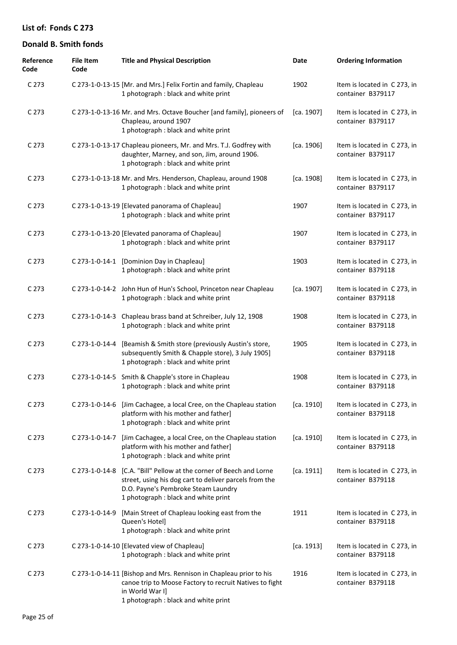| Reference<br>Code | <b>File Item</b><br>Code | <b>Title and Physical Description</b>                                                                                                                                                                        | <b>Date</b> | <b>Ordering Information</b>                       |
|-------------------|--------------------------|--------------------------------------------------------------------------------------------------------------------------------------------------------------------------------------------------------------|-------------|---------------------------------------------------|
| C 273             |                          | C 273-1-0-13-15 [Mr. and Mrs.] Felix Fortin and family, Chapleau<br>1 photograph : black and white print                                                                                                     | 1902        | Item is located in C 273, in<br>container B379117 |
| C 273             |                          | C 273-1-0-13-16 Mr. and Mrs. Octave Boucher [and family], pioneers of<br>Chapleau, around 1907<br>1 photograph : black and white print                                                                       | [ca. 1907]  | Item is located in C 273, in<br>container B379117 |
| C 273             |                          | C 273-1-0-13-17 Chapleau pioneers, Mr. and Mrs. T.J. Godfrey with<br>daughter, Marney, and son, Jim, around 1906.<br>1 photograph : black and white print                                                    | [ca. 1906]  | Item is located in C 273, in<br>container B379117 |
| C 273             |                          | C 273-1-0-13-18 Mr. and Mrs. Henderson, Chapleau, around 1908<br>1 photograph : black and white print                                                                                                        | [ca. 1908]  | Item is located in C 273, in<br>container B379117 |
| C 273             |                          | C 273-1-0-13-19 [Elevated panorama of Chapleau]<br>1 photograph : black and white print                                                                                                                      | 1907        | Item is located in C 273, in<br>container B379117 |
| C 273             |                          | C 273-1-0-13-20 [Elevated panorama of Chapleau]<br>1 photograph : black and white print                                                                                                                      | 1907        | Item is located in C 273, in<br>container B379117 |
| C 273             | C 273-1-0-14-1           | [Dominion Day in Chapleau]<br>1 photograph : black and white print                                                                                                                                           | 1903        | Item is located in C 273, in<br>container B379118 |
| C 273             |                          | C 273-1-0-14-2 John Hun of Hun's School, Princeton near Chapleau<br>1 photograph : black and white print                                                                                                     | [ca. 1907]  | Item is located in C 273, in<br>container B379118 |
| C 273             | C 273-1-0-14-3           | Chapleau brass band at Schreiber, July 12, 1908<br>1 photograph : black and white print                                                                                                                      | 1908        | Item is located in C 273, in<br>container B379118 |
| C 273             | C 273-1-0-14-4           | [Beamish & Smith store (previously Austin's store,<br>subsequently Smith & Chapple store), 3 July 1905]<br>1 photograph : black and white print                                                              | 1905        | Item is located in C 273, in<br>container B379118 |
| C 273             |                          | C 273-1-0-14-5 Smith & Chapple's store in Chapleau<br>1 photograph : black and white print                                                                                                                   | 1908        | Item is located in C 273, in<br>container B379118 |
| C 273             |                          | C 273-1-0-14-6 [Jim Cachagee, a local Cree, on the Chapleau station<br>platform with his mother and father]<br>1 photograph : black and white print                                                          | [ca. 1910]  | Item is located in C 273, in<br>container B379118 |
| C 273             | C 273-1-0-14-7           | [Jim Cachagee, a local Cree, on the Chapleau station<br>platform with his mother and father]<br>1 photograph : black and white print                                                                         | [ca. 1910]  | Item is located in C 273, in<br>container B379118 |
| C 273             |                          | C 273-1-0-14-8 [C.A. "Bill" Pellow at the corner of Beech and Lorne<br>street, using his dog cart to deliver parcels from the<br>D.O. Payne's Pembroke Steam Laundry<br>1 photograph : black and white print | [ca. 1911]  | Item is located in C 273, in<br>container B379118 |
| C 273             | C 273-1-0-14-9           | [Main Street of Chapleau looking east from the<br>Queen's Hotel]<br>1 photograph : black and white print                                                                                                     | 1911        | Item is located in C 273, in<br>container B379118 |
| C 273             |                          | C 273-1-0-14-10 [Elevated view of Chapleau]<br>1 photograph : black and white print                                                                                                                          | [ca. 1913]  | Item is located in C 273, in<br>container B379118 |
| C 273             |                          | C 273-1-0-14-11 [Bishop and Mrs. Rennison in Chapleau prior to his<br>canoe trip to Moose Factory to recruit Natives to fight<br>in World War I]<br>1 photograph : black and white print                     | 1916        | Item is located in C 273, in<br>container B379118 |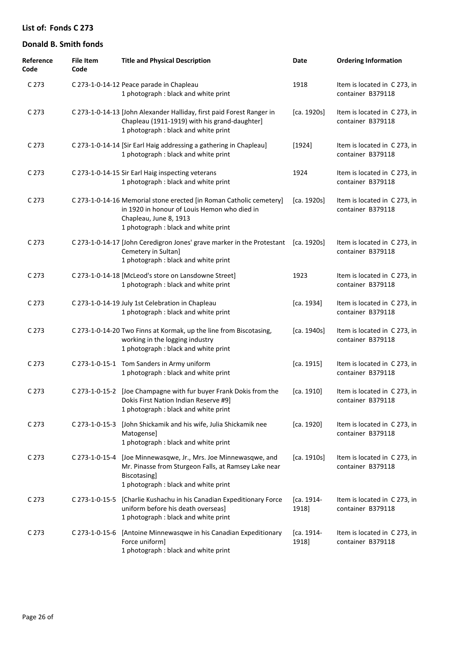| Reference<br>Code | <b>File Item</b><br>Code | <b>Title and Physical Description</b>                                                                                                                                                 | Date                | <b>Ordering Information</b>                       |
|-------------------|--------------------------|---------------------------------------------------------------------------------------------------------------------------------------------------------------------------------------|---------------------|---------------------------------------------------|
| C 273             |                          | C 273-1-0-14-12 Peace parade in Chapleau<br>1 photograph : black and white print                                                                                                      | 1918                | Item is located in C 273, in<br>container B379118 |
| C 273             |                          | C 273-1-0-14-13 [John Alexander Halliday, first paid Forest Ranger in<br>Chapleau (1911-1919) with his grand-daughter]<br>1 photograph : black and white print                        | [ca. 1920s]         | Item is located in C 273, in<br>container B379118 |
| C 273             |                          | C 273-1-0-14-14 [Sir Earl Haig addressing a gathering in Chapleau]<br>1 photograph : black and white print                                                                            | [1924]              | Item is located in C 273, in<br>container B379118 |
| C 273             |                          | C 273-1-0-14-15 Sir Earl Haig inspecting veterans<br>1 photograph : black and white print                                                                                             | 1924                | Item is located in C 273, in<br>container B379118 |
| C 273             |                          | C 273-1-0-14-16 Memorial stone erected [in Roman Catholic cemetery]<br>in 1920 in honour of Louis Hemon who died in<br>Chapleau, June 8, 1913<br>1 photograph : black and white print | [ca. 1920s]         | Item is located in C 273, in<br>container B379118 |
| C 273             |                          | C 273-1-0-14-17 [John Ceredigron Jones' grave marker in the Protestant [ca. 1920s]<br>Cemetery in Sultan]<br>1 photograph : black and white print                                     |                     | Item is located in C 273, in<br>container B379118 |
| C 273             |                          | C 273-1-0-14-18 [McLeod's store on Lansdowne Street]<br>1 photograph : black and white print                                                                                          | 1923                | Item is located in C273, in<br>container B379118  |
| C 273             |                          | C 273-1-0-14-19 July 1st Celebration in Chapleau<br>1 photograph : black and white print                                                                                              | [ca. 1934]          | Item is located in C273, in<br>container B379118  |
| C 273             |                          | C 273-1-0-14-20 Two Finns at Kormak, up the line from Biscotasing,<br>working in the logging industry<br>1 photograph : black and white print                                         | [ca. 1940s]         | Item is located in C273, in<br>container B379118  |
| C 273             |                          | C 273-1-0-15-1 Tom Sanders in Army uniform<br>1 photograph : black and white print                                                                                                    | [ca. 1915]          | Item is located in C 273, in<br>container B379118 |
| C 273             |                          | C 273-1-0-15-2 [Joe Champagne with fur buyer Frank Dokis from the<br>Dokis First Nation Indian Reserve #9]<br>1 photograph : black and white print                                    | [ca. 1910]          | Item is located in C 273, in<br>container B379118 |
| C 273             | C 273-1-0-15-3           | [John Shickamik and his wife, Julia Shickamik nee<br>Matogense]<br>1 photograph : black and white print                                                                               | [ca. 1920]          | Item is located in C 273, in<br>container B379118 |
| C 273             | C 273-1-0-15-4           | [Joe Minnewasqwe, Jr., Mrs. Joe Minnewasqwe, and<br>Mr. Pinasse from Sturgeon Falls, at Ramsey Lake near<br>Biscotasing]<br>1 photograph : black and white print                      | [ca. 1910s]         | Item is located in C273, in<br>container B379118  |
| C 273             | C 273-1-0-15-5           | [Charlie Kushachu in his Canadian Expeditionary Force<br>uniform before his death overseas]<br>1 photograph : black and white print                                                   | [ca. 1914-<br>1918] | Item is located in C 273, in<br>container B379118 |
| C 273             | C 273-1-0-15-6           | [Antoine Minnewasqwe in his Canadian Expeditionary<br>Force uniform]<br>1 photograph : black and white print                                                                          | [ca. 1914-<br>1918] | Item is located in C 273, in<br>container B379118 |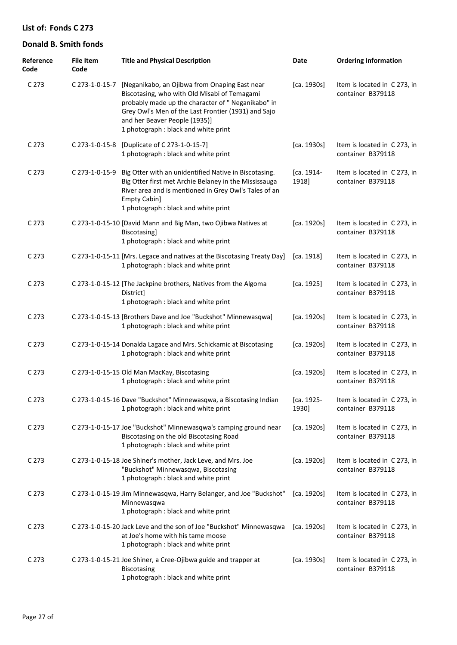| Reference<br>Code | <b>File Item</b><br>Code | <b>Title and Physical Description</b>                                                                                                                                                                                                                                               | Date                | <b>Ordering Information</b>                       |
|-------------------|--------------------------|-------------------------------------------------------------------------------------------------------------------------------------------------------------------------------------------------------------------------------------------------------------------------------------|---------------------|---------------------------------------------------|
| C <sub>273</sub>  | C 273-1-0-15-7           | [Neganikabo, an Ojibwa from Onaping East near<br>Biscotasing, who with Old Misabi of Temagami<br>probably made up the character of " Neganikabo" in<br>Grey Owl's Men of the Last Frontier (1931) and Sajo<br>and her Beaver People (1935)]<br>1 photograph : black and white print | [ca. 1930s]         | Item is located in C273, in<br>container B379118  |
| C <sub>273</sub>  | C 273-1-0-15-8           | [Duplicate of C 273-1-0-15-7]<br>1 photograph : black and white print                                                                                                                                                                                                               | [ca. 1930s]         | Item is located in C273, in<br>container B379118  |
| C <sub>273</sub>  | C 273-1-0-15-9           | Big Otter with an unidentified Native in Biscotasing.<br>Big Otter first met Archie Belaney in the Mississauga<br>River area and is mentioned in Grey Owl's Tales of an<br>Empty Cabin]<br>1 photograph : black and white print                                                     | [ca. 1914-<br>1918] | Item is located in C273, in<br>container B379118  |
| C <sub>273</sub>  |                          | C 273-1-0-15-10 [David Mann and Big Man, two Ojibwa Natives at<br>Biscotasing]<br>1 photograph : black and white print                                                                                                                                                              | [ca. 1920s]         | Item is located in C273, in<br>container B379118  |
| C <sub>273</sub>  |                          | C 273-1-0-15-11 [Mrs. Legace and natives at the Biscotasing Treaty Day]<br>1 photograph : black and white print                                                                                                                                                                     | [ca. 1918]          | Item is located in C 273, in<br>container B379118 |
| C <sub>273</sub>  |                          | C 273-1-0-15-12 [The Jackpine brothers, Natives from the Algoma<br>District]<br>1 photograph : black and white print                                                                                                                                                                | [ca. 1925]          | Item is located in C 273, in<br>container B379118 |
| C <sub>273</sub>  |                          | C 273-1-0-15-13 [Brothers Dave and Joe "Buckshot" Minnewasqwa]<br>1 photograph : black and white print                                                                                                                                                                              | [ca. 1920s]         | Item is located in C273, in<br>container B379118  |
| C <sub>273</sub>  |                          | C 273-1-0-15-14 Donalda Lagace and Mrs. Schickamic at Biscotasing<br>1 photograph : black and white print                                                                                                                                                                           | [ca. 1920s]         | Item is located in C273, in<br>container B379118  |
| C <sub>273</sub>  |                          | C 273-1-0-15-15 Old Man MacKay, Biscotasing<br>1 photograph : black and white print                                                                                                                                                                                                 | [ca. 1920s]         | Item is located in C273, in<br>container B379118  |
| C 273             |                          | C 273-1-0-15-16 Dave "Buckshot" Minnewasqwa, a Biscotasing Indian<br>1 photograph : black and white print                                                                                                                                                                           | [ca. 1925-<br>1930] | Item is located in C273, in<br>container B379118  |
| C <sub>273</sub>  |                          | C 273-1-0-15-17 Joe "Buckshot" Minnewasqwa's camping ground near<br>Biscotasing on the old Biscotasing Road<br>1 photograph : black and white print                                                                                                                                 | [ca. 1920s]         | Item is located in C273, in<br>container B379118  |
| C <sub>273</sub>  |                          | C 273-1-0-15-18 Joe Shiner's mother, Jack Leve, and Mrs. Joe<br>"Buckshot" Minnewasqwa, Biscotasing<br>1 photograph : black and white print                                                                                                                                         | [ca. 1920s]         | Item is located in C273, in<br>container B379118  |
| C <sub>273</sub>  |                          | C 273-1-0-15-19 Jim Minnewasqwa, Harry Belanger, and Joe "Buckshot"<br>Minnewasqwa<br>1 photograph : black and white print                                                                                                                                                          | [ca. 1920s]         | Item is located in C273, in<br>container B379118  |
| C <sub>273</sub>  |                          | C 273-1-0-15-20 Jack Leve and the son of Joe "Buckshot" Minnewasqwa<br>at Joe's home with his tame moose<br>1 photograph : black and white print                                                                                                                                    | [ca. 1920s]         | Item is located in C273, in<br>container B379118  |
| C <sub>273</sub>  |                          | C 273-1-0-15-21 Joe Shiner, a Cree-Ojibwa guide and trapper at<br><b>Biscotasing</b><br>1 photograph : black and white print                                                                                                                                                        | [ca. 1930s]         | Item is located in C 273, in<br>container B379118 |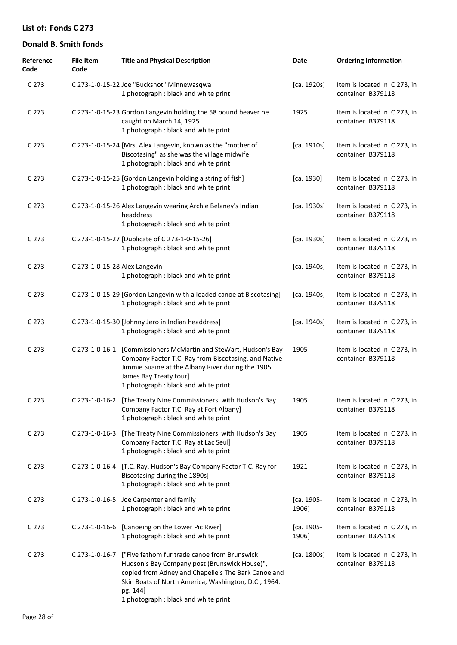| Reference<br>Code | <b>File Item</b><br>Code      | <b>Title and Physical Description</b>                                                                                                                                                                                                                                           | Date                | <b>Ordering Information</b>                       |
|-------------------|-------------------------------|---------------------------------------------------------------------------------------------------------------------------------------------------------------------------------------------------------------------------------------------------------------------------------|---------------------|---------------------------------------------------|
| C 273             |                               | C 273-1-0-15-22 Joe "Buckshot" Minnewasqwa<br>1 photograph : black and white print                                                                                                                                                                                              | [ca. 1920s]         | Item is located in C 273, in<br>container B379118 |
| C <sub>273</sub>  |                               | C 273-1-0-15-23 Gordon Langevin holding the 58 pound beaver he<br>caught on March 14, 1925<br>1 photograph : black and white print                                                                                                                                              | 1925                | Item is located in C273, in<br>container B379118  |
| C <sub>273</sub>  |                               | C 273-1-0-15-24 [Mrs. Alex Langevin, known as the "mother of<br>Biscotasing" as she was the village midwife<br>1 photograph : black and white print                                                                                                                             | [ca. 1910s]         | Item is located in C273, in<br>container B379118  |
| C <sub>273</sub>  |                               | C 273-1-0-15-25 [Gordon Langevin holding a string of fish]<br>1 photograph : black and white print                                                                                                                                                                              | [ca. 1930]          | Item is located in C273, in<br>container B379118  |
| C <sub>273</sub>  |                               | C 273-1-0-15-26 Alex Langevin wearing Archie Belaney's Indian<br>headdress<br>1 photograph : black and white print                                                                                                                                                              | [ca. 1930s]         | Item is located in C273, in<br>container B379118  |
| C <sub>273</sub>  |                               | C 273-1-0-15-27 [Duplicate of C 273-1-0-15-26]<br>1 photograph : black and white print                                                                                                                                                                                          | [ca. 1930s]         | Item is located in C 273, in<br>container B379118 |
| C <sub>273</sub>  | C 273-1-0-15-28 Alex Langevin | 1 photograph : black and white print                                                                                                                                                                                                                                            | [ca. 1940s]         | Item is located in C 273, in<br>container B379118 |
| C <sub>273</sub>  |                               | C 273-1-0-15-29 [Gordon Langevin with a loaded canoe at Biscotasing]<br>1 photograph : black and white print                                                                                                                                                                    | [ca. 1940s]         | Item is located in C 273, in<br>container B379118 |
| C <sub>273</sub>  |                               | C 273-1-0-15-30 [Johnny Jero in Indian headdress]<br>1 photograph : black and white print                                                                                                                                                                                       | [ca. 1940s]         | Item is located in C 273, in<br>container B379118 |
| C <sub>273</sub>  |                               | C 273-1-0-16-1 [Commissioners McMartin and SteWart, Hudson's Bay<br>Company Factor T.C. Ray from Biscotasing, and Native<br>Jimmie Suaine at the Albany River during the 1905<br>James Bay Treaty tour]<br>1 photograph : black and white print                                 | 1905                | Item is located in C 273, in<br>container B379118 |
| C 273             |                               | C 273-1-0-16-2 [The Treaty Nine Commissioners with Hudson's Bay<br>Company Factor T.C. Ray at Fort Albany]<br>1 photograph : black and white print                                                                                                                              | 1905                | Item is located in C 273, in<br>container B379118 |
| C <sub>273</sub>  | C 273-1-0-16-3                | [The Treaty Nine Commissioners with Hudson's Bay<br>Company Factor T.C. Ray at Lac Seul]<br>1 photograph : black and white print                                                                                                                                                | 1905                | Item is located in C273, in<br>container B379118  |
| C <sub>273</sub>  |                               | C 273-1-0-16-4 [T.C. Ray, Hudson's Bay Company Factor T.C. Ray for<br>Biscotasing during the 1890s]<br>1 photograph : black and white print                                                                                                                                     | 1921                | Item is located in C273, in<br>container B379118  |
| C <sub>273</sub>  |                               | C 273-1-0-16-5 Joe Carpenter and family<br>1 photograph : black and white print                                                                                                                                                                                                 | [ca. 1905-<br>1906] | Item is located in C273, in<br>container B379118  |
| C <sub>273</sub>  |                               | C 273-1-0-16-6 [Canoeing on the Lower Pic River]<br>1 photograph : black and white print                                                                                                                                                                                        | [ca. 1905-<br>1906] | Item is located in C273, in<br>container B379118  |
| C <sub>273</sub>  |                               | C 273-1-0-16-7 ["Five fathom fur trade canoe from Brunswick<br>Hudson's Bay Company post (Brunswick House)",<br>copied from Adney and Chapelle's The Bark Canoe and<br>Skin Boats of North America, Washington, D.C., 1964.<br>pg. 144]<br>1 photograph : black and white print | [ca. 1800s]         | Item is located in C273, in<br>container B379118  |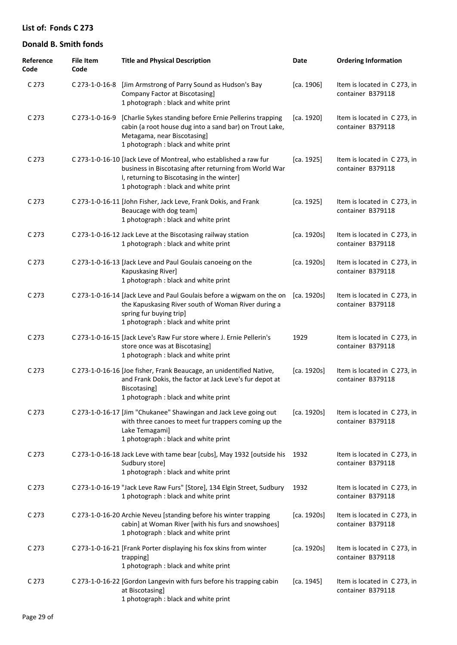| Reference<br>Code | <b>File Item</b><br>Code | <b>Title and Physical Description</b>                                                                                                                                                                             | <b>Date</b> | <b>Ordering Information</b>                       |
|-------------------|--------------------------|-------------------------------------------------------------------------------------------------------------------------------------------------------------------------------------------------------------------|-------------|---------------------------------------------------|
| C 273             |                          | C 273-1-0-16-8 [Jim Armstrong of Parry Sound as Hudson's Bay<br>Company Factor at Biscotasing]<br>1 photograph : black and white print                                                                            | [ca. 1906]  | Item is located in C273, in<br>container B379118  |
| C 273             | C 273-1-0-16-9           | [Charlie Sykes standing before Ernie Pellerins trapping<br>cabin (a root house dug into a sand bar) on Trout Lake,<br>Metagama, near Biscotasing]<br>1 photograph : black and white print                         | [ca. 1920]  | Item is located in C273, in<br>container B379118  |
| C <sub>273</sub>  |                          | C 273-1-0-16-10 [Jack Leve of Montreal, who established a raw fur<br>business in Biscotasing after returning from World War<br>I, returning to Biscotasing in the winter]<br>1 photograph : black and white print | [ca. 1925]  | Item is located in C 273, in<br>container B379118 |
| C 273             |                          | C 273-1-0-16-11 [John Fisher, Jack Leve, Frank Dokis, and Frank<br>Beaucage with dog team]<br>1 photograph : black and white print                                                                                | [ca. 1925]  | Item is located in C 273, in<br>container B379118 |
| C 273             |                          | C 273-1-0-16-12 Jack Leve at the Biscotasing railway station<br>1 photograph : black and white print                                                                                                              | [ca. 1920s] | Item is located in C273, in<br>container B379118  |
| C 273             |                          | C 273-1-0-16-13 [Jack Leve and Paul Goulais canoeing on the<br>Kapuskasing River]<br>1 photograph : black and white print                                                                                         | [ca. 1920s] | Item is located in C273, in<br>container B379118  |
| C 273             |                          | C 273-1-0-16-14 [Jack Leve and Paul Goulais before a wigwam on the on [ca. 1920s]<br>the Kapuskasing River south of Woman River during a<br>spring fur buying trip]<br>1 photograph : black and white print       |             | Item is located in C 273, in<br>container B379118 |
| C 273             |                          | C 273-1-0-16-15 [Jack Leve's Raw Fur store where J. Ernie Pellerin's<br>store once was at Biscotasing]<br>1 photograph : black and white print                                                                    | 1929        | Item is located in C273, in<br>container B379118  |
| C 273             |                          | C 273-1-0-16-16 [Joe fisher, Frank Beaucage, an unidentified Native,<br>and Frank Dokis, the factor at Jack Leve's fur depot at<br><b>Biscotasing</b><br>1 photograph : black and white print                     | [ca. 1920s] | Item is located in C273, in<br>container B379118  |
| C 273             |                          | C 273-1-0-16-17 [Jim "Chukanee" Shawingan and Jack Leve going out<br>with three canoes to meet fur trappers coming up the<br>Lake Temagami]<br>1 photograph : black and white print                               | [ca. 1920s] | Item is located in C 273, in<br>container B379118 |
| C 273             |                          | C 273-1-0-16-18 Jack Leve with tame bear [cubs], May 1932 [outside his<br>Sudbury store]<br>1 photograph : black and white print                                                                                  | 1932        | Item is located in C 273, in<br>container B379118 |
| C 273             |                          | C 273-1-0-16-19 "Jack Leve Raw Furs" [Store], 134 Elgin Street, Sudbury<br>1 photograph : black and white print                                                                                                   | 1932        | Item is located in C273, in<br>container B379118  |
| C 273             |                          | C 273-1-0-16-20 Archie Neveu [standing before his winter trapping<br>cabin] at Woman River [with his furs and snowshoes]<br>1 photograph : black and white print                                                  | [ca. 1920s] | Item is located in C273, in<br>container B379118  |
| C 273             |                          | C 273-1-0-16-21 [Frank Porter displaying his fox skins from winter<br>trapping]<br>1 photograph : black and white print                                                                                           | [ca. 1920s] | Item is located in C 273, in<br>container B379118 |
| C 273             |                          | C 273-1-0-16-22 [Gordon Langevin with furs before his trapping cabin<br>at Biscotasing]<br>1 photograph : black and white print                                                                                   | [ca. 1945]  | Item is located in C 273, in<br>container B379118 |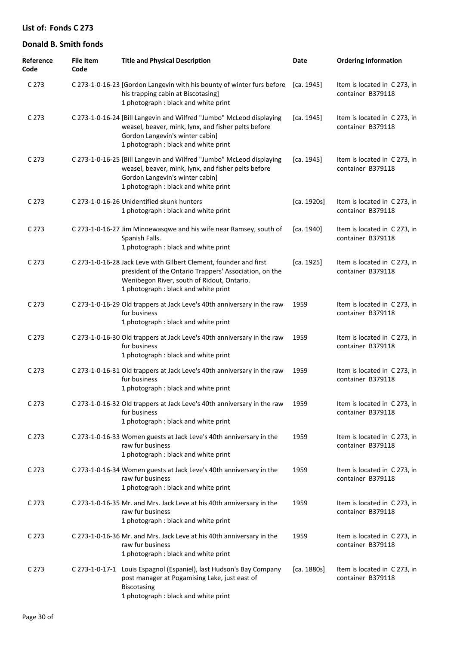| Reference<br>Code | <b>File Item</b><br>Code | <b>Title and Physical Description</b>                                                                                                                                                                             | Date        | <b>Ordering Information</b>                       |
|-------------------|--------------------------|-------------------------------------------------------------------------------------------------------------------------------------------------------------------------------------------------------------------|-------------|---------------------------------------------------|
| C 273             |                          | C 273-1-0-16-23 [Gordon Langevin with his bounty of winter furs before<br>his trapping cabin at Biscotasing]<br>1 photograph : black and white print                                                              | [ca. 1945]  | Item is located in C 273, in<br>container B379118 |
| C <sub>273</sub>  |                          | C 273-1-0-16-24 [Bill Langevin and Wilfred "Jumbo" McLeod displaying<br>weasel, beaver, mink, lynx, and fisher pelts before<br>Gordon Langevin's winter cabin]<br>1 photograph : black and white print            | [ca. 1945]  | Item is located in C273, in<br>container B379118  |
| C <sub>273</sub>  |                          | C 273-1-0-16-25 [Bill Langevin and Wilfred "Jumbo" McLeod displaying<br>weasel, beaver, mink, lynx, and fisher pelts before<br>Gordon Langevin's winter cabin]<br>1 photograph : black and white print            | [ca. 1945]  | Item is located in C 273, in<br>container B379118 |
| C <sub>273</sub>  |                          | C 273-1-0-16-26 Unidentified skunk hunters<br>1 photograph : black and white print                                                                                                                                | [ca. 1920s] | Item is located in C 273, in<br>container B379118 |
| C <sub>273</sub>  |                          | C 273-1-0-16-27 Jim Minnewasqwe and his wife near Ramsey, south of<br>Spanish Falls.<br>1 photograph : black and white print                                                                                      | [ca. 1940]  | Item is located in C273, in<br>container B379118  |
| C <sub>273</sub>  |                          | C 273-1-0-16-28 Jack Leve with Gilbert Clement, founder and first<br>president of the Ontario Trappers' Association, on the<br>Wenibegon River, south of Ridout, Ontario.<br>1 photograph : black and white print | [ca. 1925]  | Item is located in C273, in<br>container B379118  |
| C <sub>273</sub>  |                          | C 273-1-0-16-29 Old trappers at Jack Leve's 40th anniversary in the raw<br>fur business<br>1 photograph : black and white print                                                                                   | 1959        | Item is located in C 273, in<br>container B379118 |
| C <sub>273</sub>  |                          | C 273-1-0-16-30 Old trappers at Jack Leve's 40th anniversary in the raw<br>fur business<br>1 photograph : black and white print                                                                                   | 1959        | Item is located in C 273, in<br>container B379118 |
| C <sub>273</sub>  |                          | C 273-1-0-16-31 Old trappers at Jack Leve's 40th anniversary in the raw<br>fur business<br>1 photograph : black and white print                                                                                   | 1959        | Item is located in C 273, in<br>container B379118 |
| C <sub>273</sub>  |                          | C 273-1-0-16-32 Old trappers at Jack Leve's 40th anniversary in the raw<br>fur business<br>1 photograph : black and white print                                                                                   | 1959        | Item is located in C273, in<br>container B379118  |
| C <sub>273</sub>  |                          | C 273-1-0-16-33 Women guests at Jack Leve's 40th anniversary in the<br>raw fur business<br>1 photograph : black and white print                                                                                   | 1959        | Item is located in C273, in<br>container B379118  |
| C <sub>273</sub>  |                          | C 273-1-0-16-34 Women guests at Jack Leve's 40th anniversary in the<br>raw fur business<br>1 photograph : black and white print                                                                                   | 1959        | Item is located in C273, in<br>container B379118  |
| C <sub>273</sub>  |                          | C 273-1-0-16-35 Mr. and Mrs. Jack Leve at his 40th anniversary in the<br>raw fur business<br>1 photograph : black and white print                                                                                 | 1959        | Item is located in C273, in<br>container B379118  |
| C 273             |                          | C 273-1-0-16-36 Mr. and Mrs. Jack Leve at his 40th anniversary in the<br>raw fur business<br>1 photograph : black and white print                                                                                 | 1959        | Item is located in C273, in<br>container B379118  |
| C <sub>273</sub>  |                          | C 273-1-0-17-1 Louis Espagnol (Espaniel), last Hudson's Bay Company<br>post manager at Pogamising Lake, just east of<br><b>Biscotasing</b><br>1 photograph : black and white print                                | [ca. 1880s] | Item is located in C273, in<br>container B379118  |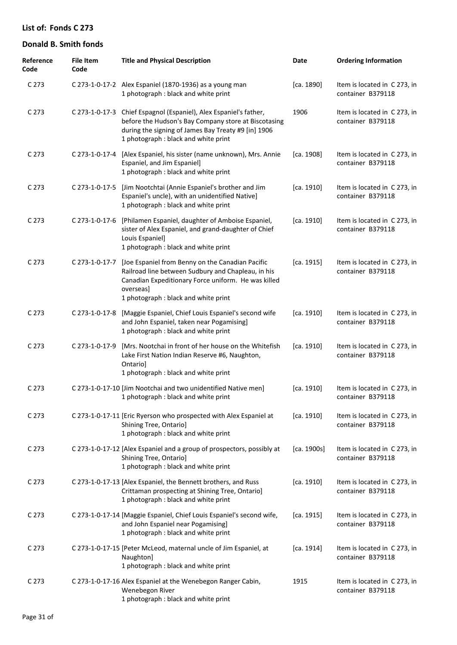| Reference<br>Code | <b>File Item</b><br>Code | <b>Title and Physical Description</b>                                                                                                                                                                                    | Date        | <b>Ordering Information</b>                       |
|-------------------|--------------------------|--------------------------------------------------------------------------------------------------------------------------------------------------------------------------------------------------------------------------|-------------|---------------------------------------------------|
| C 273             |                          | C 273-1-0-17-2 Alex Espaniel (1870-1936) as a young man<br>1 photograph : black and white print                                                                                                                          | [ca. 1890]  | Item is located in C 273, in<br>container B379118 |
| C 273             |                          | C 273-1-0-17-3 Chief Espagnol (Espaniel), Alex Espaniel's father,<br>before the Hudson's Bay Company store at Biscotasing<br>during the signing of James Bay Treaty #9 [in] 1906<br>1 photograph : black and white print | 1906        | Item is located in C 273, in<br>container B379118 |
| C 273             | C 273-1-0-17-4           | [Alex Espaniel, his sister (name unknown), Mrs. Annie<br>Espaniel, and Jim Espaniel]<br>1 photograph : black and white print                                                                                             | [ca. 1908]  | Item is located in C 273, in<br>container B379118 |
| C 273             | C 273-1-0-17-5           | [Jim Nootchtai (Annie Espaniel's brother and Jim<br>Espaniel's uncle), with an unidentified Native]<br>1 photograph : black and white print                                                                              | [ca. 1910]  | Item is located in C 273, in<br>container B379118 |
| C 273             |                          | C 273-1-0-17-6 [Philamen Espaniel, daughter of Amboise Espaniel,<br>sister of Alex Espaniel, and grand-daughter of Chief<br>Louis Espaniel]<br>1 photograph : black and white print                                      | [ca. 1910]  | Item is located in C 273, in<br>container B379118 |
| C 273             | C 273-1-0-17-7           | [Joe Espaniel from Benny on the Canadian Pacific<br>Railroad line between Sudbury and Chapleau, in his<br>Canadian Expeditionary Force uniform. He was killed<br>overseas]<br>1 photograph : black and white print       | [ca. 1915]  | Item is located in C 273, in<br>container B379118 |
| C 273             | C 273-1-0-17-8           | [Maggie Espaniel, Chief Louis Espaniel's second wife<br>and John Espaniel, taken near Pogamising]<br>1 photograph : black and white print                                                                                | [ca. 1910]  | Item is located in C 273, in<br>container B379118 |
| C 273             | C 273-1-0-17-9           | [Mrs. Nootchai in front of her house on the Whitefish<br>Lake First Nation Indian Reserve #6, Naughton,<br>Ontario]<br>1 photograph : black and white print                                                              | [ca. 1910]  | Item is located in C 273, in<br>container B379118 |
| C 273             |                          | C 273-1-0-17-10 [Jim Nootchai and two unidentified Native men]<br>1 photograph : black and white print                                                                                                                   | [ca. 1910]  | Item is located in C 273, in<br>container B379118 |
| C 273             |                          | C 273-1-0-17-11 [Eric Ryerson who prospected with Alex Espaniel at<br>Shining Tree, Ontario]<br>1 photograph : black and white print                                                                                     | [ca. 1910]  | Item is located in C 273, in<br>container B379118 |
| C 273             |                          | C 273-1-0-17-12 [Alex Espaniel and a group of prospectors, possibly at<br>Shining Tree, Ontario]<br>1 photograph : black and white print                                                                                 | [ca. 1900s] | Item is located in C 273, in<br>container B379118 |
| C 273             |                          | C 273-1-0-17-13 [Alex Espaniel, the Bennett brothers, and Russ<br>Crittaman prospecting at Shining Tree, Ontario]<br>1 photograph : black and white print                                                                | [ca. 1910]  | Item is located in C 273, in<br>container B379118 |
| C 273             |                          | C 273-1-0-17-14 [Maggie Espaniel, Chief Louis Espaniel's second wife,<br>and John Espaniel near Pogamising]<br>1 photograph : black and white print                                                                      | [ca. 1915]  | Item is located in C 273, in<br>container B379118 |
| C 273             |                          | C 273-1-0-17-15 [Peter McLeod, maternal uncle of Jim Espaniel, at<br>Naughton]<br>1 photograph : black and white print                                                                                                   | [ca. 1914]  | Item is located in C 273, in<br>container B379118 |
| C 273             |                          | C 273-1-0-17-16 Alex Espaniel at the Wenebegon Ranger Cabin,<br>Wenebegon River<br>1 photograph : black and white print                                                                                                  | 1915        | Item is located in C 273, in<br>container B379118 |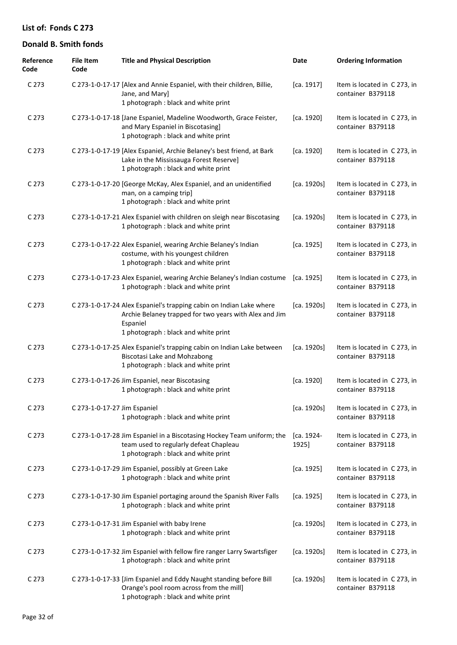| Reference<br>Code | <b>File Item</b><br>Code     | <b>Title and Physical Description</b>                                                                                                                                             | Date                | <b>Ordering Information</b>                       |
|-------------------|------------------------------|-----------------------------------------------------------------------------------------------------------------------------------------------------------------------------------|---------------------|---------------------------------------------------|
| C 273             |                              | C 273-1-0-17-17 [Alex and Annie Espaniel, with their children, Billie,<br>Jane, and Mary]<br>1 photograph : black and white print                                                 | [ca. 1917]          | Item is located in C 273, in<br>container B379118 |
| C 273             |                              | C 273-1-0-17-18 [Jane Espaniel, Madeline Woodworth, Grace Feister,<br>and Mary Espaniel in Biscotasing]<br>1 photograph : black and white print                                   | [ca. 1920]          | Item is located in C273, in<br>container B379118  |
| C 273             |                              | C 273-1-0-17-19 [Alex Espaniel, Archie Belaney's best friend, at Bark<br>Lake in the Mississauga Forest Reserve]<br>1 photograph : black and white print                          | [ca. 1920]          | Item is located in C 273, in<br>container B379118 |
| C 273             |                              | C 273-1-0-17-20 [George McKay, Alex Espaniel, and an unidentified<br>man, on a camping trip]<br>1 photograph : black and white print                                              | [ca. 1920s]         | Item is located in C 273, in<br>container B379118 |
| C 273             |                              | C 273-1-0-17-21 Alex Espaniel with children on sleigh near Biscotasing<br>1 photograph : black and white print                                                                    | [ca. 1920s]         | Item is located in C 273, in<br>container B379118 |
| C 273             |                              | C 273-1-0-17-22 Alex Espaniel, wearing Archie Belaney's Indian<br>costume, with his youngest children<br>1 photograph : black and white print                                     | [ca. 1925]          | Item is located in C 273, in<br>container B379118 |
| C 273             |                              | C 273-1-0-17-23 Alex Espaniel, wearing Archie Belaney's Indian costume<br>1 photograph : black and white print                                                                    | [ca. 1925]          | Item is located in C 273, in<br>container B379118 |
| C 273             |                              | C 273-1-0-17-24 Alex Espaniel's trapping cabin on Indian Lake where<br>Archie Belaney trapped for two years with Alex and Jim<br>Espaniel<br>1 photograph : black and white print | [ca. 1920s]         | Item is located in C 273, in<br>container B379118 |
| C 273             |                              | C 273-1-0-17-25 Alex Espaniel's trapping cabin on Indian Lake between<br><b>Biscotasi Lake and Mohzabong</b><br>1 photograph : black and white print                              | [ca. 1920s]         | Item is located in C273, in<br>container B379118  |
| C 273             |                              | C 273-1-0-17-26 Jim Espaniel, near Biscotasing<br>1 photograph : black and white print                                                                                            | [ca. 1920]          | Item is located in C273, in<br>container B379118  |
| C 273             | C 273-1-0-17-27 Jim Espaniel | 1 photograph : black and white print                                                                                                                                              | [ca. 1920s]         | Item is located in C 273, in<br>container B379118 |
| C 273             |                              | C 273-1-0-17-28 Jim Espaniel in a Biscotasing Hockey Team uniform; the<br>team used to regularly defeat Chapleau<br>1 photograph : black and white print                          | [ca. 1924-<br>1925] | Item is located in C273, in<br>container B379118  |
| C 273             |                              | C 273-1-0-17-29 Jim Espaniel, possibly at Green Lake<br>1 photograph : black and white print                                                                                      | [ca. 1925]          | Item is located in C 273, in<br>container B379118 |
| C 273             |                              | C 273-1-0-17-30 Jim Espaniel portaging around the Spanish River Falls<br>1 photograph : black and white print                                                                     | [ca. 1925]          | Item is located in C 273, in<br>container B379118 |
| C 273             |                              | C 273-1-0-17-31 Jim Espaniel with baby Irene<br>1 photograph : black and white print                                                                                              | [ca. 1920s]         | Item is located in C 273, in<br>container B379118 |
| C <sub>273</sub>  |                              | C 273-1-0-17-32 Jim Espaniel with fellow fire ranger Larry Swartsfiger<br>1 photograph : black and white print                                                                    | [ca. 1920s]         | Item is located in C 273, in<br>container B379118 |
| C <sub>273</sub>  |                              | C 273-1-0-17-33 [Jim Espaniel and Eddy Naught standing before Bill<br>Orange's pool room across from the mill]<br>1 photograph : black and white print                            | [ca. 1920s]         | Item is located in C273, in<br>container B379118  |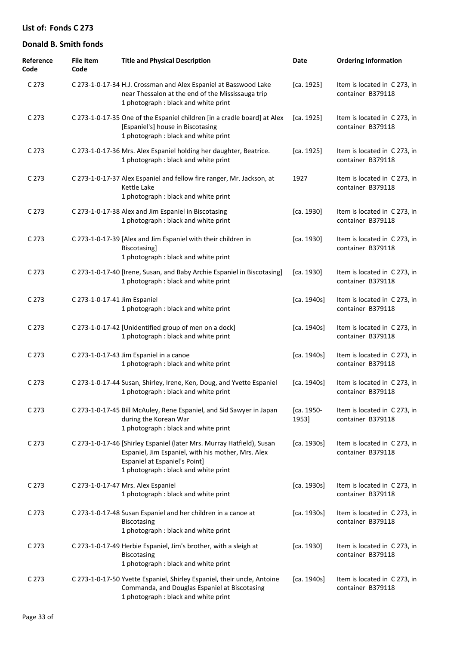| Reference<br>Code | <b>File Item</b><br>Code     | <b>Title and Physical Description</b>                                                                                                                                                                | Date                | <b>Ordering Information</b>                       |
|-------------------|------------------------------|------------------------------------------------------------------------------------------------------------------------------------------------------------------------------------------------------|---------------------|---------------------------------------------------|
| C 273             |                              | C 273-1-0-17-34 H.J. Crossman and Alex Espaniel at Basswood Lake<br>near Thessalon at the end of the Mississauga trip<br>1 photograph : black and white print                                        | [ca. 1925]          | Item is located in C 273, in<br>container B379118 |
| C <sub>273</sub>  |                              | C 273-1-0-17-35 One of the Espaniel children [in a cradle board] at Alex<br>[Espaniel's] house in Biscotasing<br>1 photograph : black and white print                                                | [ca. 1925]          | Item is located in C 273, in<br>container B379118 |
| C <sub>273</sub>  |                              | C 273-1-0-17-36 Mrs. Alex Espaniel holding her daughter, Beatrice.<br>1 photograph : black and white print                                                                                           | [ca. 1925]          | Item is located in C 273, in<br>container B379118 |
| C <sub>273</sub>  |                              | C 273-1-0-17-37 Alex Espaniel and fellow fire ranger, Mr. Jackson, at<br>Kettle Lake<br>1 photograph : black and white print                                                                         | 1927                | Item is located in C 273, in<br>container B379118 |
| C <sub>273</sub>  |                              | C 273-1-0-17-38 Alex and Jim Espaniel in Biscotasing<br>1 photograph : black and white print                                                                                                         | [ca. 1930]          | Item is located in C 273, in<br>container B379118 |
| C <sub>273</sub>  |                              | C 273-1-0-17-39 [Alex and Jim Espaniel with their children in<br>Biscotasing]<br>1 photograph : black and white print                                                                                | [ca. 1930]          | Item is located in C 273, in<br>container B379118 |
| C <sub>273</sub>  |                              | C 273-1-0-17-40 [Irene, Susan, and Baby Archie Espaniel in Biscotasing]<br>1 photograph : black and white print                                                                                      | [ca. 1930]          | Item is located in C 273, in<br>container B379118 |
| C <sub>273</sub>  | C 273-1-0-17-41 Jim Espaniel | 1 photograph : black and white print                                                                                                                                                                 | [ca. 1940s]         | Item is located in C 273, in<br>container B379118 |
| C <sub>273</sub>  |                              | C 273-1-0-17-42 [Unidentified group of men on a dock]<br>1 photograph : black and white print                                                                                                        | [ca. 1940s]         | Item is located in C 273, in<br>container B379118 |
| C <sub>273</sub>  |                              | C 273-1-0-17-43 Jim Espaniel in a canoe<br>1 photograph : black and white print                                                                                                                      | [ca. 1940s]         | Item is located in C 273, in<br>container B379118 |
| C 273             |                              | C 273-1-0-17-44 Susan, Shirley, Irene, Ken, Doug, and Yvette Espaniel<br>1 photograph : black and white print                                                                                        | [ca. 1940s]         | Item is located in C 273, in<br>container B379118 |
| C <sub>273</sub>  |                              | C 273-1-0-17-45 Bill McAuley, Rene Espaniel, and Sid Sawyer in Japan<br>during the Korean War<br>1 photograph : black and white print                                                                | [ca. 1950-<br>1953] | Item is located in C 273, in<br>container B379118 |
| C 273             |                              | C 273-1-0-17-46 [Shirley Espaniel (later Mrs. Murray Hatfield), Susan<br>Espaniel, Jim Espaniel, with his mother, Mrs. Alex<br>Espaniel at Espaniel's Point]<br>1 photograph : black and white print | [ca. 1930s]         | Item is located in C 273, in<br>container B379118 |
| C <sub>273</sub>  |                              | C 273-1-0-17-47 Mrs. Alex Espaniel<br>1 photograph : black and white print                                                                                                                           | [ca. 1930s]         | Item is located in C 273, in<br>container B379118 |
| C <sub>273</sub>  |                              | C 273-1-0-17-48 Susan Espaniel and her children in a canoe at<br>Biscotasing<br>1 photograph : black and white print                                                                                 | [ca. 1930s]         | Item is located in C 273, in<br>container B379118 |
| C <sub>273</sub>  |                              | C 273-1-0-17-49 Herbie Espaniel, Jim's brother, with a sleigh at<br>Biscotasing<br>1 photograph : black and white print                                                                              | [ca. 1930]          | Item is located in C 273, in<br>container B379118 |
| C <sub>273</sub>  |                              | C 273-1-0-17-50 Yvette Espaniel, Shirley Espaniel, their uncle, Antoine<br>Commanda, and Douglas Espaniel at Biscotasing<br>1 photograph : black and white print                                     | [ca. 1940s]         | Item is located in C 273, in<br>container B379118 |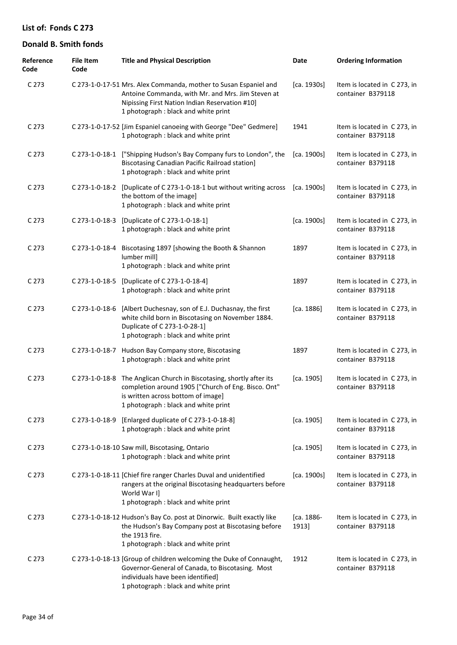| Reference<br>Code | <b>File Item</b><br>Code | <b>Title and Physical Description</b>                                                                                                                                                                           | Date                | <b>Ordering Information</b>                       |
|-------------------|--------------------------|-----------------------------------------------------------------------------------------------------------------------------------------------------------------------------------------------------------------|---------------------|---------------------------------------------------|
| C <sub>273</sub>  |                          | C 273-1-0-17-51 Mrs. Alex Commanda, mother to Susan Espaniel and<br>Antoine Commanda, with Mr. and Mrs. Jim Steven at<br>Nipissing First Nation Indian Reservation #10]<br>1 photograph : black and white print | [ca. 1930s]         | Item is located in C 273, in<br>container B379118 |
| C <sub>273</sub>  |                          | C 273-1-0-17-52 [Jim Espaniel canoeing with George "Dee" Gedmere]<br>1 photograph : black and white print                                                                                                       | 1941                | Item is located in C273, in<br>container B379118  |
| C <sub>273</sub>  |                          | C 273-1-0-18-1 ["Shipping Hudson's Bay Company furs to London", the<br><b>Biscotasing Canadian Pacific Railroad station]</b><br>1 photograph : black and white print                                            | [ca. 1900s]         | Item is located in C273, in<br>container B379118  |
| C <sub>273</sub>  |                          | C 273-1-0-18-2 [Duplicate of C 273-1-0-18-1 but without writing across<br>the bottom of the image]<br>1 photograph : black and white print                                                                      | [ca. 1900s]         | Item is located in C 273, in<br>container B379118 |
| C 273             | C 273-1-0-18-3           | [Duplicate of C 273-1-0-18-1]<br>1 photograph : black and white print                                                                                                                                           | [ca. 1900s]         | Item is located in C 273, in<br>container B379118 |
| C 273             | C 273-1-0-18-4           | Biscotasing 1897 [showing the Booth & Shannon<br>lumber mill]<br>1 photograph : black and white print                                                                                                           | 1897                | Item is located in C 273, in<br>container B379118 |
| C 273             | C 273-1-0-18-5           | [Duplicate of C 273-1-0-18-4]<br>1 photograph : black and white print                                                                                                                                           | 1897                | Item is located in C273, in<br>container B379118  |
| C <sub>273</sub>  | C 273-1-0-18-6           | [Albert Duchesnay, son of E.J. Duchasnay, the first<br>white child born in Biscotasing on November 1884.<br>Duplicate of C 273-1-0-28-1]<br>1 photograph : black and white print                                | [ca. 1886]          | Item is located in C273, in<br>container B379118  |
| C 273             | C 273-1-0-18-7           | Hudson Bay Company store, Biscotasing<br>1 photograph : black and white print                                                                                                                                   | 1897                | Item is located in C273, in<br>container B379118  |
| C 273             |                          | C 273-1-0-18-8 The Anglican Church in Biscotasing, shortly after its<br>completion around 1905 ["Church of Eng. Bisco. Ont"<br>is written across bottom of image]<br>1 photograph : black and white print       | [ca. 1905]          | Item is located in C273, in<br>container B379118  |
| C 273             |                          | C 273-1-0-18-9 [Enlarged duplicate of C 273-1-0-18-8]<br>1 photograph : black and white print                                                                                                                   | [ca. 1905]          | Item is located in C 273, in<br>container B379118 |
| C <sub>273</sub>  |                          | C 273-1-0-18-10 Saw mill, Biscotasing, Ontario<br>1 photograph : black and white print                                                                                                                          | [ca. 1905]          | Item is located in C 273, in<br>container B379118 |
| C <sub>273</sub>  |                          | C 273-1-0-18-11 [Chief fire ranger Charles Duval and unidentified<br>rangers at the original Biscotasing headquarters before<br>World War I]<br>1 photograph : black and white print                            | [ca. 1900s]         | Item is located in C 273, in<br>container B379118 |
| C <sub>273</sub>  |                          | C 273-1-0-18-12 Hudson's Bay Co. post at Dinorwic. Built exactly like<br>the Hudson's Bay Company post at Biscotasing before<br>the 1913 fire.<br>1 photograph : black and white print                          | [ca. 1886-<br>1913] | Item is located in C273, in<br>container B379118  |
| C <sub>273</sub>  |                          | C 273-1-0-18-13 [Group of children welcoming the Duke of Connaught,<br>Governor-General of Canada, to Biscotasing. Most<br>individuals have been identified]<br>1 photograph : black and white print            | 1912                | Item is located in C 273, in<br>container B379118 |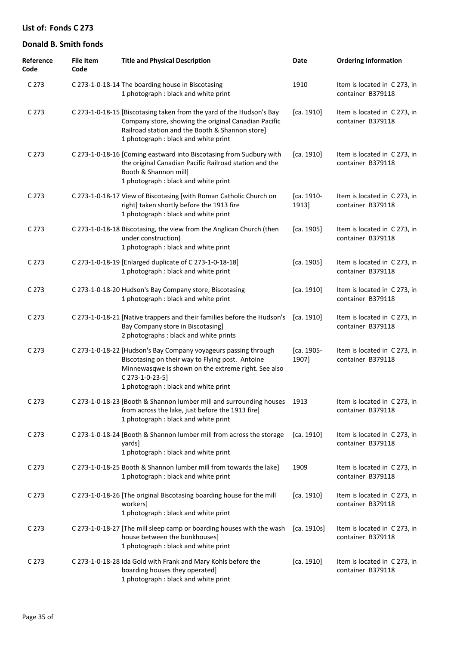| Reference<br>Code | <b>File Item</b><br>Code | <b>Title and Physical Description</b>                                                                                                                                                                                                 | Date                | <b>Ordering Information</b>                       |
|-------------------|--------------------------|---------------------------------------------------------------------------------------------------------------------------------------------------------------------------------------------------------------------------------------|---------------------|---------------------------------------------------|
| C 273             |                          | C 273-1-0-18-14 The boarding house in Biscotasing<br>1 photograph : black and white print                                                                                                                                             | 1910                | Item is located in C 273, in<br>container B379118 |
| C 273             |                          | C 273-1-0-18-15 [Biscotasing taken from the yard of the Hudson's Bay<br>Company store, showing the original Canadian Pacific<br>Railroad station and the Booth & Shannon store]<br>1 photograph : black and white print               | [ca. 1910]          | Item is located in C 273, in<br>container B379118 |
| C <sub>273</sub>  |                          | C 273-1-0-18-16 [Coming eastward into Biscotasing from Sudbury with<br>the original Canadian Pacific Railroad station and the<br>Booth & Shannon mill]<br>1 photograph : black and white print                                        | [ca. 1910]          | Item is located in C 273, in<br>container B379118 |
| C 273             |                          | C 273-1-0-18-17 View of Biscotasing [with Roman Catholic Church on<br>right] taken shortly before the 1913 fire<br>1 photograph : black and white print                                                                               | [ca. 1910-<br>1913] | Item is located in C 273, in<br>container B379118 |
| C <sub>273</sub>  |                          | C 273-1-0-18-18 Biscotasing, the view from the Anglican Church (then<br>under construction)<br>1 photograph : black and white print                                                                                                   | [ca. 1905]          | Item is located in C 273, in<br>container B379118 |
| C <sub>273</sub>  |                          | C 273-1-0-18-19 [Enlarged duplicate of C 273-1-0-18-18]<br>1 photograph : black and white print                                                                                                                                       | [ca. 1905]          | Item is located in C 273, in<br>container B379118 |
| C <sub>273</sub>  |                          | C 273-1-0-18-20 Hudson's Bay Company store, Biscotasing<br>1 photograph : black and white print                                                                                                                                       | [ca. 1910]          | Item is located in C 273, in<br>container B379118 |
| C 273             |                          | C 273-1-0-18-21 [Native trappers and their families before the Hudson's<br>Bay Company store in Biscotasing]<br>2 photographs : black and white prints                                                                                | [ca. 1910]          | Item is located in C 273, in<br>container B379118 |
| C <sub>273</sub>  |                          | C 273-1-0-18-22 [Hudson's Bay Company voyageurs passing through<br>Biscotasing on their way to Flying post. Antoine<br>Minnewasqwe is shown on the extreme right. See also<br>C 273-1-0-23-5]<br>1 photograph : black and white print | [ca. 1905-<br>1907] | Item is located in C 273, in<br>container B379118 |
| C <sub>273</sub>  |                          | C 273-1-0-18-23 [Booth & Shannon lumber mill and surrounding houses<br>from across the lake, just before the 1913 fire]<br>1 photograph : black and white print                                                                       | 1913                | Item is located in C273, in<br>container B379118  |
| C <sub>273</sub>  |                          | C 273-1-0-18-24 [Booth & Shannon lumber mill from across the storage<br>yards]<br>1 photograph : black and white print                                                                                                                | [ca. 1910]          | Item is located in C273, in<br>container B379118  |
| C 273             |                          | C 273-1-0-18-25 Booth & Shannon lumber mill from towards the lake]<br>1 photograph : black and white print                                                                                                                            | 1909                | Item is located in C 273, in<br>container B379118 |
| C <sub>273</sub>  |                          | C 273-1-0-18-26 [The original Biscotasing boarding house for the mill<br>workers]<br>1 photograph : black and white print                                                                                                             | [ca. 1910]          | Item is located in C 273, in<br>container B379118 |
| C <sub>273</sub>  |                          | C 273-1-0-18-27 [The mill sleep camp or boarding houses with the wash<br>house between the bunkhouses]<br>1 photograph : black and white print                                                                                        | [ca. 1910s]         | Item is located in C 273, in<br>container B379118 |
| C <sub>273</sub>  |                          | C 273-1-0-18-28 Ida Gold with Frank and Mary Kohls before the<br>boarding houses they operated]<br>1 photograph : black and white print                                                                                               | [ca. 1910]          | Item is located in C 273, in<br>container B379118 |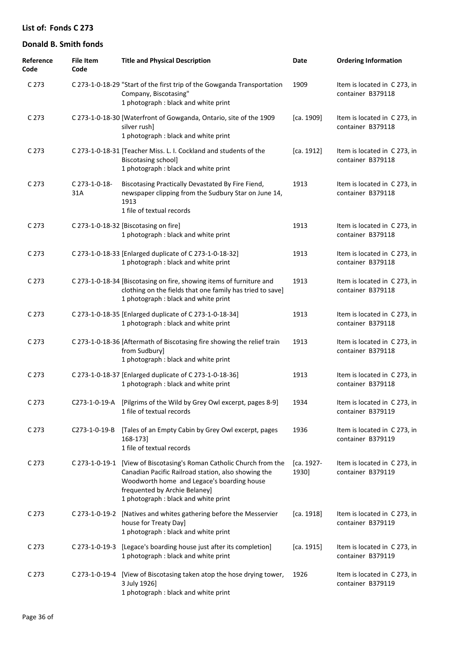| Reference<br>Code | <b>File Item</b><br>Code | <b>Title and Physical Description</b>                                                                                                                                                                                                              | Date                | <b>Ordering Information</b>                       |
|-------------------|--------------------------|----------------------------------------------------------------------------------------------------------------------------------------------------------------------------------------------------------------------------------------------------|---------------------|---------------------------------------------------|
| C <sub>273</sub>  |                          | C 273-1-0-18-29 "Start of the first trip of the Gowganda Transportation<br>Company, Biscotasing"<br>1 photograph : black and white print                                                                                                           | 1909                | Item is located in C 273, in<br>container B379118 |
| C <sub>273</sub>  |                          | C 273-1-0-18-30 [Waterfront of Gowganda, Ontario, site of the 1909<br>silver rush]<br>1 photograph : black and white print                                                                                                                         | [ca. 1909]          | Item is located in C273, in<br>container B379118  |
| C <sub>273</sub>  |                          | C 273-1-0-18-31 [Teacher Miss. L. I. Cockland and students of the<br><b>Biscotasing school]</b><br>1 photograph : black and white print                                                                                                            | [ca. 1912]          | Item is located in C273, in<br>container B379118  |
| C 273             | C 273-1-0-18-<br>31A     | Biscotasing Practically Devastated By Fire Fiend,<br>newspaper clipping from the Sudbury Star on June 14,<br>1913<br>1 file of textual records                                                                                                     | 1913                | Item is located in C 273, in<br>container B379118 |
| C <sub>273</sub>  |                          | C 273-1-0-18-32 [Biscotasing on fire]<br>1 photograph : black and white print                                                                                                                                                                      | 1913                | Item is located in C273, in<br>container B379118  |
| C <sub>273</sub>  |                          | C 273-1-0-18-33 [Enlarged duplicate of C 273-1-0-18-32]<br>1 photograph : black and white print                                                                                                                                                    | 1913                | Item is located in C273, in<br>container B379118  |
| C <sub>273</sub>  |                          | C 273-1-0-18-34 [Biscotasing on fire, showing items of furniture and<br>clothing on the fields that one family has tried to save]<br>1 photograph : black and white print                                                                          | 1913                | Item is located in C273, in<br>container B379118  |
| C 273             |                          | C 273-1-0-18-35 [Enlarged duplicate of C 273-1-0-18-34]<br>1 photograph : black and white print                                                                                                                                                    | 1913                | Item is located in C 273, in<br>container B379118 |
| C 273             |                          | C 273-1-0-18-36 [Aftermath of Biscotasing fire showing the relief train<br>from Sudbury]<br>1 photograph : black and white print                                                                                                                   | 1913                | Item is located in C 273, in<br>container B379118 |
| C <sub>273</sub>  |                          | C 273-1-0-18-37 [Enlarged duplicate of C 273-1-0-18-36]<br>1 photograph : black and white print                                                                                                                                                    | 1913                | Item is located in C 273, in<br>container B379118 |
| C 273             |                          | C273-1-0-19-A [Pilgrims of the Wild by Grey Owl excerpt, pages 8-9]<br>1 file of textual records                                                                                                                                                   | 1934                | Item is located in C 273, in<br>container B379119 |
| C <sub>273</sub>  | C273-1-0-19-B            | [Tales of an Empty Cabin by Grey Owl excerpt, pages<br>168-173]<br>1 file of textual records                                                                                                                                                       | 1936                | Item is located in C273, in<br>container B379119  |
| C <sub>273</sub>  |                          | C 273-1-0-19-1 [View of Biscotasing's Roman Catholic Church from the<br>Canadian Pacific Railroad station, also showing the<br>Woodworth home and Legace's boarding house<br>frequented by Archie Belaney]<br>1 photograph : black and white print | [ca. 1927-<br>1930] | Item is located in C273, in<br>container B379119  |
| C <sub>273</sub>  | C 273-1-0-19-2           | [Natives and whites gathering before the Messervier<br>house for Treaty Day]<br>1 photograph : black and white print                                                                                                                               | [ca. 1918]          | Item is located in C 273, in<br>container B379119 |
| C 273             | C 273-1-0-19-3           | [Legace's boarding house just after its completion]<br>1 photograph : black and white print                                                                                                                                                        | [ca. 1915]          | Item is located in C 273, in<br>container B379119 |
| C 273             |                          | C 273-1-0-19-4 [View of Biscotasing taken atop the hose drying tower,<br>3 July 1926]<br>1 photograph : black and white print                                                                                                                      | 1926                | Item is located in C 273, in<br>container B379119 |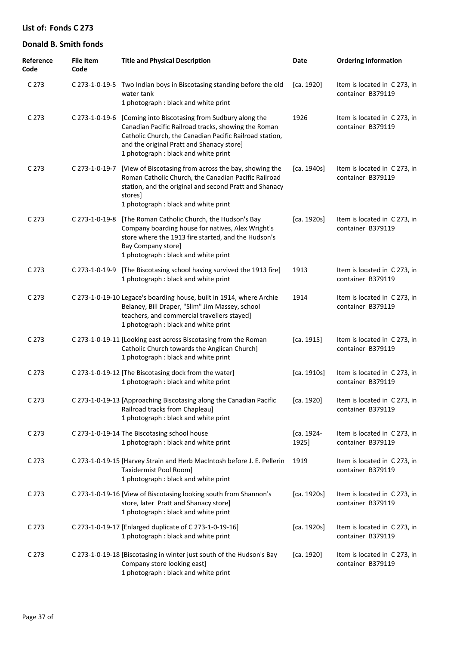| Reference<br>Code | <b>File Item</b><br>Code | <b>Title and Physical Description</b>                                                                                                                                                                                                                  | Date                | <b>Ordering Information</b>                       |
|-------------------|--------------------------|--------------------------------------------------------------------------------------------------------------------------------------------------------------------------------------------------------------------------------------------------------|---------------------|---------------------------------------------------|
| C 273             |                          | C 273-1-0-19-5 Two Indian boys in Biscotasing standing before the old<br>water tank<br>1 photograph : black and white print                                                                                                                            | [ca. 1920]          | Item is located in C 273, in<br>container B379119 |
| C 273             | C 273-1-0-19-6           | [Coming into Biscotasing from Sudbury along the<br>Canadian Pacific Railroad tracks, showing the Roman<br>Catholic Church, the Canadian Pacific Railroad station,<br>and the original Pratt and Shanacy store]<br>1 photograph : black and white print | 1926                | Item is located in C 273, in<br>container B379119 |
| C 273             | C 273-1-0-19-7           | [View of Biscotasing from across the bay, showing the<br>Roman Catholic Church, the Canadian Pacific Railroad<br>station, and the original and second Pratt and Shanacy<br>stores]<br>1 photograph : black and white print                             | [ca. 1940s]         | Item is located in C 273, in<br>container B379119 |
| C 273             | C 273-1-0-19-8           | [The Roman Catholic Church, the Hudson's Bay<br>Company boarding house for natives, Alex Wright's<br>store where the 1913 fire started, and the Hudson's<br>Bay Company store]<br>1 photograph : black and white print                                 | [ca. 1920s]         | Item is located in C 273, in<br>container B379119 |
| C 273             | C 273-1-0-19-9           | [The Biscotasing school having survived the 1913 fire]<br>1 photograph : black and white print                                                                                                                                                         | 1913                | Item is located in C 273, in<br>container B379119 |
| C <sub>273</sub>  |                          | C 273-1-0-19-10 Legace's boarding house, built in 1914, where Archie<br>Belaney, Bill Draper, "Slim" Jim Massey, school<br>teachers, and commercial travellers stayed]<br>1 photograph : black and white print                                         | 1914                | Item is located in C 273, in<br>container B379119 |
| C 273             |                          | C 273-1-0-19-11 [Looking east across Biscotasing from the Roman<br>Catholic Church towards the Anglican Church]<br>1 photograph : black and white print                                                                                                | [ca. 1915]          | Item is located in C 273, in<br>container B379119 |
| C 273             |                          | C 273-1-0-19-12 [The Biscotasing dock from the water]<br>1 photograph : black and white print                                                                                                                                                          | [ca. 1910s]         | Item is located in C 273, in<br>container B379119 |
| C <sub>273</sub>  |                          | C 273-1-0-19-13 [Approaching Biscotasing along the Canadian Pacific<br>Railroad tracks from Chapleau]<br>1 photograph : black and white print                                                                                                          | [ca. 1920]          | Item is located in C 273, in<br>container B379119 |
| C <sub>273</sub>  |                          | C 273-1-0-19-14 The Biscotasing school house<br>1 photograph : black and white print                                                                                                                                                                   | [ca. 1924-<br>1925] | Item is located in C 273, in<br>container B379119 |
| C <sub>273</sub>  |                          | C 273-1-0-19-15 [Harvey Strain and Herb MacIntosh before J. E. Pellerin<br>Taxidermist Pool Room]<br>1 photograph : black and white print                                                                                                              | 1919                | Item is located in C 273, in<br>container B379119 |
| C <sub>273</sub>  |                          | C 273-1-0-19-16 [View of Biscotasing looking south from Shannon's<br>store, later Pratt and Shanacy store]<br>1 photograph : black and white print                                                                                                     | [ca. 1920s]         | Item is located in C 273, in<br>container B379119 |
| C <sub>273</sub>  |                          | C 273-1-0-19-17 [Enlarged duplicate of C 273-1-0-19-16]<br>1 photograph : black and white print                                                                                                                                                        | [ca. 1920s]         | Item is located in C 273, in<br>container B379119 |
| C <sub>273</sub>  |                          | C 273-1-0-19-18 [Biscotasing in winter just south of the Hudson's Bay<br>Company store looking east]<br>1 photograph : black and white print                                                                                                           | [ca. 1920]          | Item is located in C 273, in<br>container B379119 |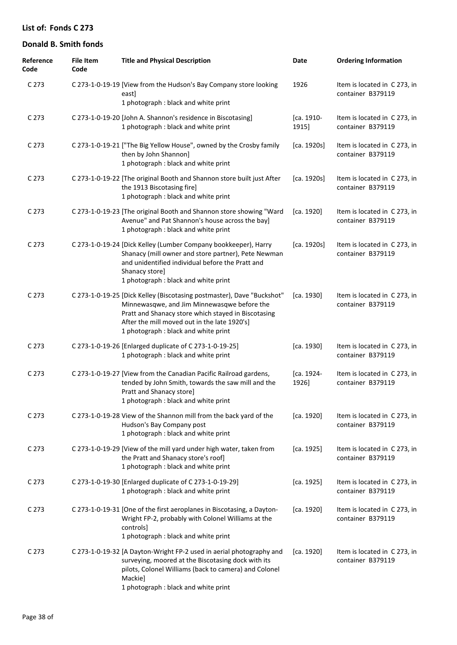| Reference<br>Code | <b>File Item</b><br>Code | <b>Title and Physical Description</b>                                                                                                                                                                                                                                | Date                | <b>Ordering Information</b>                       |
|-------------------|--------------------------|----------------------------------------------------------------------------------------------------------------------------------------------------------------------------------------------------------------------------------------------------------------------|---------------------|---------------------------------------------------|
| C 273             |                          | C 273-1-0-19-19 [View from the Hudson's Bay Company store looking<br>east]<br>1 photograph : black and white print                                                                                                                                                   | 1926                | Item is located in C 273, in<br>container B379119 |
| C <sub>273</sub>  |                          | C 273-1-0-19-20 [John A. Shannon's residence in Biscotasing]<br>1 photograph : black and white print                                                                                                                                                                 | [ca. 1910-<br>1915] | Item is located in C273, in<br>container B379119  |
| C <sub>273</sub>  |                          | C 273-1-0-19-21 ["The Big Yellow House", owned by the Crosby family<br>then by John Shannon]<br>1 photograph : black and white print                                                                                                                                 | [ca. 1920s]         | Item is located in C273, in<br>container B379119  |
| C <sub>273</sub>  |                          | C 273-1-0-19-22 [The original Booth and Shannon store built just After<br>the 1913 Biscotasing fire]<br>1 photograph : black and white print                                                                                                                         | [ca. 1920s]         | Item is located in C 273, in<br>container B379119 |
| C <sub>273</sub>  |                          | C 273-1-0-19-23 [The original Booth and Shannon store showing "Ward<br>Avenue" and Pat Shannon's house across the bay]<br>1 photograph : black and white print                                                                                                       | [ca. 1920]          | Item is located in C 273, in<br>container B379119 |
| C <sub>273</sub>  |                          | C 273-1-0-19-24 [Dick Kelley (Lumber Company bookkeeper), Harry<br>Shanacy (mill owner and store partner), Pete Newman<br>and unidentified individual before the Pratt and<br>Shanacy store]<br>1 photograph : black and white print                                 | [ca. 1920s]         | Item is located in C 273, in<br>container B379119 |
| C <sub>273</sub>  |                          | C 273-1-0-19-25 [Dick Kelley (Biscotasing postmaster), Dave "Buckshot"<br>Minnewasqwe, and Jim Minnewasqwe before the<br>Pratt and Shanacy store which stayed in Biscotasing<br>After the mill moved out in the late 1920's]<br>1 photograph : black and white print | [ca. 1930]          | Item is located in C 273, in<br>container B379119 |
| C <sub>273</sub>  |                          | C 273-1-0-19-26 [Enlarged duplicate of C 273-1-0-19-25]<br>1 photograph : black and white print                                                                                                                                                                      | [ca. 1930]          | Item is located in C 273, in<br>container B379119 |
| C <sub>273</sub>  |                          | C 273-1-0-19-27 [View from the Canadian Pacific Railroad gardens,<br>tended by John Smith, towards the saw mill and the<br>Pratt and Shanacy store]<br>1 photograph : black and white print                                                                          | [ca. 1924-<br>1926] | Item is located in C 273, in<br>container B379119 |
| C <sub>273</sub>  |                          | C 273-1-0-19-28 View of the Shannon mill from the back yard of the<br>Hudson's Bay Company post<br>1 photograph : black and white print                                                                                                                              | [ca. 1920]          | Item is located in C 273, in<br>container B379119 |
| C 273             |                          | C 273-1-0-19-29 [View of the mill yard under high water, taken from<br>the Pratt and Shanacy store's roof]<br>1 photograph : black and white print                                                                                                                   | [ca. 1925]          | Item is located in C273, in<br>container B379119  |
| C <sub>273</sub>  |                          | C 273-1-0-19-30 [Enlarged duplicate of C 273-1-0-19-29]<br>1 photograph : black and white print                                                                                                                                                                      | [ca. 1925]          | Item is located in C 273, in<br>container B379119 |
| C <sub>273</sub>  |                          | C 273-1-0-19-31 [One of the first aeroplanes in Biscotasing, a Dayton-<br>Wright FP-2, probably with Colonel Williams at the<br>controls]<br>1 photograph: black and white print                                                                                     | [ca. 1920]          | Item is located in C 273, in<br>container B379119 |
| C <sub>273</sub>  |                          | C 273-1-0-19-32 [A Dayton-Wright FP-2 used in aerial photography and<br>surveying, moored at the Biscotasing dock with its<br>pilots, Colonel Williams (back to camera) and Colonel<br>Mackie]<br>1 photograph : black and white print                               | [ca. 1920]          | Item is located in C 273, in<br>container B379119 |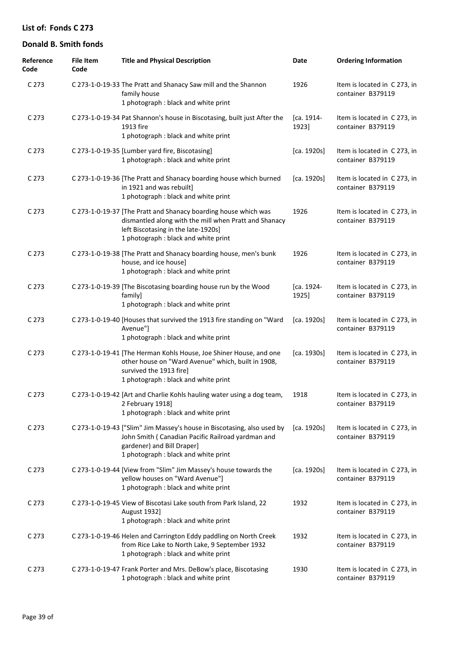| Reference<br>Code | <b>File Item</b><br>Code | <b>Title and Physical Description</b>                                                                                                                                                                   | <b>Date</b>         | <b>Ordering Information</b>                       |
|-------------------|--------------------------|---------------------------------------------------------------------------------------------------------------------------------------------------------------------------------------------------------|---------------------|---------------------------------------------------|
| C 273             |                          | C 273-1-0-19-33 The Pratt and Shanacy Saw mill and the Shannon<br>family house<br>1 photograph : black and white print                                                                                  | 1926                | Item is located in C273, in<br>container B379119  |
| C 273             |                          | C 273-1-0-19-34 Pat Shannon's house in Biscotasing, built just After the<br>1913 fire<br>1 photograph : black and white print                                                                           | [ca. 1914-<br>1923] | Item is located in C273, in<br>container B379119  |
| C 273             |                          | C 273-1-0-19-35 [Lumber yard fire, Biscotasing]<br>1 photograph : black and white print                                                                                                                 | [ca. 1920s]         | Item is located in C 273, in<br>container B379119 |
| C 273             |                          | C 273-1-0-19-36 [The Pratt and Shanacy boarding house which burned<br>in 1921 and was rebuilt]<br>1 photograph : black and white print                                                                  | [ca. 1920s]         | Item is located in C 273, in<br>container B379119 |
| C 273             |                          | C 273-1-0-19-37 [The Pratt and Shanacy boarding house which was<br>dismantled along with the mill when Pratt and Shanacy<br>left Biscotasing in the late-1920s]<br>1 photograph : black and white print | 1926                | Item is located in C273, in<br>container B379119  |
| C 273             |                          | C 273-1-0-19-38 [The Pratt and Shanacy boarding house, men's bunk<br>house, and ice house]<br>1 photograph : black and white print                                                                      | 1926                | Item is located in C 273, in<br>container B379119 |
| C 273             |                          | C 273-1-0-19-39 [The Biscotasing boarding house run by the Wood<br>family]<br>1 photograph : black and white print                                                                                      | [ca. 1924-<br>1925] | Item is located in C273, in<br>container B379119  |
| C 273             |                          | C 273-1-0-19-40 [Houses that survived the 1913 fire standing on "Ward<br>Avenue"]<br>1 photograph : black and white print                                                                               | [ca. 1920s]         | Item is located in C273, in<br>container B379119  |
| C 273             |                          | C 273-1-0-19-41 [The Herman Kohls House, Joe Shiner House, and one<br>other house on "Ward Avenue" which, built in 1908,<br>survived the 1913 fire]<br>1 photograph : black and white print             | [ca. 1930s]         | Item is located in C273, in<br>container B379119  |
| C <sub>273</sub>  |                          | C 273-1-0-19-42 [Art and Charlie Kohls hauling water using a dog team,<br>2 February 1918]<br>1 photograph : black and white print                                                                      | 1918                | Item is located in C 273, in<br>container B379119 |
| C 273             |                          | C 273-1-0-19-43 ["Slim" Jim Massey's house in Biscotasing, also used by<br>John Smith (Canadian Pacific Railroad yardman and<br>gardener) and Bill Draper]<br>1 photograph : black and white print      | [ca. 1920s]         | Item is located in C273, in<br>container B379119  |
| C 273             |                          | C 273-1-0-19-44 [View from "Slim" Jim Massey's house towards the<br>yellow houses on "Ward Avenue"]<br>1 photograph : black and white print                                                             | [ca. 1920s]         | Item is located in C273, in<br>container B379119  |
| C 273             |                          | C 273-1-0-19-45 View of Biscotasi Lake south from Park Island, 22<br>August 1932]<br>1 photograph : black and white print                                                                               | 1932                | Item is located in C273, in<br>container B379119  |
| C 273             |                          | C 273-1-0-19-46 Helen and Carrington Eddy paddling on North Creek<br>from Rice Lake to North Lake, 9 September 1932<br>1 photograph : black and white print                                             | 1932                | Item is located in C273, in<br>container B379119  |
| C 273             |                          | C 273-1-0-19-47 Frank Porter and Mrs. DeBow's place, Biscotasing<br>1 photograph : black and white print                                                                                                | 1930                | Item is located in C 273, in<br>container B379119 |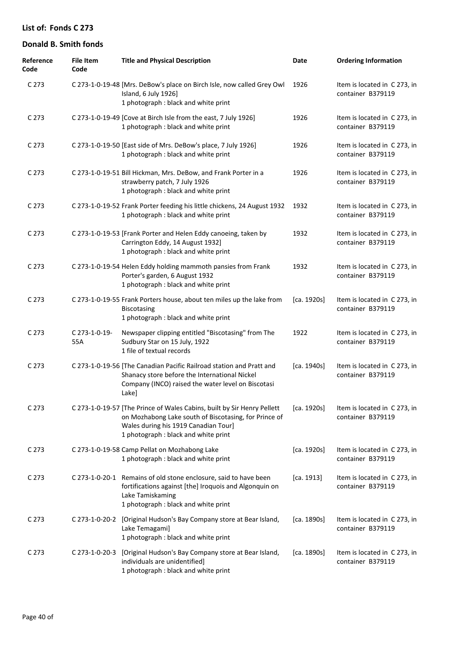| Reference<br>Code | <b>File Item</b><br>Code | <b>Title and Physical Description</b>                                                                                                                                                                            | Date        | <b>Ordering Information</b>                       |
|-------------------|--------------------------|------------------------------------------------------------------------------------------------------------------------------------------------------------------------------------------------------------------|-------------|---------------------------------------------------|
| C 273             |                          | C 273-1-0-19-48 [Mrs. DeBow's place on Birch Isle, now called Grey Owl<br>Island, 6 July 1926]<br>1 photograph : black and white print                                                                           | 1926        | Item is located in C 273, in<br>container B379119 |
| C 273             |                          | C 273-1-0-19-49 [Cove at Birch Isle from the east, 7 July 1926]<br>1 photograph : black and white print                                                                                                          | 1926        | Item is located in C 273, in<br>container B379119 |
| C 273             |                          | C 273-1-0-19-50 [East side of Mrs. DeBow's place, 7 July 1926]<br>1 photograph : black and white print                                                                                                           | 1926        | Item is located in C 273, in<br>container B379119 |
| C <sub>273</sub>  |                          | C 273-1-0-19-51 Bill Hickman, Mrs. DeBow, and Frank Porter in a<br>strawberry patch, 7 July 1926<br>1 photograph : black and white print                                                                         | 1926        | Item is located in C 273, in<br>container B379119 |
| C <sub>273</sub>  |                          | C 273-1-0-19-52 Frank Porter feeding his little chickens, 24 August 1932<br>1 photograph : black and white print                                                                                                 | 1932        | Item is located in C 273, in<br>container B379119 |
| C <sub>273</sub>  |                          | C 273-1-0-19-53 [Frank Porter and Helen Eddy canoeing, taken by<br>Carrington Eddy, 14 August 1932]<br>1 photograph : black and white print                                                                      | 1932        | Item is located in C 273, in<br>container B379119 |
| C <sub>273</sub>  |                          | C 273-1-0-19-54 Helen Eddy holding mammoth pansies from Frank<br>Porter's garden, 6 August 1932<br>1 photograph : black and white print                                                                          | 1932        | Item is located in C 273, in<br>container B379119 |
| C <sub>273</sub>  |                          | C 273-1-0-19-55 Frank Porters house, about ten miles up the lake from<br>Biscotasing<br>1 photograph : black and white print                                                                                     | [ca. 1920s] | Item is located in C 273, in<br>container B379119 |
| C <sub>273</sub>  | C 273-1-0-19-<br>55A     | Newspaper clipping entitled "Biscotasing" from The<br>Sudbury Star on 15 July, 1922<br>1 file of textual records                                                                                                 | 1922        | Item is located in C 273, in<br>container B379119 |
| C <sub>273</sub>  |                          | C 273-1-0-19-56 [The Canadian Pacific Railroad station and Pratt and<br>Shanacy store before the International Nickel<br>Company (INCO) raised the water level on Biscotasi<br>Lake]                             | [ca. 1940s] | Item is located in C 273, in<br>container B379119 |
| C <sub>273</sub>  |                          | C 273-1-0-19-57 [The Prince of Wales Cabins, built by Sir Henry Pellett<br>on Mozhabong Lake south of Biscotasing, for Prince of<br>Wales during his 1919 Canadian Tour]<br>1 photograph : black and white print | [ca. 1920s] | Item is located in C 273, in<br>container B379119 |
| C 273             |                          | C 273-1-0-19-58 Camp Pellat on Mozhabong Lake<br>1 photograph : black and white print                                                                                                                            | [ca. 1920s] | Item is located in C273, in<br>container B379119  |
| C 273             |                          | C 273-1-0-20-1 Remains of old stone enclosure, said to have been<br>fortifications against [the] Iroquois and Algonquin on<br>Lake Tamiskaming<br>1 photograph : black and white print                           | [ca. 1913]  | Item is located in C 273, in<br>container B379119 |
| C <sub>273</sub>  |                          | C 273-1-0-20-2 [Original Hudson's Bay Company store at Bear Island,<br>Lake Temagami]<br>1 photograph : black and white print                                                                                    | [ca. 1890s] | Item is located in C273, in<br>container B379119  |
| C <sub>273</sub>  | C 273-1-0-20-3           | [Original Hudson's Bay Company store at Bear Island,<br>individuals are unidentified]<br>1 photograph : black and white print                                                                                    | [ca. 1890s] | Item is located in C 273, in<br>container B379119 |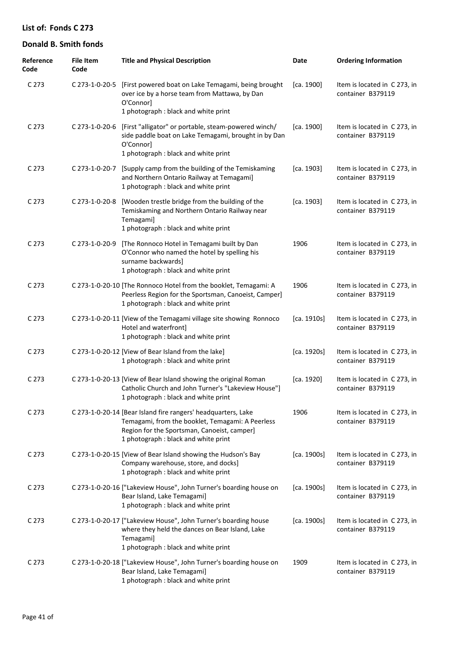| Reference<br>Code | <b>File Item</b><br>Code | <b>Title and Physical Description</b>                                                                                                                                                                    | Date        | <b>Ordering Information</b>                       |
|-------------------|--------------------------|----------------------------------------------------------------------------------------------------------------------------------------------------------------------------------------------------------|-------------|---------------------------------------------------|
| C 273             |                          | C 273-1-0-20-5 [First powered boat on Lake Temagami, being brought<br>over ice by a horse team from Mattawa, by Dan<br>O'Connor]<br>1 photograph : black and white print                                 | [ca. 1900]  | Item is located in C 273, in<br>container B379119 |
| C 273             | C 273-1-0-20-6           | [First "alligator" or portable, steam-powered winch/<br>side paddle boat on Lake Temagami, brought in by Dan<br>O'Connor]<br>1 photograph : black and white print                                        | [ca. 1900]  | Item is located in C 273, in<br>container B379119 |
| C <sub>273</sub>  | C 273-1-0-20-7           | [Supply camp from the building of the Temiskaming<br>and Northern Ontario Railway at Temagami]<br>1 photograph : black and white print                                                                   | [ca. 1903]  | Item is located in C 273, in<br>container B379119 |
| C <sub>273</sub>  | C 273-1-0-20-8           | [Wooden trestle bridge from the building of the<br>Temiskaming and Northern Ontario Railway near<br>Temagami]<br>1 photograph : black and white print                                                    | [ca. 1903]  | Item is located in C 273, in<br>container B379119 |
| C <sub>273</sub>  | C 273-1-0-20-9           | [The Ronnoco Hotel in Temagami built by Dan<br>O'Connor who named the hotel by spelling his<br>surname backwards]<br>1 photograph : black and white print                                                | 1906        | Item is located in C 273, in<br>container B379119 |
| C <sub>273</sub>  |                          | C 273-1-0-20-10 [The Ronnoco Hotel from the booklet, Temagami: A<br>Peerless Region for the Sportsman, Canoeist, Camper]<br>1 photograph : black and white print                                         | 1906        | Item is located in C 273, in<br>container B379119 |
| C <sub>273</sub>  |                          | C 273-1-0-20-11 [View of the Temagami village site showing Ronnoco<br>Hotel and waterfront]<br>1 photograph : black and white print                                                                      | [ca. 1910s] | Item is located in C 273, in<br>container B379119 |
| C <sub>273</sub>  |                          | C 273-1-0-20-12 [View of Bear Island from the lake]<br>1 photograph : black and white print                                                                                                              | [ca. 1920s] | Item is located in C 273, in<br>container B379119 |
| C 273             |                          | C 273-1-0-20-13 [View of Bear Island showing the original Roman<br>Catholic Church and John Turner's "Lakeview House"]<br>1 photograph : black and white print                                           | [ca. 1920]  | Item is located in C 273, in<br>container B379119 |
| C <sub>273</sub>  |                          | C 273-1-0-20-14 [Bear Island fire rangers' headquarters, Lake<br>Temagami, from the booklet, Temagami: A Peerless<br>Region for the Sportsman, Canoeist, camper]<br>1 photograph : black and white print | 1906        | Item is located in C 273, in<br>container B379119 |
| C <sub>273</sub>  |                          | C 273-1-0-20-15 [View of Bear Island showing the Hudson's Bay<br>Company warehouse, store, and docks]<br>1 photograph : black and white print                                                            | [ca. 1900s] | Item is located in C 273, in<br>container B379119 |
| C <sub>273</sub>  |                          | C 273-1-0-20-16 ["Lakeview House", John Turner's boarding house on<br>Bear Island, Lake Temagami]<br>1 photograph : black and white print                                                                | [ca. 1900s] | Item is located in C 273, in<br>container B379119 |
| C <sub>273</sub>  |                          | C 273-1-0-20-17 ["Lakeview House", John Turner's boarding house<br>where they held the dances on Bear Island, Lake<br>Temagami]<br>1 photograph : black and white print                                  | [ca. 1900s] | Item is located in C 273, in<br>container B379119 |
| C 273             |                          | C 273-1-0-20-18 ["Lakeview House", John Turner's boarding house on<br>Bear Island, Lake Temagami]<br>1 photograph : black and white print                                                                | 1909        | Item is located in C 273, in<br>container B379119 |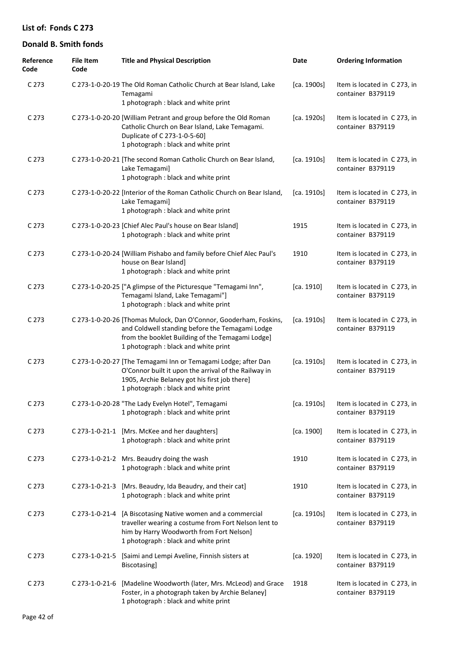| Reference<br>Code | <b>File Item</b><br>Code | <b>Title and Physical Description</b>                                                                                                                                                                            | Date        | <b>Ordering Information</b>                       |
|-------------------|--------------------------|------------------------------------------------------------------------------------------------------------------------------------------------------------------------------------------------------------------|-------------|---------------------------------------------------|
| C 273             |                          | C 273-1-0-20-19 The Old Roman Catholic Church at Bear Island, Lake<br>Temagami<br>1 photograph : black and white print                                                                                           | [ca. 1900s] | Item is located in C 273, in<br>container B379119 |
| C 273             |                          | C 273-1-0-20-20 [William Petrant and group before the Old Roman<br>Catholic Church on Bear Island, Lake Temagami.<br>Duplicate of C 273-1-0-5-60]<br>1 photograph : black and white print                        | [ca. 1920s] | Item is located in C 273, in<br>container B379119 |
| C 273             |                          | C 273-1-0-20-21 [The second Roman Catholic Church on Bear Island,<br>Lake Temagami]<br>1 photograph : black and white print                                                                                      | [ca. 1910s] | Item is located in C 273, in<br>container B379119 |
| C <sub>273</sub>  |                          | C 273-1-0-20-22 [Interior of the Roman Catholic Church on Bear Island,<br>Lake Temagami]<br>1 photograph : black and white print                                                                                 | [ca. 1910s] | Item is located in C 273, in<br>container B379119 |
| C <sub>273</sub>  |                          | C 273-1-0-20-23 [Chief Alec Paul's house on Bear Island]<br>1 photograph : black and white print                                                                                                                 | 1915        | Item is located in C 273, in<br>container B379119 |
| C <sub>273</sub>  |                          | C 273-1-0-20-24 [William Pishabo and family before Chief Alec Paul's<br>house on Bear Island]<br>1 photograph : black and white print                                                                            | 1910        | Item is located in C 273, in<br>container B379119 |
| C <sub>273</sub>  |                          | C 273-1-0-20-25 ["A glimpse of the Picturesque "Temagami Inn",<br>Temagami Island, Lake Temagami"]<br>1 photograph : black and white print                                                                       | [ca. 1910]  | Item is located in C 273, in<br>container B379119 |
| C <sub>273</sub>  |                          | C 273-1-0-20-26 [Thomas Mulock, Dan O'Connor, Gooderham, Foskins,<br>and Coldwell standing before the Temagami Lodge<br>from the booklet Building of the Temagami Lodge]<br>1 photograph : black and white print | [ca. 1910s] | Item is located in C 273, in<br>container B379119 |
| C <sub>273</sub>  |                          | C 273-1-0-20-27 [The Temagami Inn or Temagami Lodge; after Dan<br>O'Connor built it upon the arrival of the Railway in<br>1905, Archie Belaney got his first job there]<br>1 photograph : black and white print  | [ca. 1910s] | Item is located in C273, in<br>container B379119  |
| C 273             |                          | C 273-1-0-20-28 "The Lady Evelyn Hotel", Temagami<br>1 photograph : black and white print                                                                                                                        | [ca. 1910s] | Item is located in C 273, in<br>container B379119 |
| C <sub>273</sub>  |                          | C 273-1-0-21-1 [Mrs. McKee and her daughters]<br>1 photograph : black and white print                                                                                                                            | [ca. 1900]  | Item is located in C 273, in<br>container B379119 |
| C <sub>273</sub>  |                          | C 273-1-0-21-2 Mrs. Beaudry doing the wash<br>1 photograph : black and white print                                                                                                                               | 1910        | Item is located in C 273, in<br>container B379119 |
| C <sub>273</sub>  | C 273-1-0-21-3           | [Mrs. Beaudry, Ida Beaudry, and their cat]<br>1 photograph : black and white print                                                                                                                               | 1910        | Item is located in C 273, in<br>container B379119 |
| C <sub>273</sub>  | C 273-1-0-21-4           | [A Biscotasing Native women and a commercial<br>traveller wearing a costume from Fort Nelson lent to<br>him by Harry Woodworth from Fort Nelson]<br>1 photograph : black and white print                         | [ca. 1910s] | Item is located in C 273, in<br>container B379119 |
| C <sub>273</sub>  | $C$ 273-1-0-21-5         | [Saimi and Lempi Aveline, Finnish sisters at<br>Biscotasing]                                                                                                                                                     | [ca. 1920]  | Item is located in C 273, in<br>container B379119 |
| C <sub>273</sub>  | C 273-1-0-21-6           | [Madeline Woodworth (later, Mrs. McLeod) and Grace<br>Foster, in a photograph taken by Archie Belaney]<br>1 photograph : black and white print                                                                   | 1918        | Item is located in C 273, in<br>container B379119 |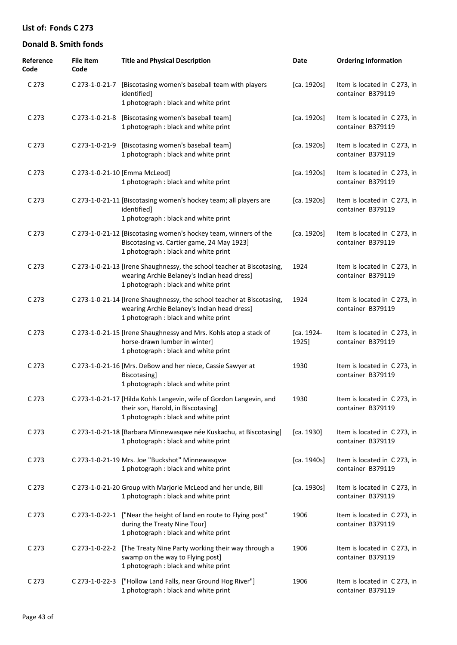| Reference<br>Code | <b>File Item</b><br>Code | <b>Title and Physical Description</b>                                                                                                                         | Date                | <b>Ordering Information</b>                       |
|-------------------|--------------------------|---------------------------------------------------------------------------------------------------------------------------------------------------------------|---------------------|---------------------------------------------------|
| C 273             | C 273-1-0-21-7           | [Biscotasing women's baseball team with players<br>identified]<br>1 photograph : black and white print                                                        | [ca. 1920s]         | Item is located in C 273, in<br>container B379119 |
| C <sub>273</sub>  |                          | C 273-1-0-21-8 [Biscotasing women's baseball team]<br>1 photograph : black and white print                                                                    | [ca. 1920s]         | Item is located in C 273, in<br>container B379119 |
| C <sub>273</sub>  | C 273-1-0-21-9           | [Biscotasing women's baseball team]<br>1 photograph : black and white print                                                                                   | [ca. 1920s]         | Item is located in C273, in<br>container B379119  |
| C <sub>273</sub>  |                          | C 273-1-0-21-10 [Emma McLeod]<br>1 photograph : black and white print                                                                                         | [ca. 1920s]         | Item is located in C 273, in<br>container B379119 |
| C <sub>273</sub>  |                          | C 273-1-0-21-11 [Biscotasing women's hockey team; all players are<br>identified]<br>1 photograph : black and white print                                      | [ca. 1920s]         | Item is located in C 273, in<br>container B379119 |
| C 273             |                          | C 273-1-0-21-12 [Biscotasing women's hockey team, winners of the<br>Biscotasing vs. Cartier game, 24 May 1923]<br>1 photograph : black and white print        | [ca. 1920s]         | Item is located in C 273, in<br>container B379119 |
| C 273             |                          | C 273-1-0-21-13 [Irene Shaughnessy, the school teacher at Biscotasing,<br>wearing Archie Belaney's Indian head dress]<br>1 photograph : black and white print | 1924                | Item is located in C 273, in<br>container B379119 |
| C 273             |                          | C 273-1-0-21-14 [Irene Shaughnessy, the school teacher at Biscotasing,<br>wearing Archie Belaney's Indian head dress]<br>1 photograph : black and white print | 1924                | Item is located in C 273, in<br>container B379119 |
| C 273             |                          | C 273-1-0-21-15 [Irene Shaughnessy and Mrs. Kohls atop a stack of<br>horse-drawn lumber in winter]<br>1 photograph : black and white print                    | [ca. 1924-<br>1925] | Item is located in C 273, in<br>container B379119 |
| C 273             |                          | C 273-1-0-21-16 [Mrs. DeBow and her niece, Cassie Sawyer at<br>Biscotasing]<br>1 photograph : black and white print                                           | 1930                | Item is located in C 273, in<br>container B379119 |
| C 273             |                          | C 273-1-0-21-17 [Hilda Kohls Langevin, wife of Gordon Langevin, and<br>their son, Harold, in Biscotasing]<br>1 photograph : black and white print             | 1930                | Item is located in C 273, in<br>container B379119 |
| C <sub>273</sub>  |                          | C 273-1-0-21-18 [Barbara Minnewasqwe née Kuskachu, at Biscotasing]<br>1 photograph : black and white print                                                    | [ca. 1930]          | Item is located in C 273, in<br>container B379119 |
| C 273             |                          | C 273-1-0-21-19 Mrs. Joe "Buckshot" Minnewasqwe<br>1 photograph : black and white print                                                                       | [ca. 1940s]         | Item is located in C 273, in<br>container B379119 |
| C 273             |                          | C 273-1-0-21-20 Group with Marjorie McLeod and her uncle, Bill<br>1 photograph : black and white print                                                        | [ca. 1930s]         | Item is located in C 273, in<br>container B379119 |
| C 273             |                          | C 273-1-0-22-1 ["Near the height of land en route to Flying post"<br>during the Treaty Nine Tour]<br>1 photograph : black and white print                     | 1906                | Item is located in C273, in<br>container B379119  |
| C 273             | C 273-1-0-22-2           | [The Treaty Nine Party working their way through a<br>swamp on the way to Flying post]<br>1 photograph : black and white print                                | 1906                | Item is located in C 273, in<br>container B379119 |
| C 273             | C 273-1-0-22-3           | ["Hollow Land Falls, near Ground Hog River"]<br>1 photograph : black and white print                                                                          | 1906                | Item is located in C 273, in<br>container B379119 |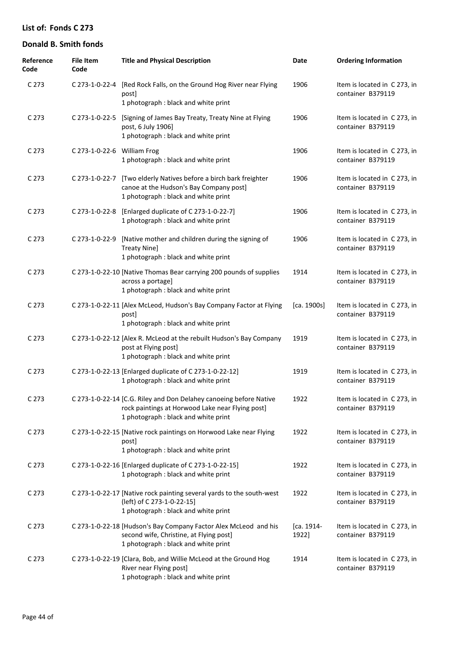| Reference<br>Code | <b>File Item</b><br>Code    | <b>Title and Physical Description</b>                                                                                                                          | Date                | <b>Ordering Information</b>                       |
|-------------------|-----------------------------|----------------------------------------------------------------------------------------------------------------------------------------------------------------|---------------------|---------------------------------------------------|
| C 273             | C 273-1-0-22-4              | [Red Rock Falls, on the Ground Hog River near Flying<br>post]<br>1 photograph : black and white print                                                          | 1906                | Item is located in C 273, in<br>container B379119 |
| C 273             | C 273-1-0-22-5              | [Signing of James Bay Treaty, Treaty Nine at Flying<br>post, 6 July 1906]<br>1 photograph : black and white print                                              | 1906                | Item is located in C 273, in<br>container B379119 |
| C 273             | C 273-1-0-22-6 William Frog | 1 photograph : black and white print                                                                                                                           | 1906                | Item is located in C273, in<br>container B379119  |
| C 273             | C 273-1-0-22-7              | [Two elderly Natives before a birch bark freighter<br>canoe at the Hudson's Bay Company post]<br>1 photograph : black and white print                          | 1906                | Item is located in C273, in<br>container B379119  |
| C 273             |                             | C 273-1-0-22-8 [Enlarged duplicate of C 273-1-0-22-7]<br>1 photograph : black and white print                                                                  | 1906                | Item is located in C 273, in<br>container B379119 |
| C 273             | C 273-1-0-22-9              | [Native mother and children during the signing of<br>Treaty Nine]<br>1 photograph : black and white print                                                      | 1906                | Item is located in C273, in<br>container B379119  |
| C 273             |                             | C 273-1-0-22-10 [Native Thomas Bear carrying 200 pounds of supplies<br>across a portage]<br>1 photograph : black and white print                               | 1914                | Item is located in C 273, in<br>container B379119 |
| C 273             |                             | C 273-1-0-22-11 [Alex McLeod, Hudson's Bay Company Factor at Flying<br>postl<br>1 photograph : black and white print                                           | [ca. 1900s]         | Item is located in C 273, in<br>container B379119 |
| C 273             |                             | C 273-1-0-22-12 [Alex R. McLeod at the rebuilt Hudson's Bay Company<br>post at Flying post]<br>1 photograph : black and white print                            | 1919                | Item is located in C 273, in<br>container B379119 |
| C 273             |                             | C 273-1-0-22-13 [Enlarged duplicate of C 273-1-0-22-12]<br>1 photograph : black and white print                                                                | 1919                | Item is located in C273, in<br>container B379119  |
| C 273             |                             | C 273-1-0-22-14 [C.G. Riley and Don Delahey canoeing before Native<br>rock paintings at Horwood Lake near Flying post]<br>1 photograph : black and white print | 1922                | Item is located in C 273, in<br>container B379119 |
| C 273             |                             | C 273-1-0-22-15 [Native rock paintings on Horwood Lake near Flying<br>post]<br>1 photograph : black and white print                                            | 1922                | Item is located in C 273, in<br>container B379119 |
| C 273             |                             | C 273-1-0-22-16 [Enlarged duplicate of C 273-1-0-22-15]<br>1 photograph : black and white print                                                                | 1922                | Item is located in C 273, in<br>container B379119 |
| C 273             |                             | C 273-1-0-22-17 [Native rock painting several yards to the south-west<br>(left) of C 273-1-0-22-15]<br>1 photograph : black and white print                    | 1922                | Item is located in C 273, in<br>container B379119 |
| C 273             |                             | C 273-1-0-22-18 [Hudson's Bay Company Factor Alex McLeod and his<br>second wife, Christine, at Flying post]<br>1 photograph : black and white print            | [ca. 1914-<br>1922] | Item is located in C273, in<br>container B379119  |
| C 273             |                             | C 273-1-0-22-19 [Clara, Bob, and Willie McLeod at the Ground Hog<br>River near Flying post]<br>1 photograph : black and white print                            | 1914                | Item is located in C273, in<br>container B379119  |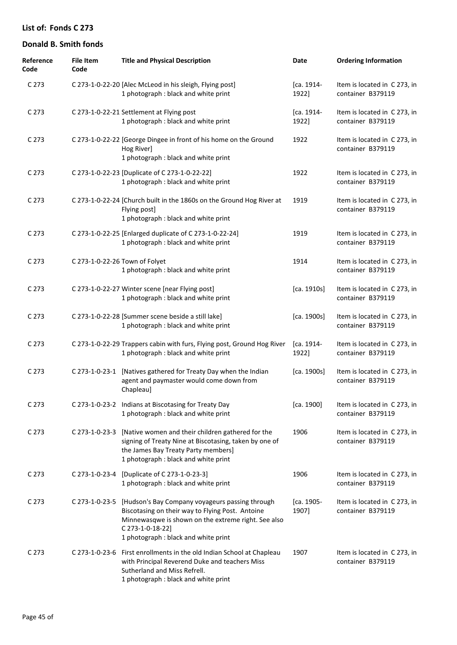| Reference<br>Code | <b>File Item</b><br>Code | <b>Title and Physical Description</b>                                                                                                                                                                                                 | Date                | <b>Ordering Information</b>                       |
|-------------------|--------------------------|---------------------------------------------------------------------------------------------------------------------------------------------------------------------------------------------------------------------------------------|---------------------|---------------------------------------------------|
| C 273             |                          | C 273-1-0-22-20 [Alec McLeod in his sleigh, Flying post]<br>1 photograph : black and white print                                                                                                                                      | [ca. 1914-<br>1922] | Item is located in C273, in<br>container B379119  |
| C 273             |                          | C 273-1-0-22-21 Settlement at Flying post<br>1 photograph : black and white print                                                                                                                                                     | [ca. 1914-<br>1922] | Item is located in C273, in<br>container B379119  |
| C 273             |                          | C 273-1-0-22-22 [George Dingee in front of his home on the Ground<br>Hog River]<br>1 photograph : black and white print                                                                                                               | 1922                | Item is located in C273, in<br>container B379119  |
| C 273             |                          | C 273-1-0-22-23 [Duplicate of C 273-1-0-22-22]<br>1 photograph : black and white print                                                                                                                                                | 1922                | Item is located in C273, in<br>container B379119  |
| C 273             |                          | C 273-1-0-22-24 [Church built in the 1860s on the Ground Hog River at<br>Flying post]<br>1 photograph : black and white print                                                                                                         | 1919                | Item is located in C273, in<br>container B379119  |
| C 273             |                          | C 273-1-0-22-25 [Enlarged duplicate of C 273-1-0-22-24]<br>1 photograph : black and white print                                                                                                                                       | 1919                | Item is located in C 273, in<br>container B379119 |
| C 273             |                          | C 273-1-0-22-26 Town of Folyet<br>1 photograph : black and white print                                                                                                                                                                | 1914                | Item is located in C 273, in<br>container B379119 |
| C 273             |                          | C 273-1-0-22-27 Winter scene [near Flying post]<br>1 photograph : black and white print                                                                                                                                               | [ca. 1910s]         | Item is located in C 273, in<br>container B379119 |
| C 273             |                          | C 273-1-0-22-28 [Summer scene beside a still lake]<br>1 photograph : black and white print                                                                                                                                            | [ca. 1900s]         | Item is located in C 273, in<br>container B379119 |
| C 273             |                          | C 273-1-0-22-29 Trappers cabin with furs, Flying post, Ground Hog River<br>1 photograph : black and white print                                                                                                                       | [ca. 1914-<br>1922] | Item is located in C 273, in<br>container B379119 |
| C 273             | C 273-1-0-23-1           | [Natives gathered for Treaty Day when the Indian<br>agent and paymaster would come down from<br>Chapleau]                                                                                                                             | [ca. 1900s]         | Item is located in C 273, in<br>container B379119 |
| C 273             |                          | C 273-1-0-23-2 Indians at Biscotasing for Treaty Day<br>1 photograph : black and white print                                                                                                                                          | [ca. 1900]          | Item is located in C273, in<br>container B379119  |
| C 273             | C 273-1-0-23-3           | [Native women and their children gathered for the<br>signing of Treaty Nine at Biscotasing, taken by one of<br>the James Bay Treaty Party members]<br>1 photograph : black and white print                                            | 1906                | Item is located in C273, in<br>container B379119  |
| C <sub>273</sub>  |                          | C 273-1-0-23-4 [Duplicate of C 273-1-0-23-3]<br>1 photograph : black and white print                                                                                                                                                  | 1906                | Item is located in C 273, in<br>container B379119 |
| C 273             |                          | C 273-1-0-23-5 [Hudson's Bay Company voyageurs passing through<br>Biscotasing on their way to Flying Post. Antoine<br>Minnewasqwe is shown on the extreme right. See also<br>C 273-1-0-18-22]<br>1 photograph : black and white print | [ca. 1905-<br>1907] | Item is located in C 273, in<br>container B379119 |
| C 273             | C 273-1-0-23-6           | First enrollments in the old Indian School at Chapleau<br>with Principal Reverend Duke and teachers Miss<br>Sutherland and Miss Refrell.<br>1 photograph : black and white print                                                      | 1907                | Item is located in C 273, in<br>container B379119 |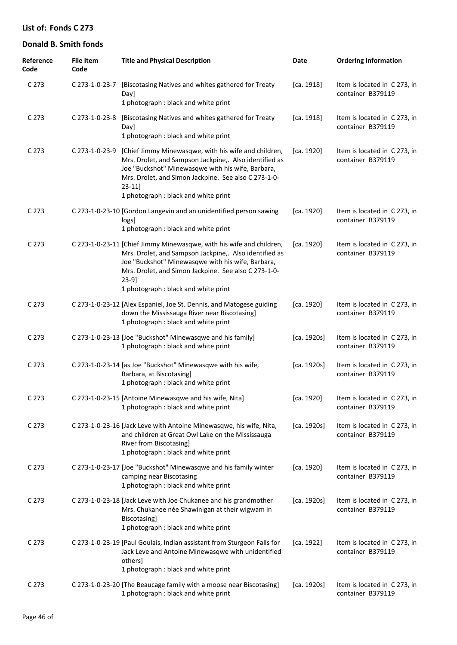| Reference<br>Code | <b>File Item</b><br>Code | <b>Title and Physical Description</b>                                                                                                                                                                                                                                                         | Date        | <b>Ordering Information</b>                       |
|-------------------|--------------------------|-----------------------------------------------------------------------------------------------------------------------------------------------------------------------------------------------------------------------------------------------------------------------------------------------|-------------|---------------------------------------------------|
| C 273             |                          | C 273-1-0-23-7 [Biscotasing Natives and whites gathered for Treaty<br>Day]<br>1 photograph : black and white print                                                                                                                                                                            | [ca. 1918]  | Item is located in C 273, in<br>container B379119 |
| C 273             | C 273-1-0-23-8           | [Biscotasing Natives and whites gathered for Treaty<br>Day]<br>1 photograph: black and white print                                                                                                                                                                                            | [ca. 1918]  | Item is located in C 273, in<br>container B379119 |
| C 273             | C 273-1-0-23-9           | [Chief Jimmy Minewasqwe, with his wife and children,<br>Mrs. Drolet, and Sampson Jackpine,. Also identified as<br>Joe "Buckshot" Minewasqwe with his wife, Barbara,<br>Mrs. Drolet, and Simon Jackpine. See also C 273-1-0-<br>$23-11$<br>1 photograph : black and white print                | [ca. 1920]  | Item is located in C 273, in<br>container B379119 |
| C <sub>273</sub>  |                          | C 273-1-0-23-10 [Gordon Langevin and an unidentified person sawing<br>logs]<br>1 photograph : black and white print                                                                                                                                                                           | [ca. 1920]  | Item is located in C 273, in<br>container B379119 |
| C 273             |                          | C 273-1-0-23-11 [Chief Jimmy Minewasqwe, with his wife and children,<br>Mrs. Drolet, and Sampson Jackpine,. Also identified as<br>Joe "Buckshot" Minewasqwe with his wife, Barbara,<br>Mrs. Drolet, and Simon Jackpine. See also C 273-1-0-<br>$23-9$<br>1 photograph : black and white print | [ca. 1920]  | Item is located in C 273, in<br>container B379119 |
| C 273             |                          | C 273-1-0-23-12 [Alex Espaniel, Joe St. Dennis, and Matogese guiding<br>down the Mississauga River near Biscotasing]<br>1 photograph : black and white print                                                                                                                                  | [ca. 1920]  | Item is located in C 273, in<br>container B379119 |
| C 273             |                          | C 273-1-0-23-13 [Joe "Buckshot" Minewasqwe and his family]<br>1 photograph : black and white print                                                                                                                                                                                            | [ca. 1920s] | Item is located in C 273, in<br>container B379119 |
| C 273             |                          | C 273-1-0-23-14 [as Joe "Buckshot" Minewasqwe with his wife,<br>Barbara, at Biscotasing]<br>1 photograph : black and white print                                                                                                                                                              | [ca. 1920s] | Item is located in C 273, in<br>container B379119 |
| C 273             |                          | C 273-1-0-23-15 [Antoine Minewasqwe and his wife, Nita]<br>1 photograph : black and white print                                                                                                                                                                                               | [ca. 1920]  | Item is located in C273, in<br>container B379119  |
| C 273             |                          | C 273-1-0-23-16 [Jack Leve with Antoine Minewasqwe, his wife, Nita,<br>and children at Great Owl Lake on the Mississauga<br>River from Biscotasing]<br>1 photograph : black and white print                                                                                                   | [ca. 1920s] | Item is located in C 273, in<br>container B379119 |
| C 273             |                          | C 273-1-0-23-17 [Joe "Buckshot" Minewasqwe and his family winter<br>camping near Biscotasing<br>1 photograph : black and white print                                                                                                                                                          | [ca. 1920]  | Item is located in C 273, in<br>container B379119 |
| C 273             |                          | C 273-1-0-23-18 [Jack Leve with Joe Chukanee and his grandmother<br>Mrs. Chukanee née Shawinigan at their wigwam in<br><b>Biscotasing</b><br>1 photograph : black and white print                                                                                                             | [ca. 1920s] | Item is located in C 273, in<br>container B379119 |
| C 273             |                          | C 273-1-0-23-19 [Paul Goulais, Indian assistant from Sturgeon Falls for<br>Jack Leve and Antoine Minewasqwe with unidentified<br>others]<br>1 photograph : black and white print                                                                                                              | [ca. 1922]  | Item is located in C 273, in<br>container B379119 |
| C 273             |                          | C 273-1-0-23-20 [The Beaucage family with a moose near Biscotasing]<br>1 photograph : black and white print                                                                                                                                                                                   | [ca. 1920s] | Item is located in C 273, in<br>container B379119 |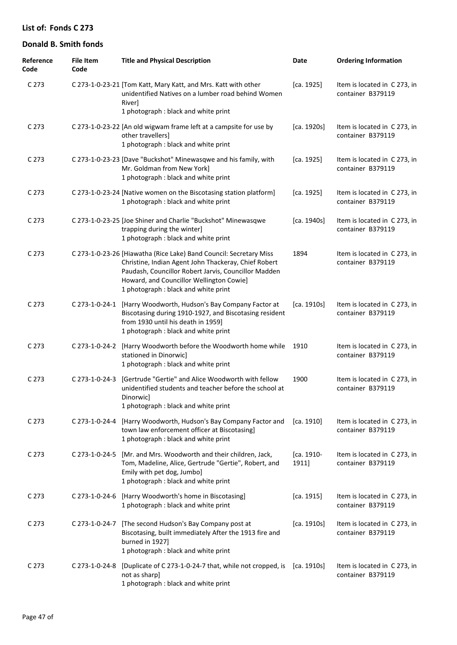| Reference<br>Code | <b>File Item</b><br>Code | <b>Title and Physical Description</b>                                                                                                                                                                                                                                  | Date                | <b>Ordering Information</b>                       |
|-------------------|--------------------------|------------------------------------------------------------------------------------------------------------------------------------------------------------------------------------------------------------------------------------------------------------------------|---------------------|---------------------------------------------------|
| C 273             |                          | C 273-1-0-23-21 [Tom Katt, Mary Katt, and Mrs. Katt with other<br>unidentified Natives on a lumber road behind Women<br>River]<br>1 photograph : black and white print                                                                                                 | [ca. 1925]          | Item is located in C 273, in<br>container B379119 |
| C 273             |                          | C 273-1-0-23-22 [An old wigwam frame left at a campsite for use by<br>other travellers]<br>1 photograph : black and white print                                                                                                                                        | [ca. 1920s]         | Item is located in C273, in<br>container B379119  |
| C 273             |                          | C 273-1-0-23-23 [Dave "Buckshot" Minewasqwe and his family, with<br>Mr. Goldman from New York]<br>1 photograph : black and white print                                                                                                                                 | [ca. 1925]          | Item is located in C 273, in<br>container B379119 |
| C 273             |                          | C 273-1-0-23-24 [Native women on the Biscotasing station platform]<br>1 photograph : black and white print                                                                                                                                                             | [ca. 1925]          | Item is located in C 273, in<br>container B379119 |
| C 273             |                          | C 273-1-0-23-25 [Joe Shiner and Charlie "Buckshot" Minewasqwe<br>trapping during the winter]<br>1 photograph : black and white print                                                                                                                                   | [ca. 1940s]         | Item is located in C 273, in<br>container B379119 |
| C 273             |                          | C 273-1-0-23-26 [Hiawatha (Rice Lake) Band Council: Secretary Miss<br>Christine, Indian Agent John Thackeray, Chief Robert<br>Paudash, Councillor Robert Jarvis, Councillor Madden<br>Howard, and Councillor Wellington Cowie]<br>1 photograph : black and white print | 1894                | Item is located in C273, in<br>container B379119  |
| C 273             | C 273-1-0-24-1           | [Harry Woodworth, Hudson's Bay Company Factor at<br>Biscotasing during 1910-1927, and Biscotasing resident<br>from 1930 until his death in 1959]<br>1 photograph : black and white print                                                                               | [ca. 1910s]         | Item is located in C 273, in<br>container B379119 |
| C 273             | C 273-1-0-24-2           | [Harry Woodworth before the Woodworth home while<br>stationed in Dinorwicl<br>1 photograph : black and white print                                                                                                                                                     | 1910                | Item is located in C 273, in<br>container B379119 |
| C 273             | C 273-1-0-24-3           | [Gertrude "Gertie" and Alice Woodworth with fellow<br>unidentified students and teacher before the school at<br>Dinorwicl<br>1 photograph: black and white print                                                                                                       | 1900                | Item is located in C 273, in<br>container B379119 |
| C 273             |                          | C 273-1-0-24-4 [Harry Woodworth, Hudson's Bay Company Factor and<br>town law enforcement officer at Biscotasing]<br>1 photograph : black and white print                                                                                                               | [ca. 1910]          | Item is located in C 273, in<br>container B379119 |
| C 273             | $C$ 273-1-0-24-5         | [Mr. and Mrs. Woodworth and their children, Jack,<br>Tom, Madeline, Alice, Gertrude "Gertie", Robert, and<br>Emily with pet dog, Jumbo]<br>1 photograph : black and white print                                                                                        | [ca. 1910-<br>1911] | Item is located in C273, in<br>container B379119  |
| C 273             | C 273-1-0-24-6           | [Harry Woodworth's home in Biscotasing]<br>1 photograph : black and white print                                                                                                                                                                                        | [ca. 1915]          | Item is located in C 273, in<br>container B379119 |
| C 273             | C 273-1-0-24-7           | [The second Hudson's Bay Company post at<br>Biscotasing, built immediately After the 1913 fire and<br>burned in 1927]<br>1 photograph : black and white print                                                                                                          | [ca. 1910s]         | Item is located in C 273, in<br>container B379119 |
| C 273             | C 273-1-0-24-8           | [Duplicate of C 273-1-0-24-7 that, while not cropped, is<br>not as sharp]<br>1 photograph : black and white print                                                                                                                                                      | [ca. 1910s]         | Item is located in C 273, in<br>container B379119 |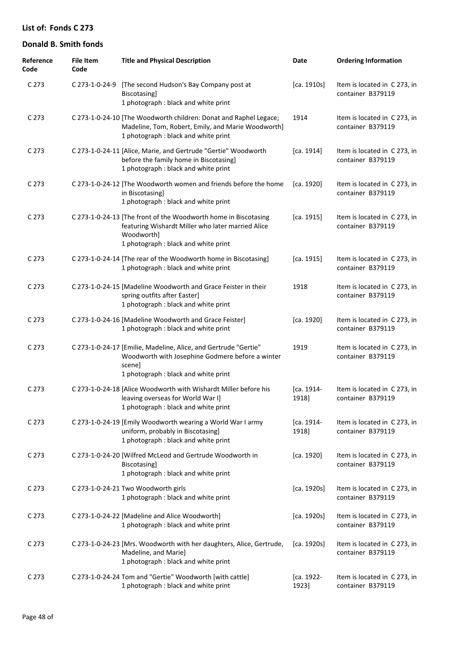| Reference<br>Code | <b>File Item</b><br>Code | <b>Title and Physical Description</b>                                                                                                                                      | Date                | <b>Ordering Information</b>                       |
|-------------------|--------------------------|----------------------------------------------------------------------------------------------------------------------------------------------------------------------------|---------------------|---------------------------------------------------|
| C 273             | C 273-1-0-24-9           | [The second Hudson's Bay Company post at<br>Biscotasing]<br>1 photograph : black and white print                                                                           | [ca. 1910s]         | Item is located in C 273, in<br>container B379119 |
| C 273             |                          | C 273-1-0-24-10 [The Woodworth children: Donat and Raphel Legace;<br>Madeline, Tom, Robert, Emily, and Marie Woodworth]<br>1 photograph : black and white print            | 1914                | Item is located in C 273, in<br>container B379119 |
| C 273             |                          | C 273-1-0-24-11 [Alice, Marie, and Gertrude "Gertie" Woodworth<br>before the family home in Biscotasing]<br>1 photograph : black and white print                           | [ca. 1914]          | Item is located in C 273, in<br>container B379119 |
| C 273             |                          | C 273-1-0-24-12 [The Woodworth women and friends before the home<br>in Biscotasing]<br>1 photograph : black and white print                                                | [ca. 1920]          | Item is located in C 273, in<br>container B379119 |
| C <sub>273</sub>  |                          | C 273-1-0-24-13 [The front of the Woodworth home in Biscotasing<br>featuring Wishardt Miller who later married Alice<br>Woodworth]<br>1 photograph : black and white print | [ca. 1915]          | Item is located in C 273, in<br>container B379119 |
| C 273             |                          | C 273-1-0-24-14 [The rear of the Woodworth home in Biscotasing]<br>1 photograph : black and white print                                                                    | [ca. 1915]          | Item is located in C 273, in<br>container B379119 |
| C 273             |                          | C 273-1-0-24-15 [Madeline Woodworth and Grace Feister in their<br>spring outfits after Easter]<br>1 photograph : black and white print                                     | 1918                | Item is located in C 273, in<br>container B379119 |
| C 273             |                          | C 273-1-0-24-16 [Madeline Woodworth and Grace Feister]<br>1 photograph : black and white print                                                                             | [ca. 1920]          | Item is located in C 273, in<br>container B379119 |
| C 273             |                          | C 273-1-0-24-17 [Emilie, Madeline, Alice, and Gertrude "Gertie"<br>Woodworth with Josephine Godmere before a winter<br>scene]<br>1 photograph : black and white print      | 1919                | Item is located in C 273, in<br>container B379119 |
| C 273             |                          | C 273-1-0-24-18 [Alice Woodworth with Wishardt Miller before his<br>leaving overseas for World War I]<br>1 photograph : black and white print                              | [ca. 1914-<br>1918] | Item is located in C 273, in<br>container B379119 |
| C 273             |                          | C 273-1-0-24-19 [Emily Woodworth wearing a World War I army<br>uniform, probably in Biscotasing]<br>1 photograph : black and white print                                   | [ca. 1914-<br>1918] | Item is located in C 273, in<br>container B379119 |
| C <sub>273</sub>  |                          | C 273-1-0-24-20 [Wilfred McLeod and Gertrude Woodworth in<br>Biscotasing]<br>1 photograph : black and white print                                                          | [ca. 1920]          | Item is located in C 273, in<br>container B379119 |
| C 273             |                          | C 273-1-0-24-21 Two Woodworth girls<br>1 photograph : black and white print                                                                                                | [ca. 1920s]         | Item is located in C 273, in<br>container B379119 |
| C 273             |                          | C 273-1-0-24-22 [Madeline and Alice Woodworth]<br>1 photograph : black and white print                                                                                     | [ca. 1920s]         | Item is located in C 273, in<br>container B379119 |
| C 273             |                          | C 273-1-0-24-23 [Mrs. Woodworth with her daughters, Alice, Gertrude,<br>Madeline, and Marie]<br>1 photograph : black and white print                                       | [ca. 1920s]         | Item is located in C 273, in<br>container B379119 |
| C <sub>273</sub>  |                          | C 273-1-0-24-24 Tom and "Gertie" Woodworth [with cattle]<br>1 photograph : black and white print                                                                           | [ca. 1922-<br>1923] | Item is located in C 273, in<br>container B379119 |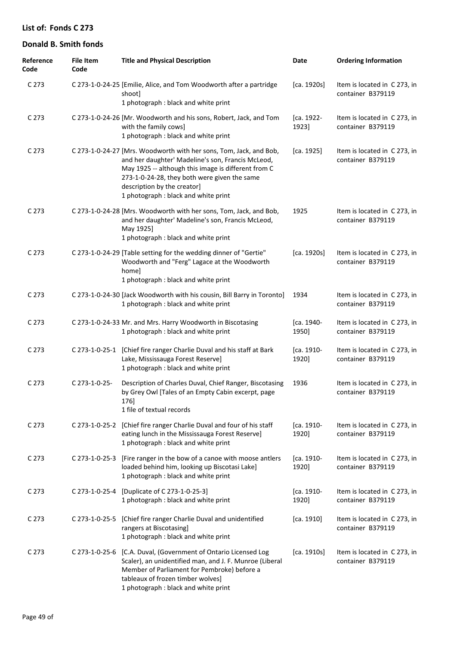| Reference<br>Code | <b>File Item</b><br>Code | <b>Title and Physical Description</b>                                                                                                                                                                                                                                                                 | <b>Date</b>         | <b>Ordering Information</b>                       |
|-------------------|--------------------------|-------------------------------------------------------------------------------------------------------------------------------------------------------------------------------------------------------------------------------------------------------------------------------------------------------|---------------------|---------------------------------------------------|
| C 273             |                          | C 273-1-0-24-25 [Emilie, Alice, and Tom Woodworth after a partridge<br>shoot]<br>1 photograph : black and white print                                                                                                                                                                                 | [ca. 1920s]         | Item is located in C273, in<br>container B379119  |
| C 273             |                          | C 273-1-0-24-26 [Mr. Woodworth and his sons, Robert, Jack, and Tom<br>with the family cows]<br>1 photograph : black and white print                                                                                                                                                                   | [ca. 1922-<br>1923] | Item is located in C273, in<br>container B379119  |
| C 273             |                          | C 273-1-0-24-27 [Mrs. Woodworth with her sons, Tom, Jack, and Bob,<br>and her daughter' Madeline's son, Francis McLeod,<br>May 1925 -- although this image is different from C<br>273-1-0-24-28, they both were given the same<br>description by the creator]<br>1 photograph : black and white print | [ca. 1925]          | Item is located in C 273, in<br>container B379119 |
| C 273             |                          | C 273-1-0-24-28 [Mrs. Woodworth with her sons, Tom, Jack, and Bob,<br>and her daughter' Madeline's son, Francis McLeod,<br>May 1925]<br>1 photograph : black and white print                                                                                                                          | 1925                | Item is located in C 273, in<br>container B379119 |
| C 273             |                          | C 273-1-0-24-29 [Table setting for the wedding dinner of "Gertie"<br>Woodworth and "Ferg" Lagace at the Woodworth<br>home]<br>1 photograph : black and white print                                                                                                                                    | [ca. 1920s]         | Item is located in C273, in<br>container B379119  |
| C 273             |                          | C 273-1-0-24-30 [Jack Woodworth with his cousin, Bill Barry in Toronto]<br>1 photograph : black and white print                                                                                                                                                                                       | 1934                | Item is located in C 273, in<br>container B379119 |
| C 273             |                          | C 273-1-0-24-33 Mr. and Mrs. Harry Woodworth in Biscotasing<br>1 photograph : black and white print                                                                                                                                                                                                   | [ca. 1940-<br>1950] | Item is located in C 273, in<br>container B379119 |
| C 273             | C 273-1-0-25-1           | [Chief fire ranger Charlie Duval and his staff at Bark<br>Lake, Mississauga Forest Reserve]<br>1 photograph : black and white print                                                                                                                                                                   | [ca. 1910-<br>1920] | Item is located in C273, in<br>container B379119  |
| C 273             | C 273-1-0-25-            | Description of Charles Duval, Chief Ranger, Biscotasing<br>by Grey Owl [Tales of an Empty Cabin excerpt, page<br>176]<br>1 file of textual records                                                                                                                                                    | 1936                | Item is located in C 273, in<br>container B379119 |
| C <sub>273</sub>  |                          | C 273-1-0-25-2 [Chief fire ranger Charlie Duval and four of his staff<br>eating lunch in the Mississauga Forest Reserve]<br>1 photograph : black and white print                                                                                                                                      | [ca. 1910-<br>1920] | Item is located in C 273, in<br>container B379119 |
| C 273             | C 273-1-0-25-3           | [Fire ranger in the bow of a canoe with moose antlers<br>loaded behind him, looking up Biscotasi Lake]<br>1 photograph : black and white print                                                                                                                                                        | [ca. 1910-<br>1920] | Item is located in C 273, in<br>container B379119 |
| C 273             |                          | C 273-1-0-25-4 [Duplicate of C 273-1-0-25-3]<br>1 photograph : black and white print                                                                                                                                                                                                                  | [ca. 1910-<br>1920] | Item is located in C 273, in<br>container B379119 |
| C 273             | C 273-1-0-25-5           | [Chief fire ranger Charlie Duval and unidentified<br>rangers at Biscotasing]<br>1 photograph : black and white print                                                                                                                                                                                  | [ca. 1910]          | Item is located in C 273, in<br>container B379119 |
| C 273             | C 273-1-0-25-6           | [C.A. Duval, (Government of Ontario Licensed Log<br>Scaler), an unidentified man, and J. F. Munroe (Liberal<br>Member of Parliament for Pembroke) before a<br>tableaux of frozen timber wolves]<br>1 photograph : black and white print                                                               | [ca. 1910s]         | Item is located in C273, in<br>container B379119  |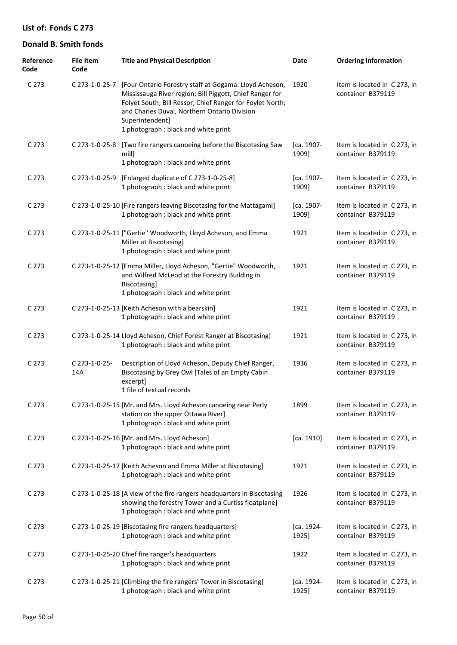| Reference<br>Code | <b>File Item</b><br>Code | <b>Title and Physical Description</b>                                                                                                                                                                                                                                                      | Date                | <b>Ordering Information</b>                       |
|-------------------|--------------------------|--------------------------------------------------------------------------------------------------------------------------------------------------------------------------------------------------------------------------------------------------------------------------------------------|---------------------|---------------------------------------------------|
| C <sub>273</sub>  | C 273-1-0-25-7           | [Four Ontario Forestry staff at Gogama: Lloyd Acheson,<br>Mississauga River region; Bill Piggott, Chief Ranger for<br>Folyet South; Bill Ressor, Chief Ranger for Foylet North;<br>and Charles Duval, Northern Ontario Division<br>Superintendent]<br>1 photograph : black and white print | 1920                | Item is located in C 273, in<br>container B379119 |
| C <sub>273</sub>  | C 273-1-0-25-8           | [Two fire rangers canoeing before the Biscotasing Saw<br>mill<br>1 photograph : black and white print                                                                                                                                                                                      | [ca. 1907-<br>1909] | Item is located in C 273, in<br>container B379119 |
| C <sub>273</sub>  | C 273-1-0-25-9           | [Enlarged duplicate of C 273-1-0-25-8]<br>1 photograph : black and white print                                                                                                                                                                                                             | [ca. 1907-<br>1909] | Item is located in C273, in<br>container B379119  |
| C <sub>273</sub>  |                          | C 273-1-0-25-10 [Fire rangers leaving Biscotasing for the Mattagami]<br>1 photograph : black and white print                                                                                                                                                                               | [ca. 1907-<br>1909] | Item is located in C273, in<br>container B379119  |
| C <sub>273</sub>  |                          | C 273-1-0-25-11 ["Gertie" Woodworth, Lloyd Acheson, and Emma<br>Miller at Biscotasing]<br>1 photograph : black and white print                                                                                                                                                             | 1921                | Item is located in C273, in<br>container B379119  |
| C <sub>273</sub>  |                          | C 273-1-0-25-12 [Emma Miller, Lloyd Acheson, "Gertie" Woodworth,<br>and Wilfred McLeod at the Forestry Building in<br>Biscotasing]<br>1 photograph : black and white print                                                                                                                 | 1921                | Item is located in C 273, in<br>container B379119 |
| C <sub>273</sub>  |                          | C 273-1-0-25-13 [Keith Acheson with a bearskin]<br>1 photograph : black and white print                                                                                                                                                                                                    | 1921                | Item is located in C273, in<br>container B379119  |
| C <sub>273</sub>  |                          | C 273-1-0-25-14 Lloyd Acheson, Chief Forest Ranger at Biscotasing]<br>1 photograph : black and white print                                                                                                                                                                                 | 1921                | Item is located in C273, in<br>container B379119  |
| C <sub>273</sub>  | C 273-1-0-25-<br>14A     | Description of Lloyd Acheson, Deputy Chief Ranger,<br>Biscotasing by Grey Owl [Tales of an Empty Cabin<br>excerpt]<br>1 file of textual records                                                                                                                                            | 1936                | Item is located in C273, in<br>container B379119  |
| C 273             |                          | C 273-1-0-25-15 [Mr. and Mrs. Lloyd Acheson canoeing near Perly<br>station on the upper Ottawa River]<br>1 photograph : black and white print                                                                                                                                              | 1899                | Item is located in C 273, in<br>container B379119 |
| C <sub>273</sub>  |                          | C 273-1-0-25-16 [Mr. and Mrs. Lloyd Acheson]<br>1 photograph : black and white print                                                                                                                                                                                                       | [ca. 1910]          | Item is located in C 273, in<br>container B379119 |
| C <sub>273</sub>  |                          | C 273-1-0-25-17 [Keith Acheson and Emma Miller at Biscotasing]<br>1 photograph : black and white print                                                                                                                                                                                     | 1921                | Item is located in C 273, in<br>container B379119 |
| C <sub>273</sub>  |                          | C 273-1-0-25-18 [A view of the fire rangers headquarters in Biscotasing<br>showing the forestry Tower and a Curtiss floatplane]<br>1 photograph : black and white print                                                                                                                    | 1926                | Item is located in C 273, in<br>container B379119 |
| C <sub>273</sub>  |                          | C 273-1-0-25-19 [Biscotasing fire rangers headquarters]<br>1 photograph : black and white print                                                                                                                                                                                            | [ca. 1924-<br>1925] | Item is located in C273, in<br>container B379119  |
| C <sub>273</sub>  |                          | C 273-1-0-25-20 Chief fire ranger's headquarters<br>1 photograph : black and white print                                                                                                                                                                                                   | 1922                | Item is located in C273, in<br>container B379119  |
| C <sub>273</sub>  |                          | C 273-1-0-25-21 [Climbing the fire rangers' Tower in Biscotasing]<br>1 photograph : black and white print                                                                                                                                                                                  | [ca. 1924-<br>1925] | Item is located in C273, in<br>container B379119  |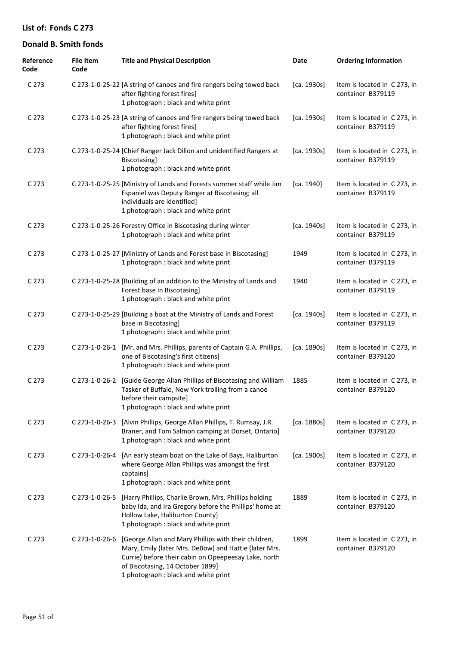| Reference<br>Code | <b>File Item</b><br>Code | <b>Title and Physical Description</b>                                                                                                                                                                                                             | Date        | <b>Ordering Information</b>                       |
|-------------------|--------------------------|---------------------------------------------------------------------------------------------------------------------------------------------------------------------------------------------------------------------------------------------------|-------------|---------------------------------------------------|
| C 273             |                          | C 273-1-0-25-22 [A string of canoes and fire rangers being towed back<br>after fighting forest fires]<br>1 photograph : black and white print                                                                                                     | [ca. 1930s] | Item is located in C 273, in<br>container B379119 |
| C <sub>273</sub>  |                          | C 273-1-0-25-23 [A string of canoes and fire rangers being towed back<br>after fighting forest fires]<br>1 photograph : black and white print                                                                                                     | [ca. 1930s] | Item is located in C273, in<br>container B379119  |
| C <sub>273</sub>  |                          | C 273-1-0-25-24 [Chief Ranger Jack Dillon and unidentified Rangers at<br>Biscotasing]<br>1 photograph : black and white print                                                                                                                     | [ca. 1930s] | Item is located in C 273, in<br>container B379119 |
| C 273             |                          | C 273-1-0-25-25 [Ministry of Lands and Forests summer staff while Jim<br>Espaniel was Deputy Ranger at Biscotasing; all<br>individuals are identified]<br>1 photograph : black and white print                                                    | [ca. 1940]  | Item is located in C 273, in<br>container B379119 |
| C <sub>273</sub>  |                          | C 273-1-0-25-26 Forestry Office in Biscotasing during winter<br>1 photograph : black and white print                                                                                                                                              | [ca. 1940s] | Item is located in C273, in<br>container B379119  |
| C 273             |                          | C 273-1-0-25-27 [Ministry of Lands and Forest base in Biscotasing]<br>1 photograph : black and white print                                                                                                                                        | 1949        | Item is located in C273, in<br>container B379119  |
| C <sub>273</sub>  |                          | C 273-1-0-25-28 [Building of an addition to the Ministry of Lands and<br>Forest base in Biscotasing]<br>1 photograph : black and white print                                                                                                      | 1940        | Item is located in C273, in<br>container B379119  |
| C 273             |                          | C 273-1-0-25-29 [Building a boat at the Ministry of Lands and Forest<br>base in Biscotasing]<br>1 photograph : black and white print                                                                                                              | [ca. 1940s] | Item is located in C273, in<br>container B379119  |
| C 273             |                          | C 273-1-0-26-1 [Mr. and Mrs. Phillips, parents of Captain G.A. Phillips,<br>one of Biscotasing's first citizens]<br>1 photograph : black and white print                                                                                          | [ca. 1890s] | Item is located in C 273, in<br>container B379120 |
| C 273             |                          | C 273-1-0-26-2 [Guide George Allan Phillips of Biscotasing and William<br>Tasker of Buffalo, New York trolling from a canoe<br>before their campsite]<br>1 photograph : black and white print                                                     | 1885        | Item is located in C 273, in<br>container B379120 |
| C <sub>273</sub>  | C 273-1-0-26-3           | [Alvin Phillips, George Allan Phillips, T. Rumsay, J.R.<br>Braner, and Tom Salmon camping at Dorset, Ontario]<br>1 photograph : black and white print                                                                                             | [ca. 1880s] | Item is located in C 273, in<br>container B379120 |
| C <sub>273</sub>  | C 273-1-0-26-4           | [An early steam boat on the Lake of Bays, Haliburton<br>where George Allan Phillips was amongst the first<br>captains]<br>1 photograph : black and white print                                                                                    | [ca. 1900s] | Item is located in C273, in<br>container B379120  |
| C <sub>273</sub>  | C 273-1-0-26-5           | [Harry Phillips, Charlie Brown, Mrs. Phillips holding<br>baby Ida, and Ira Gregory before the Phillips' home at<br>Hollow Lake, Haliburton County]<br>1 photograph : black and white print                                                        | 1889        | Item is located in C273, in<br>container B379120  |
| C <sub>273</sub>  | C 273-1-0-26-6           | [George Allan and Mary Phillips with their children,<br>Mary, Emily (later Mrs. DeBow) and Hattie (later Mrs.<br>Currie) before their cabin on Opeepeesay Lake, north<br>of Biscotasing, 14 October 1899]<br>1 photograph : black and white print | 1899        | Item is located in C 273, in<br>container B379120 |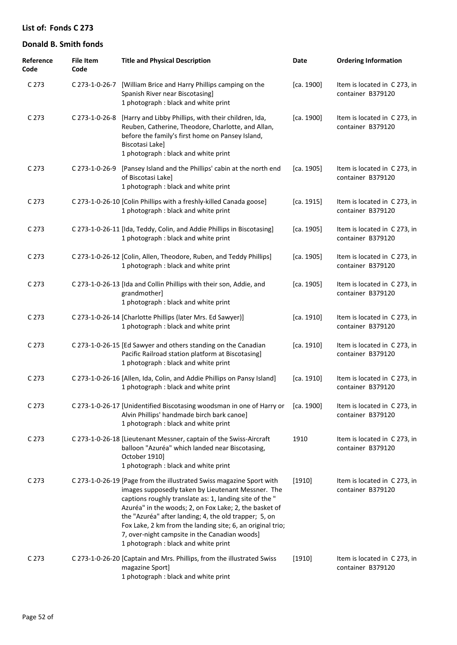| Reference<br>Code | <b>File Item</b><br>Code | <b>Title and Physical Description</b>                                                                                                                                                                                                                                                                                                                                                                                                                           | Date       | <b>Ordering Information</b>                       |
|-------------------|--------------------------|-----------------------------------------------------------------------------------------------------------------------------------------------------------------------------------------------------------------------------------------------------------------------------------------------------------------------------------------------------------------------------------------------------------------------------------------------------------------|------------|---------------------------------------------------|
| C <sub>273</sub>  |                          | C 273-1-0-26-7 [William Brice and Harry Phillips camping on the<br>Spanish River near Biscotasing]<br>1 photograph : black and white print                                                                                                                                                                                                                                                                                                                      | [ca. 1900] | Item is located in C 273, in<br>container B379120 |
| C <sub>273</sub>  | C 273-1-0-26-8           | [Harry and Libby Phillips, with their children, Ida,<br>Reuben, Catherine, Theodore, Charlotte, and Allan,<br>before the family's first home on Pansey Island,<br>Biscotasi Lake]<br>1 photograph : black and white print                                                                                                                                                                                                                                       | [ca. 1900] | Item is located in C 273, in<br>container B379120 |
| C <sub>273</sub>  | C 273-1-0-26-9           | [Pansey Island and the Phillips' cabin at the north end<br>of Biscotasi Lake]<br>1 photograph : black and white print                                                                                                                                                                                                                                                                                                                                           | [ca. 1905] | Item is located in C 273, in<br>container B379120 |
| C 273             |                          | C 273-1-0-26-10 [Colin Phillips with a freshly-killed Canada goose]<br>1 photograph : black and white print                                                                                                                                                                                                                                                                                                                                                     | [ca. 1915] | Item is located in C 273, in<br>container B379120 |
| C 273             |                          | C 273-1-0-26-11 [Ida, Teddy, Colin, and Addie Phillips in Biscotasing]<br>1 photograph : black and white print                                                                                                                                                                                                                                                                                                                                                  | [ca. 1905] | Item is located in C 273, in<br>container B379120 |
| C 273             |                          | C 273-1-0-26-12 [Colin, Allen, Theodore, Ruben, and Teddy Phillips]<br>1 photograph : black and white print                                                                                                                                                                                                                                                                                                                                                     | [ca. 1905] | Item is located in C 273, in<br>container B379120 |
| C 273             |                          | C 273-1-0-26-13 [Ida and Collin Phillips with their son, Addie, and<br>grandmother]<br>1 photograph : black and white print                                                                                                                                                                                                                                                                                                                                     | [ca. 1905] | Item is located in C 273, in<br>container B379120 |
| C <sub>273</sub>  |                          | C 273-1-0-26-14 [Charlotte Phillips (later Mrs. Ed Sawyer)]<br>1 photograph : black and white print                                                                                                                                                                                                                                                                                                                                                             | [ca. 1910] | Item is located in C 273, in<br>container B379120 |
| C <sub>273</sub>  |                          | C 273-1-0-26-15 [Ed Sawyer and others standing on the Canadian<br>Pacific Railroad station platform at Biscotasing]<br>1 photograph : black and white print                                                                                                                                                                                                                                                                                                     | [ca. 1910] | Item is located in C 273, in<br>container B379120 |
| C 273             |                          | C 273-1-0-26-16 [Allen, Ida, Colin, and Addie Phillips on Pansy Island]<br>1 photograph : black and white print                                                                                                                                                                                                                                                                                                                                                 | [ca. 1910] | Item is located in C 273, in<br>container B379120 |
| C <sub>273</sub>  |                          | C 273-1-0-26-17 [Unidentified Biscotasing woodsman in one of Harry or<br>Alvin Phillips' handmade birch bark canoe]<br>1 photograph : black and white print                                                                                                                                                                                                                                                                                                     | [ca. 1900] | Item is located in C 273, in<br>container B379120 |
| C <sub>273</sub>  |                          | C 273-1-0-26-18 [Lieutenant Messner, captain of the Swiss-Aircraft<br>balloon "Azuréa" which landed near Biscotasing,<br>October 1910]<br>1 photograph : black and white print                                                                                                                                                                                                                                                                                  | 1910       | Item is located in C 273, in<br>container B379120 |
| C <sub>273</sub>  |                          | C 273-1-0-26-19 [Page from the illustrated Swiss magazine Sport with<br>images supposedly taken by Lieutenant Messner. The<br>captions roughly translate as: 1, landing site of the "<br>Azuréa" in the woods; 2, on Fox Lake; 2, the basket of<br>the "Azuréa" after landing; 4, the old trapper; 5, on<br>Fox Lake, 2 km from the landing site; 6, an original trio;<br>7, over-night campsite in the Canadian woods]<br>1 photograph : black and white print | [1910]     | Item is located in C 273, in<br>container B379120 |
| C 273             |                          | C 273-1-0-26-20 [Captain and Mrs. Phillips, from the illustrated Swiss<br>magazine Sport]<br>1 photograph : black and white print                                                                                                                                                                                                                                                                                                                               | $[1910]$   | Item is located in C 273, in<br>container B379120 |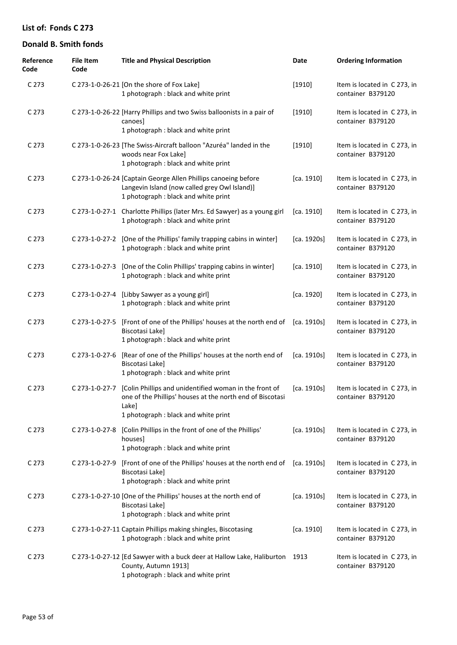| Reference<br>Code | <b>File Item</b><br>Code | <b>Title and Physical Description</b>                                                                                                                               | Date        | <b>Ordering Information</b>                       |
|-------------------|--------------------------|---------------------------------------------------------------------------------------------------------------------------------------------------------------------|-------------|---------------------------------------------------|
| C <sub>273</sub>  |                          | C 273-1-0-26-21 [On the shore of Fox Lake]<br>1 photograph : black and white print                                                                                  | [1910]      | Item is located in C 273, in<br>container B379120 |
| C 273             |                          | C 273-1-0-26-22 [Harry Phillips and two Swiss balloonists in a pair of<br>canoesl<br>1 photograph : black and white print                                           | [1910]      | Item is located in C 273, in<br>container B379120 |
| C <sub>273</sub>  |                          | C 273-1-0-26-23 [The Swiss-Aircraft balloon "Azuréa" landed in the<br>woods near Fox Lake]<br>1 photograph : black and white print                                  | $[1910]$    | Item is located in C273, in<br>container B379120  |
| C 273             |                          | C 273-1-0-26-24 [Captain George Allen Phillips canoeing before<br>Langevin Island (now called grey Owl Island)]<br>1 photograph : black and white print             | [ca. 1910]  | Item is located in C273, in<br>container B379120  |
| C 273             |                          | C 273-1-0-27-1 Charlotte Phillips (later Mrs. Ed Sawyer) as a young girl<br>1 photograph : black and white print                                                    | [ca. 1910]  | Item is located in C 273, in<br>container B379120 |
| C 273             |                          | C 273-1-0-27-2 [One of the Phillips' family trapping cabins in winter]<br>1 photograph : black and white print                                                      | [ca. 1920s] | Item is located in C 273, in<br>container B379120 |
| C 273             |                          | C 273-1-0-27-3 [One of the Colin Phillips' trapping cabins in winter]<br>1 photograph : black and white print                                                       | [ca. 1910]  | Item is located in C 273, in<br>container B379120 |
| C 273             |                          | C 273-1-0-27-4 [Libby Sawyer as a young girl]<br>1 photograph : black and white print                                                                               | [ca. 1920]  | Item is located in C 273, in<br>container B379120 |
| C 273             | C 273-1-0-27-5           | [Front of one of the Phillips' houses at the north end of [ca. 1910s]<br>Biscotasi Lake]<br>1 photograph : black and white print                                    |             | Item is located in C 273, in<br>container B379120 |
| C <sub>273</sub>  | C 273-1-0-27-6           | [Rear of one of the Phillips' houses at the north end of<br>Biscotasi Lake]<br>1 photograph : black and white print                                                 | [ca. 1910s] | Item is located in C273, in<br>container B379120  |
| C 273             | C 273-1-0-27-7           | [Colin Phillips and unidentified woman in the front of<br>one of the Phillips' houses at the north end of Biscotasi<br>Lake]<br>1 photograph: black and white print | [ca. 1910s] | Item is located in C273, in<br>container B379120  |
| C <sub>273</sub>  |                          | C 273-1-0-27-8 [Colin Phillips in the front of one of the Phillips'<br>houses]<br>1 photograph : black and white print                                              | [ca. 1910s] | Item is located in C 273, in<br>container B379120 |
| C <sub>273</sub>  | C 273-1-0-27-9           | [Front of one of the Phillips' houses at the north end of [ca. 1910s]<br>Biscotasi Lake]<br>1 photograph : black and white print                                    |             | Item is located in C273, in<br>container B379120  |
| C <sub>273</sub>  |                          | C 273-1-0-27-10 [One of the Phillips' houses at the north end of<br>Biscotasi Lake]<br>1 photograph : black and white print                                         | [ca. 1910s] | Item is located in C 273, in<br>container B379120 |
| C <sub>273</sub>  |                          | C 273-1-0-27-11 Captain Phillips making shingles, Biscotasing<br>1 photograph : black and white print                                                               | [ca. 1910]  | Item is located in C 273, in<br>container B379120 |
| C <sub>273</sub>  |                          | C 273-1-0-27-12 [Ed Sawyer with a buck deer at Hallow Lake, Haliburton 1913<br>County, Autumn 1913]<br>1 photograph : black and white print                         |             | Item is located in C 273, in<br>container B379120 |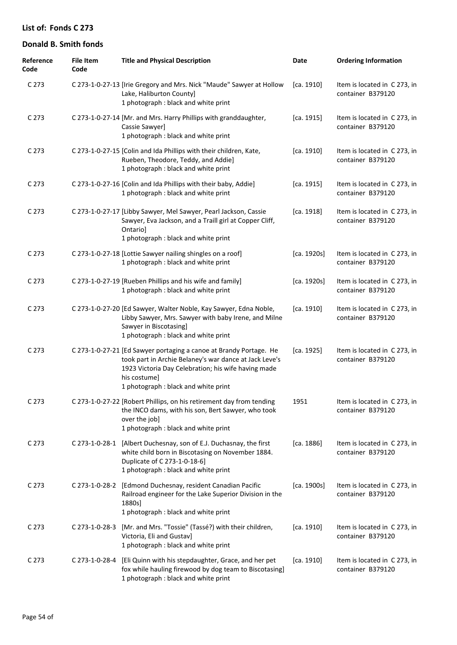| Reference<br>Code | <b>File Item</b><br>Code | <b>Title and Physical Description</b>                                                                                                                                                                                                       | Date        | <b>Ordering Information</b>                       |
|-------------------|--------------------------|---------------------------------------------------------------------------------------------------------------------------------------------------------------------------------------------------------------------------------------------|-------------|---------------------------------------------------|
| C <sub>273</sub>  |                          | C 273-1-0-27-13 [Irie Gregory and Mrs. Nick "Maude" Sawyer at Hollow<br>Lake, Haliburton County]<br>1 photograph : black and white print                                                                                                    | [ca. 1910]  | Item is located in C 273, in<br>container B379120 |
| C <sub>273</sub>  |                          | C 273-1-0-27-14 [Mr. and Mrs. Harry Phillips with granddaughter,<br>Cassie Sawyer]<br>1 photograph : black and white print                                                                                                                  | [ca. 1915]  | Item is located in C 273, in<br>container B379120 |
| C <sub>273</sub>  |                          | C 273-1-0-27-15 [Colin and Ida Phillips with their children, Kate,<br>Rueben, Theodore, Teddy, and Addie]<br>1 photograph : black and white print                                                                                           | [ca. 1910]  | Item is located in C 273, in<br>container B379120 |
| C <sub>273</sub>  |                          | C 273-1-0-27-16 [Colin and Ida Phillips with their baby, Addie]<br>1 photograph : black and white print                                                                                                                                     | [ca. 1915]  | Item is located in C 273, in<br>container B379120 |
| C <sub>273</sub>  |                          | C 273-1-0-27-17 [Libby Sawyer, Mel Sawyer, Pearl Jackson, Cassie<br>Sawyer, Eva Jackson, and a Traill girl at Copper Cliff,<br>Ontario]<br>1 photograph : black and white print                                                             | [ca. 1918]  | Item is located in C 273, in<br>container B379120 |
| C <sub>273</sub>  |                          | C 273-1-0-27-18 [Lottie Sawyer nailing shingles on a roof]<br>1 photograph : black and white print                                                                                                                                          | [ca. 1920s] | Item is located in C 273, in<br>container B379120 |
| C <sub>273</sub>  |                          | C 273-1-0-27-19 [Rueben Phillips and his wife and family]<br>1 photograph : black and white print                                                                                                                                           | [ca. 1920s] | Item is located in C 273, in<br>container B379120 |
| C <sub>273</sub>  |                          | C 273-1-0-27-20 [Ed Sawyer, Walter Noble, Kay Sawyer, Edna Noble,<br>Libby Sawyer, Mrs. Sawyer with baby Irene, and Milne<br>Sawyer in Biscotasing]<br>1 photograph : black and white print                                                 | [ca. 1910]  | Item is located in C 273, in<br>container B379120 |
| C <sub>273</sub>  |                          | C 273-1-0-27-21 [Ed Sawyer portaging a canoe at Brandy Portage. He<br>took part in Archie Belaney's war dance at Jack Leve's<br>1923 Victoria Day Celebration; his wife having made<br>his costume]<br>1 photograph : black and white print | [ca. 1925]  | Item is located in C 273, in<br>container B379120 |
| C <sub>273</sub>  |                          | C 273-1-0-27-22 [Robert Phillips, on his retirement day from tending<br>the INCO dams, with his son, Bert Sawyer, who took<br>over the job]<br>1 photograph : black and white print                                                         | 1951        | Item is located in C 273, in<br>container B379120 |
| C <sub>273</sub>  |                          | C 273-1-0-28-1 [Albert Duchesnay, son of E.J. Duchasnay, the first<br>white child born in Biscotasing on November 1884.<br>Duplicate of C 273-1-0-18-6]<br>1 photograph : black and white print                                             | [ca. 1886]  | Item is located in C 273, in<br>container B379120 |
| C <sub>273</sub>  |                          | C 273-1-0-28-2 [Edmond Duchesnay, resident Canadian Pacific<br>Railroad engineer for the Lake Superior Division in the<br>1880s]<br>1 photograph : black and white print                                                                    | [ca. 1900s] | Item is located in C 273, in<br>container B379120 |
| C <sub>273</sub>  | C 273-1-0-28-3           | [Mr. and Mrs. "Tossie" (Tassé?) with their children,<br>Victoria, Eli and Gustav]<br>1 photograph : black and white print                                                                                                                   | [ca. 1910]  | Item is located in C 273, in<br>container B379120 |
| C <sub>273</sub>  | C 273-1-0-28-4           | [Eli Quinn with his stepdaughter, Grace, and her pet<br>fox while hauling firewood by dog team to Biscotasing]<br>1 photograph : black and white print                                                                                      | [ca. 1910]  | Item is located in C 273, in<br>container B379120 |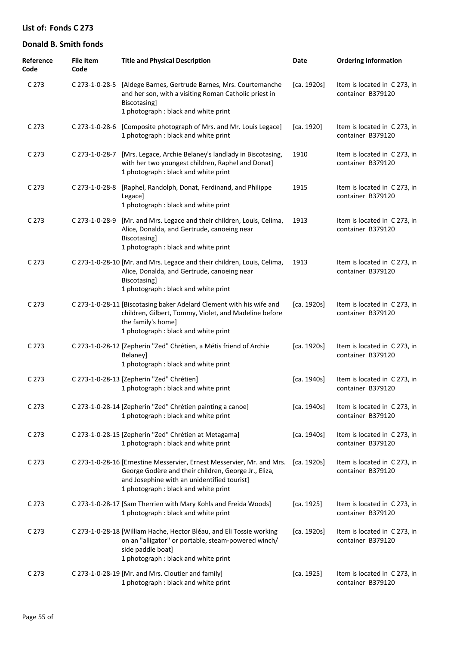| Reference<br>Code | File Item<br>Code | <b>Title and Physical Description</b>                                                                                                                                                                                 | Date        | <b>Ordering Information</b>                       |
|-------------------|-------------------|-----------------------------------------------------------------------------------------------------------------------------------------------------------------------------------------------------------------------|-------------|---------------------------------------------------|
| C <sub>273</sub>  |                   | C 273-1-0-28-5 [Aldege Barnes, Gertrude Barnes, Mrs. Courtemanche<br>and her son, with a visiting Roman Catholic priest in<br>Biscotasing]<br>1 photograph : black and white print                                    | [ca. 1920s] | Item is located in C 273, in<br>container B379120 |
| C <sub>273</sub>  |                   | C 273-1-0-28-6 [Composite photograph of Mrs. and Mr. Louis Legace]<br>1 photograph : black and white print                                                                                                            | [ca. 1920]  | Item is located in C 273, in<br>container B379120 |
| C <sub>273</sub>  | C 273-1-0-28-7    | [Mrs. Legace, Archie Belaney's landlady in Biscotasing,<br>with her two youngest children, Raphel and Donat]<br>1 photograph : black and white print                                                                  | 1910        | Item is located in C 273, in<br>container B379120 |
| C <sub>273</sub>  | C 273-1-0-28-8    | [Raphel, Randolph, Donat, Ferdinand, and Philippe<br>Legace]<br>1 photograph : black and white print                                                                                                                  | 1915        | Item is located in C 273, in<br>container B379120 |
| C <sub>273</sub>  | C 273-1-0-28-9    | [Mr. and Mrs. Legace and their children, Louis, Celima,<br>Alice, Donalda, and Gertrude, canoeing near<br>Biscotasing]<br>1 photograph : black and white print                                                        | 1913        | Item is located in C 273, in<br>container B379120 |
| C <sub>273</sub>  |                   | C 273-1-0-28-10 [Mr. and Mrs. Legace and their children, Louis, Celima,<br>Alice, Donalda, and Gertrude, canoeing near<br>Biscotasing]<br>1 photograph : black and white print                                        | 1913        | Item is located in C 273, in<br>container B379120 |
| C 273             |                   | C 273-1-0-28-11 [Biscotasing baker Adelard Clement with his wife and<br>children, Gilbert, Tommy, Violet, and Madeline before<br>the family's home]<br>1 photograph : black and white print                           | [ca. 1920s] | Item is located in C 273, in<br>container B379120 |
| C <sub>273</sub>  |                   | C 273-1-0-28-12 [Zepherin "Zed" Chrétien, a Métis friend of Archie<br>Belaney]<br>1 photograph : black and white print                                                                                                | [ca. 1920s] | Item is located in C 273, in<br>container B379120 |
| C <sub>273</sub>  |                   | C 273-1-0-28-13 [Zepherin "Zed" Chrétien]<br>1 photograph : black and white print                                                                                                                                     | [ca. 1940s] | Item is located in C 273, in<br>container B379120 |
| C <sub>273</sub>  |                   | C 273-1-0-28-14 [Zepherin "Zed" Chrétien painting a canoe]<br>1 photograph : black and white print                                                                                                                    | [ca. 1940s] | Item is located in C 273, in<br>container B379120 |
| C <sub>273</sub>  |                   | C 273-1-0-28-15 [Zepherin "Zed" Chrétien at Metagama]<br>1 photograph : black and white print                                                                                                                         | [ca. 1940s] | Item is located in C 273, in<br>container B379120 |
| C <sub>273</sub>  |                   | C 273-1-0-28-16 [Ernestine Messervier, Ernest Messervier, Mr. and Mrs.<br>George Godère and their children, George Jr., Eliza,<br>and Josephine with an unidentified tourist]<br>1 photograph : black and white print | [ca. 1920s] | Item is located in C 273, in<br>container B379120 |
| C <sub>273</sub>  |                   | C 273-1-0-28-17 [Sam Therrien with Mary Kohls and Freida Woods]<br>1 photograph : black and white print                                                                                                               | [ca. 1925]  | Item is located in C 273, in<br>container B379120 |
| C <sub>273</sub>  |                   | C 273-1-0-28-18 [William Hache, Hector Bléau, and Eli Tossie working<br>on an "alligator" or portable, steam-powered winch/<br>side paddle boat]<br>1 photograph : black and white print                              | [ca. 1920s] | Item is located in C 273, in<br>container B379120 |
| C <sub>273</sub>  |                   | C 273-1-0-28-19 [Mr. and Mrs. Cloutier and family]<br>1 photograph : black and white print                                                                                                                            | [ca. 1925]  | Item is located in C 273, in<br>container B379120 |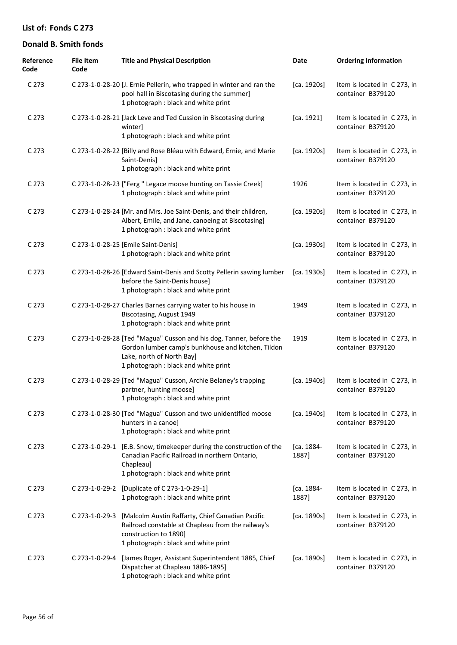| Reference<br>Code | <b>File Item</b><br>Code | <b>Title and Physical Description</b>                                                                                                                                                          | Date                | <b>Ordering Information</b>                       |
|-------------------|--------------------------|------------------------------------------------------------------------------------------------------------------------------------------------------------------------------------------------|---------------------|---------------------------------------------------|
| C 273             |                          | C 273-1-0-28-20 [J. Ernie Pellerin, who trapped in winter and ran the<br>pool hall in Biscotasing during the summer]<br>1 photograph : black and white print                                   | [ca. 1920s]         | Item is located in C 273, in<br>container B379120 |
| C <sub>273</sub>  |                          | C 273-1-0-28-21 [Jack Leve and Ted Cussion in Biscotasing during<br>winter]<br>1 photograph : black and white print                                                                            | [ca. 1921]          | Item is located in C 273, in<br>container B379120 |
| C <sub>273</sub>  |                          | C 273-1-0-28-22 [Billy and Rose Bléau with Edward, Ernie, and Marie<br>Saint-Denis]<br>1 photograph : black and white print                                                                    | [ca. 1920s]         | Item is located in C 273, in<br>container B379120 |
| C <sub>273</sub>  |                          | C 273-1-0-28-23 ["Ferg " Legace moose hunting on Tassie Creek]<br>1 photograph : black and white print                                                                                         | 1926                | Item is located in C 273, in<br>container B379120 |
| C <sub>273</sub>  |                          | C 273-1-0-28-24 [Mr. and Mrs. Joe Saint-Denis, and their children,<br>Albert, Emile, and Jane, canoeing at Biscotasing]<br>1 photograph : black and white print                                | [ca. 1920s]         | Item is located in C 273, in<br>container B379120 |
| C <sub>273</sub>  |                          | C 273-1-0-28-25 [Emile Saint-Denis]<br>1 photograph : black and white print                                                                                                                    | [ca. 1930s]         | Item is located in C 273, in<br>container B379120 |
| C <sub>273</sub>  |                          | C 273-1-0-28-26 [Edward Saint-Denis and Scotty Pellerin sawing lumber<br>before the Saint-Denis house]<br>1 photograph : black and white print                                                 | [ca. 1930s]         | Item is located in C 273, in<br>container B379120 |
| C <sub>273</sub>  |                          | C 273-1-0-28-27 Charles Barnes carrying water to his house in<br>Biscotasing, August 1949<br>1 photograph : black and white print                                                              | 1949                | Item is located in C 273, in<br>container B379120 |
| C <sub>273</sub>  |                          | C 273-1-0-28-28 [Ted "Magua" Cusson and his dog, Tanner, before the<br>Gordon lumber camp's bunkhouse and kitchen, Tildon<br>Lake, north of North Bay]<br>1 photograph : black and white print | 1919                | Item is located in C 273, in<br>container B379120 |
| C <sub>273</sub>  |                          | C 273-1-0-28-29 [Ted "Magua" Cusson, Archie Belaney's trapping<br>partner, hunting moose]<br>1 photograph : black and white print                                                              | [ca. 1940s]         | Item is located in C 273, in<br>container B379120 |
| C <sub>273</sub>  |                          | C 273-1-0-28-30 [Ted "Magua" Cusson and two unidentified moose<br>hunters in a canoe]<br>1 photograph : black and white print                                                                  | [ca. 1940s]         | Item is located in C 273, in<br>container B379120 |
| C <sub>273</sub>  |                          | C 273-1-0-29-1 [E.B. Snow, timekeeper during the construction of the<br>Canadian Pacific Railroad in northern Ontario,<br>Chapleau]<br>1 photograph : black and white print                    | [ca. 1884-<br>1887] | Item is located in C 273, in<br>container B379120 |
| C <sub>273</sub>  |                          | C 273-1-0-29-2 [Duplicate of C 273-1-0-29-1]<br>1 photograph : black and white print                                                                                                           | [ca. 1884-<br>1887] | Item is located in C273, in<br>container B379120  |
| C <sub>273</sub>  | C 273-1-0-29-3           | [Malcolm Austin Raffarty, Chief Canadian Pacific<br>Railroad constable at Chapleau from the railway's<br>construction to 1890]<br>1 photograph : black and white print                         | [ca. 1890s]         | Item is located in C 273, in<br>container B379120 |
| C <sub>273</sub>  | C 273-1-0-29-4           | [James Roger, Assistant Superintendent 1885, Chief<br>Dispatcher at Chapleau 1886-1895]<br>1 photograph : black and white print                                                                | [ca. 1890s]         | Item is located in C 273, in<br>container B379120 |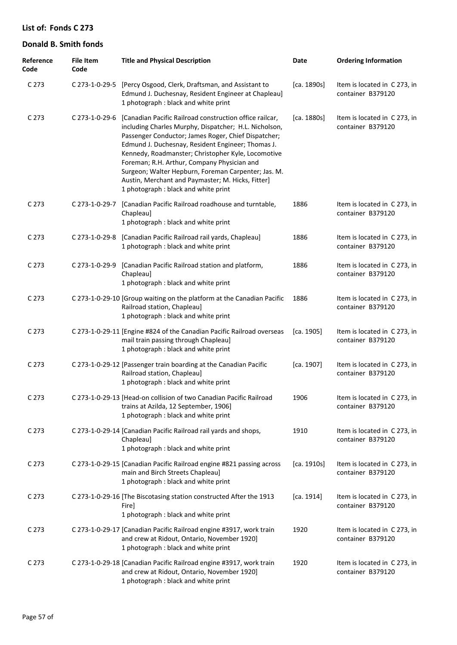| Reference<br>Code | <b>File Item</b><br>Code | <b>Title and Physical Description</b>                                                                                                                                                                                                                                                                                                                                                                                                                                                 | Date        | <b>Ordering Information</b>                       |
|-------------------|--------------------------|---------------------------------------------------------------------------------------------------------------------------------------------------------------------------------------------------------------------------------------------------------------------------------------------------------------------------------------------------------------------------------------------------------------------------------------------------------------------------------------|-------------|---------------------------------------------------|
| C <sub>273</sub>  |                          | C 273-1-0-29-5 [Percy Osgood, Clerk, Draftsman, and Assistant to<br>Edmund J. Duchesnay, Resident Engineer at Chapleau]<br>1 photograph : black and white print                                                                                                                                                                                                                                                                                                                       | [ca. 1890s] | Item is located in C 273, in<br>container B379120 |
| C <sub>273</sub>  | C 273-1-0-29-6           | [Canadian Pacific Railroad construction office railcar,<br>including Charles Murphy, Dispatcher; H.L. Nicholson,<br>Passenger Conductor; James Roger, Chief Dispatcher;<br>Edmund J. Duchesnay, Resident Engineer; Thomas J.<br>Kennedy, Roadmanster; Christopher Kyle, Locomotive<br>Foreman; R.H. Arthur, Company Physician and<br>Surgeon; Walter Hepburn, Foreman Carpenter; Jas. M.<br>Austin, Merchant and Paymaster; M. Hicks, Fitter]<br>1 photograph : black and white print | [ca. 1880s] | Item is located in C 273, in<br>container B379120 |
| C <sub>273</sub>  | C 273-1-0-29-7           | [Canadian Pacific Railroad roadhouse and turntable,<br>Chapleau]<br>1 photograph : black and white print                                                                                                                                                                                                                                                                                                                                                                              | 1886        | Item is located in C 273, in<br>container B379120 |
| C <sub>273</sub>  | C 273-1-0-29-8           | [Canadian Pacific Railroad rail yards, Chapleau]<br>1 photograph : black and white print                                                                                                                                                                                                                                                                                                                                                                                              | 1886        | Item is located in C 273, in<br>container B379120 |
| C <sub>273</sub>  | C 273-1-0-29-9           | [Canadian Pacific Railroad station and platform,<br>Chapleau]<br>1 photograph : black and white print                                                                                                                                                                                                                                                                                                                                                                                 | 1886        | Item is located in C 273, in<br>container B379120 |
| C <sub>273</sub>  |                          | C 273-1-0-29-10 [Group waiting on the platform at the Canadian Pacific<br>Railroad station, Chapleau]<br>1 photograph : black and white print                                                                                                                                                                                                                                                                                                                                         | 1886        | Item is located in C 273, in<br>container B379120 |
| C <sub>273</sub>  |                          | C 273-1-0-29-11 [Engine #824 of the Canadian Pacific Railroad overseas<br>mail train passing through Chapleau]<br>1 photograph : black and white print                                                                                                                                                                                                                                                                                                                                | [ca. 1905]  | Item is located in C 273, in<br>container B379120 |
| C <sub>273</sub>  |                          | C 273-1-0-29-12 [Passenger train boarding at the Canadian Pacific<br>Railroad station, Chapleau]<br>1 photograph : black and white print                                                                                                                                                                                                                                                                                                                                              | [ca. 1907]  | Item is located in C 273, in<br>container B379120 |
| C 273             |                          | C 273-1-0-29-13 [Head-on collision of two Canadian Pacific Railroad<br>trains at Azilda, 12 September, 1906]<br>1 photograph : black and white print                                                                                                                                                                                                                                                                                                                                  | 1906        | Item is located in C 273, in<br>container B379120 |
| C <sub>273</sub>  |                          | C 273-1-0-29-14 [Canadian Pacific Railroad rail yards and shops,<br>Chapleau]<br>1 photograph : black and white print                                                                                                                                                                                                                                                                                                                                                                 | 1910        | Item is located in C 273, in<br>container B379120 |
| C <sub>273</sub>  |                          | C 273-1-0-29-15 [Canadian Pacific Railroad engine #821 passing across<br>main and Birch Streets Chapleau]<br>1 photograph : black and white print                                                                                                                                                                                                                                                                                                                                     | [ca. 1910s] | Item is located in C 273, in<br>container B379120 |
| C <sub>273</sub>  |                          | C 273-1-0-29-16 [The Biscotasing station constructed After the 1913<br>Fire]<br>1 photograph : black and white print                                                                                                                                                                                                                                                                                                                                                                  | [ca. 1914]  | Item is located in C 273, in<br>container B379120 |
| C <sub>273</sub>  |                          | C 273-1-0-29-17 [Canadian Pacific Railroad engine #3917, work train<br>and crew at Ridout, Ontario, November 1920]<br>1 photograph : black and white print                                                                                                                                                                                                                                                                                                                            | 1920        | Item is located in C 273, in<br>container B379120 |
| C <sub>273</sub>  |                          | C 273-1-0-29-18 [Canadian Pacific Railroad engine #3917, work train<br>and crew at Ridout, Ontario, November 1920]<br>1 photograph : black and white print                                                                                                                                                                                                                                                                                                                            | 1920        | Item is located in C 273, in<br>container B379120 |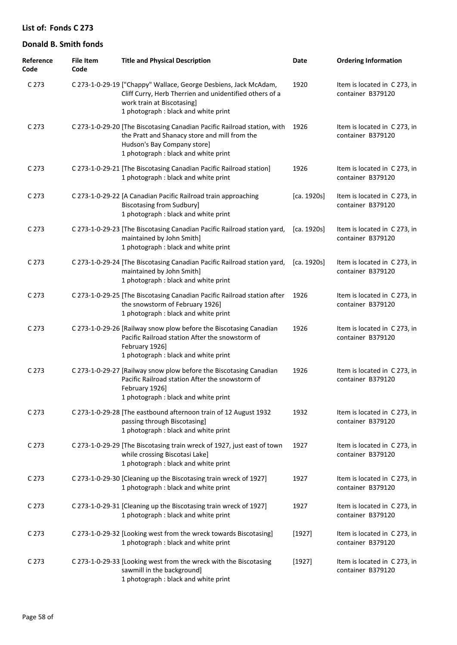| Reference<br>Code | <b>File Item</b><br>Code | <b>Title and Physical Description</b>                                                                                                                                                             | Date        | <b>Ordering Information</b>                       |
|-------------------|--------------------------|---------------------------------------------------------------------------------------------------------------------------------------------------------------------------------------------------|-------------|---------------------------------------------------|
| C 273             |                          | C 273-1-0-29-19 ["Chappy" Wallace, George Desbiens, Jack McAdam,<br>Cliff Curry, Herb Therrien and unidentified others of a<br>work train at Biscotasing]<br>1 photograph : black and white print | 1920        | Item is located in C 273, in<br>container B379120 |
| C <sub>273</sub>  |                          | C 273-1-0-29-20 [The Biscotasing Canadian Pacific Railroad station, with<br>the Pratt and Shanacy store and mill from the<br>Hudson's Bay Company store]<br>1 photograph : black and white print  | 1926        | Item is located in C 273, in<br>container B379120 |
| C <sub>273</sub>  |                          | C 273-1-0-29-21 [The Biscotasing Canadian Pacific Railroad station]<br>1 photograph : black and white print                                                                                       | 1926        | Item is located in C 273, in<br>container B379120 |
| C 273             |                          | C 273-1-0-29-22 [A Canadian Pacific Railroad train approaching<br><b>Biscotasing from Sudbury]</b><br>1 photograph : black and white print                                                        | [ca. 1920s] | Item is located in C 273, in<br>container B379120 |
| C <sub>273</sub>  |                          | C 273-1-0-29-23 [The Biscotasing Canadian Pacific Railroad station yard,<br>maintained by John Smith]<br>1 photograph : black and white print                                                     | [ca. 1920s] | Item is located in C 273, in<br>container B379120 |
| C <sub>273</sub>  |                          | C 273-1-0-29-24 [The Biscotasing Canadian Pacific Railroad station yard,<br>maintained by John Smith]<br>1 photograph : black and white print                                                     | [ca. 1920s] | Item is located in C 273, in<br>container B379120 |
| C <sub>273</sub>  |                          | C 273-1-0-29-25 [The Biscotasing Canadian Pacific Railroad station after<br>the snowstorm of February 1926]<br>1 photograph : black and white print                                               | 1926        | Item is located in C 273, in<br>container B379120 |
| C <sub>273</sub>  |                          | C 273-1-0-29-26 [Railway snow plow before the Biscotasing Canadian<br>Pacific Railroad station After the snowstorm of<br>February 1926]<br>1 photograph : black and white print                   | 1926        | Item is located in C 273, in<br>container B379120 |
| C <sub>273</sub>  |                          | C 273-1-0-29-27 [Railway snow plow before the Biscotasing Canadian<br>Pacific Railroad station After the snowstorm of<br>February 1926]<br>1 photograph : black and white print                   | 1926        | Item is located in C273, in<br>container B379120  |
| C 273             |                          | C 273-1-0-29-28 [The eastbound afternoon train of 12 August 1932<br>passing through Biscotasing]<br>1 photograph : black and white print                                                          | 1932        | Item is located in C 273, in<br>container B379120 |
| C <sub>273</sub>  |                          | C 273-1-0-29-29 [The Biscotasing train wreck of 1927, just east of town<br>while crossing Biscotasi Lake]<br>1 photograph : black and white print                                                 | 1927        | Item is located in C 273, in<br>container B379120 |
| C <sub>273</sub>  |                          | C 273-1-0-29-30 [Cleaning up the Biscotasing train wreck of 1927]<br>1 photograph : black and white print                                                                                         | 1927        | Item is located in C 273, in<br>container B379120 |
| C <sub>273</sub>  |                          | C 273-1-0-29-31 [Cleaning up the Biscotasing train wreck of 1927]<br>1 photograph : black and white print                                                                                         | 1927        | Item is located in C 273, in<br>container B379120 |
| C <sub>273</sub>  |                          | C 273-1-0-29-32 [Looking west from the wreck towards Biscotasing]<br>1 photograph : black and white print                                                                                         | [1927]      | Item is located in C 273, in<br>container B379120 |
| C <sub>273</sub>  |                          | C 273-1-0-29-33 [Looking west from the wreck with the Biscotasing<br>sawmill in the background]<br>1 photograph : black and white print                                                           | [1927]      | Item is located in C 273, in<br>container B379120 |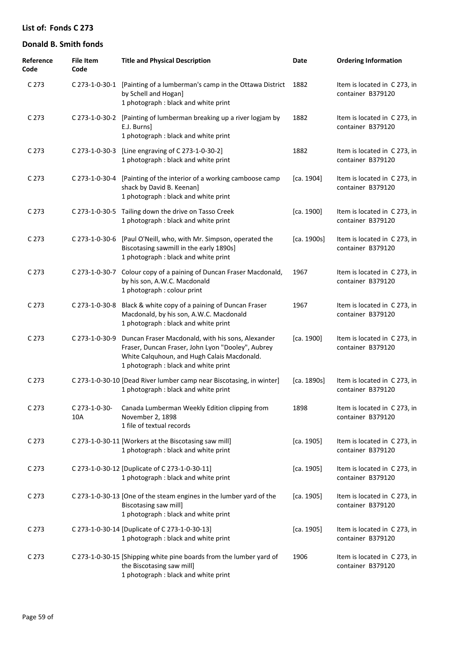| Reference<br>Code | <b>File Item</b><br>Code | <b>Title and Physical Description</b>                                                                                                                                                         | Date        | <b>Ordering Information</b>                       |
|-------------------|--------------------------|-----------------------------------------------------------------------------------------------------------------------------------------------------------------------------------------------|-------------|---------------------------------------------------|
| C <sub>273</sub>  |                          | C 273-1-0-30-1 [Painting of a lumberman's camp in the Ottawa District<br>by Schell and Hogan]<br>1 photograph : black and white print                                                         | 1882        | Item is located in C 273, in<br>container B379120 |
| C <sub>273</sub>  |                          | C 273-1-0-30-2 [Painting of lumberman breaking up a river logjam by<br>E.J. Burns]<br>1 photograph : black and white print                                                                    | 1882        | Item is located in C 273, in<br>container B379120 |
| C <sub>273</sub>  | C 273-1-0-30-3           | [Line engraving of C 273-1-0-30-2]<br>1 photograph : black and white print                                                                                                                    | 1882        | Item is located in C 273, in<br>container B379120 |
| C <sub>273</sub>  | C 273-1-0-30-4           | [Painting of the interior of a working camboose camp<br>shack by David B. Keenan]<br>1 photograph : black and white print                                                                     | [ca. 1904]  | Item is located in C 273, in<br>container B379120 |
| C 273             |                          | C 273-1-0-30-5 Tailing down the drive on Tasso Creek<br>1 photograph : black and white print                                                                                                  | [ca. 1900]  | Item is located in C 273, in<br>container B379120 |
| C <sub>273</sub>  | C 273-1-0-30-6           | [Paul O'Neill, who, with Mr. Simpson, operated the<br>Biscotasing sawmill in the early 1890s]<br>1 photograph : black and white print                                                         | [ca. 1900s] | Item is located in C 273, in<br>container B379120 |
| C <sub>273</sub>  | C 273-1-0-30-7           | Colour copy of a paining of Duncan Fraser Macdonald,<br>by his son, A.W.C. Macdonald<br>1 photograph : colour print                                                                           | 1967        | Item is located in C 273, in<br>container B379120 |
| C 273             | C 273-1-0-30-8           | Black & white copy of a paining of Duncan Fraser<br>Macdonald, by his son, A.W.C. Macdonald<br>1 photograph : black and white print                                                           | 1967        | Item is located in C 273, in<br>container B379120 |
| C <sub>273</sub>  | C 273-1-0-30-9           | Duncan Fraser Macdonald, with his sons, Alexander<br>Fraser, Duncan Fraser, John Lyon "Dooley", Aubrey<br>White Calquhoun, and Hugh Calais Macdonald.<br>1 photograph : black and white print | [ca. 1900]  | Item is located in C 273, in<br>container B379120 |
| C 273             |                          | C 273-1-0-30-10 [Dead River lumber camp near Biscotasing, in winter]<br>1 photograph : black and white print                                                                                  | [ca. 1890s] | Item is located in C273, in<br>container B379120  |
| C <sub>273</sub>  | C 273-1-0-30-<br>10A     | Canada Lumberman Weekly Edition clipping from<br>November 2, 1898<br>1 file of textual records                                                                                                | 1898        | Item is located in C 273, in<br>container B379120 |
| C <sub>273</sub>  |                          | C 273-1-0-30-11 [Workers at the Biscotasing saw mill]<br>1 photograph : black and white print                                                                                                 | [ca. 1905]  | Item is located in C 273, in<br>container B379120 |
| C <sub>273</sub>  |                          | C 273-1-0-30-12 [Duplicate of C 273-1-0-30-11]<br>1 photograph : black and white print                                                                                                        | [ca. 1905]  | Item is located in C 273, in<br>container B379120 |
| C <sub>273</sub>  |                          | C 273-1-0-30-13 [One of the steam engines in the lumber yard of the<br><b>Biscotasing saw mill]</b><br>1 photograph : black and white print                                                   | [ca. 1905]  | Item is located in C 273, in<br>container B379120 |
| C <sub>273</sub>  |                          | C 273-1-0-30-14 [Duplicate of C 273-1-0-30-13]<br>1 photograph : black and white print                                                                                                        | [ca. 1905]  | Item is located in C 273, in<br>container B379120 |
| C <sub>273</sub>  |                          | C 273-1-0-30-15 [Shipping white pine boards from the lumber yard of<br>the Biscotasing saw mill]<br>1 photograph : black and white print                                                      | 1906        | Item is located in C 273, in<br>container B379120 |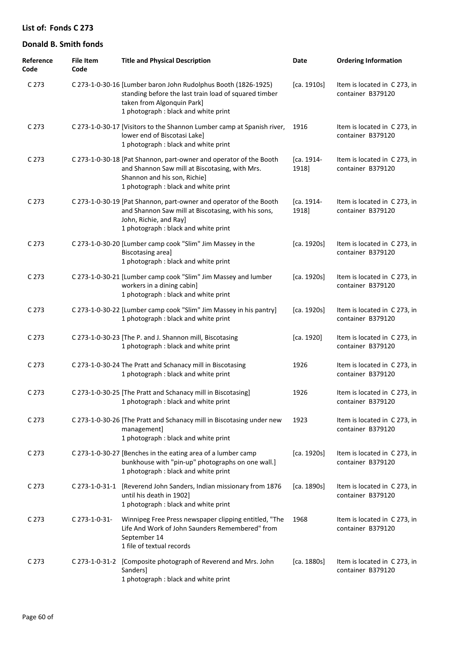| Reference<br>Code | <b>File Item</b><br>Code | <b>Title and Physical Description</b>                                                                                                                                                         | Date                | <b>Ordering Information</b>                       |
|-------------------|--------------------------|-----------------------------------------------------------------------------------------------------------------------------------------------------------------------------------------------|---------------------|---------------------------------------------------|
| C <sub>273</sub>  |                          | C 273-1-0-30-16 [Lumber baron John Rudolphus Booth (1826-1925)<br>standing before the last train load of squared timber<br>taken from Algonquin Park]<br>1 photograph : black and white print | [ca. 1910s]         | Item is located in C 273, in<br>container B379120 |
| C <sub>273</sub>  |                          | C 273-1-0-30-17 [Visitors to the Shannon Lumber camp at Spanish river,<br>lower end of Biscotasi Lake]<br>1 photograph : black and white print                                                | 1916                | Item is located in C273, in<br>container B379120  |
| C <sub>273</sub>  |                          | C 273-1-0-30-18 [Pat Shannon, part-owner and operator of the Booth<br>and Shannon Saw mill at Biscotasing, with Mrs.<br>Shannon and his son, Richie]<br>1 photograph : black and white print  | [ca. 1914-<br>1918] | Item is located in C273, in<br>container B379120  |
| C <sub>273</sub>  |                          | C 273-1-0-30-19 [Pat Shannon, part-owner and operator of the Booth<br>and Shannon Saw mill at Biscotasing, with his sons,<br>John, Richie, and Ray]<br>1 photograph : black and white print   | [ca. 1914-<br>1918] | Item is located in C 273, in<br>container B379120 |
| C <sub>273</sub>  |                          | C 273-1-0-30-20 [Lumber camp cook "Slim" Jim Massey in the<br>Biscotasing area]<br>1 photograph : black and white print                                                                       | [ca. 1920s]         | Item is located in C 273, in<br>container B379120 |
| C <sub>273</sub>  |                          | C 273-1-0-30-21 [Lumber camp cook "Slim" Jim Massey and lumber<br>workers in a dining cabin]<br>1 photograph : black and white print                                                          | [ca. 1920s]         | Item is located in C 273, in<br>container B379120 |
| C <sub>273</sub>  |                          | C 273-1-0-30-22 [Lumber camp cook "Slim" Jim Massey in his pantry]<br>1 photograph : black and white print                                                                                    | [ca. 1920s]         | Item is located in C 273, in<br>container B379120 |
| C <sub>273</sub>  |                          | C 273-1-0-30-23 [The P. and J. Shannon mill, Biscotasing<br>1 photograph : black and white print                                                                                              | [ca. 1920]          | Item is located in C 273, in<br>container B379120 |
| C <sub>273</sub>  |                          | C 273-1-0-30-24 The Pratt and Schanacy mill in Biscotasing<br>1 photograph : black and white print                                                                                            | 1926                | Item is located in C 273, in<br>container B379120 |
| C <sub>273</sub>  |                          | C 273-1-0-30-25 [The Pratt and Schanacy mill in Biscotasing]<br>1 photograph : black and white print                                                                                          | 1926                | Item is located in C273, in<br>container B379120  |
| C <sub>273</sub>  |                          | C 273-1-0-30-26 [The Pratt and Schanacy mill in Biscotasing under new<br>management]<br>1 photograph : black and white print                                                                  | 1923                | Item is located in C 273, in<br>container B379120 |
| C <sub>273</sub>  |                          | C 273-1-0-30-27 [Benches in the eating area of a lumber camp<br>bunkhouse with "pin-up" photographs on one wall.]<br>1 photograph : black and white print                                     | [ca. 1920s]         | Item is located in C 273, in<br>container B379120 |
| C <sub>273</sub>  | C 273-1-0-31-1           | [Reverend John Sanders, Indian missionary from 1876<br>until his death in 1902]<br>1 photograph : black and white print                                                                       | [ca. 1890s]         | Item is located in C 273, in<br>container B379120 |
| C <sub>273</sub>  | C 273-1-0-31-            | Winnipeg Free Press newspaper clipping entitled, "The<br>Life And Work of John Saunders Remembered" from<br>September 14<br>1 file of textual records                                         | 1968                | Item is located in C 273, in<br>container B379120 |
| C 273             | C 273-1-0-31-2           | [Composite photograph of Reverend and Mrs. John<br>Sanders]<br>1 photograph : black and white print                                                                                           | [ca. 1880s]         | Item is located in C 273, in<br>container B379120 |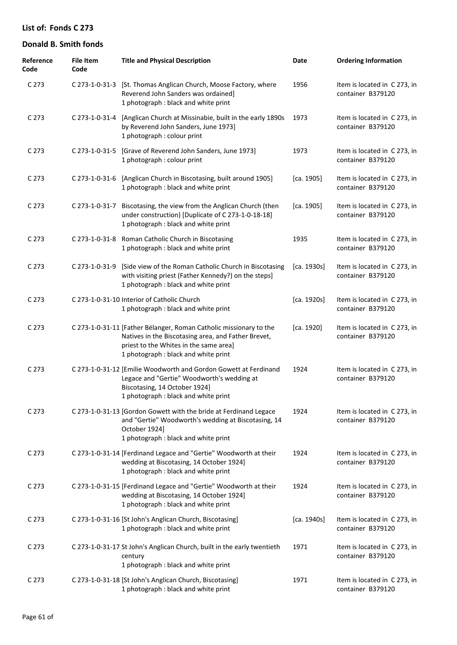| Reference<br>Code | <b>File Item</b><br>Code | <b>Title and Physical Description</b>                                                                                                                                                                       | Date        | <b>Ordering Information</b>                       |
|-------------------|--------------------------|-------------------------------------------------------------------------------------------------------------------------------------------------------------------------------------------------------------|-------------|---------------------------------------------------|
| C <sub>273</sub>  |                          | C 273-1-0-31-3 [St. Thomas Anglican Church, Moose Factory, where<br>Reverend John Sanders was ordained]<br>1 photograph : black and white print                                                             | 1956        | Item is located in C273, in<br>container B379120  |
| C 273             | C 273-1-0-31-4           | [Anglican Church at Missinabie, built in the early 1890s<br>by Reverend John Sanders, June 1973]<br>1 photograph : colour print                                                                             | 1973        | Item is located in C 273, in<br>container B379120 |
| C 273             | C 273-1-0-31-5           | [Grave of Reverend John Sanders, June 1973]<br>1 photograph : colour print                                                                                                                                  | 1973        | Item is located in C 273, in<br>container B379120 |
| C <sub>273</sub>  | C 273-1-0-31-6           | [Anglican Church in Biscotasing, built around 1905]<br>1 photograph : black and white print                                                                                                                 | [ca. 1905]  | Item is located in C 273, in<br>container B379120 |
| C 273             | C 273-1-0-31-7           | Biscotasing, the view from the Anglican Church (then<br>under construction) [Duplicate of C 273-1-0-18-18]<br>1 photograph : black and white print                                                          | [ca. 1905]  | Item is located in C 273, in<br>container B379120 |
| C 273             |                          | C 273-1-0-31-8 Roman Catholic Church in Biscotasing<br>1 photograph : black and white print                                                                                                                 | 1935        | Item is located in C273, in<br>container B379120  |
| C 273             | C 273-1-0-31-9           | [Side view of the Roman Catholic Church in Biscotasing<br>with visiting priest (Father Kennedy?) on the steps]<br>1 photograph : black and white print                                                      | [ca. 1930s] | Item is located in C273, in<br>container B379120  |
| C 273             |                          | C 273-1-0-31-10 Interior of Catholic Church<br>1 photograph : black and white print                                                                                                                         | [ca. 1920s] | Item is located in C273, in<br>container B379120  |
| C 273             |                          | C 273-1-0-31-11 [Father Bélanger, Roman Catholic missionary to the<br>Natives in the Biscotasing area, and Father Brevet,<br>priest to the Whites in the same area]<br>1 photograph : black and white print | [ca. 1920]  | Item is located in C273, in<br>container B379120  |
| C 273             |                          | C 273-1-0-31-12 [Emilie Woodworth and Gordon Gowett at Ferdinand<br>Legace and "Gertie" Woodworth's wedding at<br>Biscotasing, 14 October 1924]<br>1 photograph: black and white print                      | 1924        | Item is located in C273, in<br>container B379120  |
| C 273             |                          | C 273-1-0-31-13 [Gordon Gowett with the bride at Ferdinand Legace<br>and "Gertie" Woodworth's wedding at Biscotasing, 14<br>October 1924]<br>1 photograph : black and white print                           | 1924        | Item is located in C 273, in<br>container B379120 |
| C <sub>273</sub>  |                          | C 273-1-0-31-14 [Ferdinand Legace and "Gertie" Woodworth at their<br>wedding at Biscotasing, 14 October 1924]<br>1 photograph : black and white print                                                       | 1924        | Item is located in C 273, in<br>container B379120 |
| C 273             |                          | C 273-1-0-31-15 [Ferdinand Legace and "Gertie" Woodworth at their<br>wedding at Biscotasing, 14 October 1924]<br>1 photograph : black and white print                                                       | 1924        | Item is located in C 273, in<br>container B379120 |
| C 273             |                          | C 273-1-0-31-16 [St John's Anglican Church, Biscotasing]<br>1 photograph : black and white print                                                                                                            | [ca. 1940s] | Item is located in C 273, in<br>container B379120 |
| C 273             |                          | C 273-1-0-31-17 St John's Anglican Church, built in the early twentieth<br>century<br>1 photograph : black and white print                                                                                  | 1971        | Item is located in C273, in<br>container B379120  |
| C 273             |                          | C 273-1-0-31-18 [St John's Anglican Church, Biscotasing]<br>1 photograph : black and white print                                                                                                            | 1971        | Item is located in C273, in<br>container B379120  |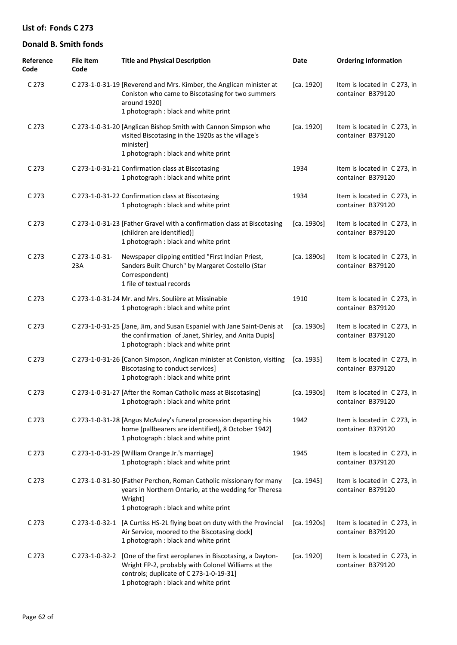| Reference<br>Code | <b>File Item</b><br>Code | <b>Title and Physical Description</b>                                                                                                                                                                          | Date        | <b>Ordering Information</b>                       |
|-------------------|--------------------------|----------------------------------------------------------------------------------------------------------------------------------------------------------------------------------------------------------------|-------------|---------------------------------------------------|
| C 273             |                          | C 273-1-0-31-19 [Reverend and Mrs. Kimber, the Anglican minister at<br>Coniston who came to Biscotasing for two summers<br>around 1920]<br>1 photograph : black and white print                                | [ca. 1920]  | Item is located in C 273, in<br>container B379120 |
| C 273             |                          | C 273-1-0-31-20 [Anglican Bishop Smith with Cannon Simpson who<br>visited Biscotasing in the 1920s as the village's<br>minister]<br>1 photograph : black and white print                                       | [ca. 1920]  | Item is located in C 273, in<br>container B379120 |
| C 273             |                          | C 273-1-0-31-21 Confirmation class at Biscotasing<br>1 photograph : black and white print                                                                                                                      | 1934        | Item is located in C 273, in<br>container B379120 |
| C 273             |                          | C 273-1-0-31-22 Confirmation class at Biscotasing<br>1 photograph : black and white print                                                                                                                      | 1934        | Item is located in C 273, in<br>container B379120 |
| C 273             |                          | C 273-1-0-31-23 [Father Gravel with a confirmation class at Biscotasing<br>(children are identified)]<br>1 photograph : black and white print                                                                  | [ca. 1930s] | Item is located in C273, in<br>container B379120  |
| C 273             | C 273-1-0-31-<br>23A     | Newspaper clipping entitled "First Indian Priest,<br>Sanders Built Church" by Margaret Costello (Star<br>Correspondent)<br>1 file of textual records                                                           | [ca. 1890s] | Item is located in C 273, in<br>container B379120 |
| C 273             |                          | C 273-1-0-31-24 Mr. and Mrs. Soulière at Missinabie<br>1 photograph : black and white print                                                                                                                    | 1910        | Item is located in C 273, in<br>container B379120 |
| C 273             |                          | C 273-1-0-31-25 [Jane, Jim, and Susan Espaniel with Jane Saint-Denis at<br>the confirmation of Janet, Shirley, and Anita Dupis]<br>1 photograph : black and white print                                        | [ca. 1930s] | Item is located in C 273, in<br>container B379120 |
| C 273             |                          | C 273-1-0-31-26 [Canon Simpson, Anglican minister at Coniston, visiting<br>Biscotasing to conduct services]<br>1 photograph : black and white print                                                            | [ca. 1935]  | Item is located in C 273, in<br>container B379120 |
| C <sub>273</sub>  |                          | C 273-1-0-31-27 [After the Roman Catholic mass at Biscotasing]<br>1 photograph : black and white print                                                                                                         | [ca. 1930s] | Item is located in C 273, in<br>container B379120 |
| C 273             |                          | C 273-1-0-31-28 [Angus McAuley's funeral procession departing his<br>home (pallbearers are identified), 8 October 1942]<br>1 photograph : black and white print                                                | 1942        | Item is located in C273, in<br>container B379120  |
| C <sub>273</sub>  |                          | C 273-1-0-31-29 [William Orange Jr.'s marriage]<br>1 photograph : black and white print                                                                                                                        | 1945        | Item is located in C 273, in<br>container B379120 |
| C <sub>273</sub>  |                          | C 273-1-0-31-30 [Father Perchon, Roman Catholic missionary for many<br>years in Northern Ontario, at the wedding for Theresa<br>Wright]<br>1 photograph : black and white print                                | [ca. 1945]  | Item is located in C 273, in<br>container B379120 |
| C 273             | C 273-1-0-32-1           | [A Curtiss HS-2L flying boat on duty with the Provincial<br>Air Service, moored to the Biscotasing dock]<br>1 photograph : black and white print                                                               | [ca. 1920s] | Item is located in C 273, in<br>container B379120 |
| C 273             |                          | C 273-1-0-32-2 [One of the first aeroplanes in Biscotasing, a Dayton-<br>Wright FP-2, probably with Colonel Williams at the<br>controls; duplicate of C 273-1-0-19-31]<br>1 photograph : black and white print | [ca. 1920]  | Item is located in C 273, in<br>container B379120 |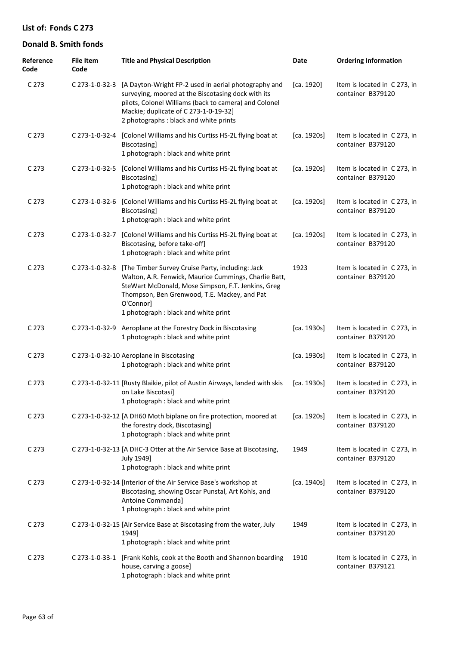| Reference<br>Code | <b>File Item</b><br>Code | <b>Title and Physical Description</b>                                                                                                                                                                                                                                 | Date        | <b>Ordering Information</b>                       |
|-------------------|--------------------------|-----------------------------------------------------------------------------------------------------------------------------------------------------------------------------------------------------------------------------------------------------------------------|-------------|---------------------------------------------------|
| C <sub>273</sub>  |                          | C 273-1-0-32-3 [A Dayton-Wright FP-2 used in aerial photography and<br>surveying, moored at the Biscotasing dock with its<br>pilots, Colonel Williams (back to camera) and Colonel<br>Mackie; duplicate of C 273-1-0-19-32]<br>2 photographs : black and white prints | [ca. 1920]  | Item is located in C 273, in<br>container B379120 |
| C <sub>273</sub>  | C 273-1-0-32-4           | [Colonel Williams and his Curtiss HS-2L flying boat at<br>Biscotasing]<br>1 photograph : black and white print                                                                                                                                                        | [ca. 1920s] | Item is located in C 273, in<br>container B379120 |
| C <sub>273</sub>  | C 273-1-0-32-5           | [Colonel Williams and his Curtiss HS-2L flying boat at<br>Biscotasing]<br>1 photograph : black and white print                                                                                                                                                        | [ca. 1920s] | Item is located in C 273, in<br>container B379120 |
| C 273             |                          | C 273-1-0-32-6 [Colonel Williams and his Curtiss HS-2L flying boat at<br>Biscotasing]<br>1 photograph : black and white print                                                                                                                                         | [ca. 1920s] | Item is located in C 273, in<br>container B379120 |
| C <sub>273</sub>  | C 273-1-0-32-7           | [Colonel Williams and his Curtiss HS-2L flying boat at<br>Biscotasing, before take-off]<br>1 photograph : black and white print                                                                                                                                       | [ca. 1920s] | Item is located in C 273, in<br>container B379120 |
| C 273             | C 273-1-0-32-8           | [The Timber Survey Cruise Party, including: Jack<br>Walton, A.R. Fenwick, Maurice Cummings, Charlie Batt,<br>SteWart McDonald, Mose Simpson, F.T. Jenkins, Greg<br>Thompson, Ben Grenwood, T.E. Mackey, and Pat<br>O'Connor]<br>1 photograph : black and white print  | 1923        | Item is located in C 273, in<br>container B379120 |
| C <sub>273</sub>  |                          | C 273-1-0-32-9 Aeroplane at the Forestry Dock in Biscotasing<br>1 photograph : black and white print                                                                                                                                                                  | [ca. 1930s] | Item is located in C 273, in<br>container B379120 |
| C <sub>273</sub>  |                          | C 273-1-0-32-10 Aeroplane in Biscotasing<br>1 photograph : black and white print                                                                                                                                                                                      | [ca. 1930s] | Item is located in C 273, in<br>container B379120 |
| C 273             |                          | C 273-1-0-32-11 [Rusty Blaikie, pilot of Austin Airways, landed with skis<br>on Lake Biscotasi]<br>1 photograph : black and white print                                                                                                                               | [ca. 1930s] | Item is located in C 273, in<br>container B379120 |
| C <sub>273</sub>  |                          | C 273-1-0-32-12 [A DH60 Moth biplane on fire protection, moored at<br>the forestry dock, Biscotasing]<br>1 photograph : black and white print                                                                                                                         | [ca. 1920s] | Item is located in C 273, in<br>container B379120 |
| C <sub>273</sub>  |                          | C 273-1-0-32-13 [A DHC-3 Otter at the Air Service Base at Biscotasing,<br>July 1949]<br>1 photograph : black and white print                                                                                                                                          | 1949        | Item is located in C 273, in<br>container B379120 |
| C <sub>273</sub>  |                          | C 273-1-0-32-14 [Interior of the Air Service Base's workshop at<br>Biscotasing, showing Oscar Punstal, Art Kohls, and<br>Antoine Commanda]<br>1 photograph : black and white print                                                                                    | [ca. 1940s] | Item is located in C 273, in<br>container B379120 |
| C <sub>273</sub>  |                          | C 273-1-0-32-15 [Air Service Base at Biscotasing from the water, July<br>1949]<br>1 photograph : black and white print                                                                                                                                                | 1949        | Item is located in C 273, in<br>container B379120 |
| C <sub>273</sub>  |                          | C 273-1-0-33-1 [Frank Kohls, cook at the Booth and Shannon boarding<br>house, carving a goose]<br>1 photograph : black and white print                                                                                                                                | 1910        | Item is located in C 273, in<br>container B379121 |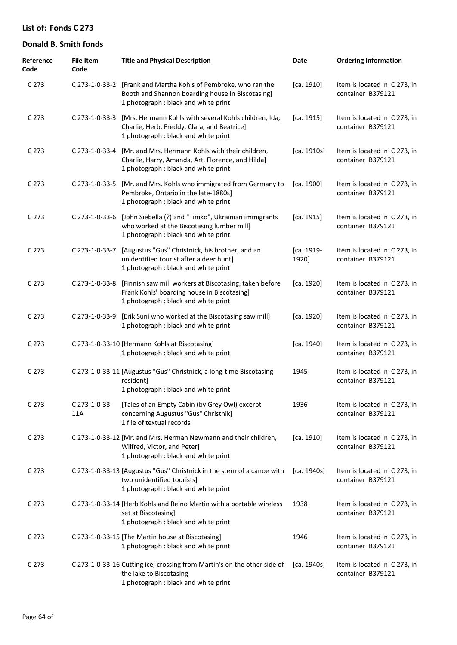| Reference<br>Code | <b>File Item</b><br>Code | <b>Title and Physical Description</b>                                                                                                                       | Date                | <b>Ordering Information</b>                       |
|-------------------|--------------------------|-------------------------------------------------------------------------------------------------------------------------------------------------------------|---------------------|---------------------------------------------------|
| C <sub>273</sub>  |                          | C 273-1-0-33-2 [Frank and Martha Kohls of Pembroke, who ran the<br>Booth and Shannon boarding house in Biscotasing]<br>1 photograph : black and white print | [ca. 1910]          | Item is located in C 273, in<br>container B379121 |
| C <sub>273</sub>  | C 273-1-0-33-3           | [Mrs. Hermann Kohls with several Kohls children, Ida,<br>Charlie, Herb, Freddy, Clara, and Beatrice]<br>1 photograph : black and white print                | [ca. 1915]          | Item is located in C273, in<br>container B379121  |
| C <sub>273</sub>  | C 273-1-0-33-4           | [Mr. and Mrs. Hermann Kohls with their children,<br>Charlie, Harry, Amanda, Art, Florence, and Hilda]<br>1 photograph : black and white print               | [ca. 1910s]         | Item is located in C 273, in<br>container B379121 |
| C <sub>273</sub>  | C 273-1-0-33-5           | [Mr. and Mrs. Kohls who immigrated from Germany to<br>Pembroke, Ontario in the late-1880s]<br>1 photograph : black and white print                          | [ca. 1900]          | Item is located in C273, in<br>container B379121  |
| C <sub>273</sub>  | C 273-1-0-33-6           | [John Siebella (?) and "Timko", Ukrainian immigrants<br>who worked at the Biscotasing lumber mill]<br>1 photograph : black and white print                  | [ca. 1915]          | Item is located in C 273, in<br>container B379121 |
| C <sub>273</sub>  | C 273-1-0-33-7           | [Augustus "Gus" Christnick, his brother, and an<br>unidentified tourist after a deer hunt]<br>1 photograph : black and white print                          | [ca. 1919-<br>1920] | Item is located in C273, in<br>container B379121  |
| C <sub>273</sub>  | C 273-1-0-33-8           | [Finnish saw mill workers at Biscotasing, taken before<br>Frank Kohls' boarding house in Biscotasing]<br>1 photograph : black and white print               | [ca. 1920]          | Item is located in C273, in<br>container B379121  |
| C <sub>273</sub>  | C 273-1-0-33-9           | [Erik Suni who worked at the Biscotasing saw mill]<br>1 photograph : black and white print                                                                  | [ca. 1920]          | Item is located in C 273, in<br>container B379121 |
| C <sub>273</sub>  |                          | C 273-1-0-33-10 [Hermann Kohls at Biscotasing]<br>1 photograph : black and white print                                                                      | [ca. 1940]          | Item is located in C 273, in<br>container B379121 |
| C <sub>273</sub>  |                          | C 273-1-0-33-11 [Augustus "Gus" Christnick, a long-time Biscotasing<br>resident]<br>1 photograph : black and white print                                    | 1945                | Item is located in C 273, in<br>container B379121 |
| C <sub>273</sub>  | C 273-1-0-33-<br>11A     | [Tales of an Empty Cabin (by Grey Owl) excerpt<br>concerning Augustus "Gus" Christnik]<br>1 file of textual records                                         | 1936                | Item is located in C 273, in<br>container B379121 |
| C <sub>273</sub>  |                          | C 273-1-0-33-12 [Mr. and Mrs. Herman Newmann and their children,<br>Wilfred, Victor, and Peter]<br>1 photograph : black and white print                     | [ca. 1910]          | Item is located in C 273, in<br>container B379121 |
| C <sub>273</sub>  |                          | C 273-1-0-33-13 [Augustus "Gus" Christnick in the stern of a canoe with<br>two unidentified tourists]<br>1 photograph : black and white print               | [ca. 1940s]         | Item is located in C 273, in<br>container B379121 |
| C <sub>273</sub>  |                          | C 273-1-0-33-14 [Herb Kohls and Reino Martin with a portable wireless<br>set at Biscotasing]<br>1 photograph : black and white print                        | 1938                | Item is located in C 273, in<br>container B379121 |
| C <sub>273</sub>  |                          | C 273-1-0-33-15 [The Martin house at Biscotasing]<br>1 photograph : black and white print                                                                   | 1946                | Item is located in C 273, in<br>container B379121 |
| C <sub>273</sub>  |                          | C 273-1-0-33-16 Cutting ice, crossing from Martin's on the other side of<br>the lake to Biscotasing<br>1 photograph : black and white print                 | [ca. 1940s]         | Item is located in C 273, in<br>container B379121 |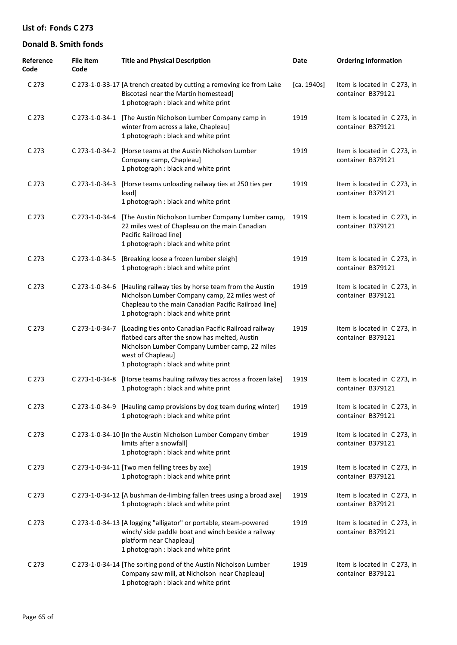| Reference<br>Code | <b>File Item</b><br>Code | <b>Title and Physical Description</b>                                                                                                                                                                                 | Date        | <b>Ordering Information</b>                       |
|-------------------|--------------------------|-----------------------------------------------------------------------------------------------------------------------------------------------------------------------------------------------------------------------|-------------|---------------------------------------------------|
| C 273             |                          | C 273-1-0-33-17 [A trench created by cutting a removing ice from Lake<br>Biscotasi near the Martin homestead]<br>1 photograph : black and white print                                                                 | [ca. 1940s] | Item is located in C 273, in<br>container B379121 |
| C 273             |                          | C 273-1-0-34-1 [The Austin Nicholson Lumber Company camp in<br>winter from across a lake, Chapleau]<br>1 photograph : black and white print                                                                           | 1919        | Item is located in C 273, in<br>container B379121 |
| C 273             |                          | C 273-1-0-34-2 [Horse teams at the Austin Nicholson Lumber<br>Company camp, Chapleau]<br>1 photograph : black and white print                                                                                         | 1919        | Item is located in C 273, in<br>container B379121 |
| C 273             | C 273-1-0-34-3           | [Horse teams unloading railway ties at 250 ties per<br>load]<br>1 photograph : black and white print                                                                                                                  | 1919        | Item is located in C 273, in<br>container B379121 |
| C 273             | C 273-1-0-34-4           | [The Austin Nicholson Lumber Company Lumber camp,<br>22 miles west of Chapleau on the main Canadian<br>Pacific Railroad line]<br>1 photograph : black and white print                                                 | 1919        | Item is located in C273, in<br>container B379121  |
| C 273             | C 273-1-0-34-5           | [Breaking loose a frozen lumber sleigh]<br>1 photograph : black and white print                                                                                                                                       | 1919        | Item is located in C 273, in<br>container B379121 |
| C 273             | C 273-1-0-34-6           | [Hauling railway ties by horse team from the Austin<br>Nicholson Lumber Company camp, 22 miles west of<br>Chapleau to the main Canadian Pacific Railroad line]<br>1 photograph : black and white print                | 1919        | Item is located in C 273, in<br>container B379121 |
| C 273             | C 273-1-0-34-7           | [Loading ties onto Canadian Pacific Railroad railway<br>flatbed cars after the snow has melted, Austin<br>Nicholson Lumber Company Lumber camp, 22 miles<br>west of Chapleau]<br>1 photograph : black and white print | 1919        | Item is located in C 273, in<br>container B379121 |
| C 273             | C 273-1-0-34-8           | [Horse teams hauling railway ties across a frozen lake]<br>1 photograph : black and white print                                                                                                                       | 1919        | Item is located in C 273, in<br>container B379121 |
| C 273             |                          | C 273-1-0-34-9 [Hauling camp provisions by dog team during winter]<br>1 photograph : black and white print                                                                                                            | 1919        | Item is located in C 273, in<br>container B379121 |
| C <sub>273</sub>  |                          | C 273-1-0-34-10 [In the Austin Nicholson Lumber Company timber<br>limits after a snowfall]<br>1 photograph : black and white print                                                                                    | 1919        | Item is located in C273, in<br>container B379121  |
| C <sub>273</sub>  |                          | C 273-1-0-34-11 [Two men felling trees by axe]<br>1 photograph : black and white print                                                                                                                                | 1919        | Item is located in C 273, in<br>container B379121 |
| C <sub>273</sub>  |                          | C 273-1-0-34-12 [A bushman de-limbing fallen trees using a broad axe]<br>1 photograph : black and white print                                                                                                         | 1919        | Item is located in C273, in<br>container B379121  |
| C <sub>273</sub>  |                          | C 273-1-0-34-13 [A logging "alligator" or portable, steam-powered<br>winch/ side paddle boat and winch beside a railway<br>platform near Chapleau]<br>1 photograph : black and white print                            | 1919        | Item is located in C273, in<br>container B379121  |
| C <sub>273</sub>  |                          | C 273-1-0-34-14 [The sorting pond of the Austin Nicholson Lumber<br>Company saw mill, at Nicholson near Chapleau]<br>1 photograph : black and white print                                                             | 1919        | Item is located in C273, in<br>container B379121  |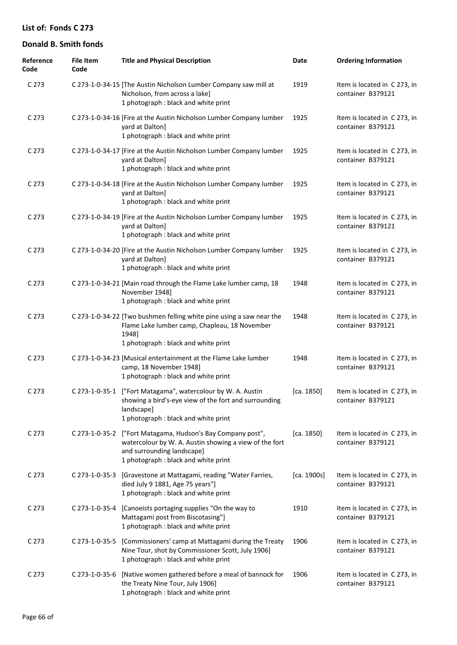| Reference<br>Code | <b>File Item</b><br>Code | <b>Title and Physical Description</b>                                                                                                                                        | Date        | <b>Ordering Information</b>                       |
|-------------------|--------------------------|------------------------------------------------------------------------------------------------------------------------------------------------------------------------------|-------------|---------------------------------------------------|
| C 273             |                          | C 273-1-0-34-15 [The Austin Nicholson Lumber Company saw mill at<br>Nicholson, from across a lake]<br>1 photograph : black and white print                                   | 1919        | Item is located in C 273, in<br>container B379121 |
| C <sub>273</sub>  |                          | C 273-1-0-34-16 [Fire at the Austin Nicholson Lumber Company lumber<br>yard at Dalton]<br>1 photograph : black and white print                                               | 1925        | Item is located in C 273, in<br>container B379121 |
| C <sub>273</sub>  |                          | C 273-1-0-34-17 [Fire at the Austin Nicholson Lumber Company lumber<br>yard at Dalton]<br>1 photograph : black and white print                                               | 1925        | Item is located in C273, in<br>container B379121  |
| C <sub>273</sub>  |                          | C 273-1-0-34-18 [Fire at the Austin Nicholson Lumber Company lumber<br>yard at Dalton]<br>1 photograph: black and white print                                                | 1925        | Item is located in C 273, in<br>container B379121 |
| C <sub>273</sub>  |                          | C 273-1-0-34-19 [Fire at the Austin Nicholson Lumber Company lumber<br>yard at Dalton]<br>1 photograph : black and white print                                               | 1925        | Item is located in C273, in<br>container B379121  |
| C <sub>273</sub>  |                          | C 273-1-0-34-20 [Fire at the Austin Nicholson Lumber Company lumber<br>yard at Dalton]<br>1 photograph : black and white print                                               | 1925        | Item is located in C 273, in<br>container B379121 |
| C <sub>273</sub>  |                          | C 273-1-0-34-21 [Main road through the Flame Lake lumber camp, 18<br>November 1948]<br>1 photograph : black and white print                                                  | 1948        | Item is located in C 273, in<br>container B379121 |
| C <sub>273</sub>  |                          | C 273-1-0-34-22 [Two bushmen felling white pine using a saw near the<br>Flame Lake lumber camp, Chapleau, 18 November<br>1948]<br>1 photograph : black and white print       | 1948        | Item is located in C 273, in<br>container B379121 |
| C <sub>273</sub>  |                          | C 273-1-0-34-23 [Musical entertainment at the Flame Lake lumber<br>camp, 18 November 1948]<br>1 photograph : black and white print                                           | 1948        | Item is located in C 273, in<br>container B379121 |
| C 273             |                          | C 273-1-0-35-1 ["Fort Matagama", watercolour by W. A. Austin<br>showing a bird's-eye view of the fort and surrounding<br>landscape]<br>1 photograph : black and white print  | [ca. 1850]  | Item is located in C 273, in<br>container B379121 |
| C <sub>273</sub>  | C 273-1-0-35-2           | ["Fort Matagama, Hudson's Bay Company post",<br>watercolour by W. A. Austin showing a view of the fort<br>and surrounding landscape]<br>1 photograph : black and white print | [ca. 1850]  | Item is located in C 273, in<br>container B379121 |
| C <sub>273</sub>  | C 273-1-0-35-3           | [Gravestone at Mattagami, reading "Water Farries,<br>died July 9 1881, Age 75 years"]<br>1 photograph : black and white print                                                | [ca. 1900s] | Item is located in C 273, in<br>container B379121 |
| C <sub>273</sub>  |                          | C 273-1-0-35-4 [Canoeists portaging supplies "On the way to<br>Mattagami post from Biscotasing"]<br>1 photograph : black and white print                                     | 1910        | Item is located in C 273, in<br>container B379121 |
| C <sub>273</sub>  | C 273-1-0-35-5           | [Commissioners' camp at Mattagami during the Treaty<br>Nine Tour, shot by Commissioner Scott, July 1906]<br>1 photograph : black and white print                             | 1906        | Item is located in C 273, in<br>container B379121 |
| C <sub>273</sub>  | C 273-1-0-35-6           | [Native women gathered before a meal of bannock for<br>the Treaty Nine Tour, July 1906]<br>1 photograph : black and white print                                              | 1906        | Item is located in C 273, in<br>container B379121 |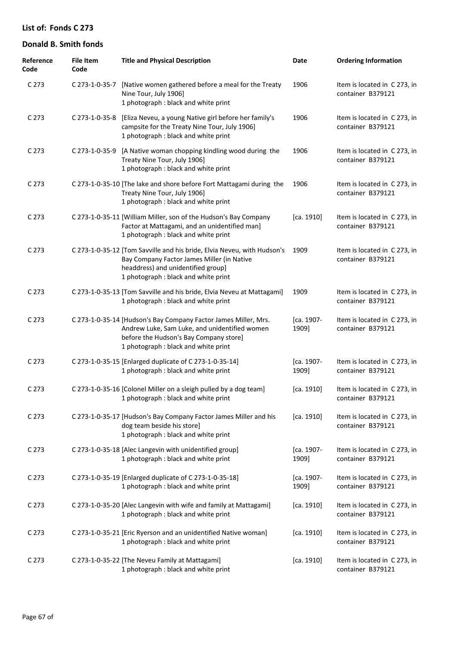| Reference<br>Code | <b>File Item</b><br>Code | <b>Title and Physical Description</b>                                                                                                                                                               | Date                | <b>Ordering Information</b>                       |
|-------------------|--------------------------|-----------------------------------------------------------------------------------------------------------------------------------------------------------------------------------------------------|---------------------|---------------------------------------------------|
| C 273             | C 273-1-0-35-7           | [Native women gathered before a meal for the Treaty<br>Nine Tour, July 1906]<br>1 photograph : black and white print                                                                                | 1906                | Item is located in C 273, in<br>container B379121 |
| C <sub>273</sub>  | C 273-1-0-35-8           | [Eliza Neveu, a young Native girl before her family's<br>campsite for the Treaty Nine Tour, July 1906]<br>1 photograph : black and white print                                                      | 1906                | Item is located in C 273, in<br>container B379121 |
| C 273             | C 273-1-0-35-9           | [A Native woman chopping kindling wood during the<br>Treaty Nine Tour, July 1906]<br>1 photograph : black and white print                                                                           | 1906                | Item is located in C273, in<br>container B379121  |
| C 273             |                          | C 273-1-0-35-10 [The lake and shore before Fort Mattagami during the<br>Treaty Nine Tour, July 1906]<br>1 photograph : black and white print                                                        | 1906                | Item is located in C 273, in<br>container B379121 |
| C <sub>273</sub>  |                          | C 273-1-0-35-11 [William Miller, son of the Hudson's Bay Company<br>Factor at Mattagami, and an unidentified man]<br>1 photograph : black and white print                                           | [ca. 1910]          | Item is located in C 273, in<br>container B379121 |
| C 273             |                          | C 273-1-0-35-12 [Tom Savville and his bride, Elvia Neveu, with Hudson's<br>Bay Company Factor James Miller (in Native<br>headdress) and unidentified group]<br>1 photograph : black and white print | 1909                | Item is located in C 273, in<br>container B379121 |
| C 273             |                          | C 273-1-0-35-13 [Tom Savville and his bride, Elvia Neveu at Mattagami]<br>1 photograph : black and white print                                                                                      | 1909                | Item is located in C 273, in<br>container B379121 |
| C 273             |                          | C 273-1-0-35-14 [Hudson's Bay Company Factor James Miller, Mrs.<br>Andrew Luke, Sam Luke, and unidentified women<br>before the Hudson's Bay Company store]<br>1 photograph : black and white print  | [ca. 1907-<br>1909] | Item is located in C 273, in<br>container B379121 |
| C 273             |                          | C 273-1-0-35-15 [Enlarged duplicate of C 273-1-0-35-14]<br>1 photograph : black and white print                                                                                                     | [ca. 1907-<br>1909] | Item is located in C 273, in<br>container B379121 |
| C 273             |                          | C 273-1-0-35-16 [Colonel Miller on a sleigh pulled by a dog team]<br>1 photograph : black and white print                                                                                           | [ca. 1910]          | Item is located in C 273, in<br>container B379121 |
| C <sub>273</sub>  |                          | C 273-1-0-35-17 [Hudson's Bay Company Factor James Miller and his<br>dog team beside his store]<br>1 photograph : black and white print                                                             | [ca. 1910]          | Item is located in C 273, in<br>container B379121 |
| C <sub>273</sub>  |                          | C 273-1-0-35-18 [Alec Langevin with unidentified group]<br>1 photograph : black and white print                                                                                                     | [ca. 1907-<br>1909] | Item is located in C 273, in<br>container B379121 |
| C <sub>273</sub>  |                          | C 273-1-0-35-19 [Enlarged duplicate of C 273-1-0-35-18]<br>1 photograph : black and white print                                                                                                     | [ca. 1907-<br>1909] | Item is located in C 273, in<br>container B379121 |
| C <sub>273</sub>  |                          | C 273-1-0-35-20 [Alec Langevin with wife and family at Mattagami]<br>1 photograph : black and white print                                                                                           | [ca. 1910]          | Item is located in C 273, in<br>container B379121 |
| C <sub>273</sub>  |                          | C 273-1-0-35-21 [Eric Ryerson and an unidentified Native woman]<br>1 photograph : black and white print                                                                                             | [ca. 1910]          | Item is located in C 273, in<br>container B379121 |
| C <sub>273</sub>  |                          | C 273-1-0-35-22 [The Neveu Family at Mattagami]<br>1 photograph : black and white print                                                                                                             | [ca. 1910]          | Item is located in C 273, in<br>container B379121 |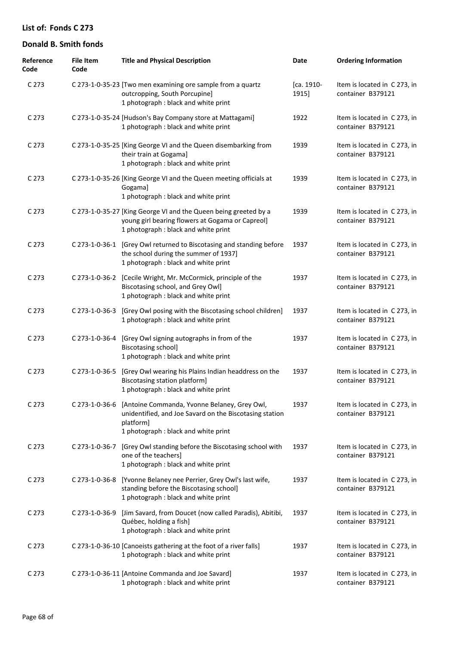| Reference<br>Code | <b>File Item</b><br>Code | <b>Title and Physical Description</b>                                                                                                                                       | Date                | <b>Ordering Information</b>                       |
|-------------------|--------------------------|-----------------------------------------------------------------------------------------------------------------------------------------------------------------------------|---------------------|---------------------------------------------------|
| C 273             |                          | C 273-1-0-35-23 [Two men examining ore sample from a quartz<br>outcropping, South Porcupine]<br>1 photograph : black and white print                                        | [ca. 1910-<br>1915] | Item is located in C 273, in<br>container B379121 |
| C 273             |                          | C 273-1-0-35-24 [Hudson's Bay Company store at Mattagami]<br>1 photograph : black and white print                                                                           | 1922                | Item is located in C 273, in<br>container B379121 |
| C <sub>273</sub>  |                          | C 273-1-0-35-25 [King George VI and the Queen disembarking from<br>their train at Gogama]<br>1 photograph : black and white print                                           | 1939                | Item is located in C 273, in<br>container B379121 |
| C 273             |                          | C 273-1-0-35-26 [King George VI and the Queen meeting officials at<br>Gogama]<br>1 photograph : black and white print                                                       | 1939                | Item is located in C 273, in<br>container B379121 |
| C 273             |                          | C 273-1-0-35-27 [King George VI and the Queen being greeted by a<br>young girl bearing flowers at Gogama or Capreol]<br>1 photograph : black and white print                | 1939                | Item is located in C 273, in<br>container B379121 |
| C 273             | C 273-1-0-36-1           | [Grey Owl returned to Biscotasing and standing before<br>the school during the summer of 1937]<br>1 photograph : black and white print                                      | 1937                | Item is located in C 273, in<br>container B379121 |
| C 273             |                          | C 273-1-0-36-2 [Cecile Wright, Mr. McCormick, principle of the<br>Biscotasing school, and Grey Owl]<br>1 photograph : black and white print                                 | 1937                | Item is located in C 273, in<br>container B379121 |
| C 273             | C 273-1-0-36-3           | [Grey Owl posing with the Biscotasing school children]<br>1 photograph : black and white print                                                                              | 1937                | Item is located in C 273, in<br>container B379121 |
| C 273             | C 273-1-0-36-4           | [Grey Owl signing autographs in from of the<br><b>Biscotasing school]</b><br>1 photograph : black and white print                                                           | 1937                | Item is located in C 273, in<br>container B379121 |
| C 273             | C 273-1-0-36-5           | [Grey Owl wearing his Plains Indian headdress on the<br>Biscotasing station platform]<br>1 photograph : black and white print                                               | 1937                | Item is located in C 273, in<br>container B379121 |
| C 273             |                          | C 273-1-0-36-6 [Antoine Commanda, Yvonne Belaney, Grey Owl,<br>unidentified, and Joe Savard on the Biscotasing station<br>platform]<br>1 photograph : black and white print | 1937                | Item is located in C 273, in<br>container B379121 |
| C 273             | C 273-1-0-36-7           | [Grey Owl standing before the Biscotasing school with<br>one of the teachers]<br>1 photograph : black and white print                                                       | 1937                | Item is located in C 273, in<br>container B379121 |
| C <sub>273</sub>  | C 273-1-0-36-8           | [Yvonne Belaney nee Perrier, Grey Owl's last wife,<br>standing before the Biscotasing school]<br>1 photograph : black and white print                                       | 1937                | Item is located in C 273, in<br>container B379121 |
| C 273             | C 273-1-0-36-9           | [Jim Savard, from Doucet (now called Paradis), Abitibi,<br>Québec, holding a fish]<br>1 photograph : black and white print                                                  | 1937                | Item is located in C 273, in<br>container B379121 |
| C 273             |                          | C 273-1-0-36-10 [Canoeists gathering at the foot of a river falls]<br>1 photograph : black and white print                                                                  | 1937                | Item is located in C 273, in<br>container B379121 |
| C <sub>273</sub>  |                          | C 273-1-0-36-11 [Antoine Commanda and Joe Savard]<br>1 photograph : black and white print                                                                                   | 1937                | Item is located in C 273, in<br>container B379121 |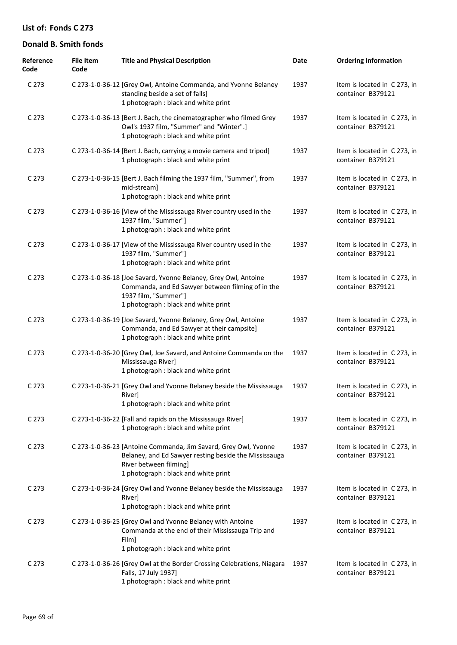| Reference<br>Code | <b>File Item</b><br>Code | <b>Title and Physical Description</b>                                                                                                                                                      | Date | <b>Ordering Information</b>                       |
|-------------------|--------------------------|--------------------------------------------------------------------------------------------------------------------------------------------------------------------------------------------|------|---------------------------------------------------|
| C 273             |                          | C 273-1-0-36-12 [Grey Owl, Antoine Commanda, and Yvonne Belaney<br>standing beside a set of falls]<br>1 photograph : black and white print                                                 | 1937 | Item is located in C 273, in<br>container B379121 |
| C <sub>273</sub>  |                          | C 273-1-0-36-13 [Bert J. Bach, the cinematographer who filmed Grey<br>Owl's 1937 film, "Summer" and "Winter".]<br>1 photograph : black and white print                                     | 1937 | Item is located in C 273, in<br>container B379121 |
| C <sub>273</sub>  |                          | C 273-1-0-36-14 [Bert J. Bach, carrying a movie camera and tripod]<br>1 photograph : black and white print                                                                                 | 1937 | Item is located in C 273, in<br>container B379121 |
| C <sub>273</sub>  |                          | C 273-1-0-36-15 [Bert J. Bach filming the 1937 film, "Summer", from<br>mid-stream]<br>1 photograph : black and white print                                                                 | 1937 | Item is located in C 273, in<br>container B379121 |
| C <sub>273</sub>  |                          | C 273-1-0-36-16 [View of the Mississauga River country used in the<br>1937 film, "Summer"]<br>1 photograph : black and white print                                                         | 1937 | Item is located in C 273, in<br>container B379121 |
| C <sub>273</sub>  |                          | C 273-1-0-36-17 [View of the Mississauga River country used in the<br>1937 film, "Summer"]<br>1 photograph : black and white print                                                         | 1937 | Item is located in C273, in<br>container B379121  |
| C <sub>273</sub>  |                          | C 273-1-0-36-18 [Joe Savard, Yvonne Belaney, Grey Owl, Antoine<br>Commanda, and Ed Sawyer between filming of in the<br>1937 film, "Summer"]<br>1 photograph : black and white print        | 1937 | Item is located in C 273, in<br>container B379121 |
| C <sub>273</sub>  |                          | C 273-1-0-36-19 [Joe Savard, Yvonne Belaney, Grey Owl, Antoine<br>Commanda, and Ed Sawyer at their campsite]<br>1 photograph : black and white print                                       | 1937 | Item is located in C 273, in<br>container B379121 |
| C <sub>273</sub>  |                          | C 273-1-0-36-20 [Grey Owl, Joe Savard, and Antoine Commanda on the<br>Mississauga River]<br>1 photograph : black and white print                                                           | 1937 | Item is located in C 273, in<br>container B379121 |
| C <sub>273</sub>  |                          | C 273-1-0-36-21 [Grey Owl and Yvonne Belaney beside the Mississauga<br>River]<br>1 photograph : black and white print                                                                      | 1937 | Item is located in C 273, in<br>container B379121 |
| C <sub>273</sub>  |                          | C 273-1-0-36-22 [Fall and rapids on the Mississauga River]<br>1 photograph : black and white print                                                                                         | 1937 | Item is located in C 273, in<br>container B379121 |
| C <sub>273</sub>  |                          | C 273-1-0-36-23 [Antoine Commanda, Jim Savard, Grey Owl, Yvonne<br>Belaney, and Ed Sawyer resting beside the Mississauga<br>River between filming]<br>1 photograph : black and white print | 1937 | Item is located in C 273, in<br>container B379121 |
| C <sub>273</sub>  |                          | C 273-1-0-36-24 [Grey Owl and Yvonne Belaney beside the Mississauga<br>River]<br>1 photograph : black and white print                                                                      | 1937 | Item is located in C 273, in<br>container B379121 |
| C 273             |                          | C 273-1-0-36-25 [Grey Owl and Yvonne Belaney with Antoine<br>Commanda at the end of their Mississauga Trip and<br>Film]<br>1 photograph : black and white print                            | 1937 | Item is located in C 273, in<br>container B379121 |
| C <sub>273</sub>  |                          | C 273-1-0-36-26 [Grey Owl at the Border Crossing Celebrations, Niagara<br>Falls, 17 July 1937]<br>1 photograph : black and white print                                                     | 1937 | Item is located in C 273, in<br>container B379121 |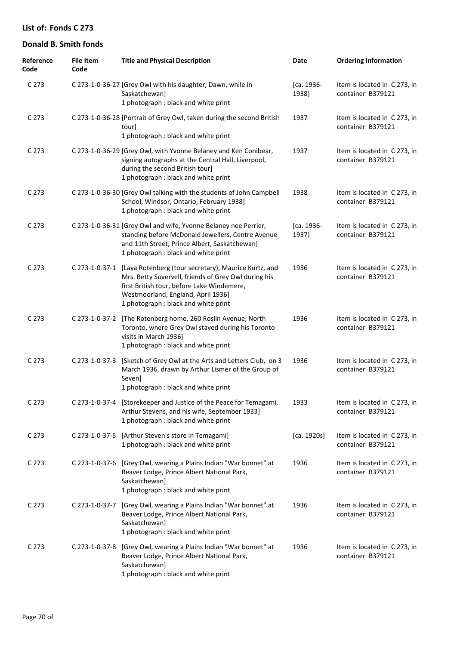| Reference<br>Code | <b>File Item</b><br>Code | <b>Title and Physical Description</b>                                                                                                                                                                                                                   | Date                | <b>Ordering Information</b>                       |
|-------------------|--------------------------|---------------------------------------------------------------------------------------------------------------------------------------------------------------------------------------------------------------------------------------------------------|---------------------|---------------------------------------------------|
| C 273             |                          | C 273-1-0-36-27 [Grey Owl with his daughter, Dawn, while in<br>Saskatchewan]<br>1 photograph : black and white print                                                                                                                                    | [ca. 1936-<br>1938] | Item is located in C 273, in<br>container B379121 |
| C 273             |                          | C 273-1-0-36-28 [Portrait of Grey Owl, taken during the second British<br>tour]<br>1 photograph : black and white print                                                                                                                                 | 1937                | Item is located in C 273, in<br>container B379121 |
| C <sub>273</sub>  |                          | C 273-1-0-36-29 [Grey Owl, with Yvonne Belaney and Ken Conibear,<br>signing autographs at the Central Hall, Liverpool,<br>during the second British tour]<br>1 photograph : black and white print                                                       | 1937                | Item is located in C 273, in<br>container B379121 |
| C 273             |                          | C 273-1-0-36-30 [Grey Owl talking with the students of John Campbell<br>School, Windsor, Ontario, February 1938]<br>1 photograph : black and white print                                                                                                | 1938                | Item is located in C 273, in<br>container B379121 |
| C 273             |                          | C 273-1-0-36-31 [Grey Owl and wife, Yvonne Belaney nee Perrier,<br>standing before McDonald Jewellers, Centre Avenue<br>and 11th Street, Prince Albert, Saskatchewan]<br>1 photograph : black and white print                                           | [ca. 1936-<br>1937] | Item is located in C 273, in<br>container B379121 |
| C 273             |                          | C 273-1-0-37-1 [Laya Rotenberg (tour secretary), Maurice Kurtz, and<br>Mrs. Betty Sovervell, friends of Grey Owl during his<br>first British tour, before Lake Windemere,<br>Westmoorland, England, April 1936]<br>1 photograph : black and white print | 1936                | Item is located in C 273, in<br>container B379121 |
| C 273             | C 273-1-0-37-2           | [The Rotenberg home, 260 Roslin Avenue, North<br>Toronto, where Grey Owl stayed during his Toronto<br>visits in March 1936]<br>1 photograph : black and white print                                                                                     | 1936                | Item is located in C 273, in<br>container B379121 |
| C 273             | C 273-1-0-37-3           | [Sketch of Grey Owl at the Arts and Letters Club, on 3<br>March 1936, drawn by Arthur Lismer of the Group of<br>Seven]<br>1 photograph : black and white print                                                                                          | 1936                | Item is located in C 273, in<br>container B379121 |
| C <sub>273</sub>  |                          | C 273-1-0-37-4 [Storekeeper and Justice of the Peace for Temagami,<br>Arthur Stevens, and his wife, September 1933]<br>1 photograph : black and white print                                                                                             | 1933                | Item is located in C 273, in<br>container B379121 |
| C 273             |                          | C 273-1-0-37-5 [Arthur Steven's store in Temagami]<br>1 photograph : black and white print                                                                                                                                                              | [ca. 1920s]         | Item is located in C 273, in<br>container B379121 |
| C 273             |                          | C 273-1-0-37-6 [Grey Owl, wearing a Plains Indian "War bonnet" at<br>Beaver Lodge, Prince Albert National Park,<br>Saskatchewan]<br>1 photograph : black and white print                                                                                | 1936                | Item is located in C 273, in<br>container B379121 |
| C <sub>273</sub>  | C 273-1-0-37-7           | [Grey Owl, wearing a Plains Indian "War bonnet" at<br>Beaver Lodge, Prince Albert National Park,<br>Saskatchewan]<br>1 photograph : black and white print                                                                                               | 1936                | Item is located in C 273, in<br>container B379121 |
| C <sub>273</sub>  |                          | C 273-1-0-37-8 [Grey Owl, wearing a Plains Indian "War bonnet" at<br>Beaver Lodge, Prince Albert National Park,<br>Saskatchewan]<br>1 photograph : black and white print                                                                                | 1936                | Item is located in C 273, in<br>container B379121 |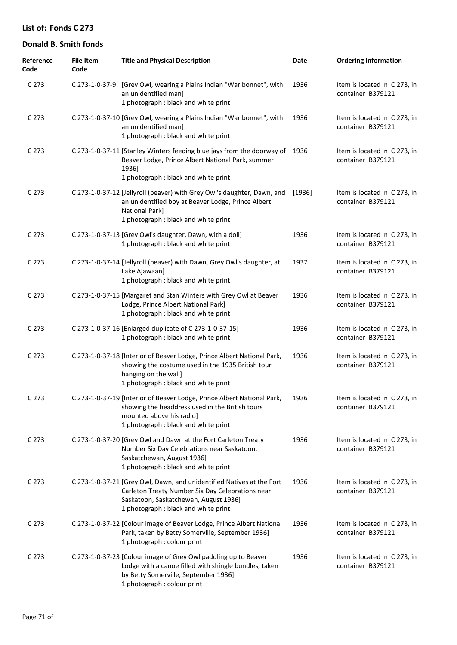| Reference<br>Code | <b>File Item</b><br>Code | <b>Title and Physical Description</b>                                                                                                                                                                      | Date     | <b>Ordering Information</b>                       |
|-------------------|--------------------------|------------------------------------------------------------------------------------------------------------------------------------------------------------------------------------------------------------|----------|---------------------------------------------------|
| C 273             |                          | C 273-1-0-37-9 [Grey Owl, wearing a Plains Indian "War bonnet", with<br>an unidentified man]<br>1 photograph : black and white print                                                                       | 1936     | Item is located in C 273, in<br>container B379121 |
| C 273             |                          | C 273-1-0-37-10 [Grey Owl, wearing a Plains Indian "War bonnet", with<br>an unidentified man]<br>1 photograph : black and white print                                                                      | 1936     | Item is located in C 273, in<br>container B379121 |
| C 273             |                          | C 273-1-0-37-11 [Stanley Winters feeding blue jays from the doorway of<br>Beaver Lodge, Prince Albert National Park, summer<br>1936]<br>1 photograph : black and white print                               | 1936     | Item is located in C 273, in<br>container B379121 |
| C 273             |                          | C 273-1-0-37-12 [Jellyroll (beaver) with Grey Owl's daughter, Dawn, and<br>an unidentified boy at Beaver Lodge, Prince Albert<br>National Park]<br>1 photograph : black and white print                    | $[1936]$ | Item is located in C 273, in<br>container B379121 |
| C 273             |                          | C 273-1-0-37-13 [Grey Owl's daughter, Dawn, with a doll]<br>1 photograph : black and white print                                                                                                           | 1936     | Item is located in C 273, in<br>container B379121 |
| C 273             |                          | C 273-1-0-37-14 [Jellyroll (beaver) with Dawn, Grey Owl's daughter, at<br>Lake Ajawaan]<br>1 photograph : black and white print                                                                            | 1937     | Item is located in C 273, in<br>container B379121 |
| C 273             |                          | C 273-1-0-37-15 [Margaret and Stan Winters with Grey Owl at Beaver<br>Lodge, Prince Albert National Park]<br>1 photograph : black and white print                                                          | 1936     | Item is located in C 273, in<br>container B379121 |
| C 273             |                          | C 273-1-0-37-16 [Enlarged duplicate of C 273-1-0-37-15]<br>1 photograph : black and white print                                                                                                            | 1936     | Item is located in C 273, in<br>container B379121 |
| C 273             |                          | C 273-1-0-37-18 [Interior of Beaver Lodge, Prince Albert National Park,<br>showing the costume used in the 1935 British tour<br>hanging on the wall]<br>1 photograph : black and white print               | 1936     | Item is located in C 273, in<br>container B379121 |
| C 273             |                          | C 273-1-0-37-19 [Interior of Beaver Lodge, Prince Albert National Park,<br>showing the headdress used in the British tours<br>mounted above his radio]<br>1 photograph : black and white print             | 1936     | Item is located in C 273, in<br>container B379121 |
| C <sub>273</sub>  |                          | C 273-1-0-37-20 [Grey Owl and Dawn at the Fort Carleton Treaty<br>Number Six Day Celebrations near Saskatoon,<br>Saskatchewan, August 1936]<br>1 photograph : black and white print                        | 1936     | Item is located in C273, in<br>container B379121  |
| C <sub>273</sub>  |                          | C 273-1-0-37-21 [Grey Owl, Dawn, and unidentified Natives at the Fort<br>Carleton Treaty Number Six Day Celebrations near<br>Saskatoon, Saskatchewan, August 1936]<br>1 photograph : black and white print | 1936     | Item is located in C273, in<br>container B379121  |
| C <sub>273</sub>  |                          | C 273-1-0-37-22 [Colour image of Beaver Lodge, Prince Albert National<br>Park, taken by Betty Somerville, September 1936]<br>1 photograph : colour print                                                   | 1936     | Item is located in C 273, in<br>container B379121 |
| C 273             |                          | C 273-1-0-37-23 [Colour image of Grey Owl paddling up to Beaver<br>Lodge with a canoe filled with shingle bundles, taken<br>by Betty Somerville, September 1936]<br>1 photograph : colour print            | 1936     | Item is located in C273, in<br>container B379121  |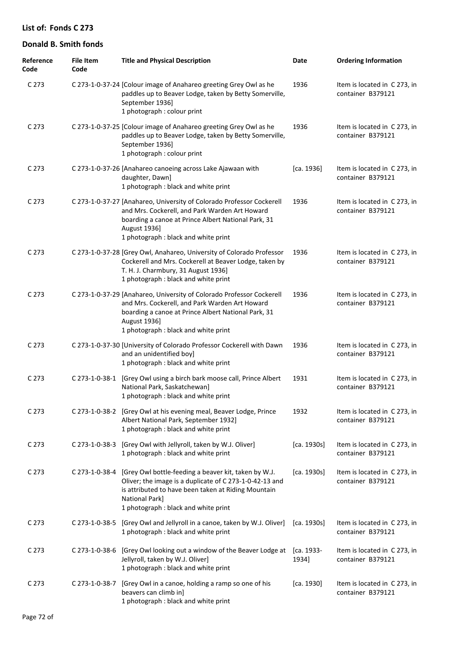| Reference<br>Code | <b>File Item</b><br>Code | <b>Title and Physical Description</b>                                                                                                                                                                                                  | Date                | <b>Ordering Information</b>                       |
|-------------------|--------------------------|----------------------------------------------------------------------------------------------------------------------------------------------------------------------------------------------------------------------------------------|---------------------|---------------------------------------------------|
| C 273             |                          | C 273-1-0-37-24 [Colour image of Anahareo greeting Grey Owl as he<br>paddles up to Beaver Lodge, taken by Betty Somerville,<br>September 1936]<br>1 photograph : colour print                                                          | 1936                | Item is located in C 273, in<br>container B379121 |
| C 273             |                          | C 273-1-0-37-25 [Colour image of Anahareo greeting Grey Owl as he<br>paddles up to Beaver Lodge, taken by Betty Somerville,<br>September 1936]<br>1 photograph : colour print                                                          | 1936                | Item is located in C 273, in<br>container B379121 |
| C 273             |                          | C 273-1-0-37-26 [Anahareo canoeing across Lake Ajawaan with<br>daughter, Dawn]<br>1 photograph : black and white print                                                                                                                 | [ca. 1936]          | Item is located in C 273, in<br>container B379121 |
| C 273             |                          | C 273-1-0-37-27 [Anahareo, University of Colorado Professor Cockerell<br>and Mrs. Cockerell, and Park Warden Art Howard<br>boarding a canoe at Prince Albert National Park, 31<br>August 1936]<br>1 photograph : black and white print | 1936                | Item is located in C 273, in<br>container B379121 |
| C 273             |                          | C 273-1-0-37-28 [Grey Owl, Anahareo, University of Colorado Professor<br>Cockerell and Mrs. Cockerell at Beaver Lodge, taken by<br>T. H. J. Charmbury, 31 August 1936]<br>1 photograph : black and white print                         | 1936                | Item is located in C 273, in<br>container B379121 |
| C 273             |                          | C 273-1-0-37-29 [Anahareo, University of Colorado Professor Cockerell<br>and Mrs. Cockerell, and Park Warden Art Howard<br>boarding a canoe at Prince Albert National Park, 31<br>August 1936]<br>1 photograph : black and white print | 1936                | Item is located in C 273, in<br>container B379121 |
| C 273             |                          | C 273-1-0-37-30 [University of Colorado Professor Cockerell with Dawn<br>and an unidentified boy]<br>1 photograph : black and white print                                                                                              | 1936                | Item is located in C 273, in<br>container B379121 |
| C 273             | C 273-1-0-38-1           | [Grey Owl using a birch bark moose call, Prince Albert<br>National Park, Saskatchewan]<br>1 photograph: black and white print                                                                                                          | 1931                | Item is located in C 273, in<br>container B379121 |
| C 273             |                          | C 273-1-0-38-2 [Grey Owl at his evening meal, Beaver Lodge, Prince<br>Albert National Park, September 1932]<br>1 photograph : black and white print                                                                                    | 1932                | Item is located in C 273, in<br>container B379121 |
| C 273             |                          | C 273-1-0-38-3 [Grey Owl with Jellyroll, taken by W.J. Oliver]<br>1 photograph : black and white print                                                                                                                                 | [ca. 1930s]         | Item is located in C 273, in<br>container B379121 |
| C 273             | C 273-1-0-38-4           | [Grey Owl bottle-feeding a beaver kit, taken by W.J.<br>Oliver; the image is a duplicate of C 273-1-0-42-13 and<br>is attributed to have been taken at Riding Mountain<br>National Park]<br>1 photograph : black and white print       | [ca. 1930s]         | Item is located in C 273, in<br>container B379121 |
| C 273             |                          | C 273-1-0-38-5 [Grey Owl and Jellyroll in a canoe, taken by W.J. Oliver]<br>1 photograph : black and white print                                                                                                                       | [ca. 1930s]         | Item is located in C 273, in<br>container B379121 |
| C 273             | C 273-1-0-38-6           | [Grey Owl looking out a window of the Beaver Lodge at<br>Jellyroll, taken by W.J. Oliver]<br>1 photograph : black and white print                                                                                                      | [ca. 1933-<br>1934] | Item is located in C 273, in<br>container B379121 |
| C 273             | C 273-1-0-38-7           | [Grey Owl in a canoe, holding a ramp so one of his<br>beavers can climb in]<br>1 photograph : black and white print                                                                                                                    | [ca. 1930]          | Item is located in C 273, in<br>container B379121 |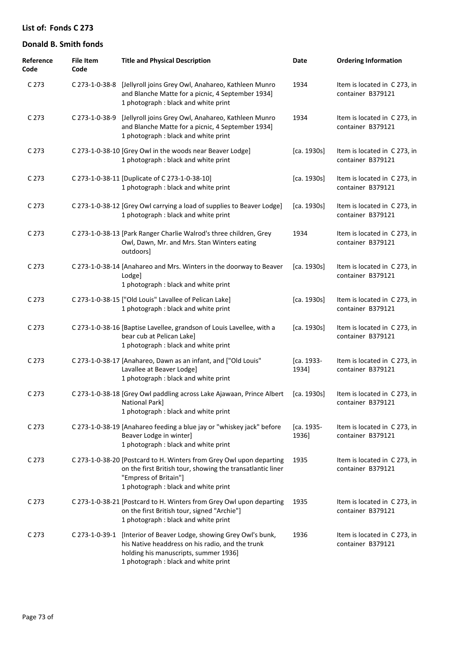| Reference<br>Code | <b>File Item</b><br>Code | <b>Title and Physical Description</b>                                                                                                                                                               | Date                | <b>Ordering Information</b>                       |
|-------------------|--------------------------|-----------------------------------------------------------------------------------------------------------------------------------------------------------------------------------------------------|---------------------|---------------------------------------------------|
| C 273             | C 273-1-0-38-8           | [Jellyroll joins Grey Owl, Anahareo, Kathleen Munro<br>and Blanche Matte for a picnic, 4 September 1934]<br>1 photograph : black and white print                                                    | 1934                | Item is located in C 273, in<br>container B379121 |
| C <sub>273</sub>  | C 273-1-0-38-9           | [Jellyroll joins Grey Owl, Anahareo, Kathleen Munro<br>and Blanche Matte for a picnic, 4 September 1934]<br>1 photograph : black and white print                                                    | 1934                | Item is located in C273, in<br>container B379121  |
| C <sub>273</sub>  |                          | C 273-1-0-38-10 [Grey Owl in the woods near Beaver Lodge]<br>1 photograph : black and white print                                                                                                   | [ca. 1930s]         | Item is located in C273, in<br>container B379121  |
| C <sub>273</sub>  |                          | C 273-1-0-38-11 [Duplicate of C 273-1-0-38-10]<br>1 photograph : black and white print                                                                                                              | [ca. 1930s]         | Item is located in C273, in<br>container B379121  |
| C <sub>273</sub>  |                          | C 273-1-0-38-12 [Grey Owl carrying a load of supplies to Beaver Lodge]<br>1 photograph : black and white print                                                                                      | [ca. 1930s]         | Item is located in C273, in<br>container B379121  |
| C <sub>273</sub>  |                          | C 273-1-0-38-13 [Park Ranger Charlie Walrod's three children, Grey<br>Owl, Dawn, Mr. and Mrs. Stan Winters eating<br>outdoors]                                                                      | 1934                | Item is located in C273, in<br>container B379121  |
| C <sub>273</sub>  |                          | C 273-1-0-38-14 [Anahareo and Mrs. Winters in the doorway to Beaver<br>Lodge]<br>1 photograph : black and white print                                                                               | [ca. 1930s]         | Item is located in C 273, in<br>container B379121 |
| C <sub>273</sub>  |                          | C 273-1-0-38-15 ["Old Louis" Lavallee of Pelican Lake]<br>1 photograph : black and white print                                                                                                      | [ca. 1930s]         | Item is located in C273, in<br>container B379121  |
| C <sub>273</sub>  |                          | C 273-1-0-38-16 [Baptise Lavellee, grandson of Louis Lavellee, with a<br>bear cub at Pelican Lake]<br>1 photograph : black and white print                                                          | [ca. 1930s]         | Item is located in C273, in<br>container B379121  |
| C <sub>273</sub>  |                          | C 273-1-0-38-17 [Anahareo, Dawn as an infant, and ["Old Louis"<br>Lavallee at Beaver Lodge]<br>1 photograph : black and white print                                                                 | [ca. 1933-<br>1934] | Item is located in C 273, in<br>container B379121 |
| C 273             |                          | C 273-1-0-38-18 [Grey Owl paddling across Lake Ajawaan, Prince Albert<br>National Park]<br>1 photograph : black and white print                                                                     | [ca. 1930s]         | Item is located in C 273, in<br>container B379121 |
| C <sub>273</sub>  |                          | C 273-1-0-38-19 [Anahareo feeding a blue jay or "whiskey jack" before<br>Beaver Lodge in winter]<br>1 photograph : black and white print                                                            | [ca. 1935-<br>1936] | Item is located in C273, in<br>container B379121  |
| C <sub>273</sub>  |                          | C 273-1-0-38-20 [Postcard to H. Winters from Grey Owl upon departing<br>on the first British tour, showing the transatlantic liner<br>"Empress of Britain"]<br>1 photograph : black and white print | 1935                | Item is located in C273, in<br>container B379121  |
| C <sub>273</sub>  |                          | C 273-1-0-38-21 [Postcard to H. Winters from Grey Owl upon departing<br>on the first British tour, signed "Archie"]<br>1 photograph : black and white print                                         | 1935                | Item is located in C 273, in<br>container B379121 |
| C 273             | C 273-1-0-39-1           | [Interior of Beaver Lodge, showing Grey Owl's bunk,<br>his Native headdress on his radio, and the trunk<br>holding his manuscripts, summer 1936]<br>1 photograph : black and white print            | 1936                | Item is located in C273, in<br>container B379121  |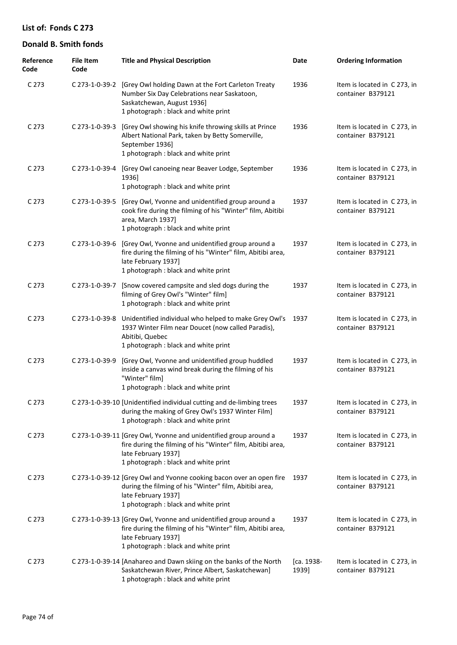| Reference<br>Code | <b>File Item</b><br>Code | <b>Title and Physical Description</b>                                                                                                                                                           | Date                | <b>Ordering Information</b>                       |
|-------------------|--------------------------|-------------------------------------------------------------------------------------------------------------------------------------------------------------------------------------------------|---------------------|---------------------------------------------------|
| C <sub>273</sub>  |                          | C 273-1-0-39-2 [Grey Owl holding Dawn at the Fort Carleton Treaty<br>Number Six Day Celebrations near Saskatoon,<br>Saskatchewan, August 1936]<br>1 photograph : black and white print          | 1936                | Item is located in C 273, in<br>container B379121 |
| C <sub>273</sub>  | C 273-1-0-39-3           | [Grey Owl showing his knife throwing skills at Prince<br>Albert National Park, taken by Betty Somerville,<br>September 1936]<br>1 photograph : black and white print                            | 1936                | Item is located in C273, in<br>container B379121  |
| C 273             | C 273-1-0-39-4           | [Grey Owl canoeing near Beaver Lodge, September<br>1936]<br>1 photograph : black and white print                                                                                                | 1936                | Item is located in C 273, in<br>container B379121 |
| C 273             | C 273-1-0-39-5           | [Grey Owl, Yvonne and unidentified group around a<br>cook fire during the filming of his "Winter" film, Abitibi<br>area, March 1937]<br>1 photograph : black and white print                    | 1937                | Item is located in C 273, in<br>container B379121 |
| C 273             | C 273-1-0-39-6           | [Grey Owl, Yvonne and unidentified group around a<br>fire during the filming of his "Winter" film, Abitibi area,<br>late February 1937]<br>1 photograph : black and white print                 | 1937                | Item is located in C273, in<br>container B379121  |
| C 273             | C 273-1-0-39-7           | [Snow covered campsite and sled dogs during the<br>filming of Grey Owl's "Winter" film]<br>1 photograph : black and white print                                                                 | 1937                | Item is located in C 273, in<br>container B379121 |
| C 273             | C 273-1-0-39-8           | Unidentified individual who helped to make Grey Owl's<br>1937 Winter Film near Doucet (now called Paradis),<br>Abitibi, Quebec<br>1 photograph : black and white print                          | 1937                | Item is located in C 273, in<br>container B379121 |
| C 273             | C 273-1-0-39-9           | [Grey Owl, Yvonne and unidentified group huddled<br>inside a canvas wind break during the filming of his<br>"Winter" film]<br>1 photograph : black and white print                              | 1937                | Item is located in C 273, in<br>container B379121 |
| C 273             |                          | C 273-1-0-39-10 [Unidentified individual cutting and de-limbing trees<br>during the making of Grey Owl's 1937 Winter Film]<br>1 photograph : black and white print                              | 1937                | Item is located in C273, in<br>container B379121  |
| C <sub>273</sub>  |                          | C 273-1-0-39-11 [Grey Owl, Yvonne and unidentified group around a<br>fire during the filming of his "Winter" film, Abitibi area,<br>late February 1937]<br>1 photograph : black and white print | 1937                | Item is located in C273, in<br>container B379121  |
| C <sub>273</sub>  |                          | C 273-1-0-39-12 [Grey Owl and Yvonne cooking bacon over an open fire<br>during the filming of his "Winter" film, Abitibi area,<br>late February 1937]<br>1 photograph : black and white print   | 1937                | Item is located in C 273, in<br>container B379121 |
| C 273             |                          | C 273-1-0-39-13 [Grey Owl, Yvonne and unidentified group around a<br>fire during the filming of his "Winter" film, Abitibi area,<br>late February 1937]<br>1 photograph : black and white print | 1937                | Item is located in C273, in<br>container B379121  |
| C <sub>273</sub>  |                          | C 273-1-0-39-14 [Anahareo and Dawn skiing on the banks of the North<br>Saskatchewan River, Prince Albert, Saskatchewan]<br>1 photograph : black and white print                                 | [ca. 1938-<br>1939] | Item is located in C 273, in<br>container B379121 |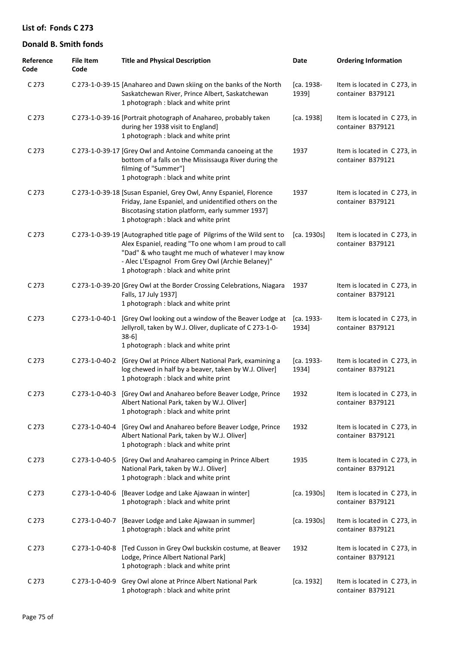| Reference<br>Code | <b>File Item</b><br>Code | <b>Title and Physical Description</b>                                                                                                                                                                                                                                               | Date                | <b>Ordering Information</b>                       |
|-------------------|--------------------------|-------------------------------------------------------------------------------------------------------------------------------------------------------------------------------------------------------------------------------------------------------------------------------------|---------------------|---------------------------------------------------|
| C 273             |                          | C 273-1-0-39-15 [Anahareo and Dawn skiing on the banks of the North<br>Saskatchewan River, Prince Albert, Saskatchewan<br>1 photograph : black and white print                                                                                                                      | [ca. 1938-<br>1939] | Item is located in C 273, in<br>container B379121 |
| C <sub>273</sub>  |                          | C 273-1-0-39-16 [Portrait photograph of Anahareo, probably taken<br>during her 1938 visit to England]<br>1 photograph : black and white print                                                                                                                                       | [ca. 1938]          | Item is located in C273, in<br>container B379121  |
| C <sub>273</sub>  |                          | C 273-1-0-39-17 [Grey Owl and Antoine Commanda canoeing at the<br>bottom of a falls on the Mississauga River during the<br>filming of "Summer"]<br>1 photograph : black and white print                                                                                             | 1937                | Item is located in C 273, in<br>container B379121 |
| C <sub>273</sub>  |                          | C 273-1-0-39-18 [Susan Espaniel, Grey Owl, Anny Espaniel, Florence<br>Friday, Jane Espaniel, and unidentified others on the<br>Biscotasing station platform, early summer 1937]<br>1 photograph : black and white print                                                             | 1937                | Item is located in C 273, in<br>container B379121 |
| C <sub>273</sub>  |                          | C 273-1-0-39-19 [Autographed title page of Pilgrims of the Wild sent to<br>Alex Espaniel, reading "To one whom I am proud to call<br>"Dad" & who taught me much of whatever I may know<br>- Alec L'Espagnol From Grey Owl (Archie Belaney)"<br>1 photograph : black and white print | [ca. 1930s]         | Item is located in C273, in<br>container B379121  |
| C 273             |                          | C 273-1-0-39-20 [Grey Owl at the Border Crossing Celebrations, Niagara<br>Falls, 17 July 1937]<br>1 photograph : black and white print                                                                                                                                              | 1937                | Item is located in C 273, in<br>container B379121 |
| C <sub>273</sub>  | C 273-1-0-40-1           | [Grey Owl looking out a window of the Beaver Lodge at<br>Jellyroll, taken by W.J. Oliver, duplicate of C 273-1-0-<br>$38-6$ ]<br>1 photograph : black and white print                                                                                                               | [ca. 1933-<br>1934] | Item is located in C273, in<br>container B379121  |
| C <sub>273</sub>  | C 273-1-0-40-2           | [Grey Owl at Prince Albert National Park, examining a<br>log chewed in half by a beaver, taken by W.J. Oliver]<br>1 photograph : black and white print                                                                                                                              | [ca. 1933-<br>1934] | Item is located in C 273, in<br>container B379121 |
| C <sub>273</sub>  |                          | C 273-1-0-40-3 [Grey Owl and Anahareo before Beaver Lodge, Prince<br>Albert National Park, taken by W.J. Oliver]<br>1 photograph : black and white print                                                                                                                            | 1932                | Item is located in C 273, in<br>container B379121 |
| C 273             | C 273-1-0-40-4           | [Grey Owl and Anahareo before Beaver Lodge, Prince<br>Albert National Park, taken by W.J. Oliver]<br>1 photograph : black and white print                                                                                                                                           | 1932                | Item is located in C 273, in<br>container B379121 |
| C <sub>273</sub>  | C 273-1-0-40-5           | [Grey Owl and Anahareo camping in Prince Albert<br>National Park, taken by W.J. Oliver]<br>1 photograph : black and white print                                                                                                                                                     | 1935                | Item is located in C273, in<br>container B379121  |
| C <sub>273</sub>  | C 273-1-0-40-6           | [Beaver Lodge and Lake Ajawaan in winter]<br>1 photograph : black and white print                                                                                                                                                                                                   | [ca. 1930s]         | Item is located in C273, in<br>container B379121  |
| C <sub>273</sub>  | C 273-1-0-40-7           | [Beaver Lodge and Lake Ajawaan in summer]<br>1 photograph : black and white print                                                                                                                                                                                                   | [ca. 1930s]         | Item is located in C273, in<br>container B379121  |
| C <sub>273</sub>  | C 273-1-0-40-8           | [Ted Cusson in Grey Owl buckskin costume, at Beaver<br>Lodge, Prince Albert National Park]<br>1 photograph : black and white print                                                                                                                                                  | 1932                | Item is located in C273, in<br>container B379121  |
| C <sub>273</sub>  | C 273-1-0-40-9           | Grey Owl alone at Prince Albert National Park<br>1 photograph : black and white print                                                                                                                                                                                               | [ca. 1932]          | Item is located in C273, in<br>container B379121  |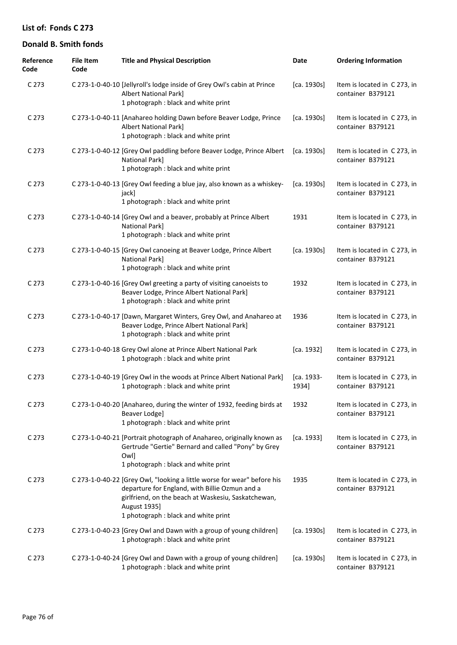| Reference<br>Code | <b>File Item</b><br>Code | <b>Title and Physical Description</b>                                                                                                                                                                                                    | Date                | <b>Ordering Information</b>                       |
|-------------------|--------------------------|------------------------------------------------------------------------------------------------------------------------------------------------------------------------------------------------------------------------------------------|---------------------|---------------------------------------------------|
| C 273             |                          | C 273-1-0-40-10 [Jellyroll's lodge inside of Grey Owl's cabin at Prince<br><b>Albert National Park]</b><br>1 photograph : black and white print                                                                                          | [ca. 1930s]         | Item is located in C273, in<br>container B379121  |
| C 273             |                          | C 273-1-0-40-11 [Anahareo holding Dawn before Beaver Lodge, Prince<br><b>Albert National Park]</b><br>1 photograph : black and white print                                                                                               | [ca. 1930s]         | Item is located in C273, in<br>container B379121  |
| C 273             |                          | C 273-1-0-40-12 [Grey Owl paddling before Beaver Lodge, Prince Albert<br>National Park]<br>1 photograph : black and white print                                                                                                          | [ca. 1930s]         | Item is located in C 273, in<br>container B379121 |
| C 273             |                          | C 273-1-0-40-13 [Grey Owl feeding a blue jay, also known as a whiskey-<br>jack]<br>1 photograph : black and white print                                                                                                                  | [ca. 1930s]         | Item is located in C 273, in<br>container B379121 |
| C 273             |                          | C 273-1-0-40-14 [Grey Owl and a beaver, probably at Prince Albert<br>National Park]<br>1 photograph : black and white print                                                                                                              | 1931                | Item is located in C 273, in<br>container B379121 |
| C 273             |                          | C 273-1-0-40-15 [Grey Owl canoeing at Beaver Lodge, Prince Albert<br>National Park]<br>1 photograph : black and white print                                                                                                              | [ca. 1930s]         | Item is located in C 273, in<br>container B379121 |
| C 273             |                          | C 273-1-0-40-16 [Grey Owl greeting a party of visiting canoeists to<br>Beaver Lodge, Prince Albert National Park]<br>1 photograph : black and white print                                                                                | 1932                | Item is located in C273, in<br>container B379121  |
| C 273             |                          | C 273-1-0-40-17 [Dawn, Margaret Winters, Grey Owl, and Anahareo at<br>Beaver Lodge, Prince Albert National Park]<br>1 photograph : black and white print                                                                                 | 1936                | Item is located in C 273, in<br>container B379121 |
| C 273             |                          | C 273-1-0-40-18 Grey Owl alone at Prince Albert National Park<br>1 photograph : black and white print                                                                                                                                    | [ca. 1932]          | Item is located in C 273, in<br>container B379121 |
| C 273             |                          | C 273-1-0-40-19 [Grey Owl in the woods at Prince Albert National Park]<br>1 photograph : black and white print                                                                                                                           | [ca. 1933-<br>1934] | Item is located in C273, in<br>container B379121  |
| C 273             |                          | C 273-1-0-40-20 [Anahareo, during the winter of 1932, feeding birds at<br>Beaver Lodge]<br>1 photograph : black and white print                                                                                                          | 1932                | Item is located in C 273, in<br>container B379121 |
| C 273             |                          | C 273-1-0-40-21 [Portrait photograph of Anahareo, originally known as<br>Gertrude "Gertie" Bernard and called "Pony" by Grey<br>Owl]<br>1 photograph : black and white print                                                             | [ca. 1933]          | Item is located in C 273, in<br>container B379121 |
| C <sub>273</sub>  |                          | C 273-1-0-40-22 [Grey Owl, "looking a little worse for wear" before his<br>departure for England, with Billie Ozmun and a<br>girlfriend, on the beach at Waskesiu, Saskatchewan,<br>August 1935]<br>1 photograph : black and white print | 1935                | Item is located in C 273, in<br>container B379121 |
| C 273             |                          | C 273-1-0-40-23 [Grey Owl and Dawn with a group of young children]<br>1 photograph : black and white print                                                                                                                               | [ca. 1930s]         | Item is located in C273, in<br>container B379121  |
| C 273             |                          | C 273-1-0-40-24 [Grey Owl and Dawn with a group of young children]<br>1 photograph : black and white print                                                                                                                               | [ca. 1930s]         | Item is located in C273, in<br>container B379121  |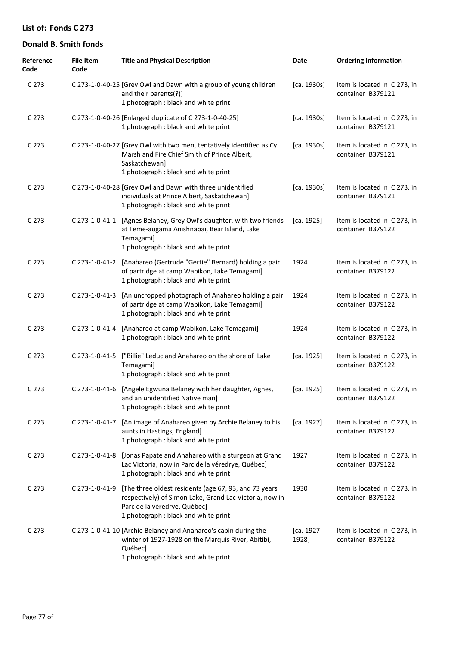| Reference<br>Code | <b>File Item</b><br>Code | <b>Title and Physical Description</b>                                                                                                                                                    | Date                | <b>Ordering Information</b>                       |
|-------------------|--------------------------|------------------------------------------------------------------------------------------------------------------------------------------------------------------------------------------|---------------------|---------------------------------------------------|
| C <sub>273</sub>  |                          | C 273-1-0-40-25 [Grey Owl and Dawn with a group of young children<br>and their parents(?)]<br>1 photograph : black and white print                                                       | [ca. 1930s]         | Item is located in C273, in<br>container B379121  |
| C 273             |                          | C 273-1-0-40-26 [Enlarged duplicate of C 273-1-0-40-25]<br>1 photograph : black and white print                                                                                          | [ca. 1930s]         | Item is located in C273, in<br>container B379121  |
| C <sub>273</sub>  |                          | C 273-1-0-40-27 [Grey Owl with two men, tentatively identified as Cy<br>Marsh and Fire Chief Smith of Prince Albert,<br>Saskatchewan]<br>1 photograph : black and white print            | [ca. 1930s]         | Item is located in C273, in<br>container B379121  |
| C 273             |                          | C 273-1-0-40-28 [Grey Owl and Dawn with three unidentified<br>individuals at Prince Albert, Saskatchewan]<br>1 photograph : black and white print                                        | [ca. 1930s]         | Item is located in C 273, in<br>container B379121 |
| C 273             |                          | C 273-1-0-41-1 [Agnes Belaney, Grey Owl's daughter, with two friends<br>at Teme-augama Anishnabai, Bear Island, Lake<br>Temagami]<br>1 photograph : black and white print                | [ca. 1925]          | Item is located in C 273, in<br>container B379122 |
| C 273             | C 273-1-0-41-2           | [Anahareo (Gertrude "Gertie" Bernard) holding a pair<br>of partridge at camp Wabikon, Lake Temagami]<br>1 photograph : black and white print                                             | 1924                | Item is located in C 273, in<br>container B379122 |
| C 273             | C 273-1-0-41-3           | [An uncropped photograph of Anahareo holding a pair<br>of partridge at camp Wabikon, Lake Temagami]<br>1 photograph : black and white print                                              | 1924                | Item is located in C273, in<br>container B379122  |
| C 273             | C 273-1-0-41-4           | [Anahareo at camp Wabikon, Lake Temagami]<br>1 photograph : black and white print                                                                                                        | 1924                | Item is located in C 273, in<br>container B379122 |
| C 273             | C 273-1-0-41-5           | ["Billie" Leduc and Anahareo on the shore of Lake<br>Temagami]<br>1 photograph : black and white print                                                                                   | [ca. 1925]          | Item is located in C273, in<br>container B379122  |
| C 273             |                          | C 273-1-0-41-6 [Angele Egwuna Belaney with her daughter, Agnes,<br>and an unidentified Native man]<br>1 photograph : black and white print                                               | [ca. 1925]          | Item is located in C273, in<br>container B379122  |
| C <sub>273</sub>  | C 273-1-0-41-7           | [An image of Anahareo given by Archie Belaney to his<br>aunts in Hastings, England]<br>1 photograph : black and white print                                                              | [ca. 1927]          | Item is located in C273, in<br>container B379122  |
| C <sub>273</sub>  | C 273-1-0-41-8           | [Jonas Papate and Anahareo with a sturgeon at Grand<br>Lac Victoria, now in Parc de la véredrye, Québec]<br>1 photograph : black and white print                                         | 1927                | Item is located in C273, in<br>container B379122  |
| C 273             | C 273-1-0-41-9           | [The three oldest residents (age 67, 93, and 73 years<br>respectively) of Simon Lake, Grand Lac Victoria, now in<br>Parc de la véredrye, Québec]<br>1 photograph : black and white print | 1930                | Item is located in C273, in<br>container B379122  |
| C <sub>273</sub>  |                          | C 273-1-0-41-10 [Archie Belaney and Anahareo's cabin during the<br>winter of 1927-1928 on the Marquis River, Abitibi,<br>Québec]<br>1 photograph : black and white print                 | [ca. 1927-<br>1928] | Item is located in C273, in<br>container B379122  |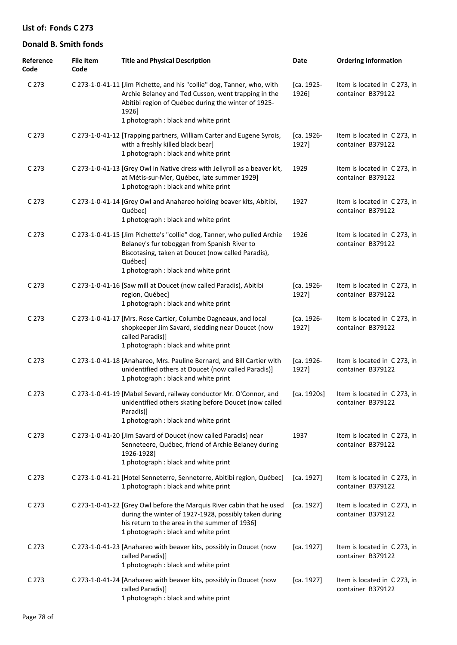| Reference<br>Code | <b>File Item</b><br>Code | <b>Title and Physical Description</b>                                                                                                                                                                                                 | Date                | <b>Ordering Information</b>                       |
|-------------------|--------------------------|---------------------------------------------------------------------------------------------------------------------------------------------------------------------------------------------------------------------------------------|---------------------|---------------------------------------------------|
| C <sub>273</sub>  |                          | C 273-1-0-41-11 [Jim Pichette, and his "collie" dog, Tanner, who, with<br>Archie Belaney and Ted Cusson, went trapping in the<br>Abitibi region of Québec during the winter of 1925-<br>1926]<br>1 photograph : black and white print | [ca. 1925-<br>1926] | Item is located in C 273, in<br>container B379122 |
| C <sub>273</sub>  |                          | C 273-1-0-41-12 [Trapping partners, William Carter and Eugene Syrois,<br>with a freshly killed black bear]<br>1 photograph : black and white print                                                                                    | [ca. 1926-<br>1927] | Item is located in C 273, in<br>container B379122 |
| C <sub>273</sub>  |                          | C 273-1-0-41-13 [Grey Owl in Native dress with Jellyroll as a beaver kit,<br>at Métis-sur-Mer, Québec, late summer 1929]<br>1 photograph : black and white print                                                                      | 1929                | Item is located in C 273, in<br>container B379122 |
| C <sub>273</sub>  |                          | C 273-1-0-41-14 [Grey Owl and Anahareo holding beaver kits, Abitibi,<br>Québec]<br>1 photograph : black and white print                                                                                                               | 1927                | Item is located in C 273, in<br>container B379122 |
| C <sub>273</sub>  |                          | C 273-1-0-41-15 [Jim Pichette's "collie" dog, Tanner, who pulled Archie<br>Belaney's fur toboggan from Spanish River to<br>Biscotasing, taken at Doucet (now called Paradis),<br>Québec]<br>1 photograph : black and white print      | 1926                | Item is located in C 273, in<br>container B379122 |
| C 273             |                          | C 273-1-0-41-16 [Saw mill at Doucet (now called Paradis), Abitibi<br>region, Québec]<br>1 photograph : black and white print                                                                                                          | [ca. 1926-<br>1927] | Item is located in C 273, in<br>container B379122 |
| C 273             |                          | C 273-1-0-41-17 [Mrs. Rose Cartier, Columbe Dagneaux, and local<br>shopkeeper Jim Savard, sledding near Doucet (now<br>called Paradis)]<br>1 photograph : black and white print                                                       | [ca. 1926-<br>1927] | Item is located in C 273, in<br>container B379122 |
| C 273             |                          | C 273-1-0-41-18 [Anahareo, Mrs. Pauline Bernard, and Bill Cartier with<br>unidentified others at Doucet (now called Paradis)]<br>1 photograph : black and white print                                                                 | [ca. 1926-<br>1927] | Item is located in C 273, in<br>container B379122 |
| C 273             |                          | C 273-1-0-41-19 [Mabel Sevard, railway conductor Mr. O'Connor, and<br>unidentified others skating before Doucet (now called<br>Paradis)]<br>1 photograph : black and white print                                                      | [ca. 1920s]         | Item is located in C 273, in<br>container B379122 |
| C 273             |                          | C 273-1-0-41-20 [Jim Savard of Doucet (now called Paradis) near<br>Senneteere, Québec, friend of Archie Belaney during<br>1926-1928]<br>1 photograph : black and white print                                                          | 1937                | Item is located in C 273, in<br>container B379122 |
| C 273             |                          | C 273-1-0-41-21 [Hotel Senneterre, Senneterre, Abitibi region, Québec]<br>1 photograph : black and white print                                                                                                                        | [ca. 1927]          | Item is located in C 273, in<br>container B379122 |
| C 273             |                          | C 273-1-0-41-22 [Grey Owl before the Marquis River cabin that he used<br>during the winter of 1927-1928, possibly taken during<br>his return to the area in the summer of 1936]<br>1 photograph : black and white print               | [ca. 1927]          | Item is located in C 273, in<br>container B379122 |
| C 273             |                          | C 273-1-0-41-23 [Anahareo with beaver kits, possibly in Doucet (now<br>called Paradis)]<br>1 photograph : black and white print                                                                                                       | [ca. 1927]          | Item is located in C 273, in<br>container B379122 |
| C 273             |                          | C 273-1-0-41-24 [Anahareo with beaver kits, possibly in Doucet (now<br>called Paradis)]<br>1 photograph : black and white print                                                                                                       | [ca. 1927]          | Item is located in C 273, in<br>container B379122 |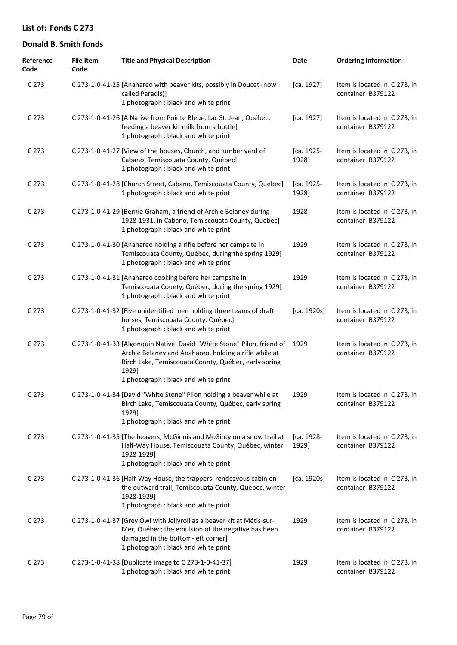| Reference<br>Code | <b>File Item</b><br>Code | <b>Title and Physical Description</b>                                                                                                                                                                                                    | Date                | <b>Ordering Information</b>                       |
|-------------------|--------------------------|------------------------------------------------------------------------------------------------------------------------------------------------------------------------------------------------------------------------------------------|---------------------|---------------------------------------------------|
| C 273             |                          | C 273-1-0-41-25 [Anahareo with beaver kits, possibly in Doucet (now<br>called Paradis)]<br>1 photograph : black and white print                                                                                                          | [ca. 1927]          | Item is located in C273, in<br>container B379122  |
| C 273             |                          | C 273-1-0-41-26 [A Native from Pointe Bleue, Lac St. Jean, Québec,<br>feeding a beaver kit milk from a bottle]<br>1 photograph : black and white print                                                                                   | [ca. 1927]          | Item is located in C273, in<br>container B379122  |
| C 273             |                          | C 273-1-0-41-27 [View of the houses, Church, and lumber yard of<br>Cabano, Temiscouata County, Québec]<br>1 photograph : black and white print                                                                                           | [ca. 1925-<br>1928] | Item is located in C 273, in<br>container B379122 |
| C 273             |                          | C 273-1-0-41-28 [Church Street, Cabano, Temiscouata County, Québec]<br>1 photograph : black and white print                                                                                                                              | [ca. 1925-<br>1928] | Item is located in C 273, in<br>container B379122 |
| C 273             |                          | C 273-1-0-41-29 [Bernie Graham, a friend of Archie Belaney during<br>1928-1931, in Cabano, Temiscouata County, Québec]<br>1 photograph : black and white print                                                                           | 1928                | Item is located in C 273, in<br>container B379122 |
| C 273             |                          | C 273-1-0-41-30 [Anahareo holding a rifle before her campsite in<br>Temiscouata County, Québec, during the spring 1929]<br>1 photograph : black and white print                                                                          | 1929                | Item is located in C273, in<br>container B379122  |
| C 273             |                          | C 273-1-0-41-31 [Anahareo cooking before her campsite in<br>Temiscouata County, Québec, during the spring 1929]<br>1 photograph : black and white print                                                                                  | 1929                | Item is located in C 273, in<br>container B379122 |
| C 273             |                          | C 273-1-0-41-32 [Five unidentified men holding three teams of draft<br>horses, Temiscouata County, Québec]<br>1 photograph : black and white print                                                                                       | [ca. 1920s]         | Item is located in C 273, in<br>container B379122 |
| C 273             |                          | C 273-1-0-41-33 [Algonquin Native, David "White Stone" Pilon, friend of<br>Archie Belaney and Anahareo, holding a rifle while at<br>Birch Lake, Temiscouata County, Québec, early spring<br>1929]<br>1 photograph: black and white print | 1929                | Item is located in C 273, in<br>container B379122 |
| C <sub>273</sub>  |                          | C 273-1-0-41-34 [David "White Stone" Pilon holding a beaver while at<br>Birch Lake, Temiscouata County, Québec, early spring<br>1929]<br>1 photograph : black and white print                                                            | 1929                | Item is located in C 273, in<br>container B379122 |
| C 273             |                          | C 273-1-0-41-35 [The beavers, McGinnis and McGinty on a snow trail at<br>Half-Way House, Temiscouata County, Québec, winter<br>1928-1929]<br>1 photograph : black and white print                                                        | [ca. 1928-<br>1929] | Item is located in C 273, in<br>container B379122 |
| C <sub>273</sub>  |                          | C 273-1-0-41-36 [Half-Way House, the trappers' rendezvous cabin on<br>the outward trail, Temiscouata County, Québec, winter<br>1928-1929]<br>1 photograph : black and white print                                                        | [ca. 1920s]         | Item is located in C 273, in<br>container B379122 |
| C 273             |                          | C 273-1-0-41-37 [Grey Owl with Jellyroll as a beaver kit at Métis-sur-<br>Mer, Québec; the emulsion of the negative has been<br>damaged in the bottom-left corner]<br>1 photograph : black and white print                               | 1929                | Item is located in C273, in<br>container B379122  |
| C 273             |                          | C 273-1-0-41-38 [Duplicate image to C 273-1-0-41-37]<br>1 photograph : black and white print                                                                                                                                             | 1929                | Item is located in C273, in<br>container B379122  |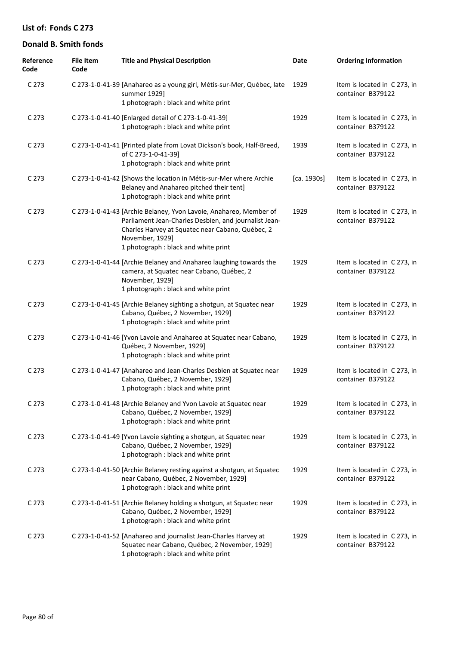| Reference<br>Code | <b>File Item</b><br>Code | <b>Title and Physical Description</b>                                                                                                                                                                                                     | Date        | <b>Ordering Information</b>                       |
|-------------------|--------------------------|-------------------------------------------------------------------------------------------------------------------------------------------------------------------------------------------------------------------------------------------|-------------|---------------------------------------------------|
| C 273             |                          | C 273-1-0-41-39 [Anahareo as a young girl, Métis-sur-Mer, Québec, late<br>summer 1929]<br>1 photograph : black and white print                                                                                                            | 1929        | Item is located in C 273, in<br>container B379122 |
| C 273             |                          | C 273-1-0-41-40 [Enlarged detail of C 273-1-0-41-39]<br>1 photograph : black and white print                                                                                                                                              | 1929        | Item is located in C 273, in<br>container B379122 |
| C 273             |                          | C 273-1-0-41-41 [Printed plate from Lovat Dickson's book, Half-Breed,<br>of C 273-1-0-41-39]<br>1 photograph : black and white print                                                                                                      | 1939        | Item is located in C273, in<br>container B379122  |
| C 273             |                          | C 273-1-0-41-42 [Shows the location in Métis-sur-Mer where Archie<br>Belaney and Anahareo pitched their tent]<br>1 photograph : black and white print                                                                                     | [ca. 1930s] | Item is located in C 273, in<br>container B379122 |
| C 273             |                          | C 273-1-0-41-43 [Archie Belaney, Yvon Lavoie, Anahareo, Member of<br>Parliament Jean-Charles Desbien, and journalist Jean-<br>Charles Harvey at Squatec near Cabano, Québec, 2<br>November, 1929]<br>1 photograph : black and white print | 1929        | Item is located in C273, in<br>container B379122  |
| C 273             |                          | C 273-1-0-41-44 [Archie Belaney and Anahareo laughing towards the<br>camera, at Squatec near Cabano, Québec, 2<br>November, 1929]<br>1 photograph : black and white print                                                                 | 1929        | Item is located in C273, in<br>container B379122  |
| C 273             |                          | C 273-1-0-41-45 [Archie Belaney sighting a shotgun, at Squatec near<br>Cabano, Québec, 2 November, 1929]<br>1 photograph : black and white print                                                                                          | 1929        | Item is located in C 273, in<br>container B379122 |
| C 273             |                          | C 273-1-0-41-46 [Yvon Lavoie and Anahareo at Squatec near Cabano,<br>Québec, 2 November, 1929]<br>1 photograph : black and white print                                                                                                    | 1929        | Item is located in C273, in<br>container B379122  |
| C 273             |                          | C 273-1-0-41-47 [Anahareo and Jean-Charles Desbien at Squatec near<br>Cabano, Québec, 2 November, 1929]<br>1 photograph : black and white print                                                                                           | 1929        | Item is located in C273, in<br>container B379122  |
| C <sub>273</sub>  |                          | C 273-1-0-41-48 [Archie Belaney and Yvon Lavoie at Squatec near<br>Cabano, Québec, 2 November, 1929]<br>1 photograph : black and white print                                                                                              | 1929        | Item is located in C273, in<br>container B379122  |
| C <sub>273</sub>  |                          | C 273-1-0-41-49 [Yvon Lavoie sighting a shotgun, at Squatec near<br>Cabano, Québec, 2 November, 1929]<br>1 photograph : black and white print                                                                                             | 1929        | Item is located in C273, in<br>container B379122  |
| C 273             |                          | C 273-1-0-41-50 [Archie Belaney resting against a shotgun, at Squatec<br>near Cabano, Québec, 2 November, 1929]<br>1 photograph : black and white print                                                                                   | 1929        | Item is located in C273, in<br>container B379122  |
| C <sub>273</sub>  |                          | C 273-1-0-41-51 [Archie Belaney holding a shotgun, at Squatec near<br>Cabano, Québec, 2 November, 1929]<br>1 photograph : black and white print                                                                                           | 1929        | Item is located in C273, in<br>container B379122  |
| C 273             |                          | C 273-1-0-41-52 [Anahareo and journalist Jean-Charles Harvey at<br>Squatec near Cabano, Québec, 2 November, 1929]<br>1 photograph : black and white print                                                                                 | 1929        | Item is located in C273, in<br>container B379122  |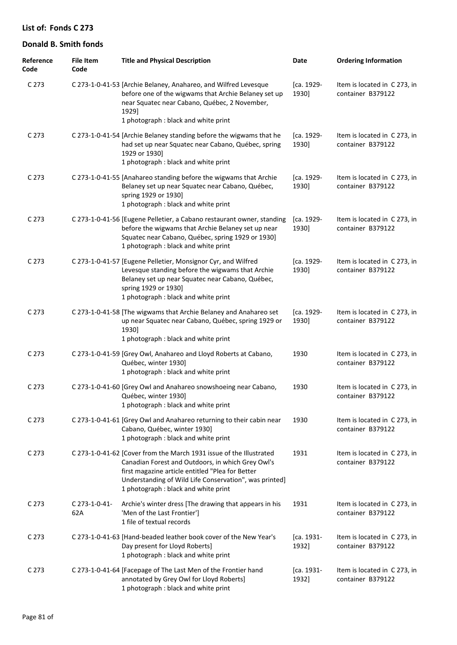| Reference<br>Code | <b>File Item</b><br>Code | <b>Title and Physical Description</b>                                                                                                                                                                                                                                          | Date                | <b>Ordering Information</b>                       |
|-------------------|--------------------------|--------------------------------------------------------------------------------------------------------------------------------------------------------------------------------------------------------------------------------------------------------------------------------|---------------------|---------------------------------------------------|
| C <sub>273</sub>  |                          | C 273-1-0-41-53 [Archie Belaney, Anahareo, and Wilfred Levesque<br>before one of the wigwams that Archie Belaney set up<br>near Squatec near Cabano, Québec, 2 November,<br>1929]<br>1 photograph : black and white print                                                      | [ca. 1929-<br>1930] | Item is located in C273, in<br>container B379122  |
| C <sub>273</sub>  |                          | C 273-1-0-41-54 [Archie Belaney standing before the wigwams that he<br>had set up near Squatec near Cabano, Québec, spring<br>1929 or 1930]<br>1 photograph : black and white print                                                                                            | [ca. 1929-<br>1930] | Item is located in C273, in<br>container B379122  |
| C <sub>273</sub>  |                          | C 273-1-0-41-55 [Anahareo standing before the wigwams that Archie<br>Belaney set up near Squatec near Cabano, Québec,<br>spring 1929 or 1930]<br>1 photograph : black and white print                                                                                          | [ca. 1929-<br>1930] | Item is located in C 273, in<br>container B379122 |
| C <sub>273</sub>  |                          | C 273-1-0-41-56 [Eugene Pelletier, a Cabano restaurant owner, standing<br>before the wigwams that Archie Belaney set up near<br>Squatec near Cabano, Québec, spring 1929 or 1930]<br>1 photograph : black and white print                                                      | [ca. 1929-<br>1930] | Item is located in C 273, in<br>container B379122 |
| C <sub>273</sub>  |                          | C 273-1-0-41-57 [Eugene Pelletier, Monsignor Cyr, and Wilfred<br>Levesque standing before the wigwams that Archie<br>Belaney set up near Squatec near Cabano, Québec,<br>spring 1929 or 1930]<br>1 photograph : black and white print                                          | [ca. 1929-<br>1930] | Item is located in C273, in<br>container B379122  |
| C <sub>273</sub>  |                          | C 273-1-0-41-58 [The wigwams that Archie Belaney and Anahareo set<br>up near Squatec near Cabano, Québec, spring 1929 or<br>1930]<br>1 photograph : black and white print                                                                                                      | [ca. 1929-<br>1930] | Item is located in C273, in<br>container B379122  |
| C <sub>273</sub>  |                          | C 273-1-0-41-59 [Grey Owl, Anahareo and Lloyd Roberts at Cabano,<br>Québec, winter 1930]<br>1 photograph : black and white print                                                                                                                                               | 1930                | Item is located in C273, in<br>container B379122  |
| C <sub>273</sub>  |                          | C 273-1-0-41-60 [Grey Owl and Anahareo snowshoeing near Cabano,<br>Québec, winter 1930]<br>1 photograph : black and white print                                                                                                                                                | 1930                | Item is located in C273, in<br>container B379122  |
| C <sub>273</sub>  |                          | C 273-1-0-41-61 [Grey Owl and Anahareo returning to their cabin near<br>Cabano, Québec, winter 1930]<br>1 photograph : black and white print                                                                                                                                   | 1930                | Item is located in C 273, in<br>container B379122 |
| C <sub>273</sub>  |                          | C 273-1-0-41-62 [Cover from the March 1931 issue of the Illustrated<br>Canadian Forest and Outdoors, in which Grey Owl's<br>first magazine article entitled "Plea for Better<br>Understanding of Wild Life Conservation", was printed]<br>1 photograph : black and white print | 1931                | Item is located in C273, in<br>container B379122  |
| C <sub>273</sub>  | C 273-1-0-41-<br>62A     | Archie's winter dress [The drawing that appears in his<br>'Men of the Last Frontier']<br>1 file of textual records                                                                                                                                                             | 1931                | Item is located in C 273, in<br>container B379122 |
| C <sub>273</sub>  |                          | C 273-1-0-41-63 [Hand-beaded leather book cover of the New Year's<br>Day present for Lloyd Roberts]<br>1 photograph : black and white print                                                                                                                                    | [ca. 1931-<br>1932] | Item is located in C 273, in<br>container B379122 |
| C <sub>273</sub>  |                          | C 273-1-0-41-64 [Facepage of The Last Men of the Frontier hand<br>annotated by Grey Owl for Lloyd Roberts]<br>1 photograph : black and white print                                                                                                                             | [ca. 1931-<br>1932] | Item is located in C273, in<br>container B379122  |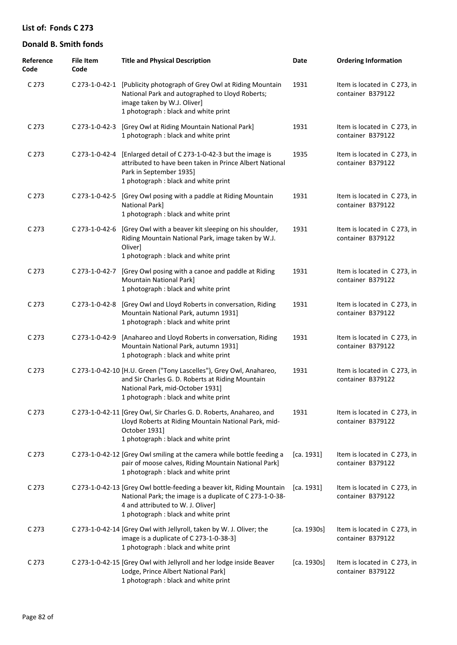| Reference<br>Code | <b>File Item</b><br>Code | <b>Title and Physical Description</b>                                                                                                                                                                           | Date        | <b>Ordering Information</b>                       |
|-------------------|--------------------------|-----------------------------------------------------------------------------------------------------------------------------------------------------------------------------------------------------------------|-------------|---------------------------------------------------|
| C 273             |                          | C 273-1-0-42-1 [Publicity photograph of Grey Owl at Riding Mountain<br>National Park and autographed to Lloyd Roberts;<br>image taken by W.J. Oliver]<br>1 photograph : black and white print                   | 1931        | Item is located in C 273, in<br>container B379122 |
| C 273             | C 273-1-0-42-3           | [Grey Owl at Riding Mountain National Park]<br>1 photograph : black and white print                                                                                                                             | 1931        | Item is located in C 273, in<br>container B379122 |
| C <sub>273</sub>  | C 273-1-0-42-4           | [Enlarged detail of C 273-1-0-42-3 but the image is<br>attributed to have been taken in Prince Albert National<br>Park in September 1935]<br>1 photograph : black and white print                               | 1935        | Item is located in C 273, in<br>container B379122 |
| C 273             | C 273-1-0-42-5           | [Grey Owl posing with a paddle at Riding Mountain<br>National Park]<br>1 photograph : black and white print                                                                                                     | 1931        | Item is located in C 273, in<br>container B379122 |
| C 273             | C 273-1-0-42-6           | [Grey Owl with a beaver kit sleeping on his shoulder,<br>Riding Mountain National Park, image taken by W.J.<br>Oliver]<br>1 photograph : black and white print                                                  | 1931        | Item is located in C273, in<br>container B379122  |
| C 273             | C 273-1-0-42-7           | [Grey Owl posing with a canoe and paddle at Riding<br><b>Mountain National Park]</b><br>1 photograph : black and white print                                                                                    | 1931        | Item is located in C273, in<br>container B379122  |
| C 273             | C 273-1-0-42-8           | [Grey Owl and Lloyd Roberts in conversation, Riding<br>Mountain National Park, autumn 1931]<br>1 photograph : black and white print                                                                             | 1931        | Item is located in C 273, in<br>container B379122 |
| C 273             | C 273-1-0-42-9           | [Anahareo and Lloyd Roberts in conversation, Riding<br>Mountain National Park, autumn 1931]<br>1 photograph : black and white print                                                                             | 1931        | Item is located in C 273, in<br>container B379122 |
| C 273             |                          | C 273-1-0-42-10 [H.U. Green ("Tony Lascelles"), Grey Owl, Anahareo,<br>and Sir Charles G. D. Roberts at Riding Mountain<br>National Park, mid-October 1931]<br>1 photograph : black and white print             | 1931        | Item is located in C 273, in<br>container B379122 |
| C 273             |                          | C 273-1-0-42-11 [Grey Owl, Sir Charles G. D. Roberts, Anahareo, and<br>Lloyd Roberts at Riding Mountain National Park, mid-<br>October 1931]<br>1 photograph : black and white print                            | 1931        | Item is located in C 273, in<br>container B379122 |
| C <sub>273</sub>  |                          | C 273-1-0-42-12 [Grey Owl smiling at the camera while bottle feeding a<br>pair of moose calves, Riding Mountain National Park]<br>1 photograph : black and white print                                          | [ca. 1931]  | Item is located in C273, in<br>container B379122  |
| C <sub>273</sub>  |                          | C 273-1-0-42-13 [Grey Owl bottle-feeding a beaver kit, Riding Mountain<br>National Park; the image is a duplicate of C 273-1-0-38-<br>4 and attributed to W. J. Oliver]<br>1 photograph : black and white print | [ca. 1931]  | Item is located in C 273, in<br>container B379122 |
| C 273             |                          | C 273-1-0-42-14 [Grey Owl with Jellyroll, taken by W. J. Oliver; the<br>image is a duplicate of C 273-1-0-38-3]<br>1 photograph : black and white print                                                         | [ca. 1930s] | Item is located in C 273, in<br>container B379122 |
| C 273             |                          | C 273-1-0-42-15 [Grey Owl with Jellyroll and her lodge inside Beaver<br>Lodge, Prince Albert National Park]<br>1 photograph : black and white print                                                             | [ca. 1930s] | Item is located in C 273, in<br>container B379122 |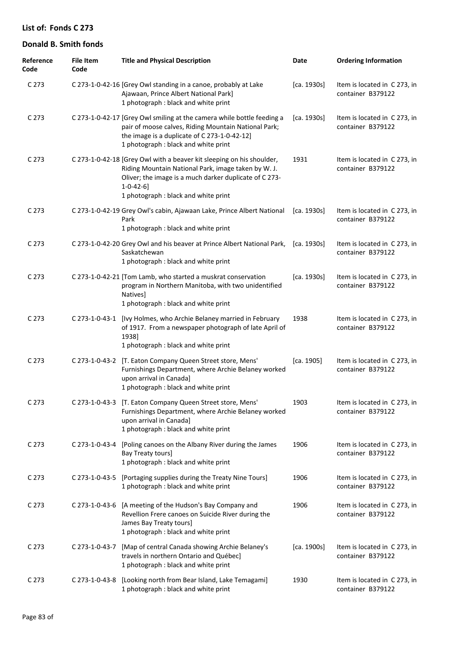| Reference<br>Code | <b>File Item</b><br>Code | <b>Title and Physical Description</b>                                                                                                                                                                                                                | Date                         | <b>Ordering Information</b>                       |
|-------------------|--------------------------|------------------------------------------------------------------------------------------------------------------------------------------------------------------------------------------------------------------------------------------------------|------------------------------|---------------------------------------------------|
| C <sub>273</sub>  |                          | C 273-1-0-42-16 [Grey Owl standing in a canoe, probably at Lake<br>Ajawaan, Prince Albert National Park]<br>1 photograph : black and white print                                                                                                     | [ca. 1930s]                  | Item is located in C273, in<br>container B379122  |
| C <sub>273</sub>  |                          | C 273-1-0-42-17 [Grey Owl smiling at the camera while bottle feeding a<br>pair of moose calves, Riding Mountain National Park;<br>the image is a duplicate of C 273-1-0-42-12]<br>1 photograph : black and white print                               | [ca. 1930s]                  | Item is located in C273, in<br>container B379122  |
| C <sub>273</sub>  |                          | C 273-1-0-42-18 [Grey Owl with a beaver kit sleeping on his shoulder,<br>Riding Mountain National Park, image taken by W. J.<br>Oliver; the image is a much darker duplicate of C 273-<br>$1 - 0 - 42 - 6$ ]<br>1 photograph : black and white print | 1931                         | Item is located in C 273, in<br>container B379122 |
| C <sub>273</sub>  |                          | C 273-1-0-42-19 Grey Owl's cabin, Ajawaan Lake, Prince Albert National<br>Park<br>1 photograph : black and white print                                                                                                                               | $\left[$ ca. 1930s $\right]$ | Item is located in C 273, in<br>container B379122 |
| C <sub>273</sub>  |                          | C 273-1-0-42-20 Grey Owl and his beaver at Prince Albert National Park,<br>Saskatchewan<br>1 photograph : black and white print                                                                                                                      | [ca. 1930s]                  | Item is located in C273, in<br>container B379122  |
| C <sub>273</sub>  |                          | C 273-1-0-42-21 [Tom Lamb, who started a muskrat conservation<br>program in Northern Manitoba, with two unidentified<br><b>Natives</b><br>1 photograph : black and white print                                                                       | [ca. 1930s]                  | Item is located in C 273, in<br>container B379122 |
| C <sub>273</sub>  | C 273-1-0-43-1           | [Ivy Holmes, who Archie Belaney married in February<br>of 1917. From a newspaper photograph of late April of<br>1938]<br>1 photograph : black and white print                                                                                        | 1938                         | Item is located in C 273, in<br>container B379122 |
| C <sub>273</sub>  | C 273-1-0-43-2           | [T. Eaton Company Queen Street store, Mens'<br>Furnishings Department, where Archie Belaney worked<br>upon arrival in Canada]<br>1 photograph : black and white print                                                                                | [ca. 1905]                   | Item is located in C 273, in<br>container B379122 |
| C <sub>273</sub>  |                          | C 273-1-0-43-3 [T. Eaton Company Queen Street store, Mens'<br>Furnishings Department, where Archie Belaney worked<br>upon arrival in Canada]<br>1 photograph : black and white print                                                                 | 1903                         | Item is located in C273, in<br>container B379122  |
| C <sub>273</sub>  | C 273-1-0-43-4           | [Poling canoes on the Albany River during the James<br>Bay Treaty tours]<br>1 photograph : black and white print                                                                                                                                     | 1906                         | Item is located in C273, in<br>container B379122  |
| C <sub>273</sub>  | C 273-1-0-43-5           | [Portaging supplies during the Treaty Nine Tours]<br>1 photograph : black and white print                                                                                                                                                            | 1906                         | Item is located in C 273, in<br>container B379122 |
| C <sub>273</sub>  | C 273-1-0-43-6           | [A meeting of the Hudson's Bay Company and<br>Revellion Frere canoes on Suicide River during the<br>James Bay Treaty tours]<br>1 photograph : black and white print                                                                                  | 1906                         | Item is located in C 273, in<br>container B379122 |
| C <sub>273</sub>  | C 273-1-0-43-7           | [Map of central Canada showing Archie Belaney's<br>travels in northern Ontario and Québec]<br>1 photograph : black and white print                                                                                                                   | [ca. 1900s]                  | Item is located in C 273, in<br>container B379122 |
| C <sub>273</sub>  | C 273-1-0-43-8           | [Looking north from Bear Island, Lake Temagami]<br>1 photograph : black and white print                                                                                                                                                              | 1930                         | Item is located in C273, in<br>container B379122  |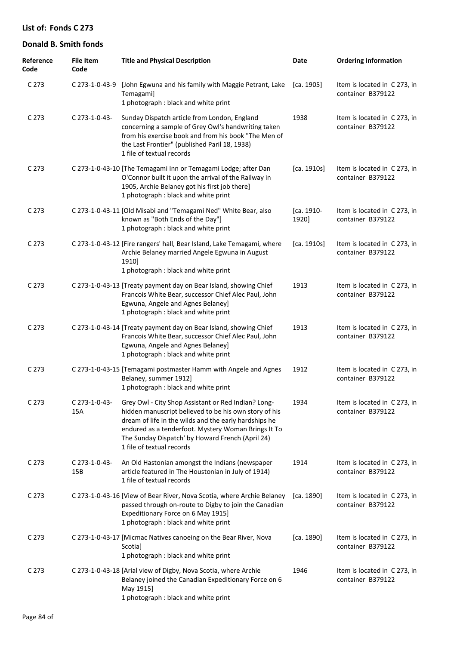| Reference<br>Code | <b>File Item</b><br>Code | <b>Title and Physical Description</b>                                                                                                                                                                                                                                                                         | Date                | <b>Ordering Information</b>                       |
|-------------------|--------------------------|---------------------------------------------------------------------------------------------------------------------------------------------------------------------------------------------------------------------------------------------------------------------------------------------------------------|---------------------|---------------------------------------------------|
| C 273             | C 273-1-0-43-9           | [John Egwuna and his family with Maggie Petrant, Lake<br>Temagami]<br>1 photograph : black and white print                                                                                                                                                                                                    | [ca. 1905]          | Item is located in C 273, in<br>container B379122 |
| C 273             | $C$ 273-1-0-43-          | Sunday Dispatch article from London, England<br>concerning a sample of Grey Owl's handwriting taken<br>from his exercise book and from his book "The Men of<br>the Last Frontier" (published Paril 18, 1938)<br>1 file of textual records                                                                     | 1938                | Item is located in C 273, in<br>container B379122 |
| C 273             |                          | C 273-1-0-43-10 [The Temagami Inn or Temagami Lodge; after Dan<br>O'Connor built it upon the arrival of the Railway in<br>1905, Archie Belaney got his first job there]<br>1 photograph : black and white print                                                                                               | [ca. 1910s]         | Item is located in C 273, in<br>container B379122 |
| C 273             |                          | C 273-1-0-43-11 [Old Misabi and "Temagami Ned" White Bear, also<br>known as "Both Ends of the Day"]<br>1 photograph : black and white print                                                                                                                                                                   | [ca. 1910-<br>1920] | Item is located in C 273, in<br>container B379122 |
| C 273             |                          | C 273-1-0-43-12 [Fire rangers' hall, Bear Island, Lake Temagami, where<br>Archie Belaney married Angele Egwuna in August<br>1910]<br>1 photograph : black and white print                                                                                                                                     | [ca. 1910s]         | Item is located in C 273, in<br>container B379122 |
| C 273             |                          | C 273-1-0-43-13 [Treaty payment day on Bear Island, showing Chief<br>Francois White Bear, successor Chief Alec Paul, John<br>Egwuna, Angele and Agnes Belaney]<br>1 photograph : black and white print                                                                                                        | 1913                | Item is located in C 273, in<br>container B379122 |
| C 273             |                          | C 273-1-0-43-14 [Treaty payment day on Bear Island, showing Chief<br>Francois White Bear, successor Chief Alec Paul, John<br>Egwuna, Angele and Agnes Belaney]<br>1 photograph : black and white print                                                                                                        | 1913                | Item is located in C 273, in<br>container B379122 |
| C <sub>273</sub>  |                          | C 273-1-0-43-15 [Temagami postmaster Hamm with Angele and Agnes<br>Belaney, summer 1912]<br>1 photograph : black and white print                                                                                                                                                                              | 1912                | Item is located in C 273, in<br>container B379122 |
| C 273             | C 273-1-0-43-<br>15A     | Grey Owl - City Shop Assistant or Red Indian? Long-<br>hidden manuscript believed to be his own story of his<br>dream of life in the wilds and the early hardships he<br>endured as a tenderfoot. Mystery Woman Brings It To<br>The Sunday Dispatch' by Howard French (April 24)<br>1 file of textual records | 1934                | Item is located in C 273, in<br>container B379122 |
| C 273             | C 273-1-0-43-<br>15B     | An Old Hastonian amongst the Indians (newspaper<br>article featured in The Houstonian in July of 1914)<br>1 file of textual records                                                                                                                                                                           | 1914                | Item is located in C 273, in<br>container B379122 |
| C <sub>273</sub>  |                          | C 273-1-0-43-16 [View of Bear River, Nova Scotia, where Archie Belaney<br>passed through on-route to Digby to join the Canadian<br>Expeditionary Force on 6 May 1915]<br>1 photograph : black and white print                                                                                                 | [ca. 1890]          | Item is located in C 273, in<br>container B379122 |
| C 273             |                          | C 273-1-0-43-17 [Micmac Natives canoeing on the Bear River, Nova<br>Scotia]<br>1 photograph : black and white print                                                                                                                                                                                           | [ca. 1890]          | Item is located in C 273, in<br>container B379122 |
| C <sub>273</sub>  |                          | C 273-1-0-43-18 [Arial view of Digby, Nova Scotia, where Archie<br>Belaney joined the Canadian Expeditionary Force on 6<br>May 1915]<br>1 photograph : black and white print                                                                                                                                  | 1946                | Item is located in C 273, in<br>container B379122 |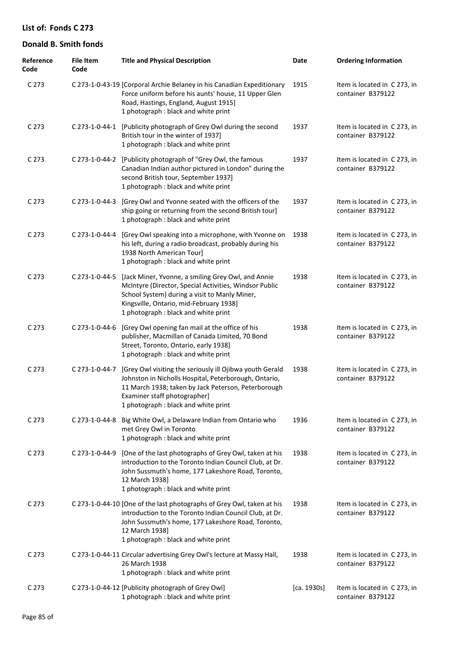| Reference<br>Code | <b>File Item</b><br>Code | <b>Title and Physical Description</b>                                                                                                                                                                                                             | Date        | <b>Ordering Information</b>                       |
|-------------------|--------------------------|---------------------------------------------------------------------------------------------------------------------------------------------------------------------------------------------------------------------------------------------------|-------------|---------------------------------------------------|
| C <sub>273</sub>  |                          | C 273-1-0-43-19 [Corporal Archie Belaney in his Canadian Expeditionary<br>Force uniform before his aunts' house, 11 Upper Glen<br>Road, Hastings, England, August 1915]<br>1 photograph : black and white print                                   | 1915        | Item is located in C 273, in<br>container B379122 |
| C <sub>273</sub>  |                          | C 273-1-0-44-1 [Publicity photograph of Grey Owl during the second<br>British tour in the winter of 1937]<br>1 photograph : black and white print                                                                                                 | 1937        | Item is located in C 273, in<br>container B379122 |
| C <sub>273</sub>  |                          | C 273-1-0-44-2 [Publicity photograph of "Grey Owl, the famous<br>Canadian Indian author pictured in London" during the<br>second British tour, September 1937]<br>1 photograph : black and white print                                            | 1937        | Item is located in C 273, in<br>container B379122 |
| C <sub>273</sub>  | C 273-1-0-44-3           | [Grey Owl and Yvonne seated with the officers of the<br>ship going or returning from the second British tour]<br>1 photograph : black and white print                                                                                             | 1937        | Item is located in C273, in<br>container B379122  |
| C <sub>273</sub>  | C 273-1-0-44-4           | [Grey Owl speaking into a microphone, with Yvonne on<br>his left, during a radio broadcast, probably during his<br>1938 North American Tour]<br>1 photograph : black and white print                                                              | 1938        | Item is located in C 273, in<br>container B379122 |
| C <sub>273</sub>  | C 273-1-0-44-5           | [Jack Miner, Yvonne, a smiling Grey Owl, and Annie<br>McIntyre (Director, Special Activities, Windsor Public<br>School System) during a visit to Manly Miner,<br>Kingsville, Ontario, mid-February 1938]<br>1 photograph : black and white print  | 1938        | Item is located in C273, in<br>container B379122  |
| C 273             | C 273-1-0-44-6           | [Grey Owl opening fan mail at the office of his<br>publisher, Macmillan of Canada Limited, 70 Bond<br>Street, Toronto, Ontario, early 1938]<br>1 photograph : black and white print                                                               | 1938        | Item is located in C 273, in<br>container B379122 |
| C <sub>273</sub>  | C 273-1-0-44-7           | [Grey Owl visiting the seriously ill Ojibwa youth Gerald<br>Johnston in Nicholls Hospital, Peterborough, Ontario,<br>11 March 1938; taken by Jack Peterson, Peterborough<br>Examiner staff photographer]<br>1 photograph : black and white print  | 1938        | Item is located in C 273, in<br>container B379122 |
| C <sub>273</sub>  |                          | C 273-1-0-44-8 Big White Owl, a Delaware Indian from Ontario who<br>met Grey Owl in Toronto<br>1 photograph : black and white print                                                                                                               | 1936        | Item is located in C 273, in<br>container B379122 |
| C <sub>273</sub>  | $C$ 273-1-0-44-9         | [One of the last photographs of Grey Owl, taken at his<br>introduction to the Toronto Indian Council Club, at Dr.<br>John Sussmuth's home, 177 Lakeshore Road, Toronto,<br>12 March 1938]<br>1 photograph : black and white print                 | 1938        | Item is located in C273, in<br>container B379122  |
| C <sub>273</sub>  |                          | C 273-1-0-44-10 [One of the last photographs of Grey Owl, taken at his<br>introduction to the Toronto Indian Council Club, at Dr.<br>John Sussmuth's home, 177 Lakeshore Road, Toronto,<br>12 March 1938]<br>1 photograph : black and white print | 1938        | Item is located in C 273, in<br>container B379122 |
| C <sub>273</sub>  |                          | C 273-1-0-44-11 Circular advertising Grey Owl's lecture at Massy Hall,<br>26 March 1938<br>1 photograph: black and white print                                                                                                                    | 1938        | Item is located in C 273, in<br>container B379122 |
| C <sub>273</sub>  |                          | C 273-1-0-44-12 [Publicity photograph of Grey Owl]<br>1 photograph : black and white print                                                                                                                                                        | [ca. 1930s] | Item is located in C 273, in<br>container B379122 |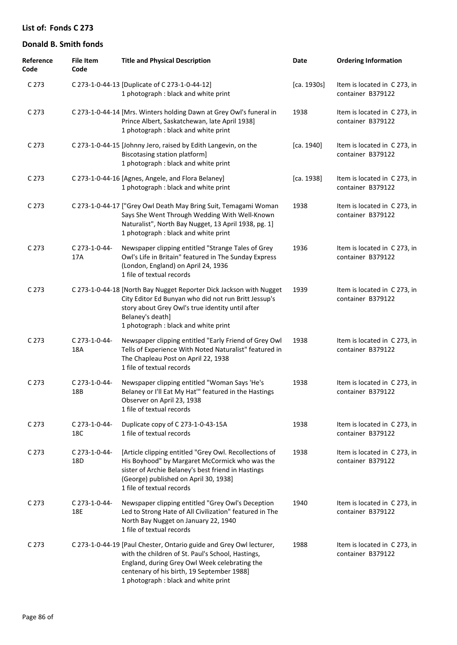| Reference<br>Code | <b>File Item</b><br>Code | <b>Title and Physical Description</b>                                                                                                                                                                                                                           | Date        | <b>Ordering Information</b>                       |
|-------------------|--------------------------|-----------------------------------------------------------------------------------------------------------------------------------------------------------------------------------------------------------------------------------------------------------------|-------------|---------------------------------------------------|
| C 273             |                          | C 273-1-0-44-13 [Duplicate of C 273-1-0-44-12]<br>1 photograph : black and white print                                                                                                                                                                          | [ca. 1930s] | Item is located in C273, in<br>container B379122  |
| C <sub>273</sub>  |                          | C 273-1-0-44-14 [Mrs. Winters holding Dawn at Grey Owl's funeral in<br>Prince Albert, Saskatchewan, late April 1938]<br>1 photograph : black and white print                                                                                                    | 1938        | Item is located in C273, in<br>container B379122  |
| C <sub>273</sub>  |                          | C 273-1-0-44-15 [Johnny Jero, raised by Edith Langevin, on the<br>Biscotasing station platform]<br>1 photograph : black and white print                                                                                                                         | [ca. 1940]  | Item is located in C273, in<br>container B379122  |
| C <sub>273</sub>  |                          | C 273-1-0-44-16 [Agnes, Angele, and Flora Belaney]<br>1 photograph : black and white print                                                                                                                                                                      | [ca. 1938]  | Item is located in C273, in<br>container B379122  |
| C <sub>273</sub>  |                          | C 273-1-0-44-17 ["Grey Owl Death May Bring Suit, Temagami Woman<br>Says She Went Through Wedding With Well-Known<br>Naturalist", North Bay Nugget, 13 April 1938, pg. 1]<br>1 photograph : black and white print                                                | 1938        | Item is located in C273, in<br>container B379122  |
| C <sub>273</sub>  | C 273-1-0-44-<br>17A     | Newspaper clipping entitled "Strange Tales of Grey<br>Owl's Life in Britain" featured in The Sunday Express<br>(London, England) on April 24, 1936<br>1 file of textual records                                                                                 | 1936        | Item is located in C273, in<br>container B379122  |
| C <sub>273</sub>  |                          | C 273-1-0-44-18 [North Bay Nugget Reporter Dick Jackson with Nugget<br>City Editor Ed Bunyan who did not run Britt Jessup's<br>story about Grey Owl's true identity until after<br>Belaney's death]<br>1 photograph : black and white print                     | 1939        | Item is located in C273, in<br>container B379122  |
| C 273             | C 273-1-0-44-<br>18A     | Newspaper clipping entitled "Early Friend of Grey Owl<br>Tells of Experience With Noted Naturalist" featured in<br>The Chapleau Post on April 22, 1938<br>1 file of textual records                                                                             | 1938        | Item is located in C273, in<br>container B379122  |
| C <sub>273</sub>  | C 273-1-0-44-<br>18B     | Newspaper clipping entitled "Woman Says 'He's<br>Belaney or I'll Eat My Hat" featured in the Hastings<br>Observer on April 23, 1938<br>1 file of textual records                                                                                                | 1938        | Item is located in C 273, in<br>container B379122 |
| C <sub>273</sub>  | C 273-1-0-44-<br>18C     | Duplicate copy of C 273-1-0-43-15A<br>1 file of textual records                                                                                                                                                                                                 | 1938        | Item is located in C 273, in<br>container B379122 |
| C <sub>273</sub>  | C 273-1-0-44-<br>18D     | [Article clipping entitled "Grey Owl. Recollections of<br>His Boyhood" by Margaret McCormick who was the<br>sister of Archie Belaney's best friend in Hastings<br>(George) published on April 30, 1938]<br>1 file of textual records                            | 1938        | Item is located in C 273, in<br>container B379122 |
| C <sub>273</sub>  | C 273-1-0-44-<br>18E     | Newspaper clipping entitled "Grey Owl's Deception<br>Led to Strong Hate of All Civilization" featured in The<br>North Bay Nugget on January 22, 1940<br>1 file of textual records                                                                               | 1940        | Item is located in C 273, in<br>container B379122 |
| C 273             |                          | C 273-1-0-44-19 [Paul Chester, Ontario guide and Grey Owl lecturer,<br>with the children of St. Paul's School, Hastings,<br>England, during Grey Owl Week celebrating the<br>centenary of his birth, 19 September 1988]<br>1 photograph : black and white print | 1988        | Item is located in C273, in<br>container B379122  |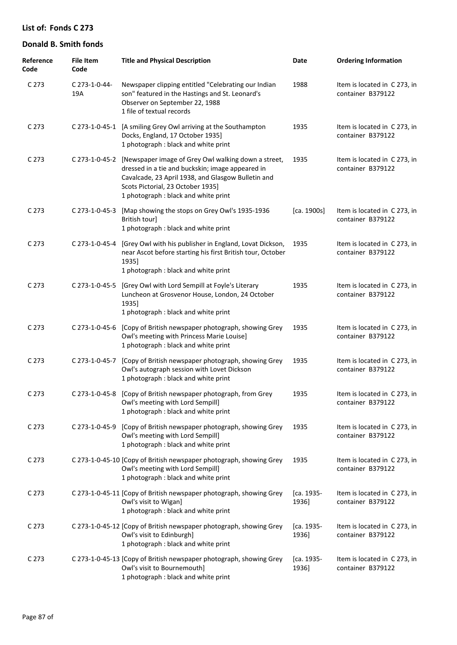| Reference<br>Code | <b>File Item</b><br>Code | <b>Title and Physical Description</b>                                                                                                                                                                                                      | Date                | <b>Ordering Information</b>                       |
|-------------------|--------------------------|--------------------------------------------------------------------------------------------------------------------------------------------------------------------------------------------------------------------------------------------|---------------------|---------------------------------------------------|
| C 273             | C 273-1-0-44-<br>19A     | Newspaper clipping entitled "Celebrating our Indian<br>son" featured in the Hastings and St. Leonard's<br>Observer on September 22, 1988<br>1 file of textual records                                                                      | 1988                | Item is located in C 273, in<br>container B379122 |
| C 273             |                          | C 273-1-0-45-1 [A smiling Grey Owl arriving at the Southampton<br>Docks, England, 17 October 1935]<br>1 photograph : black and white print                                                                                                 | 1935                | Item is located in C273, in<br>container B379122  |
| C 273             | C 273-1-0-45-2           | [Newspaper image of Grey Owl walking down a street,<br>dressed in a tie and buckskin; image appeared in<br>Cavalcade, 23 April 1938, and Glasgow Bulletin and<br>Scots Pictorial, 23 October 1935]<br>1 photograph : black and white print | 1935                | Item is located in C273, in<br>container B379122  |
| C 273             | C 273-1-0-45-3           | [Map showing the stops on Grey Owl's 1935-1936<br>British tour]<br>1 photograph : black and white print                                                                                                                                    | [ca. 1900s]         | Item is located in C 273, in<br>container B379122 |
| C 273             | C 273-1-0-45-4           | [Grey Owl with his publisher in England, Lovat Dickson,<br>near Ascot before starting his first British tour, October<br>1935]<br>1 photograph : black and white print                                                                     | 1935                | Item is located in C 273, in<br>container B379122 |
| C 273             | C 273-1-0-45-5           | [Grey Owl with Lord Sempill at Foyle's Literary<br>Luncheon at Grosvenor House, London, 24 October<br>1935]<br>1 photograph : black and white print                                                                                        | 1935                | Item is located in C 273, in<br>container B379122 |
| C 273             | C 273-1-0-45-6           | [Copy of British newspaper photograph, showing Grey<br>Owl's meeting with Princess Marie Louise]<br>1 photograph: black and white print                                                                                                    | 1935                | Item is located in C 273, in<br>container B379122 |
| C <sub>273</sub>  | C 273-1-0-45-7           | [Copy of British newspaper photograph, showing Grey<br>Owl's autograph session with Lovet Dickson<br>1 photograph : black and white print                                                                                                  | 1935                | Item is located in C 273, in<br>container B379122 |
| C <sub>273</sub>  |                          | C 273-1-0-45-8 [Copy of British newspaper photograph, from Grey<br>Owl's meeting with Lord Sempill]<br>1 photograph : black and white print                                                                                                | 1935                | Item is located in C 273, in<br>container B379122 |
| C 273             | C 273-1-0-45-9           | [Copy of British newspaper photograph, showing Grey<br>Owl's meeting with Lord Sempill]<br>1 photograph : black and white print                                                                                                            | 1935                | Item is located in C 273, in<br>container B379122 |
| C <sub>273</sub>  |                          | C 273-1-0-45-10 [Copy of British newspaper photograph, showing Grey<br>Owl's meeting with Lord Sempill]<br>1 photograph : black and white print                                                                                            | 1935                | Item is located in C 273, in<br>container B379122 |
| C 273             |                          | C 273-1-0-45-11 [Copy of British newspaper photograph, showing Grey<br>Owl's visit to Wigan]<br>1 photograph : black and white print                                                                                                       | [ca. 1935-<br>1936] | Item is located in C 273, in<br>container B379122 |
| C 273             |                          | C 273-1-0-45-12 [Copy of British newspaper photograph, showing Grey<br>Owl's visit to Edinburgh]<br>1 photograph : black and white print                                                                                                   | [ca. 1935-<br>1936] | Item is located in C273, in<br>container B379122  |
| C 273             |                          | C 273-1-0-45-13 [Copy of British newspaper photograph, showing Grey<br>Owl's visit to Bournemouth]<br>1 photograph : black and white print                                                                                                 | [ca. 1935-<br>1936] | Item is located in C 273, in<br>container B379122 |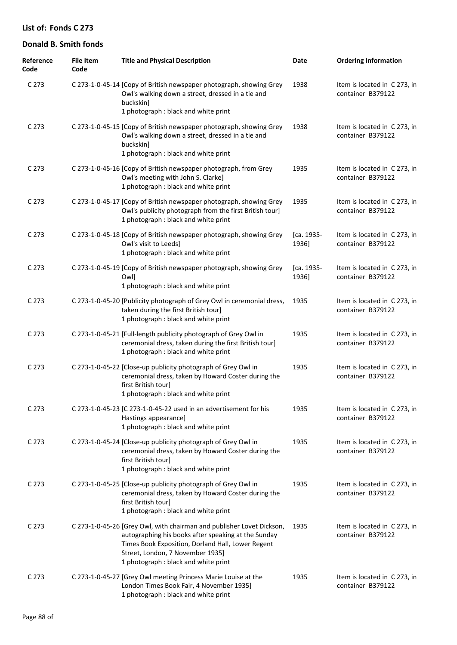| Reference<br>Code | <b>File Item</b><br>Code | <b>Title and Physical Description</b>                                                                                                                                                                                                                         | Date                | <b>Ordering Information</b>                       |
|-------------------|--------------------------|---------------------------------------------------------------------------------------------------------------------------------------------------------------------------------------------------------------------------------------------------------------|---------------------|---------------------------------------------------|
| C <sub>273</sub>  |                          | C 273-1-0-45-14 [Copy of British newspaper photograph, showing Grey<br>Owl's walking down a street, dressed in a tie and<br>buckskin]<br>1 photograph : black and white print                                                                                 | 1938                | Item is located in C 273, in<br>container B379122 |
| C <sub>273</sub>  |                          | C 273-1-0-45-15 [Copy of British newspaper photograph, showing Grey<br>Owl's walking down a street, dressed in a tie and<br>buckskin]<br>1 photograph : black and white print                                                                                 | 1938                | Item is located in C 273, in<br>container B379122 |
| C <sub>273</sub>  |                          | C 273-1-0-45-16 [Copy of British newspaper photograph, from Grey<br>Owl's meeting with John S. Clarke]<br>1 photograph : black and white print                                                                                                                | 1935                | Item is located in C273, in<br>container B379122  |
| C 273             |                          | C 273-1-0-45-17 [Copy of British newspaper photograph, showing Grey<br>Owl's publicity photograph from the first British tour]<br>1 photograph : black and white print                                                                                        | 1935                | Item is located in C273, in<br>container B379122  |
| C <sub>273</sub>  |                          | C 273-1-0-45-18 [Copy of British newspaper photograph, showing Grey<br>Owl's visit to Leeds]<br>1 photograph : black and white print                                                                                                                          | [ca. 1935-<br>1936] | Item is located in C 273, in<br>container B379122 |
| C 273             |                          | C 273-1-0-45-19 [Copy of British newspaper photograph, showing Grey<br><b>Owll</b><br>1 photograph : black and white print                                                                                                                                    | [ca. 1935-<br>1936] | Item is located in C273, in<br>container B379122  |
| C <sub>273</sub>  |                          | C 273-1-0-45-20 [Publicity photograph of Grey Owl in ceremonial dress,<br>taken during the first British tour]<br>1 photograph : black and white print                                                                                                        | 1935                | Item is located in C 273, in<br>container B379122 |
| C 273             |                          | C 273-1-0-45-21 [Full-length publicity photograph of Grey Owl in<br>ceremonial dress, taken during the first British tour]<br>1 photograph : black and white print                                                                                            | 1935                | Item is located in C273, in<br>container B379122  |
| C 273             |                          | C 273-1-0-45-22 [Close-up publicity photograph of Grey Owl in<br>ceremonial dress, taken by Howard Coster during the<br>first British tour]<br>1 photograph : black and white print                                                                           | 1935                | Item is located in C273, in<br>container B379122  |
| C 273             |                          | C 273-1-0-45-23 [C 273-1-0-45-22 used in an advertisement for his<br>Hastings appearance]<br>1 photograph : black and white print                                                                                                                             | 1935                | Item is located in C 273, in<br>container B379122 |
| C <sub>273</sub>  |                          | C 273-1-0-45-24 [Close-up publicity photograph of Grey Owl in<br>ceremonial dress, taken by Howard Coster during the<br>first British tour]<br>1 photograph : black and white print                                                                           | 1935                | Item is located in C273, in<br>container B379122  |
| C <sub>273</sub>  |                          | C 273-1-0-45-25 [Close-up publicity photograph of Grey Owl in<br>ceremonial dress, taken by Howard Coster during the<br>first British tour]<br>1 photograph : black and white print                                                                           | 1935                | Item is located in C 273, in<br>container B379122 |
| C <sub>273</sub>  |                          | C 273-1-0-45-26 [Grey Owl, with chairman and publisher Lovet Dickson,<br>autographing his books after speaking at the Sunday<br>Times Book Exposition, Dorland Hall, Lower Regent<br>Street, London, 7 November 1935]<br>1 photograph : black and white print | 1935                | Item is located in C 273, in<br>container B379122 |
| C 273             |                          | C 273-1-0-45-27 [Grey Owl meeting Princess Marie Louise at the<br>London Times Book Fair, 4 November 1935]<br>1 photograph : black and white print                                                                                                            | 1935                | Item is located in C 273, in<br>container B379122 |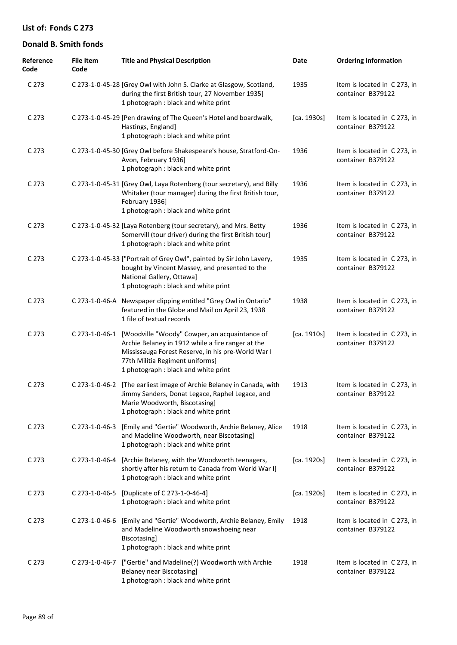| Reference<br>Code | <b>File Item</b><br>Code | <b>Title and Physical Description</b>                                                                                                                                                                                               | Date        | <b>Ordering Information</b>                       |
|-------------------|--------------------------|-------------------------------------------------------------------------------------------------------------------------------------------------------------------------------------------------------------------------------------|-------------|---------------------------------------------------|
| C 273             |                          | C 273-1-0-45-28 [Grey Owl with John S. Clarke at Glasgow, Scotland,<br>during the first British tour, 27 November 1935]<br>1 photograph : black and white print                                                                     | 1935        | Item is located in C273, in<br>container B379122  |
| C <sub>273</sub>  |                          | C 273-1-0-45-29 [Pen drawing of The Queen's Hotel and boardwalk,<br>Hastings, England]<br>1 photograph : black and white print                                                                                                      | [ca. 1930s] | Item is located in C273, in<br>container B379122  |
| C <sub>273</sub>  |                          | C 273-1-0-45-30 [Grey Owl before Shakespeare's house, Stratford-On-<br>Avon, February 1936]<br>1 photograph : black and white print                                                                                                 | 1936        | Item is located in C 273, in<br>container B379122 |
| C <sub>273</sub>  |                          | C 273-1-0-45-31 [Grey Owl, Laya Rotenberg (tour secretary), and Billy<br>Whitaker (tour manager) during the first British tour,<br>February 1936]<br>1 photograph : black and white print                                           | 1936        | Item is located in C 273, in<br>container B379122 |
| C <sub>273</sub>  |                          | C 273-1-0-45-32 [Laya Rotenberg (tour secretary), and Mrs. Betty<br>Somervill (tour driver) during the first British tour]<br>1 photograph : black and white print                                                                  | 1936        | Item is located in C 273, in<br>container B379122 |
| C <sub>273</sub>  |                          | C 273-1-0-45-33 ["Portrait of Grey Owl", painted by Sir John Lavery,<br>bought by Vincent Massey, and presented to the<br>National Gallery, Ottawa]<br>1 photograph : black and white print                                         | 1935        | Item is located in C 273, in<br>container B379122 |
| C <sub>273</sub>  |                          | C 273-1-0-46-A Newspaper clipping entitled "Grey Owl in Ontario"<br>featured in the Globe and Mail on April 23, 1938<br>1 file of textual records                                                                                   | 1938        | Item is located in C273, in<br>container B379122  |
| C <sub>273</sub>  | C 273-1-0-46-1           | [Woodville "Woody" Cowper, an acquaintance of<br>Archie Belaney in 1912 while a fire ranger at the<br>Mississauga Forest Reserve, in his pre-World War I<br>77th Militia Regiment uniforms]<br>1 photograph : black and white print | [ca. 1910s] | Item is located in C273, in<br>container B379122  |
| C <sub>273</sub>  | C 273-1-0-46-2           | [The earliest image of Archie Belaney in Canada, with<br>Jimmy Sanders, Donat Legace, Raphel Legace, and<br>Marie Woodworth, Biscotasing]<br>1 photograph : black and white print                                                   | 1913        | Item is located in C 273, in<br>container B379122 |
| C <sub>273</sub>  | C 273-1-0-46-3           | [Emily and "Gertie" Woodworth, Archie Belaney, Alice<br>and Madeline Woodworth, near Biscotasing]<br>1 photograph : black and white print                                                                                           | 1918        | Item is located in C 273, in<br>container B379122 |
| C 273             | C 273-1-0-46-4           | [Archie Belaney, with the Woodworth teenagers,<br>shortly after his return to Canada from World War I]<br>1 photograph : black and white print                                                                                      | [ca. 1920s] | Item is located in C 273, in<br>container B379122 |
| C <sub>273</sub>  |                          | C 273-1-0-46-5 [Duplicate of C 273-1-0-46-4]<br>1 photograph : black and white print                                                                                                                                                | [ca. 1920s] | Item is located in C 273, in<br>container B379122 |
| C <sub>273</sub>  | C 273-1-0-46-6           | [Emily and "Gertie" Woodworth, Archie Belaney, Emily<br>and Madeline Woodworth snowshoeing near<br>Biscotasing]<br>1 photograph : black and white print                                                                             | 1918        | Item is located in C273, in<br>container B379122  |
| C 273             | C 273-1-0-46-7           | ["Gertie" and Madeline(?) Woodworth with Archie<br>Belaney near Biscotasing]<br>1 photograph : black and white print                                                                                                                | 1918        | Item is located in C 273, in<br>container B379122 |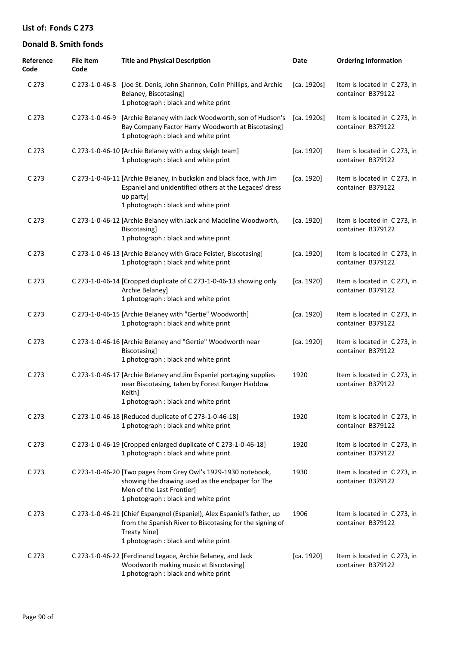| Reference<br>Code | <b>File Item</b><br>Code | <b>Title and Physical Description</b>                                                                                                                                                              | Date        | <b>Ordering Information</b>                       |
|-------------------|--------------------------|----------------------------------------------------------------------------------------------------------------------------------------------------------------------------------------------------|-------------|---------------------------------------------------|
| C <sub>273</sub>  |                          | C 273-1-0-46-8 [Joe St. Denis, John Shannon, Colin Phillips, and Archie<br>Belaney, Biscotasing]<br>1 photograph : black and white print                                                           | [ca. 1920s] | Item is located in C 273, in<br>container B379122 |
| C <sub>273</sub>  | C 273-1-0-46-9           | [Archie Belaney with Jack Woodworth, son of Hudson's<br>Bay Company Factor Harry Woodworth at Biscotasing]<br>1 photograph : black and white print                                                 | [ca. 1920s] | Item is located in C273, in<br>container B379122  |
| C <sub>273</sub>  |                          | C 273-1-0-46-10 [Archie Belaney with a dog sleigh team]<br>1 photograph : black and white print                                                                                                    | [ca. 1920]  | Item is located in C 273, in<br>container B379122 |
| C <sub>273</sub>  |                          | C 273-1-0-46-11 [Archie Belaney, in buckskin and black face, with Jim<br>Espaniel and unidentified others at the Legaces' dress<br>up party]<br>1 photograph : black and white print               | [ca. 1920]  | Item is located in C273, in<br>container B379122  |
| C 273             |                          | C 273-1-0-46-12 [Archie Belaney with Jack and Madeline Woodworth,<br>Biscotasing]<br>1 photograph : black and white print                                                                          | [ca. 1920]  | Item is located in C 273, in<br>container B379122 |
| C <sub>273</sub>  |                          | C 273-1-0-46-13 [Archie Belaney with Grace Feister, Biscotasing]<br>1 photograph : black and white print                                                                                           | [ca. 1920]  | Item is located in C273, in<br>container B379122  |
| C <sub>273</sub>  |                          | C 273-1-0-46-14 [Cropped duplicate of C 273-1-0-46-13 showing only<br>Archie Belaney]<br>1 photograph : black and white print                                                                      | [ca. 1920]  | Item is located in C273, in<br>container B379122  |
| C <sub>273</sub>  |                          | C 273-1-0-46-15 [Archie Belaney with "Gertie" Woodworth]<br>1 photograph : black and white print                                                                                                   | [ca. 1920]  | Item is located in C 273, in<br>container B379122 |
| C <sub>273</sub>  |                          | C 273-1-0-46-16 [Archie Belaney and "Gertie" Woodworth near<br>Biscotasing]<br>1 photograph : black and white print                                                                                | [ca. 1920]  | Item is located in C 273, in<br>container B379122 |
| C <sub>273</sub>  |                          | C 273-1-0-46-17 [Archie Belaney and Jim Espaniel portaging supplies<br>near Biscotasing, taken by Forest Ranger Haddow<br>Keith]<br>1 photograph : black and white print                           | 1920        | Item is located in C273, in<br>container B379122  |
| C 273             |                          | C 273-1-0-46-18 [Reduced duplicate of C 273-1-0-46-18]<br>1 photograph : black and white print                                                                                                     | 1920        | Item is located in C273, in<br>container B379122  |
| C <sub>273</sub>  |                          | C 273-1-0-46-19 [Cropped enlarged duplicate of C 273-1-0-46-18]<br>1 photograph : black and white print                                                                                            | 1920        | Item is located in C273, in<br>container B379122  |
| C 273             |                          | C 273-1-0-46-20 [Two pages from Grey Owl's 1929-1930 notebook,<br>showing the drawing used as the endpaper for The<br>Men of the Last Frontier]<br>1 photograph : black and white print            | 1930        | Item is located in C273, in<br>container B379122  |
| C <sub>273</sub>  |                          | C 273-1-0-46-21 [Chief Espangnol (Espaniel), Alex Espaniel's father, up<br>from the Spanish River to Biscotasing for the signing of<br><b>Treaty Nine]</b><br>1 photograph : black and white print | 1906        | Item is located in C 273, in<br>container B379122 |
| C 273             |                          | C 273-1-0-46-22 [Ferdinand Legace, Archie Belaney, and Jack<br>Woodworth making music at Biscotasing]<br>1 photograph : black and white print                                                      | [ca. 1920]  | Item is located in C 273, in<br>container B379122 |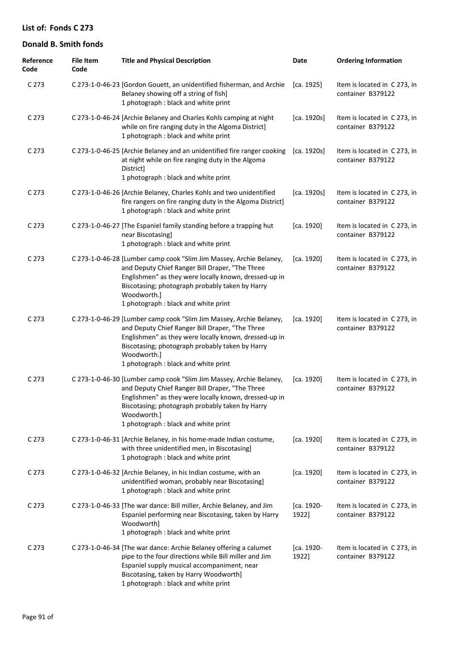| Reference<br>Code | <b>File Item</b><br>Code | <b>Title and Physical Description</b>                                                                                                                                                                                                                                                     | Date                | <b>Ordering Information</b>                       |
|-------------------|--------------------------|-------------------------------------------------------------------------------------------------------------------------------------------------------------------------------------------------------------------------------------------------------------------------------------------|---------------------|---------------------------------------------------|
| C <sub>273</sub>  |                          | C 273-1-0-46-23 [Gordon Gouett, an unidentified fisherman, and Archie<br>Belaney showing off a string of fish]<br>1 photograph : black and white print                                                                                                                                    | [ca. 1925]          | Item is located in C273, in<br>container B379122  |
| C 273             |                          | C 273-1-0-46-24 [Archie Belaney and Charles Kohls camping at night<br>while on fire ranging duty in the Algoma District]<br>1 photograph : black and white print                                                                                                                          | [ca. 1920s]         | Item is located in C273, in<br>container B379122  |
| C <sub>273</sub>  |                          | C 273-1-0-46-25 [Archie Belaney and an unidentified fire ranger cooking<br>at night while on fire ranging duty in the Algoma<br>District]<br>1 photograph : black and white print                                                                                                         | [ca. 1920s]         | Item is located in C 273, in<br>container B379122 |
| C <sub>273</sub>  |                          | C 273-1-0-46-26 [Archie Belaney, Charles Kohls and two unidentified<br>fire rangers on fire ranging duty in the Algoma District]<br>1 photograph : black and white print                                                                                                                  | [ca. 1920s]         | Item is located in C 273, in<br>container B379122 |
| C <sub>273</sub>  |                          | C 273-1-0-46-27 [The Espaniel family standing before a trapping hut<br>near Biscotasing]<br>1 photograph : black and white print                                                                                                                                                          | [ca. 1920]          | Item is located in C273, in<br>container B379122  |
| C <sub>273</sub>  |                          | C 273-1-0-46-28 [Lumber camp cook "Slim Jim Massey, Archie Belaney,<br>and Deputy Chief Ranger Bill Draper, "The Three<br>Englishmen" as they were locally known, dressed-up in<br>Biscotasing; photograph probably taken by Harry<br>Woodworth.]<br>1 photograph : black and white print | [ca. 1920]          | Item is located in C 273, in<br>container B379122 |
| C <sub>273</sub>  |                          | C 273-1-0-46-29 [Lumber camp cook "Slim Jim Massey, Archie Belaney,<br>and Deputy Chief Ranger Bill Draper, "The Three<br>Englishmen" as they were locally known, dressed-up in<br>Biscotasing; photograph probably taken by Harry<br>Woodworth.]<br>1 photograph : black and white print | [ca. 1920]          | Item is located in C 273, in<br>container B379122 |
| C <sub>273</sub>  |                          | C 273-1-0-46-30 [Lumber camp cook "Slim Jim Massey, Archie Belaney,<br>and Deputy Chief Ranger Bill Draper, "The Three<br>Englishmen" as they were locally known, dressed-up in<br>Biscotasing; photograph probably taken by Harry<br>Woodworth.]<br>1 photograph : black and white print | [ca. 1920]          | Item is located in C 273, in<br>container B379122 |
| C 273             |                          | C 273-1-0-46-31 [Archie Belaney, in his home-made Indian costume,<br>with three unidentified men, in Biscotasing]<br>1 photograph : black and white print                                                                                                                                 | [ca. 1920]          | Item is located in C 273, in<br>container B379122 |
| C <sub>273</sub>  |                          | C 273-1-0-46-32 [Archie Belaney, in his Indian costume, with an<br>unidentified woman, probably near Biscotasing]<br>1 photograph : black and white print                                                                                                                                 | [ca. 1920]          | Item is located in C273, in<br>container B379122  |
| C <sub>273</sub>  |                          | C 273-1-0-46-33 [The war dance: Bill miller, Archie Belaney, and Jim<br>Espaniel performing near Biscotasing, taken by Harry<br>Woodworth]<br>1 photograph : black and white print                                                                                                        | [ca. 1920-<br>1922] | Item is located in C 273, in<br>container B379122 |
| C <sub>273</sub>  |                          | C 273-1-0-46-34 [The war dance: Archie Belaney offering a calumet<br>pipe to the four directions while Bill miller and Jim<br>Espaniel supply musical accompaniment, near<br>Biscotasing, taken by Harry Woodworth]<br>1 photograph : black and white print                               | [ca. 1920-<br>1922] | Item is located in C 273, in<br>container B379122 |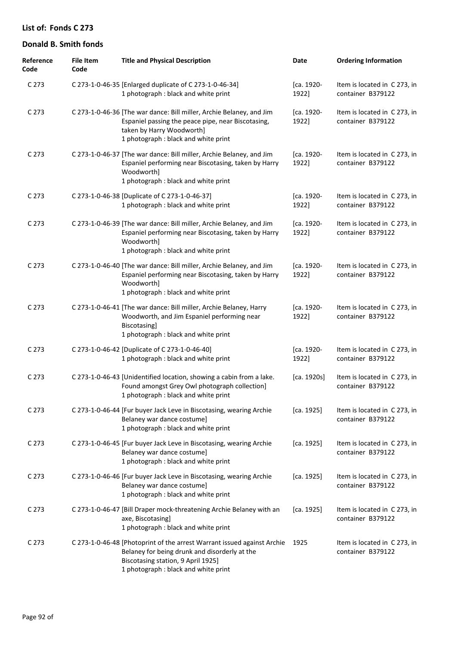| Reference<br>Code | <b>File Item</b><br>Code | <b>Title and Physical Description</b>                                                                                                                                                                  | Date                | <b>Ordering Information</b>                       |
|-------------------|--------------------------|--------------------------------------------------------------------------------------------------------------------------------------------------------------------------------------------------------|---------------------|---------------------------------------------------|
| C 273             |                          | C 273-1-0-46-35 [Enlarged duplicate of C 273-1-0-46-34]<br>1 photograph : black and white print                                                                                                        | [ca. 1920-<br>1922] | Item is located in C 273, in<br>container B379122 |
| C 273             |                          | C 273-1-0-46-36 [The war dance: Bill miller, Archie Belaney, and Jim<br>Espaniel passing the peace pipe, near Biscotasing,<br>taken by Harry Woodworth]<br>1 photograph : black and white print        | [ca. 1920-<br>1922] | Item is located in C 273, in<br>container B379122 |
| C 273             |                          | C 273-1-0-46-37 [The war dance: Bill miller, Archie Belaney, and Jim<br>Espaniel performing near Biscotasing, taken by Harry<br>Woodworth]<br>1 photograph : black and white print                     | [ca. 1920-<br>1922] | Item is located in C 273, in<br>container B379122 |
| C 273             |                          | C 273-1-0-46-38 [Duplicate of C 273-1-0-46-37]<br>1 photograph : black and white print                                                                                                                 | [ca. 1920-<br>1922] | Item is located in C273, in<br>container B379122  |
| C 273             |                          | C 273-1-0-46-39 [The war dance: Bill miller, Archie Belaney, and Jim<br>Espaniel performing near Biscotasing, taken by Harry<br>Woodworth]<br>1 photograph : black and white print                     | [ca. 1920-<br>1922] | Item is located in C273, in<br>container B379122  |
| C 273             |                          | C 273-1-0-46-40 [The war dance: Bill miller, Archie Belaney, and Jim<br>Espaniel performing near Biscotasing, taken by Harry<br>Woodworth]<br>1 photograph : black and white print                     | [ca. 1920-<br>1922] | Item is located in C 273, in<br>container B379122 |
| C 273             |                          | C 273-1-0-46-41 [The war dance: Bill miller, Archie Belaney, Harry<br>Woodworth, and Jim Espaniel performing near<br>Biscotasing]<br>1 photograph : black and white print                              | [ca. 1920-<br>1922] | Item is located in C 273, in<br>container B379122 |
| C 273             |                          | C 273-1-0-46-42 [Duplicate of C 273-1-0-46-40]<br>1 photograph : black and white print                                                                                                                 | [ca. 1920-<br>1922] | Item is located in C 273, in<br>container B379122 |
| C 273             |                          | C 273-1-0-46-43 [Unidentified location, showing a cabin from a lake.<br>Found amongst Grey Owl photograph collection]<br>1 photograph : black and white print                                          | [ca. 1920s]         | Item is located in C 273, in<br>container B379122 |
| C <sub>273</sub>  |                          | C 273-1-0-46-44 [Fur buyer Jack Leve in Biscotasing, wearing Archie<br>Belaney war dance costume]<br>1 photograph : black and white print                                                              | [ca. 1925]          | Item is located in C 273, in<br>container B379122 |
| C 273             |                          | C 273-1-0-46-45 [Fur buyer Jack Leve in Biscotasing, wearing Archie<br>Belaney war dance costume]<br>1 photograph : black and white print                                                              | [ca. 1925]          | Item is located in C 273, in<br>container B379122 |
| C 273             |                          | C 273-1-0-46-46 [Fur buyer Jack Leve in Biscotasing, wearing Archie<br>Belaney war dance costume]<br>1 photograph : black and white print                                                              | [ca. 1925]          | Item is located in C 273, in<br>container B379122 |
| C <sub>273</sub>  |                          | C 273-1-0-46-47 [Bill Draper mock-threatening Archie Belaney with an<br>axe, Biscotasing]<br>1 photograph : black and white print                                                                      | [ca. 1925]          | Item is located in C 273, in<br>container B379122 |
| C <sub>273</sub>  |                          | C 273-1-0-46-48 [Photoprint of the arrest Warrant issued against Archie<br>Belaney for being drunk and disorderly at the<br>Biscotasing station, 9 April 1925]<br>1 photograph : black and white print | 1925                | Item is located in C 273, in<br>container B379122 |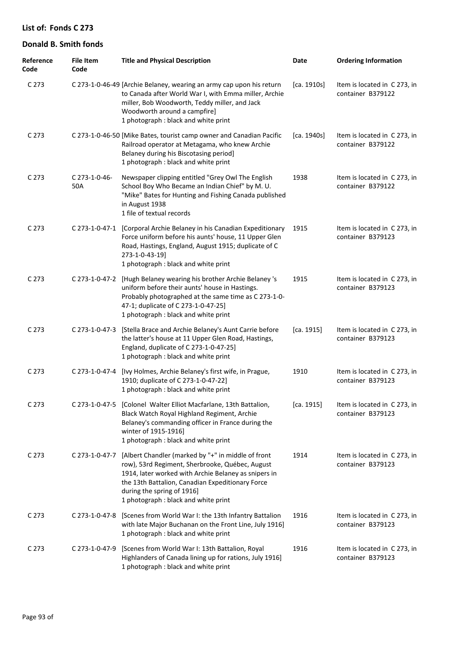| Reference<br>Code | <b>File Item</b><br>Code | <b>Title and Physical Description</b>                                                                                                                                                                                                                                                   | Date        | <b>Ordering Information</b>                       |
|-------------------|--------------------------|-----------------------------------------------------------------------------------------------------------------------------------------------------------------------------------------------------------------------------------------------------------------------------------------|-------------|---------------------------------------------------|
| C 273             |                          | C 273-1-0-46-49 [Archie Belaney, wearing an army cap upon his return<br>to Canada after World War I, with Emma miller, Archie<br>miller, Bob Woodworth, Teddy miller, and Jack<br>Woodworth around a campfire]<br>1 photograph : black and white print                                  | [ca. 1910s] | Item is located in C 273, in<br>container B379122 |
| C 273             |                          | C 273-1-0-46-50 [Mike Bates, tourist camp owner and Canadian Pacific<br>Railroad operator at Metagama, who knew Archie<br>Belaney during his Biscotasing period]<br>1 photograph : black and white print                                                                                | [ca. 1940s] | Item is located in C 273, in<br>container B379122 |
| C 273             | C 273-1-0-46-<br>50A     | Newspaper clipping entitled "Grey Owl The English<br>School Boy Who Became an Indian Chief" by M. U.<br>"Mike" Bates for Hunting and Fishing Canada published<br>in August 1938<br>1 file of textual records                                                                            | 1938        | Item is located in C 273, in<br>container B379122 |
| C 273             |                          | C 273-1-0-47-1 [Corporal Archie Belaney in his Canadian Expeditionary<br>Force uniform before his aunts' house, 11 Upper Glen<br>Road, Hastings, England, August 1915; duplicate of C<br>273-1-0-43-19]<br>1 photograph : black and white print                                         | 1915        | Item is located in C 273, in<br>container B379123 |
| C 273             | C 273-1-0-47-2           | [Hugh Belaney wearing his brother Archie Belaney's<br>uniform before their aunts' house in Hastings.<br>Probably photographed at the same time as C 273-1-0-<br>47-1; duplicate of C 273-1-0-47-25]<br>1 photograph : black and white print                                             | 1915        | Item is located in C 273, in<br>container B379123 |
| C 273             | C 273-1-0-47-3           | [Stella Brace and Archie Belaney's Aunt Carrie before<br>the latter's house at 11 Upper Glen Road, Hastings,<br>England, duplicate of C 273-1-0-47-25]<br>1 photograph : black and white print                                                                                          | [ca. 1915]  | Item is located in C 273, in<br>container B379123 |
| C 273             | C 273-1-0-47-4           | [Ivy Holmes, Archie Belaney's first wife, in Prague,<br>1910; duplicate of C 273-1-0-47-22]<br>1 photograph : black and white print                                                                                                                                                     | 1910        | Item is located in C 273, in<br>container B379123 |
| C 273             |                          | C 273-1-0-47-5 [Colonel Walter Elliot Macfarlane, 13th Battalion,<br>Black Watch Royal Highland Regiment, Archie<br>Belaney's commanding officer in France during the<br>winter of 1915-1916]<br>1 photograph : black and white print                                                   | [ca. 1915]  | Item is located in C 273, in<br>container B379123 |
| C 273             | C 273-1-0-47-7           | [Albert Chandler (marked by "+" in middle of front<br>row), 53rd Regiment, Sherbrooke, Québec, August<br>1914, later worked with Archie Belaney as snipers in<br>the 13th Battalion, Canadian Expeditionary Force<br>during the spring of 1916]<br>1 photograph : black and white print | 1914        | Item is located in C 273, in<br>container B379123 |
| C 273             | C 273-1-0-47-8           | [Scenes from World War I: the 13th Infantry Battalion<br>with late Major Buchanan on the Front Line, July 1916]<br>1 photograph : black and white print                                                                                                                                 | 1916        | Item is located in C 273, in<br>container B379123 |
| C 273             | C 273-1-0-47-9           | [Scenes from World War I: 13th Battalion, Royal<br>Highlanders of Canada lining up for rations, July 1916]<br>1 photograph : black and white print                                                                                                                                      | 1916        | Item is located in C 273, in<br>container B379123 |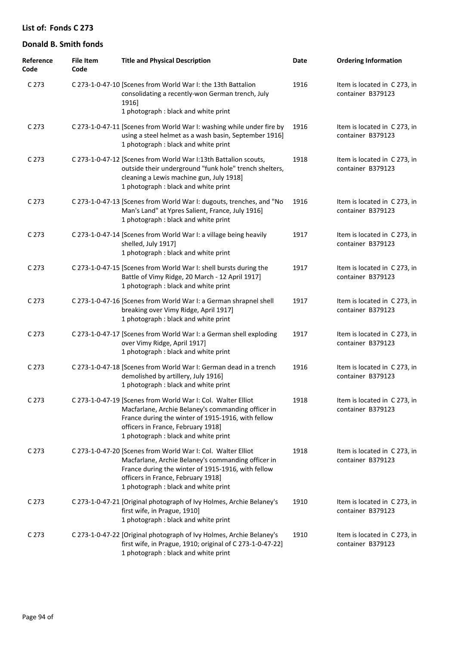| Reference<br>Code | <b>File Item</b><br>Code | <b>Title and Physical Description</b>                                                                                                                                                                                                                  | Date | <b>Ordering Information</b>                       |
|-------------------|--------------------------|--------------------------------------------------------------------------------------------------------------------------------------------------------------------------------------------------------------------------------------------------------|------|---------------------------------------------------|
| C 273             |                          | C 273-1-0-47-10 [Scenes from World War I: the 13th Battalion<br>consolidating a recently-won German trench, July<br>1916]<br>1 photograph : black and white print                                                                                      | 1916 | Item is located in C 273, in<br>container B379123 |
| C 273             |                          | C 273-1-0-47-11 [Scenes from World War I: washing while under fire by<br>using a steel helmet as a wash basin, September 1916]<br>1 photograph : black and white print                                                                                 | 1916 | Item is located in C 273, in<br>container B379123 |
| C 273             |                          | C 273-1-0-47-12 [Scenes from World War I:13th Battalion scouts,<br>outside their underground "funk hole" trench shelters,<br>cleaning a Lewis machine gun, July 1918]<br>1 photograph : black and white print                                          | 1918 | Item is located in C 273, in<br>container B379123 |
| C 273             |                          | C 273-1-0-47-13 [Scenes from World War I: dugouts, trenches, and "No<br>Man's Land" at Ypres Salient, France, July 1916]<br>1 photograph : black and white print                                                                                       | 1916 | Item is located in C 273, in<br>container B379123 |
| C 273             |                          | C 273-1-0-47-14 [Scenes from World War I: a village being heavily<br>shelled, July 1917]<br>1 photograph : black and white print                                                                                                                       | 1917 | Item is located in C 273, in<br>container B379123 |
| C 273             |                          | C 273-1-0-47-15 [Scenes from World War I: shell bursts during the<br>Battle of Vimy Ridge, 20 March - 12 April 1917]<br>1 photograph : black and white print                                                                                           | 1917 | Item is located in C 273, in<br>container B379123 |
| C 273             |                          | C 273-1-0-47-16 [Scenes from World War I: a German shrapnel shell<br>breaking over Vimy Ridge, April 1917]<br>1 photograph : black and white print                                                                                                     | 1917 | Item is located in C 273, in<br>container B379123 |
| C 273             |                          | C 273-1-0-47-17 [Scenes from World War I: a German shell exploding<br>over Vimy Ridge, April 1917]<br>1 photograph : black and white print                                                                                                             | 1917 | Item is located in C 273, in<br>container B379123 |
| C 273             |                          | C 273-1-0-47-18 [Scenes from World War I: German dead in a trench<br>demolished by artillery, July 1916]<br>1 photograph : black and white print                                                                                                       | 1916 | Item is located in C 273, in<br>container B379123 |
| C <sub>273</sub>  |                          | C 273-1-0-47-19 [Scenes from World War I: Col. Walter Elliot<br>Macfarlane, Archie Belaney's commanding officer in<br>France during the winter of 1915-1916, with fellow<br>officers in France, February 1918]<br>1 photograph : black and white print | 1918 | Item is located in C 273, in<br>container B379123 |
| C <sub>273</sub>  |                          | C 273-1-0-47-20 [Scenes from World War I: Col. Walter Elliot<br>Macfarlane, Archie Belaney's commanding officer in<br>France during the winter of 1915-1916, with fellow<br>officers in France, February 1918]<br>1 photograph : black and white print | 1918 | Item is located in C 273, in<br>container B379123 |
| C <sub>273</sub>  |                          | C 273-1-0-47-21 [Original photograph of Ivy Holmes, Archie Belaney's<br>first wife, in Prague, 1910]<br>1 photograph : black and white print                                                                                                           | 1910 | Item is located in C 273, in<br>container B379123 |
| C <sub>273</sub>  |                          | C 273-1-0-47-22 [Original photograph of Ivy Holmes, Archie Belaney's<br>first wife, in Prague, 1910; original of C 273-1-0-47-22]<br>1 photograph : black and white print                                                                              | 1910 | Item is located in C 273, in<br>container B379123 |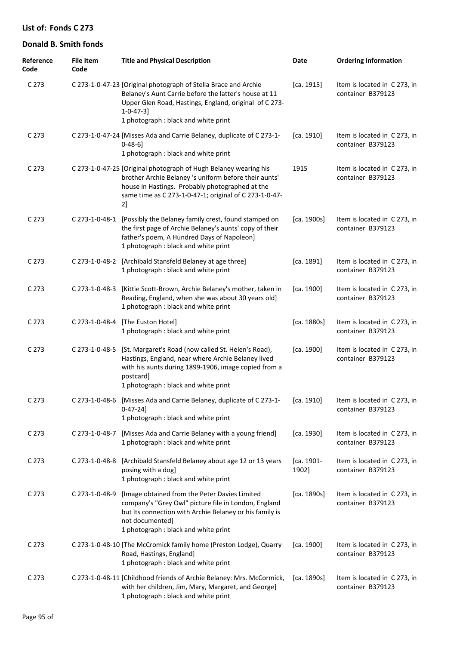| Reference<br>Code | <b>File Item</b><br>Code | <b>Title and Physical Description</b>                                                                                                                                                                                                          | Date                | <b>Ordering Information</b>                       |
|-------------------|--------------------------|------------------------------------------------------------------------------------------------------------------------------------------------------------------------------------------------------------------------------------------------|---------------------|---------------------------------------------------|
| C <sub>273</sub>  |                          | C 273-1-0-47-23 [Original photograph of Stella Brace and Archie<br>Belaney's Aunt Carrie before the latter's house at 11<br>Upper Glen Road, Hastings, England, original of C 273-<br>$1 - 0 - 47 - 3$<br>1 photograph : black and white print | [ca. 1915]          | Item is located in C 273, in<br>container B379123 |
| C <sub>273</sub>  |                          | C 273-1-0-47-24 [Misses Ada and Carrie Belaney, duplicate of C 273-1-<br>$0 - 48 - 6$<br>1 photograph : black and white print                                                                                                                  | [ca. 1910]          | Item is located in C273, in<br>container B379123  |
| C 273             |                          | C 273-1-0-47-25 [Original photograph of Hugh Belaney wearing his<br>brother Archie Belaney 's uniform before their aunts'<br>house in Hastings. Probably photographed at the<br>same time as C 273-1-0-47-1; original of C 273-1-0-47-<br>2]   | 1915                | Item is located in C 273, in<br>container B379123 |
| C <sub>273</sub>  | C 273-1-0-48-1           | [Possibly the Belaney family crest, found stamped on<br>the first page of Archie Belaney's aunts' copy of their<br>father's poem, A Hundred Days of Napoleon]<br>1 photograph : black and white print                                          | [ca. 1900s]         | Item is located in C273, in<br>container B379123  |
| C 273             | C 273-1-0-48-2           | [Archibald Stansfeld Belaney at age three]<br>1 photograph : black and white print                                                                                                                                                             | [ca. 1891]          | Item is located in C 273, in<br>container B379123 |
| C 273             | C 273-1-0-48-3           | [Kittie Scott-Brown, Archie Belaney's mother, taken in<br>Reading, England, when she was about 30 years old]<br>1 photograph : black and white print                                                                                           | [ca. 1900]          | Item is located in C 273, in<br>container B379123 |
| C <sub>273</sub>  | C 273-1-0-48-4           | [The Euston Hotel]<br>1 photograph : black and white print                                                                                                                                                                                     | [ca. 1880s]         | Item is located in C 273, in<br>container B379123 |
| C <sub>273</sub>  | C 273-1-0-48-5           | [St. Margaret's Road (now called St. Helen's Road),<br>Hastings, England, near where Archie Belaney lived<br>with his aunts during 1899-1906, image copied from a<br>postcard]<br>1 photograph : black and white print                         | [ca. 1900]          | Item is located in C 273, in<br>container B379123 |
| C 273             | C 273-1-0-48-6           | [Misses Ada and Carrie Belaney, duplicate of C 273-1-<br>$0 - 47 - 24$ ]<br>1 photograph: black and white print                                                                                                                                | [ca. 1910]          | Item is located in C 273, in<br>container B379123 |
| C <sub>273</sub>  | C 273-1-0-48-7           | [Misses Ada and Carrie Belaney with a young friend]<br>1 photograph : black and white print                                                                                                                                                    | [ca. 1930]          | Item is located in C273, in<br>container B379123  |
| C <sub>273</sub>  | C 273-1-0-48-8           | [Archibald Stansfeld Belaney about age 12 or 13 years<br>posing with a dog]<br>1 photograph : black and white print                                                                                                                            | [ca. 1901-<br>1902] | Item is located in C273, in<br>container B379123  |
| C <sub>273</sub>  | C 273-1-0-48-9           | [Image obtained from the Peter Davies Limited<br>company's "Grey Owl" picture file in London, England<br>but its connection with Archie Belaney or his family is<br>not documented]<br>1 photograph : black and white print                    | [ca. 1890s]         | Item is located in C273, in<br>container B379123  |
| C <sub>273</sub>  |                          | C 273-1-0-48-10 [The McCromick family home (Preston Lodge), Quarry<br>Road, Hastings, England]<br>1 photograph : black and white print                                                                                                         | [ca. 1900]          | Item is located in C273, in<br>container B379123  |
| C <sub>273</sub>  |                          | C 273-1-0-48-11 [Childhood friends of Archie Belaney: Mrs. McCormick,<br>with her children, Jim, Mary, Margaret, and George]<br>1 photograph : black and white print                                                                           | [ca. 1890s]         | Item is located in C273, in<br>container B379123  |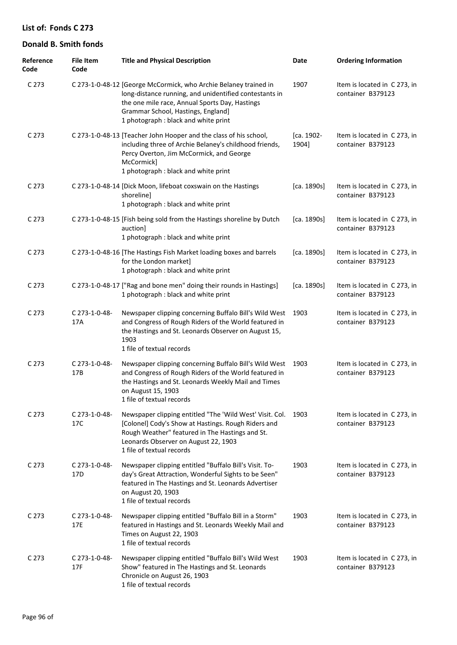| Reference<br>Code | <b>File Item</b><br>Code         | <b>Title and Physical Description</b>                                                                                                                                                                                                                      | Date                | <b>Ordering Information</b>                       |
|-------------------|----------------------------------|------------------------------------------------------------------------------------------------------------------------------------------------------------------------------------------------------------------------------------------------------------|---------------------|---------------------------------------------------|
| C 273             |                                  | C 273-1-0-48-12 [George McCormick, who Archie Belaney trained in<br>long-distance running, and unidentified contestants in<br>the one mile race, Annual Sports Day, Hastings<br>Grammar School, Hastings, England]<br>1 photograph : black and white print | 1907                | Item is located in C 273, in<br>container B379123 |
| C 273             |                                  | C 273-1-0-48-13 [Teacher John Hooper and the class of his school,<br>including three of Archie Belaney's childhood friends,<br>Percy Overton, Jim McCormick, and George<br>McCormick]<br>1 photograph : black and white print                              | [ca. 1902-<br>1904] | Item is located in C 273, in<br>container B379123 |
| C 273             |                                  | C 273-1-0-48-14 [Dick Moon, lifeboat coxswain on the Hastings<br>shoreline]<br>1 photograph : black and white print                                                                                                                                        | [ca. 1890s]         | Item is located in C 273, in<br>container B379123 |
| C 273             |                                  | C 273-1-0-48-15 [Fish being sold from the Hastings shoreline by Dutch<br>auctionl<br>1 photograph : black and white print                                                                                                                                  | [ca. 1890s]         | Item is located in C 273, in<br>container B379123 |
| C 273             |                                  | C 273-1-0-48-16 [The Hastings Fish Market loading boxes and barrels<br>for the London market]<br>1 photograph : black and white print                                                                                                                      | [ca. 1890s]         | Item is located in C 273, in<br>container B379123 |
| C 273             |                                  | C 273-1-0-48-17 ["Rag and bone men" doing their rounds in Hastings]<br>1 photograph : black and white print                                                                                                                                                | [ca. 1890s]         | Item is located in C 273, in<br>container B379123 |
| C 273             | C 273-1-0-48-<br>17A             | Newspaper clipping concerning Buffalo Bill's Wild West<br>and Congress of Rough Riders of the World featured in<br>the Hastings and St. Leonards Observer on August 15,<br>1903<br>1 file of textual records                                               | 1903                | Item is located in C 273, in<br>container B379123 |
| C 273             | C 273-1-0-48-<br>17B             | Newspaper clipping concerning Buffalo Bill's Wild West<br>and Congress of Rough Riders of the World featured in<br>the Hastings and St. Leonards Weekly Mail and Times<br>on August 15, 1903<br>1 file of textual records                                  | 1903                | Item is located in C 273, in<br>container B379123 |
| C 273             | C 273-1-0-48-<br>17C             | Newspaper clipping entitled "The 'Wild West' Visit. Col. 1903<br>[Colonel] Cody's Show at Hastings. Rough Riders and<br>Rough Weather" featured in The Hastings and St.<br>Leonards Observer on August 22, 1903<br>1 file of textual records               |                     | Item is located in C 273, in<br>container B379123 |
| C <sub>273</sub>  | C 273-1-0-48-<br>17 <sub>D</sub> | Newspaper clipping entitled "Buffalo Bill's Visit. To-<br>day's Great Attraction, Wonderful Sights to be Seen"<br>featured in The Hastings and St. Leonards Advertiser<br>on August 20, 1903<br>1 file of textual records                                  | 1903                | Item is located in C 273, in<br>container B379123 |
| C <sub>273</sub>  | C 273-1-0-48-<br>17E             | Newspaper clipping entitled "Buffalo Bill in a Storm"<br>featured in Hastings and St. Leonards Weekly Mail and<br>Times on August 22, 1903<br>1 file of textual records                                                                                    | 1903                | Item is located in C 273, in<br>container B379123 |
| C 273             | C 273-1-0-48-<br>17F             | Newspaper clipping entitled "Buffalo Bill's Wild West<br>Show" featured in The Hastings and St. Leonards<br>Chronicle on August 26, 1903<br>1 file of textual records                                                                                      | 1903                | Item is located in C 273, in<br>container B379123 |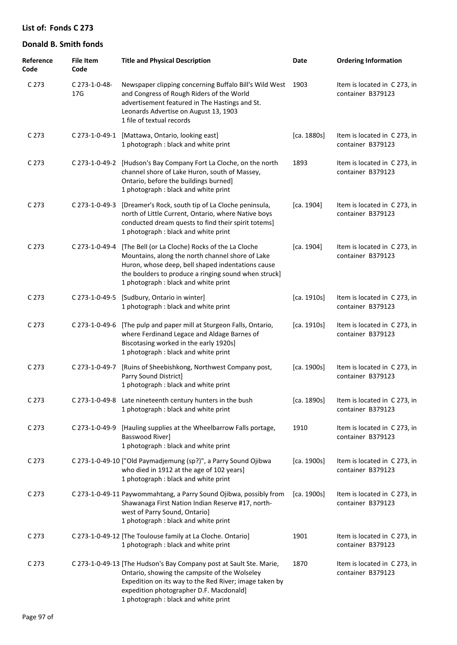| Reference<br>Code | <b>File Item</b><br>Code         | <b>Title and Physical Description</b>                                                                                                                                                                                                                             | Date        | <b>Ordering Information</b>                       |
|-------------------|----------------------------------|-------------------------------------------------------------------------------------------------------------------------------------------------------------------------------------------------------------------------------------------------------------------|-------------|---------------------------------------------------|
| C <sub>273</sub>  | C 273-1-0-48-<br>17 <sub>G</sub> | Newspaper clipping concerning Buffalo Bill's Wild West<br>and Congress of Rough Riders of the World<br>advertisement featured in The Hastings and St.<br>Leonards Advertise on August 13, 1903<br>1 file of textual records                                       | 1903        | Item is located in C 273, in<br>container B379123 |
| C <sub>273</sub>  | C 273-1-0-49-1                   | [Mattawa, Ontario, looking east]<br>1 photograph : black and white print                                                                                                                                                                                          | [ca. 1880s] | Item is located in C 273, in<br>container B379123 |
| C <sub>273</sub>  |                                  | C 273-1-0-49-2 [Hudson's Bay Company Fort La Cloche, on the north<br>channel shore of Lake Huron, south of Massey,<br>Ontario, before the buildings burned]<br>1 photograph : black and white print                                                               | 1893        | Item is located in C273, in<br>container B379123  |
| C <sub>273</sub>  | C 273-1-0-49-3                   | [Dreamer's Rock, south tip of La Cloche peninsula,<br>north of Little Current, Ontario, where Native boys<br>conducted dream quests to find their spirit totems]<br>1 photograph : black and white print                                                          | [ca. 1904]  | Item is located in C 273, in<br>container B379123 |
| C <sub>273</sub>  | C 273-1-0-49-4                   | [The Bell (or La Cloche) Rocks of the La Cloche<br>Mountains, along the north channel shore of Lake<br>Huron, whose deep, bell shaped indentations cause<br>the boulders to produce a ringing sound when struck]<br>1 photograph : black and white print          | [ca. 1904]  | Item is located in C 273, in<br>container B379123 |
| C <sub>273</sub>  | C 273-1-0-49-5                   | [Sudbury, Ontario in winter]<br>1 photograph : black and white print                                                                                                                                                                                              | [ca. 1910s] | Item is located in C273, in<br>container B379123  |
| C <sub>273</sub>  | C 273-1-0-49-6                   | [The pulp and paper mill at Sturgeon Falls, Ontario,<br>where Ferdinand Legace and Aldage Barnes of<br>Biscotasing worked in the early 1920s]<br>1 photograph : black and white print                                                                             | [ca. 1910s] | Item is located in C273, in<br>container B379123  |
| C <sub>273</sub>  | C 273-1-0-49-7                   | [Ruins of Sheebishkong, Northwest Company post,<br>Parry Sound District]<br>1 photograph : black and white print                                                                                                                                                  | [ca. 1900s] | Item is located in C 273, in<br>container B379123 |
| C 273             |                                  | C 273-1-0-49-8 Late nineteenth century hunters in the bush<br>1 photograph : black and white print                                                                                                                                                                | [ca. 1890s] | Item is located in C273, in<br>container B379123  |
| C <sub>273</sub>  | C 273-1-0-49-9                   | [Hauling supplies at the Wheelbarrow Falls portage,<br>Basswood River]<br>1 photograph : black and white print                                                                                                                                                    | 1910        | Item is located in C 273, in<br>container B379123 |
| C <sub>273</sub>  |                                  | C 273-1-0-49-10 ["Old Paymadjemung (sp?)", a Parry Sound Ojibwa<br>who died in 1912 at the age of 102 years]<br>1 photograph : black and white print                                                                                                              | [ca. 1900s] | Item is located in C273, in<br>container B379123  |
| C <sub>273</sub>  |                                  | C 273-1-0-49-11 Paywommahtang, a Parry Sound Ojibwa, possibly from<br>Shawanaga First Nation Indian Reserve #17, north-<br>west of Parry Sound, Ontario]<br>1 photograph : black and white print                                                                  | [ca. 1900s] | Item is located in C273, in<br>container B379123  |
| C <sub>273</sub>  |                                  | C 273-1-0-49-12 [The Toulouse family at La Cloche. Ontario]<br>1 photograph : black and white print                                                                                                                                                               | 1901        | Item is located in C273, in<br>container B379123  |
| C <sub>273</sub>  |                                  | C 273-1-0-49-13 [The Hudson's Bay Company post at Sault Ste. Marie,<br>Ontario, showing the campsite of the Wolseley<br>Expedition on its way to the Red River; image taken by<br>expedition photographer D.F. Macdonald]<br>1 photograph : black and white print | 1870        | Item is located in C273, in<br>container B379123  |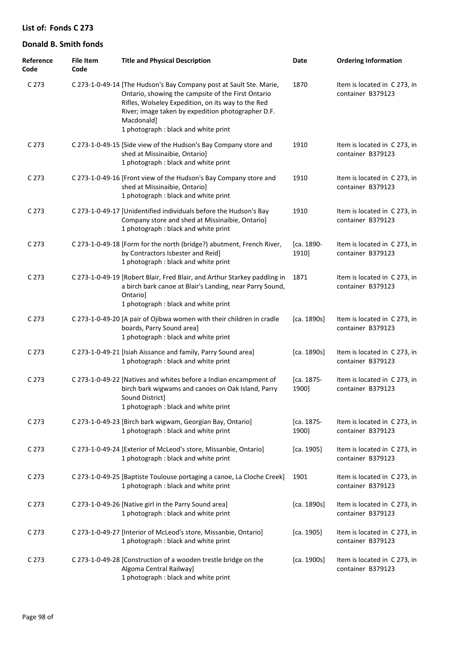| Reference<br>Code | <b>File Item</b><br>Code | <b>Title and Physical Description</b>                                                                                                                                                                                                                                                       | Date                | <b>Ordering Information</b>                       |
|-------------------|--------------------------|---------------------------------------------------------------------------------------------------------------------------------------------------------------------------------------------------------------------------------------------------------------------------------------------|---------------------|---------------------------------------------------|
| C <sub>273</sub>  |                          | C 273-1-0-49-14 [The Hudson's Bay Company post at Sault Ste. Marie,<br>Ontario, showing the campsite of the First Ontario<br>Rifles, Wolseley Expedition, on its way to the Red<br>River; image taken by expedition photographer D.F.<br>Macdonald]<br>1 photograph : black and white print | 1870                | Item is located in C 273, in<br>container B379123 |
| C <sub>273</sub>  |                          | C 273-1-0-49-15 [Side view of the Hudson's Bay Company store and<br>shed at Missinaibie, Ontario]<br>1 photograph : black and white print                                                                                                                                                   | 1910                | Item is located in C 273, in<br>container B379123 |
| C <sub>273</sub>  |                          | C 273-1-0-49-16 [Front view of the Hudson's Bay Company store and<br>shed at Missinaibie, Ontario]<br>1 photograph : black and white print                                                                                                                                                  | 1910                | Item is located in C 273, in<br>container B379123 |
| C <sub>273</sub>  |                          | C 273-1-0-49-17 [Unidentified individuals before the Hudson's Bay<br>Company store and shed at Missinaibie, Ontario]<br>1 photograph : black and white print                                                                                                                                | 1910                | Item is located in C 273, in<br>container B379123 |
| C <sub>273</sub>  |                          | C 273-1-0-49-18 [Form for the north (bridge?) abutment, French River,<br>by Contractors Isbester and Reid]<br>1 photograph : black and white print                                                                                                                                          | [ca. 1890-<br>1910] | Item is located in C273, in<br>container B379123  |
| C <sub>273</sub>  |                          | C 273-1-0-49-19 [Robert Blair, Fred Blair, and Arthur Starkey paddling in<br>a birch bark canoe at Blair's Landing, near Parry Sound,<br>Ontario]<br>1 photograph : black and white print                                                                                                   | 1871                | Item is located in C 273, in<br>container B379123 |
| C <sub>273</sub>  |                          | C 273-1-0-49-20 [A pair of Ojibwa women with their children in cradle<br>boards, Parry Sound area]<br>1 photograph : black and white print                                                                                                                                                  | [ca. 1890s]         | Item is located in C273, in<br>container B379123  |
| C <sub>273</sub>  |                          | C 273-1-0-49-21 [Isiah Aissance and family, Parry Sound area]<br>1 photograph : black and white print                                                                                                                                                                                       | [ca. 1890s]         | Item is located in C273, in<br>container B379123  |
| C <sub>273</sub>  |                          | C 273-1-0-49-22 [Natives and whites before a Indian encampment of<br>birch bark wigwams and canoes on Oak Island, Parry<br>Sound District]<br>1 photograph : black and white print                                                                                                          | [ca. 1875-<br>1900] | Item is located in C 273, in<br>container B379123 |
| C <sub>273</sub>  |                          | C 273-1-0-49-23 [Birch bark wigwam, Georgian Bay, Ontario]<br>1 photograph : black and white print                                                                                                                                                                                          | [ca. 1875-<br>1900] | Item is located in C273, in<br>container B379123  |
| C <sub>273</sub>  |                          | C 273-1-0-49-24 [Exterior of McLeod's store, Missanbie, Ontario]<br>1 photograph : black and white print                                                                                                                                                                                    | [ca. 1905]          | Item is located in C273, in<br>container B379123  |
| C <sub>273</sub>  |                          | C 273-1-0-49-25 [Baptiste Toulouse portaging a canoe, La Cloche Creek]<br>1 photograph : black and white print                                                                                                                                                                              | 1901                | Item is located in C 273, in<br>container B379123 |
| C <sub>273</sub>  |                          | C 273-1-0-49-26 [Native girl in the Parry Sound area]<br>1 photograph : black and white print                                                                                                                                                                                               | [ca. 1890s]         | Item is located in C 273, in<br>container B379123 |
| C <sub>273</sub>  |                          | C 273-1-0-49-27 [Interior of McLeod's store, Missanbie, Ontario]<br>1 photograph : black and white print                                                                                                                                                                                    | [ca. 1905]          | Item is located in C 273, in<br>container B379123 |
| C 273             |                          | C 273-1-0-49-28 [Construction of a wooden trestle bridge on the<br>Algoma Central Railway]<br>1 photograph : black and white print                                                                                                                                                          | [ca. 1900s]         | Item is located in C 273, in<br>container B379123 |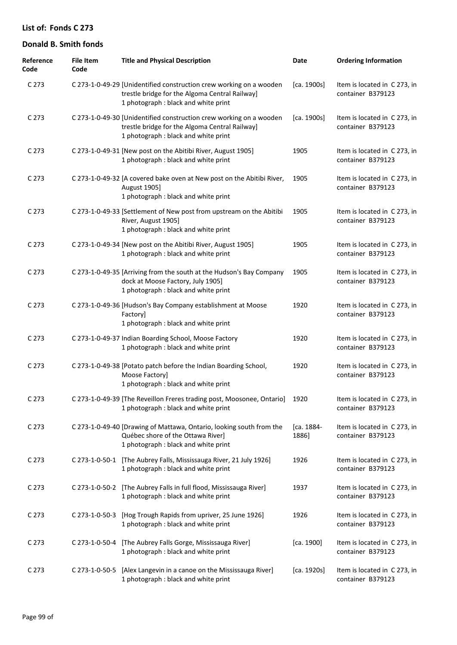| Reference<br>Code | <b>File Item</b><br>Code | <b>Title and Physical Description</b>                                                                                                                         | Date                | <b>Ordering Information</b>                       |
|-------------------|--------------------------|---------------------------------------------------------------------------------------------------------------------------------------------------------------|---------------------|---------------------------------------------------|
| C 273             |                          | C 273-1-0-49-29 [Unidentified construction crew working on a wooden<br>trestle bridge for the Algoma Central Railway]<br>1 photograph : black and white print | [ca. 1900s]         | Item is located in C273, in<br>container B379123  |
| C <sub>273</sub>  |                          | C 273-1-0-49-30 [Unidentified construction crew working on a wooden<br>trestle bridge for the Algoma Central Railway]<br>1 photograph : black and white print | [ca. 1900s]         | Item is located in C273, in<br>container B379123  |
| C 273             |                          | C 273-1-0-49-31 [New post on the Abitibi River, August 1905]<br>1 photograph : black and white print                                                          | 1905                | Item is located in C273, in<br>container B379123  |
| C 273             |                          | C 273-1-0-49-32 [A covered bake oven at New post on the Abitibi River,<br>August 1905]<br>1 photograph : black and white print                                | 1905                | Item is located in C 273, in<br>container B379123 |
| C 273             |                          | C 273-1-0-49-33 [Settlement of New post from upstream on the Abitibi<br>River, August 1905]<br>1 photograph : black and white print                           | 1905                | Item is located in C273, in<br>container B379123  |
| C 273             |                          | C 273-1-0-49-34 [New post on the Abitibi River, August 1905]<br>1 photograph : black and white print                                                          | 1905                | Item is located in C273, in<br>container B379123  |
| C 273             |                          | C 273-1-0-49-35 [Arriving from the south at the Hudson's Bay Company<br>dock at Moose Factory, July 1905]<br>1 photograph : black and white print             | 1905                | Item is located in C273, in<br>container B379123  |
| C 273             |                          | C 273-1-0-49-36 [Hudson's Bay Company establishment at Moose<br>Factory]<br>1 photograph : black and white print                                              | 1920                | Item is located in C 273, in<br>container B379123 |
| C 273             |                          | C 273-1-0-49-37 Indian Boarding School, Moose Factory<br>1 photograph : black and white print                                                                 | 1920                | Item is located in C273, in<br>container B379123  |
| C 273             |                          | C 273-1-0-49-38 [Potato patch before the Indian Boarding School,<br>Moose Factory]<br>1 photograph : black and white print                                    | 1920                | Item is located in C273, in<br>container B379123  |
| C 273             |                          | C 273-1-0-49-39 [The Reveillon Freres trading post, Moosonee, Ontario] 1920<br>1 photograph : black and white print                                           |                     | Item is located in C273, in<br>container B379123  |
| C <sub>273</sub>  |                          | C 273-1-0-49-40 [Drawing of Mattawa, Ontario, looking south from the<br>Québec shore of the Ottawa River]<br>1 photograph : black and white print             | [ca. 1884-<br>1886] | Item is located in C273, in<br>container B379123  |
| C <sub>273</sub>  | C 273-1-0-50-1           | [The Aubrey Falls, Mississauga River, 21 July 1926]<br>1 photograph : black and white print                                                                   | 1926                | Item is located in C273, in<br>container B379123  |
| C <sub>273</sub>  | C 273-1-0-50-2           | [The Aubrey Falls in full flood, Mississauga River]<br>1 photograph : black and white print                                                                   | 1937                | Item is located in C273, in<br>container B379123  |
| C <sub>273</sub>  | C 273-1-0-50-3           | [Hog Trough Rapids from upriver, 25 June 1926]<br>1 photograph : black and white print                                                                        | 1926                | Item is located in C273, in<br>container B379123  |
| C <sub>273</sub>  | C 273-1-0-50-4           | [The Aubrey Falls Gorge, Mississauga River]<br>1 photograph : black and white print                                                                           | [ca. 1900]          | Item is located in C273, in<br>container B379123  |
| C <sub>273</sub>  | C 273-1-0-50-5           | [Alex Langevin in a canoe on the Mississauga River]<br>1 photograph : black and white print                                                                   | [ca. 1920s]         | Item is located in C273, in<br>container B379123  |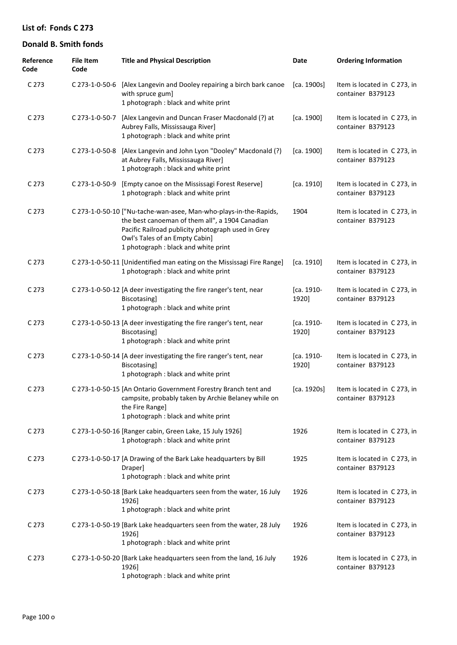| Reference<br>Code | <b>File Item</b><br>Code | <b>Title and Physical Description</b>                                                                                                                                                                                                                | Date                | <b>Ordering Information</b>                       |
|-------------------|--------------------------|------------------------------------------------------------------------------------------------------------------------------------------------------------------------------------------------------------------------------------------------------|---------------------|---------------------------------------------------|
| C <sub>273</sub>  |                          | C 273-1-0-50-6 [Alex Langevin and Dooley repairing a birch bark canoe<br>with spruce gum]<br>1 photograph : black and white print                                                                                                                    | [ca. 1900s]         | Item is located in C 273, in<br>container B379123 |
| C <sub>273</sub>  | C 273-1-0-50-7           | [Alex Langevin and Duncan Fraser Macdonald (?) at<br>Aubrey Falls, Mississauga River]<br>1 photograph : black and white print                                                                                                                        | [ca. 1900]          | Item is located in C 273, in<br>container B379123 |
| C <sub>273</sub>  | C 273-1-0-50-8           | [Alex Langevin and John Lyon "Dooley" Macdonald (?)<br>at Aubrey Falls, Mississauga River]<br>1 photograph : black and white print                                                                                                                   | [ca. 1900]          | Item is located in C 273, in<br>container B379123 |
| C <sub>273</sub>  | C 273-1-0-50-9           | [Empty canoe on the Mississagi Forest Reserve]<br>1 photograph : black and white print                                                                                                                                                               | [ca. 1910]          | Item is located in C 273, in<br>container B379123 |
| C <sub>273</sub>  |                          | C 273-1-0-50-10 ["Nu-tache-wan-asee, Man-who-plays-in-the-Rapids,<br>the best canoeman of them all", a 1904 Canadian<br>Pacific Railroad publicity photograph used in Grey<br>Owl's Tales of an Empty Cabin]<br>1 photograph : black and white print | 1904                | Item is located in C 273, in<br>container B379123 |
| C <sub>273</sub>  |                          | C 273-1-0-50-11 [Unidentified man eating on the Mississagi Fire Range]<br>1 photograph: black and white print                                                                                                                                        | [ca. 1910]          | Item is located in C 273, in<br>container B379123 |
| C <sub>273</sub>  |                          | C 273-1-0-50-12 [A deer investigating the fire ranger's tent, near<br>Biscotasing]<br>1 photograph : black and white print                                                                                                                           | [ca. 1910-<br>1920] | Item is located in C 273, in<br>container B379123 |
| C <sub>273</sub>  |                          | C 273-1-0-50-13 [A deer investigating the fire ranger's tent, near<br>Biscotasing]<br>1 photograph : black and white print                                                                                                                           | [ca. 1910-<br>1920] | Item is located in C 273, in<br>container B379123 |
| C <sub>273</sub>  |                          | C 273-1-0-50-14 [A deer investigating the fire ranger's tent, near<br>Biscotasing]<br>1 photograph : black and white print                                                                                                                           | [ca. 1910-<br>1920] | Item is located in C 273, in<br>container B379123 |
| C 273             |                          | C 273-1-0-50-15 [An Ontario Government Forestry Branch tent and<br>campsite, probably taken by Archie Belaney while on<br>the Fire Range]<br>1 photograph : black and white print                                                                    | [ca. 1920s]         | Item is located in C 273, in<br>container B379123 |
| C <sub>273</sub>  |                          | C 273-1-0-50-16 [Ranger cabin, Green Lake, 15 July 1926]<br>1 photograph : black and white print                                                                                                                                                     | 1926                | Item is located in C 273, in<br>container B379123 |
| C <sub>273</sub>  |                          | C 273-1-0-50-17 [A Drawing of the Bark Lake headquarters by Bill<br>Draper]<br>1 photograph : black and white print                                                                                                                                  | 1925                | Item is located in C 273, in<br>container B379123 |
| C <sub>273</sub>  |                          | C 273-1-0-50-18 [Bark Lake headquarters seen from the water, 16 July<br>1926]<br>1 photograph : black and white print                                                                                                                                | 1926                | Item is located in C 273, in<br>container B379123 |
| C <sub>273</sub>  |                          | C 273-1-0-50-19 [Bark Lake headquarters seen from the water, 28 July<br>1926]<br>1 photograph : black and white print                                                                                                                                | 1926                | Item is located in C 273, in<br>container B379123 |
| C 273             |                          | C 273-1-0-50-20 [Bark Lake headquarters seen from the land, 16 July<br>1926]<br>1 photograph : black and white print                                                                                                                                 | 1926                | Item is located in C 273, in<br>container B379123 |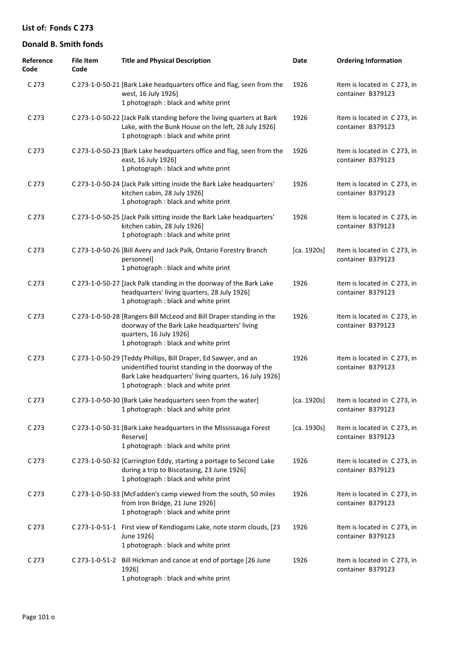| Reference<br>Code | <b>File Item</b><br>Code | <b>Title and Physical Description</b>                                                                                                                                                                                    | Date        | <b>Ordering Information</b>                       |
|-------------------|--------------------------|--------------------------------------------------------------------------------------------------------------------------------------------------------------------------------------------------------------------------|-------------|---------------------------------------------------|
| C <sub>273</sub>  |                          | C 273-1-0-50-21 [Bark Lake headquarters office and flag, seen from the<br>west, 16 July 1926]<br>1 photograph : black and white print                                                                                    | 1926        | Item is located in C 273, in<br>container B379123 |
| C <sub>273</sub>  |                          | C 273-1-0-50-22 [Jack Palk standing before the living quarters at Bark<br>Lake, with the Bunk House on the left, 28 July 1926]<br>1 photograph : black and white print                                                   | 1926        | Item is located in C273, in<br>container B379123  |
| C <sub>273</sub>  |                          | C 273-1-0-50-23 [Bark Lake headquarters office and flag, seen from the<br>east, 16 July 1926]<br>1 photograph : black and white print                                                                                    | 1926        | Item is located in C273, in<br>container B379123  |
| C 273             |                          | C 273-1-0-50-24 [Jack Palk sitting inside the Bark Lake headquarters'<br>kitchen cabin, 28 July 1926]<br>1 photograph : black and white print                                                                            | 1926        | Item is located in C 273, in<br>container B379123 |
| C <sub>273</sub>  |                          | C 273-1-0-50-25 [Jack Palk sitting inside the Bark Lake headquarters'<br>kitchen cabin, 28 July 1926]<br>1 photograph : black and white print                                                                            | 1926        | Item is located in C273, in<br>container B379123  |
| C 273             |                          | C 273-1-0-50-26 [Bill Avery and Jack Palk, Ontario Forestry Branch<br>personnel]<br>1 photograph : black and white print                                                                                                 | [ca. 1920s] | Item is located in C 273, in<br>container B379123 |
| C <sub>273</sub>  |                          | C 273-1-0-50-27 [Jack Palk standing in the doorway of the Bark Lake<br>headquarters' living quarters, 28 July 1926]<br>1 photograph : black and white print                                                              | 1926        | Item is located in C 273, in<br>container B379123 |
| C <sub>273</sub>  |                          | C 273-1-0-50-28 [Rangers Bill McLeod and Bill Draper standing in the<br>doorway of the Bark Lake headquarters' living<br>quarters, 16 July 1926]<br>1 photograph : black and white print                                 | 1926        | Item is located in C 273, in<br>container B379123 |
| C 273             |                          | C 273-1-0-50-29 [Teddy Phillips, Bill Draper, Ed Sawyer, and an<br>unidentified tourist standing in the doorway of the<br>Bark Lake headquarters' living quarters, 16 July 1926]<br>1 photograph : black and white print | 1926        | Item is located in C 273, in<br>container B379123 |
| C 273             |                          | C 273-1-0-50-30 [Bark Lake headquarters seen from the water]<br>1 photograph : black and white print                                                                                                                     | [ca. 1920s] | Item is located in C 273, in<br>container B379123 |
| C <sub>273</sub>  |                          | C 273-1-0-50-31 [Bark Lake headquarters in the Mississauga Forest<br>Reserve]<br>1 photograph: black and white print                                                                                                     | [ca. 1930s] | Item is located in C273, in<br>container B379123  |
| C <sub>273</sub>  |                          | C 273-1-0-50-32 [Carrington Eddy, starting a portage to Second Lake<br>during a trip to Biscotasing, 23 June 1926]<br>1 photograph : black and white print                                                               | 1926        | Item is located in C 273, in<br>container B379123 |
| C <sub>273</sub>  |                          | C 273-1-0-50-33 [McFadden's camp viewed from the south, 50 miles<br>from Iron Bridge, 21 June 1926]<br>1 photograph : black and white print                                                                              | 1926        | Item is located in C273, in<br>container B379123  |
| C <sub>273</sub>  |                          | C 273-1-0-51-1 First view of Kendiogami Lake, note storm clouds, [23<br>June 1926]<br>1 photograph : black and white print                                                                                               | 1926        | Item is located in C273, in<br>container B379123  |
| C 273             |                          | C 273-1-0-51-2 Bill Hickman and canoe at end of portage [26 June<br>1926]<br>1 photograph : black and white print                                                                                                        | 1926        | Item is located in C 273, in<br>container B379123 |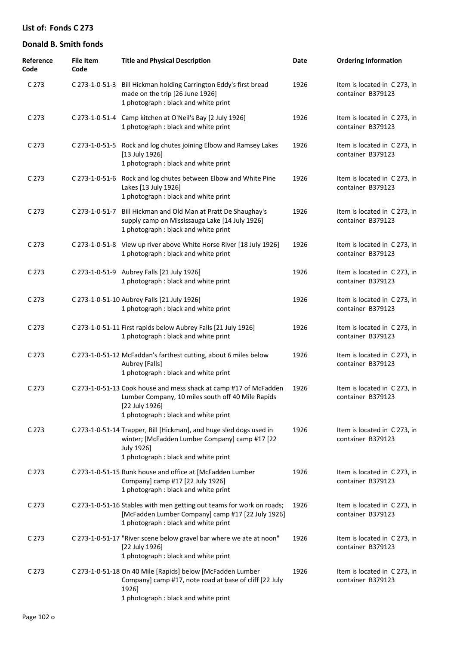| Reference<br>Code | <b>File Item</b><br>Code | <b>Title and Physical Description</b>                                                                                                                                            | Date | <b>Ordering Information</b>                       |
|-------------------|--------------------------|----------------------------------------------------------------------------------------------------------------------------------------------------------------------------------|------|---------------------------------------------------|
| C <sub>273</sub>  |                          | C 273-1-0-51-3 Bill Hickman holding Carrington Eddy's first bread<br>made on the trip [26 June 1926]<br>1 photograph : black and white print                                     | 1926 | Item is located in C 273, in<br>container B379123 |
| C <sub>273</sub>  |                          | C 273-1-0-51-4 Camp kitchen at O'Neil's Bay [2 July 1926]<br>1 photograph : black and white print                                                                                | 1926 | Item is located in C273, in<br>container B379123  |
| C <sub>273</sub>  | C 273-1-0-51-5           | Rock and log chutes joining Elbow and Ramsey Lakes<br>$[13$ July 1926]<br>1 photograph : black and white print                                                                   | 1926 | Item is located in C 273, in<br>container B379123 |
| C <sub>273</sub>  | C 273-1-0-51-6           | Rock and log chutes between Elbow and White Pine<br>Lakes [13 July 1926]<br>1 photograph : black and white print                                                                 | 1926 | Item is located in C273, in<br>container B379123  |
| C <sub>273</sub>  | C 273-1-0-51-7           | Bill Hickman and Old Man at Pratt De Shaughay's<br>supply camp on Mississauga Lake [14 July 1926]<br>1 photograph : black and white print                                        | 1926 | Item is located in C 273, in<br>container B379123 |
| C <sub>273</sub>  |                          | C 273-1-0-51-8 View up river above White Horse River [18 July 1926]<br>1 photograph : black and white print                                                                      | 1926 | Item is located in C273, in<br>container B379123  |
| C 273             |                          | C 273-1-0-51-9 Aubrey Falls [21 July 1926]<br>1 photograph : black and white print                                                                                               | 1926 | Item is located in C 273, in<br>container B379123 |
| C <sub>273</sub>  |                          | C 273-1-0-51-10 Aubrey Falls [21 July 1926]<br>1 photograph : black and white print                                                                                              | 1926 | Item is located in C 273, in<br>container B379123 |
| C <sub>273</sub>  |                          | C 273-1-0-51-11 First rapids below Aubrey Falls [21 July 1926]<br>1 photograph : black and white print                                                                           | 1926 | Item is located in C 273, in<br>container B379123 |
| C <sub>273</sub>  |                          | C 273-1-0-51-12 McFaddan's farthest cutting, about 6 miles below<br>Aubrey [Falls]<br>1 photograph : black and white print                                                       | 1926 | Item is located in C 273, in<br>container B379123 |
| C 273             |                          | C 273-1-0-51-13 Cook house and mess shack at camp #17 of McFadden<br>Lumber Company, 10 miles south off 40 Mile Rapids<br>[22 July 1926]<br>1 photograph : black and white print | 1926 | Item is located in C 273, in<br>container B379123 |
| C <sub>273</sub>  |                          | C 273-1-0-51-14 Trapper, Bill [Hickman], and huge sled dogs used in<br>winter; [McFadden Lumber Company] camp #17 [22<br>July 1926]<br>1 photograph : black and white print      | 1926 | Item is located in C 273, in<br>container B379123 |
| C <sub>273</sub>  |                          | C 273-1-0-51-15 Bunk house and office at [McFadden Lumber<br>Company] camp #17 [22 July 1926]<br>1 photograph : black and white print                                            | 1926 | Item is located in C273, in<br>container B379123  |
| C 273             |                          | C 273-1-0-51-16 Stables with men getting out teams for work on roads;<br>[McFadden Lumber Company] camp #17 [22 July 1926]<br>1 photograph : black and white print               | 1926 | Item is located in C 273, in<br>container B379123 |
| C <sub>273</sub>  |                          | C 273-1-0-51-17 "River scene below gravel bar where we ate at noon"<br>[22 July 1926]<br>1 photograph : black and white print                                                    | 1926 | Item is located in C 273, in<br>container B379123 |
| C <sub>273</sub>  |                          | C 273-1-0-51-18 On 40 Mile [Rapids] below [McFadden Lumber<br>Company] camp #17, note road at base of cliff [22 July<br>1926]<br>1 photograph : black and white print            | 1926 | Item is located in C 273, in<br>container B379123 |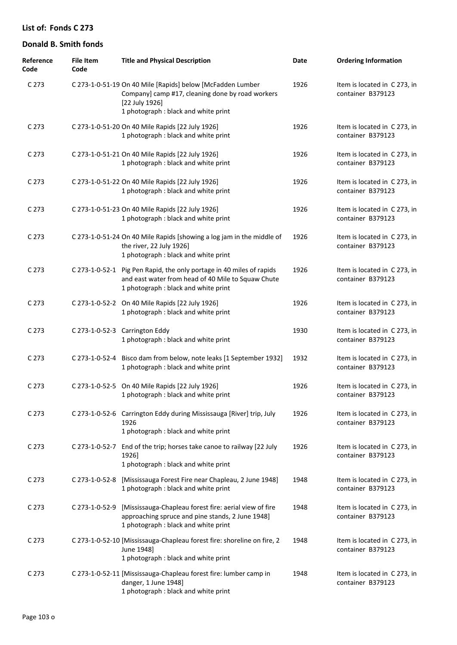| Reference<br>Code | <b>File Item</b><br>Code | <b>Title and Physical Description</b>                                                                                                                                    | Date | <b>Ordering Information</b>                       |
|-------------------|--------------------------|--------------------------------------------------------------------------------------------------------------------------------------------------------------------------|------|---------------------------------------------------|
| C 273             |                          | C 273-1-0-51-19 On 40 Mile [Rapids] below [McFadden Lumber<br>Company] camp #17, cleaning done by road workers<br>[22 July 1926]<br>1 photograph : black and white print | 1926 | Item is located in C273, in<br>container B379123  |
| C <sub>273</sub>  |                          | C 273-1-0-51-20 On 40 Mile Rapids [22 July 1926]<br>1 photograph : black and white print                                                                                 | 1926 | Item is located in C 273, in<br>container B379123 |
| C <sub>273</sub>  |                          | C 273-1-0-51-21 On 40 Mile Rapids [22 July 1926]<br>1 photograph : black and white print                                                                                 | 1926 | Item is located in C273, in<br>container B379123  |
| C <sub>273</sub>  |                          | C 273-1-0-51-22 On 40 Mile Rapids [22 July 1926]<br>1 photograph : black and white print                                                                                 | 1926 | Item is located in C273, in<br>container B379123  |
| C <sub>273</sub>  |                          | C 273-1-0-51-23 On 40 Mile Rapids [22 July 1926]<br>1 photograph : black and white print                                                                                 | 1926 | Item is located in C273, in<br>container B379123  |
| C <sub>273</sub>  |                          | C 273-1-0-51-24 On 40 Mile Rapids [showing a log jam in the middle of<br>the river, 22 July 1926]<br>1 photograph : black and white print                                | 1926 | Item is located in C273, in<br>container B379123  |
| C <sub>273</sub>  |                          | C 273-1-0-52-1 Pig Pen Rapid, the only portage in 40 miles of rapids<br>and east water from head of 40 Mile to Squaw Chute<br>1 photograph : black and white print       | 1926 | Item is located in C 273, in<br>container B379123 |
| C <sub>273</sub>  |                          | C 273-1-0-52-2 On 40 Mile Rapids [22 July 1926]<br>1 photograph : black and white print                                                                                  | 1926 | Item is located in C 273, in<br>container B379123 |
| C <sub>273</sub>  |                          | C 273-1-0-52-3 Carrington Eddy<br>1 photograph : black and white print                                                                                                   | 1930 | Item is located in C 273, in<br>container B379123 |
| C <sub>273</sub>  |                          | C 273-1-0-52-4 Bisco dam from below, note leaks [1 September 1932]<br>1 photograph : black and white print                                                               | 1932 | Item is located in C 273, in<br>container B379123 |
| C <sub>273</sub>  |                          | C 273-1-0-52-5 On 40 Mile Rapids [22 July 1926]<br>1 photograph : black and white print                                                                                  | 1926 | Item is located in C 273, in<br>container B379123 |
| C <sub>273</sub>  |                          | C 273-1-0-52-6 Carrington Eddy during Mississauga [River] trip, July<br>1926<br>1 photograph : black and white print                                                     | 1926 | Item is located in C 273, in<br>container B379123 |
| C <sub>273</sub>  | C 273-1-0-52-7           | End of the trip; horses take canoe to railway [22 July<br>1926]<br>1 photograph : black and white print                                                                  | 1926 | Item is located in C273, in<br>container B379123  |
| C <sub>273</sub>  | C 273-1-0-52-8           | [Mississauga Forest Fire near Chapleau, 2 June 1948]<br>1 photograph : black and white print                                                                             | 1948 | Item is located in C273, in<br>container B379123  |
| C <sub>273</sub>  | C 273-1-0-52-9           | [Mississauga-Chapleau forest fire: aerial view of fire<br>approaching spruce and pine stands, 2 June 1948]<br>1 photograph : black and white print                       | 1948 | Item is located in C273, in<br>container B379123  |
| C <sub>273</sub>  |                          | C 273-1-0-52-10 [Mississauga-Chapleau forest fire: shoreline on fire, 2<br>June 1948]<br>1 photograph : black and white print                                            | 1948 | Item is located in C273, in<br>container B379123  |
| C <sub>273</sub>  |                          | C 273-1-0-52-11 [Mississauga-Chapleau forest fire: lumber camp in<br>danger, 1 June 1948]<br>1 photograph : black and white print                                        | 1948 | Item is located in C273, in<br>container B379123  |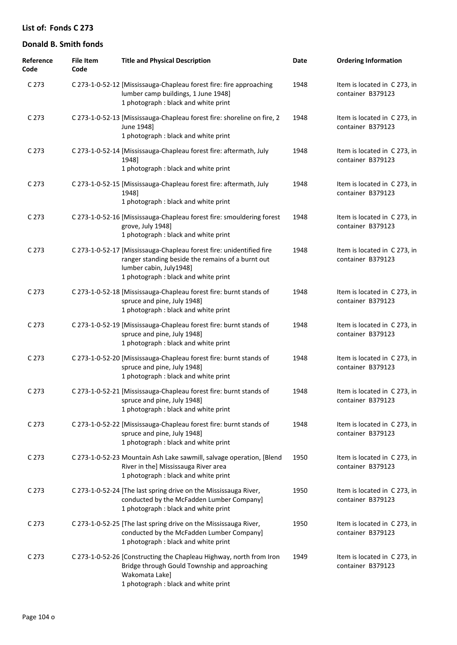| Reference<br>Code | <b>File Item</b><br>Code | <b>Title and Physical Description</b>                                                                                                                                                        | Date | <b>Ordering Information</b>                       |
|-------------------|--------------------------|----------------------------------------------------------------------------------------------------------------------------------------------------------------------------------------------|------|---------------------------------------------------|
| C 273             |                          | C 273-1-0-52-12 [Mississauga-Chapleau forest fire: fire approaching<br>lumber camp buildings, 1 June 1948]<br>1 photograph : black and white print                                           | 1948 | Item is located in C 273, in<br>container B379123 |
| C <sub>273</sub>  |                          | C 273-1-0-52-13 [Mississauga-Chapleau forest fire: shoreline on fire, 2<br>June 1948]<br>1 photograph : black and white print                                                                | 1948 | Item is located in C 273, in<br>container B379123 |
| C <sub>273</sub>  |                          | C 273-1-0-52-14 [Mississauga-Chapleau forest fire: aftermath, July<br>1948]<br>1 photograph : black and white print                                                                          | 1948 | Item is located in C 273, in<br>container B379123 |
| C <sub>273</sub>  |                          | C 273-1-0-52-15 [Mississauga-Chapleau forest fire: aftermath, July<br>1948]<br>1 photograph : black and white print                                                                          | 1948 | Item is located in C 273, in<br>container B379123 |
| C <sub>273</sub>  |                          | C 273-1-0-52-16 [Mississauga-Chapleau forest fire: smouldering forest<br>grove, July 1948]<br>1 photograph : black and white print                                                           | 1948 | Item is located in C 273, in<br>container B379123 |
| C <sub>273</sub>  |                          | C 273-1-0-52-17 [Mississauga-Chapleau forest fire: unidentified fire<br>ranger standing beside the remains of a burnt out<br>lumber cabin, July1948]<br>1 photograph : black and white print | 1948 | Item is located in C 273, in<br>container B379123 |
| C <sub>273</sub>  |                          | C 273-1-0-52-18 [Mississauga-Chapleau forest fire: burnt stands of<br>spruce and pine, July 1948]<br>1 photograph : black and white print                                                    | 1948 | Item is located in C 273, in<br>container B379123 |
| C <sub>273</sub>  |                          | C 273-1-0-52-19 [Mississauga-Chapleau forest fire: burnt stands of<br>spruce and pine, July 1948]<br>1 photograph : black and white print                                                    | 1948 | Item is located in C 273, in<br>container B379123 |
| C <sub>273</sub>  |                          | C 273-1-0-52-20 [Mississauga-Chapleau forest fire: burnt stands of<br>spruce and pine, July 1948]<br>1 photograph : black and white print                                                    | 1948 | Item is located in C 273, in<br>container B379123 |
| C <sub>273</sub>  |                          | C 273-1-0-52-21 [Mississauga-Chapleau forest fire: burnt stands of<br>spruce and pine, July 1948]<br>1 photograph : black and white print                                                    | 1948 | Item is located in C 273, in<br>container B379123 |
| C <sub>273</sub>  |                          | C 273-1-0-52-22 [Mississauga-Chapleau forest fire: burnt stands of<br>spruce and pine, July 1948]<br>1 photograph : black and white print                                                    | 1948 | Item is located in C 273, in<br>container B379123 |
| C <sub>273</sub>  |                          | C 273-1-0-52-23 Mountain Ash Lake sawmill, salvage operation, [Blend<br>River in the] Mississauga River area<br>1 photograph : black and white print                                         | 1950 | Item is located in C 273, in<br>container B379123 |
| C 273             |                          | C 273-1-0-52-24 [The last spring drive on the Mississauga River,<br>conducted by the McFadden Lumber Company]<br>1 photograph : black and white print                                        | 1950 | Item is located in C 273, in<br>container B379123 |
| C <sub>273</sub>  |                          | C 273-1-0-52-25 [The last spring drive on the Mississauga River,<br>conducted by the McFadden Lumber Company]<br>1 photograph : black and white print                                        | 1950 | Item is located in C 273, in<br>container B379123 |
| C <sub>273</sub>  |                          | C 273-1-0-52-26 [Constructing the Chapleau Highway, north from Iron<br>Bridge through Gould Township and approaching<br>Wakomata Lake]<br>1 photograph : black and white print               | 1949 | Item is located in C 273, in<br>container B379123 |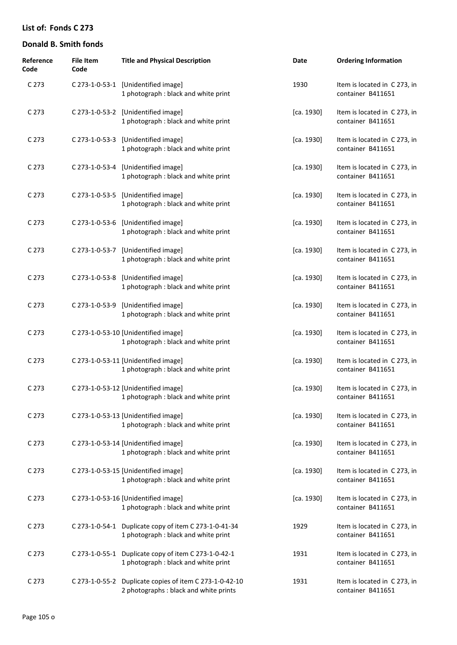| Reference<br>Code | <b>File Item</b><br>Code | <b>Title and Physical Description</b>                                                             | Date       | <b>Ordering Information</b>                      |
|-------------------|--------------------------|---------------------------------------------------------------------------------------------------|------------|--------------------------------------------------|
| C 273             |                          | C 273-1-0-53-1 [Unidentified image]<br>1 photograph : black and white print                       | 1930       | Item is located in C273, in<br>container B411651 |
| C 273             |                          | C 273-1-0-53-2 [Unidentified image]<br>1 photograph : black and white print                       | [ca. 1930] | Item is located in C273, in<br>container B411651 |
| C <sub>273</sub>  |                          | C 273-1-0-53-3 [Unidentified image]<br>1 photograph : black and white print                       | [ca. 1930] | Item is located in C273, in<br>container B411651 |
| C <sub>273</sub>  |                          | C 273-1-0-53-4 [Unidentified image]<br>1 photograph : black and white print                       | [ca. 1930] | Item is located in C273, in<br>container B411651 |
| C <sub>273</sub>  |                          | C 273-1-0-53-5 [Unidentified image]<br>1 photograph : black and white print                       | [ca. 1930] | Item is located in C273, in<br>container B411651 |
| C <sub>273</sub>  |                          | C 273-1-0-53-6 [Unidentified image]<br>1 photograph : black and white print                       | [ca. 1930] | Item is located in C273, in<br>container B411651 |
| C <sub>273</sub>  |                          | C 273-1-0-53-7 [Unidentified image]<br>1 photograph : black and white print                       | [ca. 1930] | Item is located in C273, in<br>container B411651 |
| C <sub>273</sub>  |                          | C 273-1-0-53-8 [Unidentified image]<br>1 photograph : black and white print                       | [ca. 1930] | Item is located in C273, in<br>container B411651 |
| C <sub>273</sub>  |                          | C 273-1-0-53-9 [Unidentified image]<br>1 photograph : black and white print                       | [ca. 1930] | Item is located in C273, in<br>container B411651 |
| C <sub>273</sub>  |                          | C 273-1-0-53-10 [Unidentified image]<br>1 photograph : black and white print                      | [ca. 1930] | Item is located in C273, in<br>container B411651 |
| C <sub>273</sub>  |                          | C 273-1-0-53-11 [Unidentified image]<br>1 photograph : black and white print                      | [ca. 1930] | Item is located in C273, in<br>container B411651 |
| C <sub>273</sub>  |                          | C 273-1-0-53-12 [Unidentified image]<br>1 photograph : black and white print                      | [ca. 1930] | Item is located in C273, in<br>container B411651 |
| C <sub>273</sub>  |                          | C 273-1-0-53-13 [Unidentified image]<br>1 photograph : black and white print                      | [ca. 1930] | Item is located in C273, in<br>container B411651 |
| C <sub>273</sub>  |                          | C 273-1-0-53-14 [Unidentified image]<br>1 photograph : black and white print                      | [ca. 1930] | Item is located in C273, in<br>container B411651 |
| C <sub>273</sub>  |                          | C 273-1-0-53-15 [Unidentified image]<br>1 photograph : black and white print                      | [ca. 1930] | Item is located in C273, in<br>container B411651 |
| C <sub>273</sub>  |                          | C 273-1-0-53-16 [Unidentified image]<br>1 photograph : black and white print                      | [ca. 1930] | Item is located in C273, in<br>container B411651 |
| C <sub>273</sub>  |                          | C 273-1-0-54-1 Duplicate copy of item C 273-1-0-41-34<br>1 photograph : black and white print     | 1929       | Item is located in C273, in<br>container B411651 |
| C <sub>273</sub>  |                          | C 273-1-0-55-1 Duplicate copy of item C 273-1-0-42-1<br>1 photograph : black and white print      | 1931       | Item is located in C273, in<br>container B411651 |
| C <sub>273</sub>  |                          | C 273-1-0-55-2 Duplicate copies of item C 273-1-0-42-10<br>2 photographs : black and white prints | 1931       | Item is located in C273, in<br>container B411651 |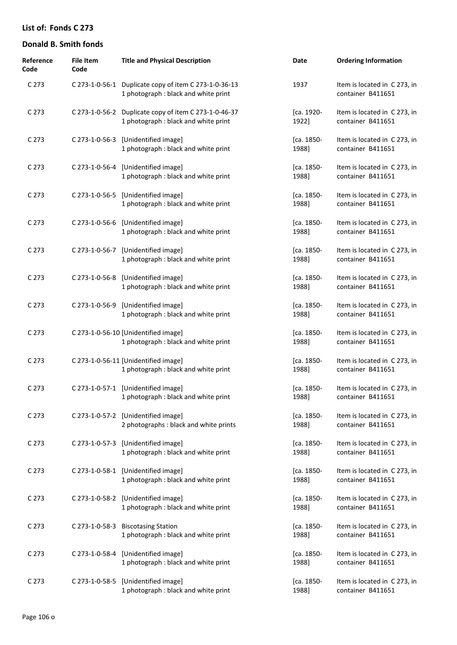| Reference<br>Code | <b>File Item</b><br>Code | <b>Title and Physical Description</b>                                                         | Date                | <b>Ordering Information</b>                       |
|-------------------|--------------------------|-----------------------------------------------------------------------------------------------|---------------------|---------------------------------------------------|
| C 273             |                          | C 273-1-0-56-1 Duplicate copy of item C 273-1-0-36-13<br>1 photograph : black and white print | 1937                | Item is located in C273, in<br>container B411651  |
| C 273             |                          | C 273-1-0-56-2 Duplicate copy of item C 273-1-0-46-37<br>1 photograph : black and white print | [ca. 1920-<br>1922] | Item is located in C273, in<br>container B411651  |
| C 273             |                          | C 273-1-0-56-3 [Unidentified image]<br>1 photograph : black and white print                   | [ca. 1850-<br>1988] | Item is located in C273, in<br>container B411651  |
| C <sub>273</sub>  |                          | C 273-1-0-56-4 [Unidentified image]<br>1 photograph : black and white print                   | [ca. 1850-<br>1988] | Item is located in C273, in<br>container B411651  |
| C <sub>273</sub>  |                          | C 273-1-0-56-5 [Unidentified image]<br>1 photograph : black and white print                   | [ca. 1850-<br>1988] | Item is located in C273, in<br>container B411651  |
| C <sub>273</sub>  |                          | C 273-1-0-56-6 [Unidentified image]<br>1 photograph : black and white print                   | [ca. 1850-<br>1988] | Item is located in C273, in<br>container B411651  |
| C <sub>273</sub>  | C 273-1-0-56-7           | [Unidentified image]<br>1 photograph : black and white print                                  | [ca. 1850-<br>1988] | Item is located in C273, in<br>container B411651  |
| C <sub>273</sub>  |                          | C 273-1-0-56-8 [Unidentified image]<br>1 photograph : black and white print                   | [ca. 1850-<br>1988] | Item is located in C273, in<br>container B411651  |
| C <sub>273</sub>  |                          | C 273-1-0-56-9 [Unidentified image]<br>1 photograph : black and white print                   | [ca. 1850-<br>1988] | Item is located in C 273, in<br>container B411651 |
| C <sub>273</sub>  |                          | C 273-1-0-56-10 [Unidentified image]<br>1 photograph : black and white print                  | [ca. 1850-<br>1988] | Item is located in C273, in<br>container B411651  |
| C <sub>273</sub>  |                          | C 273-1-0-56-11 [Unidentified image]<br>1 photograph : black and white print                  | [ca. 1850-<br>1988] | Item is located in C273, in<br>container B411651  |
| C <sub>273</sub>  |                          | C 273-1-0-57-1 [Unidentified image]<br>1 photograph : black and white print                   | [ca. 1850-<br>1988] | Item is located in C273, in<br>container B411651  |
| C <sub>273</sub>  |                          | C 273-1-0-57-2 [Unidentified image]<br>2 photographs : black and white prints                 | [ca. 1850-<br>1988] | Item is located in C273, in<br>container B411651  |
| C <sub>273</sub>  |                          | C 273-1-0-57-3 [Unidentified image]<br>1 photograph : black and white print                   | [ca. 1850-<br>1988] | Item is located in C273, in<br>container B411651  |
| C <sub>273</sub>  |                          | C 273-1-0-58-1 [Unidentified image]<br>1 photograph : black and white print                   | [ca. 1850-<br>1988] | Item is located in C273, in<br>container B411651  |
| C <sub>273</sub>  |                          | C 273-1-0-58-2 [Unidentified image]<br>1 photograph : black and white print                   | [ca. 1850-<br>1988] | Item is located in C273, in<br>container B411651  |
| C <sub>273</sub>  |                          | C 273-1-0-58-3 Biscotasing Station<br>1 photograph : black and white print                    | [ca. 1850-<br>1988] | Item is located in C273, in<br>container B411651  |
| C <sub>273</sub>  |                          | C 273-1-0-58-4 [Unidentified image]<br>1 photograph : black and white print                   | [ca. 1850-<br>1988] | Item is located in C273, in<br>container B411651  |
| C <sub>273</sub>  |                          | C 273-1-0-58-5 [Unidentified image]<br>1 photograph : black and white print                   | [ca. 1850-<br>1988] | Item is located in C273, in<br>container B411651  |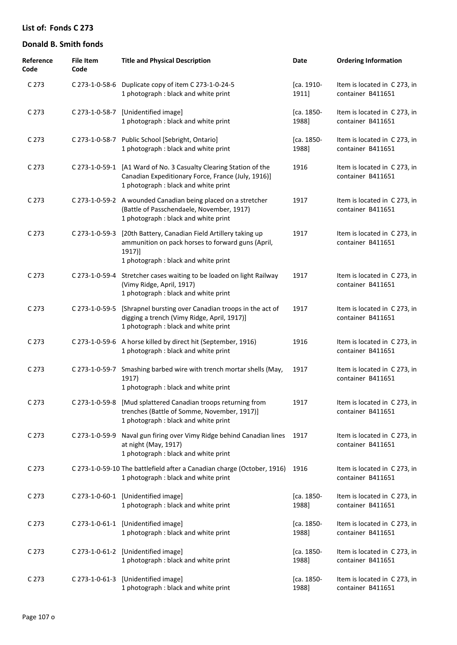| Reference<br>Code | File Item<br>Code | <b>Title and Physical Description</b>                                                                                                                           | Date                | <b>Ordering Information</b>                       |
|-------------------|-------------------|-----------------------------------------------------------------------------------------------------------------------------------------------------------------|---------------------|---------------------------------------------------|
| C <sub>273</sub>  |                   | C 273-1-0-58-6 Duplicate copy of item C 273-1-0-24-5<br>1 photograph : black and white print                                                                    | [ca. 1910-<br>1911] | Item is located in C 273, in<br>container B411651 |
| C <sub>273</sub>  | C 273-1-0-58-7    | [Unidentified image]<br>1 photograph : black and white print                                                                                                    | [ca. 1850-<br>1988] | Item is located in C 273, in<br>container B411651 |
| C <sub>273</sub>  | C 273-1-0-58-7    | Public School [Sebright, Ontario]<br>1 photograph : black and white print                                                                                       | [ca. 1850-<br>1988] | Item is located in C 273, in<br>container B411651 |
| C <sub>273</sub>  |                   | C 273-1-0-59-1 [A1 Ward of No. 3 Casualty Clearing Station of the<br>Canadian Expeditionary Force, France (July, 1916)]<br>1 photograph : black and white print | 1916                | Item is located in C 273, in<br>container B411651 |
| C <sub>273</sub>  |                   | C 273-1-0-59-2 A wounded Canadian being placed on a stretcher<br>(Battle of Passchendaele, November, 1917)<br>1 photograph : black and white print              | 1917                | Item is located in C 273, in<br>container B411651 |
| C <sub>273</sub>  | C 273-1-0-59-3    | [20th Battery, Canadian Field Artillery taking up<br>ammunition on pack horses to forward guns (April,<br>1917)]<br>1 photograph : black and white print        | 1917                | Item is located in C 273, in<br>container B411651 |
| C <sub>273</sub>  | C 273-1-0-59-4    | Stretcher cases waiting to be loaded on light Railway<br>(Vimy Ridge, April, 1917)<br>1 photograph : black and white print                                      | 1917                | Item is located in C 273, in<br>container B411651 |
| C <sub>273</sub>  | C 273-1-0-59-5    | [Shrapnel bursting over Canadian troops in the act of<br>digging a trench (Vimy Ridge, April, 1917)]<br>1 photograph : black and white print                    | 1917                | Item is located in C 273, in<br>container B411651 |
| C <sub>273</sub>  |                   | C 273-1-0-59-6 A horse killed by direct hit (September, 1916)<br>1 photograph : black and white print                                                           | 1916                | Item is located in C 273, in<br>container B411651 |
| C <sub>273</sub>  | C 273-1-0-59-7    | Smashing barbed wire with trench mortar shells (May,<br>1917)<br>1 photograph : black and white print                                                           | 1917                | Item is located in C 273, in<br>container B411651 |
| C <sub>273</sub>  |                   | C 273-1-0-59-8 [Mud splattered Canadian troops returning from<br>trenches (Battle of Somme, November, 1917)]<br>1 photograph : black and white print            | 1917                | Item is located in C 273, in<br>container B411651 |
| C <sub>273</sub>  |                   | C 273-1-0-59-9 Naval gun firing over Vimy Ridge behind Canadian lines<br>at night (May, 1917)<br>1 photograph : black and white print                           | 1917                | Item is located in C273, in<br>container B411651  |
| C <sub>273</sub>  |                   | C 273-1-0-59-10 The battlefield after a Canadian charge (October, 1916)<br>1 photograph : black and white print                                                 | 1916                | Item is located in C273, in<br>container B411651  |
| C <sub>273</sub>  |                   | C 273-1-0-60-1 [Unidentified image]<br>1 photograph : black and white print                                                                                     | [ca. 1850-<br>1988] | Item is located in C273, in<br>container B411651  |
| C <sub>273</sub>  |                   | C 273-1-0-61-1 [Unidentified image]<br>1 photograph : black and white print                                                                                     | [ca. 1850-<br>1988] | Item is located in C 273, in<br>container B411651 |
| C <sub>273</sub>  |                   | C 273-1-0-61-2 [Unidentified image]<br>1 photograph : black and white print                                                                                     | [ca. 1850-<br>1988] | Item is located in C 273, in<br>container B411651 |
| C <sub>273</sub>  |                   | C 273-1-0-61-3 [Unidentified image]<br>1 photograph : black and white print                                                                                     | [ca. 1850-<br>1988] | Item is located in C 273, in<br>container B411651 |